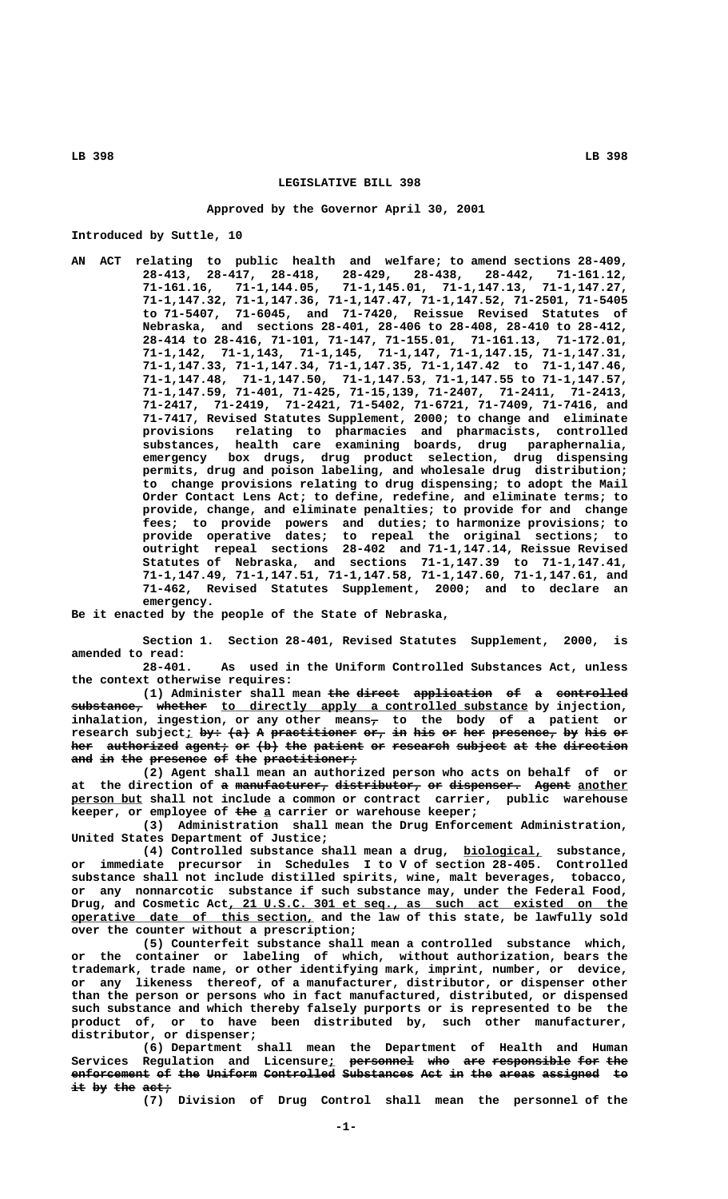# **LEGISLATIVE BILL 398**

#### **Approved by the Governor April 30, 2001**

**Introduced by Suttle, 10**

**AN ACT relating to public health and welfare; to amend sections 28-409, 28-413, 28-417, 28-418, 28-429, 28-438, 28-442, 71-161.12, 71-161.16, 71-1,144.05, 71-1,145.01, 71-1,147.13, 71-1,147.27, 71-1,147.32, 71-1,147.36, 71-1,147.47, 71-1,147.52, 71-2501, 71-5405 to 71-5407, 71-6045, and 71-7420, Reissue Revised Statutes of Nebraska, and sections 28-401, 28-406 to 28-408, 28-410 to 28-412, 28-414 to 28-416, 71-101, 71-147, 71-155.01, 71-161.13, 71-172.01, 71-1,142, 71-1,143, 71-1,145, 71-1,147, 71-1,147.15, 71-1,147.31, 71-1,147.33, 71-1,147.34, 71-1,147.35, 71-1,147.42 to 71-1,147.46, 71-1,147.48, 71-1,147.50, 71-1,147.53, 71-1,147.55 to 71-1,147.57, 71-1,147.59, 71-401, 71-425, 71-15,139, 71-2407, 71-2411, 71-2413, 71-2417, 71-2419, 71-2421, 71-5402, 71-6721, 71-7409, 71-7416, and 71-7417, Revised Statutes Supplement, 2000; to change and eliminate provisions relating to pharmacies and pharmacists, controlled substances, health care examining boards, drug paraphernalia, emergency** health care examining boards, drug paraphernalia, emergency box drugs, drug product selection, drug dispensing **permits, drug and poison labeling, and wholesale drug distribution; to change provisions relating to drug dispensing; to adopt the Mail Order Contact Lens Act; to define, redefine, and eliminate terms; to provide, change, and eliminate penalties; to provide for and change fees; to provide powers and duties; to harmonize provisions; to provide operative dates; to repeal the original sections; to outright repeal sections 28-402 and 71-1,147.14, Reissue Revised Statutes of Nebraska, and sections 71-1,147.39 to 71-1,147.41, 71-1,147.49, 71-1,147.51, 71-1,147.58, 71-1,147.60, 71-1,147.61, and 71-462, Revised Statutes Supplement, 2000; and to declare an emergency.**

**Be it enacted by the people of the State of Nebraska,**

**Section 1. Section 28-401, Revised Statutes Supplement, 2000, is amended to read:**

**28-401. As used in the Uniform Controlled Substances Act, unless the context otherwise requires:**

(1) Administer shall mean <del>the direct application of a controlled</del>  $s$ ubstance, whether to directly apply a controlled substance by injection,  **— inhalation, ingestion, or any other means, to the body of a patient or**  ${\tt research}$   ${\tt subject_}$   ${\tt by+}$   ${\tt (a)}$  A  ${\tt preset}$   ${\tt ir-}$   ${\tt if-}$   ${\tt if-}$   ${\tt if-}$   ${\tt if-}$   ${\tt if-}$   ${\tt if-}$   ${\tt if-}$   ${\tt if-}$ her authorized agent, or (b) the patient or research subject at the direction and in the presence of the practitioner<sub>7</sub>

**(2) Agent shall mean an authorized person who acts on behalf of or** at the direction of a manufacturer, distributor, or dispenser. Agent another  **\_\_\_\_\_\_\_\_\_\_ person but shall not include a common or contract carrier, public warehouse ——— \_ keeper, or employee of the a carrier or warehouse keeper;**

**(3) Administration shall mean the Drug Enforcement Administration, United States Department of Justice;**

**(4) Controlled substance shall mean a drug, biological, substance, \_\_\_\_\_\_\_\_\_\_\_ or immediate precursor in Schedules I to V of section 28-405. Controlled substance shall not include distilled spirits, wine, malt beverages, tobacco, or any nonnarcotic substance if such substance may, under the Federal Food,** Drug, and Cosmetic Act, 21 U.S.C. 301 et seq., as such act existed on the  **\_\_\_\_\_\_\_\_\_\_\_\_\_\_\_\_\_\_\_\_\_\_\_\_\_\_\_\_\_\_\_\_\_\_ operative date of this section, and the law of this state, be lawfully sold over the counter without a prescription;**

**(5) Counterfeit substance shall mean a controlled substance which, or the container or labeling of which, without authorization, bears the trademark, trade name, or other identifying mark, imprint, number, or device, or any likeness thereof, of a manufacturer, distributor, or dispenser other than the person or persons who in fact manufactured, distributed, or dispensed such substance and which thereby falsely purports or is represented to be the product of, or to have been distributed by, such other manufacturer, distributor, or dispenser;**

**(6) Department shall mean the Department of Health and Human** Services Regulation and Licensure<u>;</u> <del>personnel who are-responsible-for-the</del> **enforcement of the Uniform Controlled Substances Act in the areas assigned to ——————————— —— ——— ——————— —————————— —————————— ——— —— ——— ————— ———————— — it by the act;** 

**(7) Division of Drug Control shall mean the personnel of the**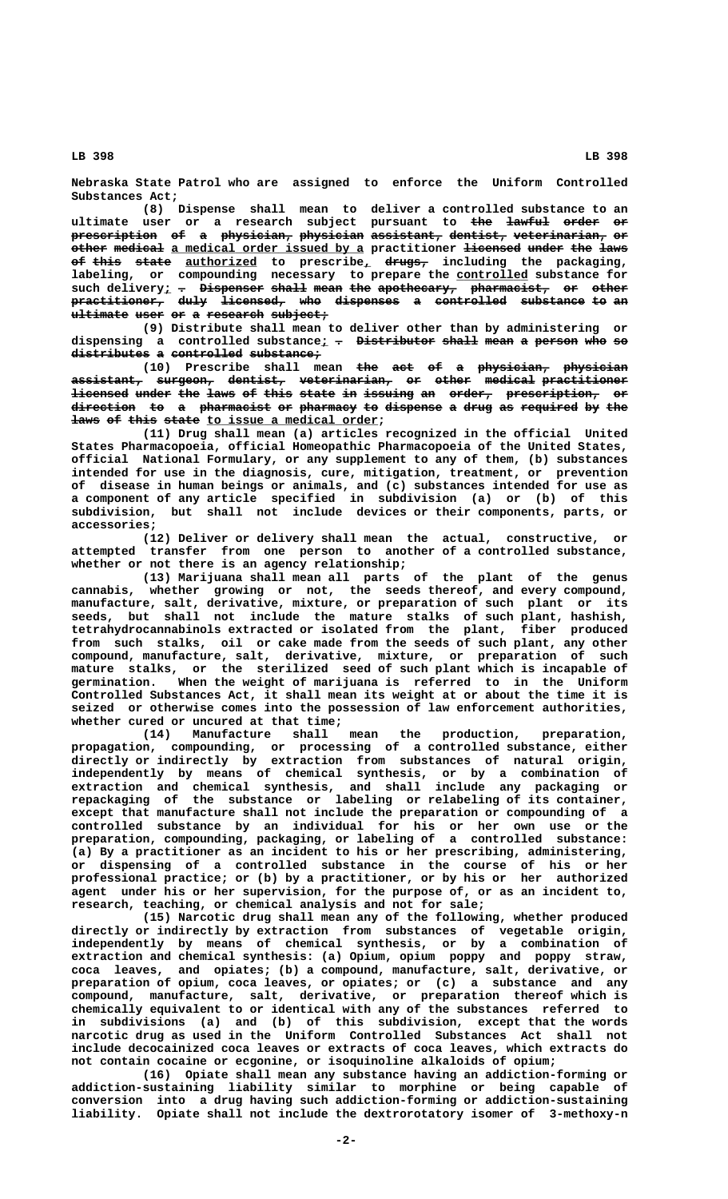**Nebraska State Patrol who are assigned to enforce the Uniform Controlled Substances Act;**

**(8) Dispense shall mean to deliver a controlled substance to an ultimate user or a research subject pursuant to the lawful order or ——— —————— ————— ——**  ${\tt present}$  prescription of a physician, physician assistant, dentist, veterinarian, or  $\epsilon$  other medical a medical order issued by a practitioner <del>licensed under the laws</del> **of this state** authorized to prescribe, drugs, including the packaging, labeling, or compounding necessary to prepare the **controlled** substance for such delivery; - Dispenser shall mean the apothecary, pharmacist, or other practitioner, duly licensed, who dispenses a controlled substance to an **ultimate user or a research subject;** 

**(9) Distribute shall mean to deliver other than by administering or** dispensing a controlled substance<sub>*l*</sub> <del>.</del> <del>Distributor shall</del> mean a person who so distributes a controlled substance;

(10) Prescribe shall mean <del>the act of a physician, physician</del> **assistant, surgeon, dentist, veterinarian, or other medical practitioner —————————— ———————— ———————— ————————————— —— ————— ——————— ———————————** licensed under the laws of this state in issuing an order, prescription, or **direction to a pharmacist or pharmacy to dispense a drug as required by the ————————— —— — —————————— —— ———————— —— ———————— — ———— —— ———————— —— —— laws of this state to issue a medical order;** 

**(11) Drug shall mean (a) articles recognized in the official United States Pharmacopoeia, official Homeopathic Pharmacopoeia of the United States, official National Formulary, or any supplement to any of them, (b) substances intended for use in the diagnosis, cure, mitigation, treatment, or prevention of disease in human beings or animals, and (c) substances intended for use as a component of any article specified in subdivision (a) or (b) of this subdivision, but shall not include devices or their components, parts, or accessories;**

**(12) Deliver or delivery shall mean the actual, constructive, or attempted transfer from one person to another of a controlled substance, whether or not there is an agency relationship;**

**(13) Marijuana shall mean all parts of the plant of the genus cannabis, whether growing or not, the seeds thereof, and every compound, manufacture, salt, derivative, mixture, or preparation of such plant or its seeds, but shall not include the mature stalks of such plant, hashish, tetrahydrocannabinols extracted or isolated from the plant, fiber produced from such stalks, oil or cake made from the seeds of such plant, any other compound, manufacture, salt, derivative, mixture, or preparation of such mature stalks, or the sterilized seed of such plant which is incapable of germination. When the weight of marijuana is referred to in the Uniform Controlled Substances Act, it shall mean its weight at or about the time it is seized or otherwise comes into the possession of law enforcement authorities, whether cured or uncured at that time;**

**(14) Manufacture shall mean the production, preparation, propagation, compounding, or processing of a controlled substance, either directly or indirectly by extraction from substances of natural origin, independently by means of chemical synthesis, or by a combination of extraction and chemical synthesis, and shall include any packaging or repackaging of the substance or labeling or relabeling of its container, except that manufacture shall not include the preparation or compounding of a controlled substance by an individual for his or her own use or the preparation, compounding, packaging, or labeling of a controlled substance: (a) By a practitioner as an incident to his or her prescribing, administering, or dispensing of a controlled substance in the course of his or her professional practice; or (b) by a practitioner, or by his or her authorized agent under his or her supervision, for the purpose of, or as an incident to, research, teaching, or chemical analysis and not for sale;**

**(15) Narcotic drug shall mean any of the following, whether produced directly or indirectly by extraction from substances of vegetable origin, independently by means of chemical synthesis, or by a combination of extraction and chemical synthesis: (a) Opium, opium poppy and poppy straw, coca leaves, and opiates; (b) a compound, manufacture, salt, derivative, or preparation of opium, coca leaves, or opiates; or (c) a substance and any compound, manufacture, salt, derivative, or preparation thereof which is chemically equivalent to or identical with any of the substances referred to in subdivisions (a) and (b) of this subdivision, except that the words narcotic drug as used in the Uniform Controlled Substances Act shall not include decocainized coca leaves or extracts of coca leaves, which extracts do not contain cocaine or ecgonine, or isoquinoline alkaloids of opium;**

**(16) Opiate shall mean any substance having an addiction-forming or addiction-sustaining liability similar to morphine or being capable of conversion into a drug having such addiction-forming or addiction-sustaining liability. Opiate shall not include the dextrorotatory isomer of 3-methoxy-n**

 **LB 398 LB 398**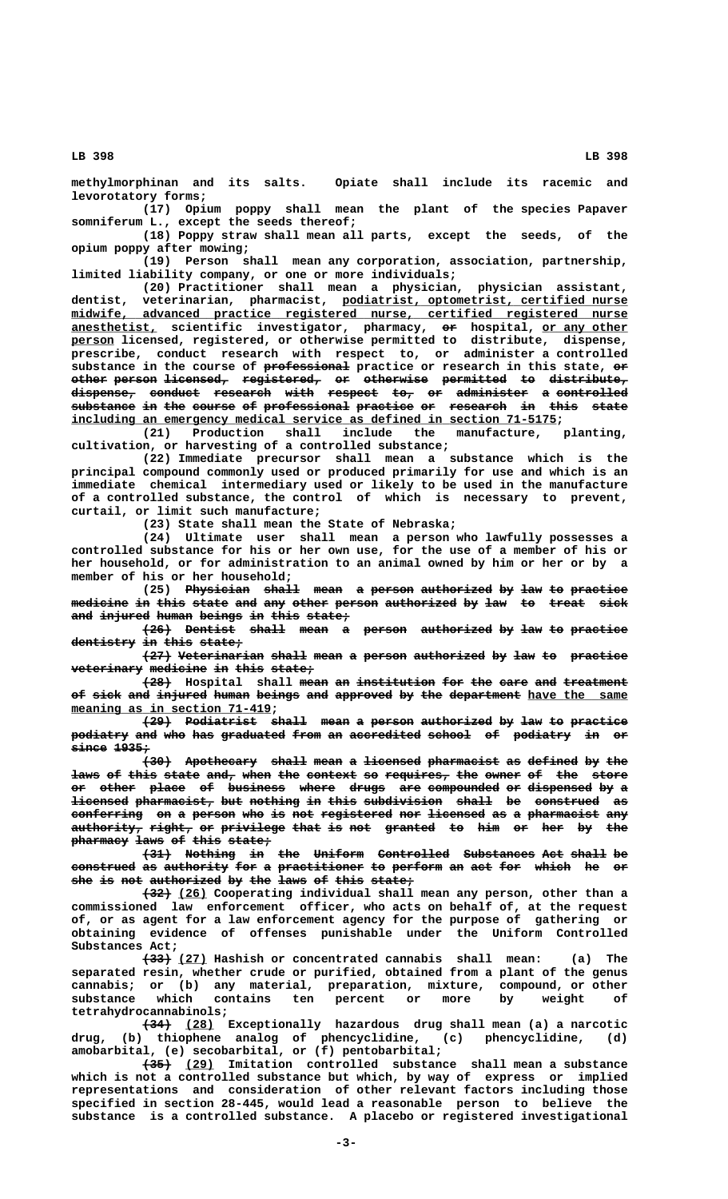**methylmorphinan and its salts. Opiate shall include its racemic and levorotatory forms;**

**(17) Opium poppy shall mean the plant of the species Papaver somniferum L., except the seeds thereof;**

**(18) Poppy straw shall mean all parts, except the seeds, of the opium poppy after mowing;**

**(19) Person shall mean any corporation, association, partnership, limited liability company, or one or more individuals;**

**(20) Practitioner shall mean a physician, physician assistant, \_\_\_\_\_\_\_\_\_\_\_\_\_\_\_\_\_\_\_\_\_\_\_\_\_\_\_\_\_\_\_\_\_\_\_\_\_\_\_\_ dentist, veterinarian, pharmacist, podiatrist, optometrist, certified nurse \_\_\_\_\_\_\_\_\_\_\_\_\_\_\_\_\_\_\_\_\_\_\_\_\_\_\_\_\_\_\_\_\_\_\_\_\_\_\_\_\_\_\_\_\_\_\_\_\_\_\_\_\_\_\_\_\_\_\_\_\_\_\_\_\_\_\_\_\_\_\_\_\_\_\_\_\_\_ midwife, advanced practice registered nurse, certified registered nurse \_\_\_\_\_\_\_\_\_\_\_\_ —— \_\_\_\_\_\_\_\_\_\_\_\_ anesthetist, scientific investigator, pharmacy, or hospital, or any other \_\_\_\_\_\_ person licensed, registered, or otherwise permitted to distribute, dispense, prescribe, conduct research with respect to, or administer a controlled** substance in the course of professional practice or research in this state, or **other person licensed, registered, or otherwise permitted to distribute, ————— —————— ————————— ——————————— —— ————————— ————————— —— —————————— dispense, conduct research with respect to, or administer a controlled ————————— ——————— ———————— ———— ——————— ——— —— —————————— — ————————— substance in the course of professional practice or research in this state ————————— —— ——— —————— —— ———————————— ———————— —— ———————— —— ———— ————** including an emergency medical service as defined in section 71-5175;

**(21) Production shall include the manufacture, planting,**

**cultivation, or harvesting of a controlled substance; (22) Immediate precursor shall mean a substance which is the principal compound commonly used or produced primarily for use and which is an immediate chemical intermediary used or likely to be used in the manufacture of a controlled substance, the control of which is necessary to prevent, curtail, or limit such manufacture;**

**(23) State shall mean the State of Nebraska;**

**(24) Ultimate user shall mean a person who lawfully possesses a controlled substance for his or her own use, for the use of a member of his or her household, or for administration to an animal owned by him or her or by a member of his or her household;**

**(25)** Physician shall mean a person authorized by law to practice medicine in this state and any other person authorized by law to treat sick and injured human beings in this state;

**(26) Dentist shall mean a person authorized by law to practice** dentistry in this state;

 $(27)$  Veterinarian shall mean a person authorized by law to practice **veterinary medicine in this state; —————————— ———————— —— ———— ——————**

**(28)** Hospital shall mean an institution for the care and treatment of sick and injured human beings and approved by the department have the same  **\_\_\_\_\_\_\_\_\_\_\_\_\_\_\_\_\_\_\_\_\_\_\_\_\_\_\_\_ meaning as in section 71-419;**

 $\overline{29}$  Podiatrist shall mean a person authorized by law to practice podiatry and who has graduated from an accredited school of podiatry in or  **since 1935; ————— —————**

 $(30)$  Apothecary shall mean a licensed pharmacist as defined by the laws of this state and, when the context so requires, the owner of the store **or other place of business where drugs are compounded or dispensed by a —— ————— ————— —— ———————— ————— ————— ——— —————————— —— ————————— ——**  licensed pharmacist, but nothing in this subdivision shall be construed as conferring on a person who is not registered nor licensed as a pharmacist any  $a$ uthority, right, or privilege that is not granted to him or her by the **pharmacy laws of this state; ———————— ———— —— ———— ——————**

**(31) Nothing in the Uniform Controlled Substances Act shall be ———— ——————— —— ——— ——————— —————————— —————————— ——— ————— —** construed as authority for a practitioner to perform an act for which he or she is not authorized by the laws of this state;

 **———— \_\_\_\_ (32) (26) Cooperating individual shall mean any person, other than a commissioned law enforcement officer, who acts on behalf of, at the request of, or as agent for a law enforcement agency for the purpose of gathering or obtaining evidence of offenses punishable under the Uniform Controlled Substances Act;**

 **———— \_\_\_\_ (33) (27) Hashish or concentrated cannabis shall mean: (a) The separated resin, whether crude or purified, obtained from a plant of the genus cannabis; or (b) any material, preparation, mixture, compound, or other substance which contains ten percent or more by weight of tetrahydrocannabinols;**

 **———— \_\_\_\_ (34) (28) Exceptionally hazardous drug shall mean (a) a narcotic drug, (b) thiophene analog of phencyclidine, (c) phencyclidine, (d) amobarbital, (e) secobarbital, or (f) pentobarbital;**

 **———— \_\_\_\_ (35) (29) Imitation controlled substance shall mean a substance which is not a controlled substance but which, by way of express or implied representations and consideration of other relevant factors including those specified in section 28-445, would lead a reasonable person to believe the substance is a controlled substance. A placebo or registered investigational**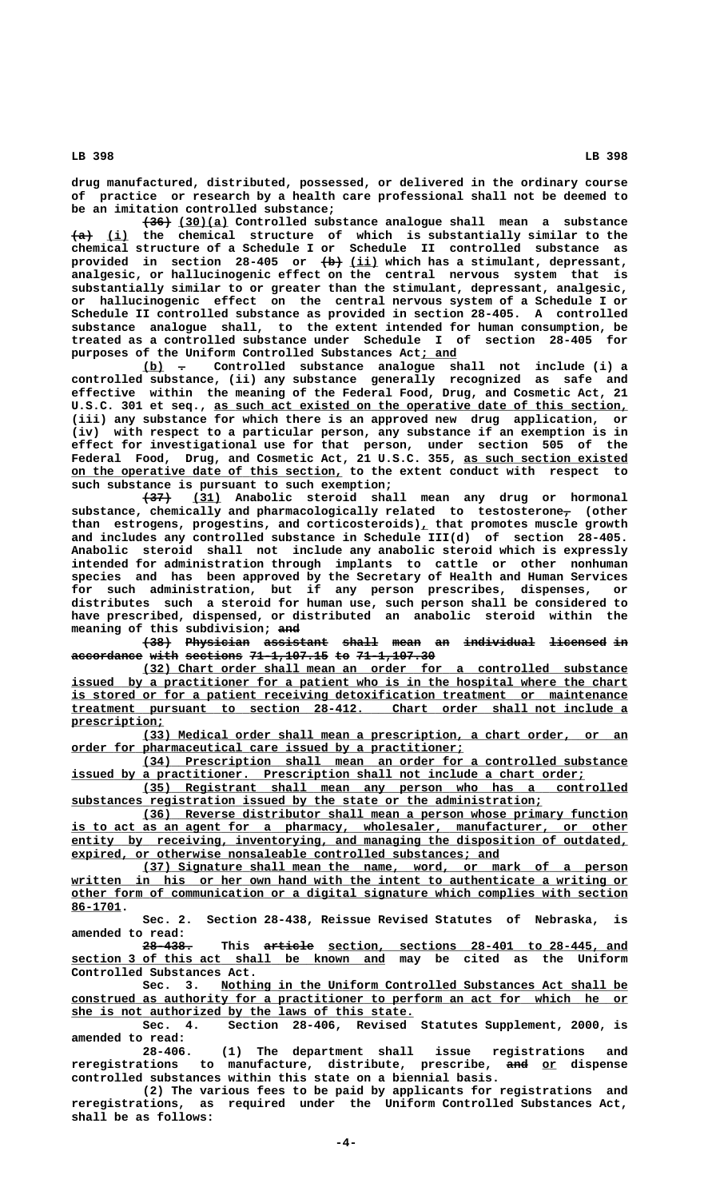**drug manufactured, distributed, possessed, or delivered in the ordinary course of practice or research by a health care professional shall not be deemed to be an imitation controlled substance;**

 **———— \_\_\_\_\_\_\_ (36) (30)(a) Controlled substance analogue shall mean a substance ——— \_\_\_ (a) (i) the chemical structure of which is substantially similar to the chemical structure of a Schedule I or Schedule II controlled substance as ——— \_\_\_\_ provided in section 28-405 or (b) (ii) which has a stimulant, depressant, analgesic, or hallucinogenic effect on the central nervous system that is substantially similar to or greater than the stimulant, depressant, analgesic, or hallucinogenic effect on the central nervous system of a Schedule I or Schedule II controlled substance as provided in section 28-405. A controlled substance analogue shall, to the extent intended for human consumption, be treated as a controlled substance under Schedule I of section 28-405 for purposes of the Uniform Controlled Substances Act; and \_\_\_\_\_**

 **\_\_\_ — (b) . Controlled substance analogue shall not include (i) a controlled substance, (ii) any substance generally recognized as safe and effective within the meaning of the Federal Food, Drug, and Cosmetic Act, 21** U.S.C. 301 et seq., as such act existed on the operative date of this section, **(iii) any substance for which there is an approved new drug application, or (iv) with respect to a particular person, any substance if an exemption is in effect for investigational use for that person, under section 505 of the Federal Food, Drug, and Cosmetic Act, 21 U.S.C. 355, as such section existed \_\_\_\_\_\_\_\_\_\_\_\_\_\_\_\_\_\_\_\_\_\_\_ \_\_\_\_\_\_\_\_\_\_\_\_\_\_\_\_\_\_\_\_\_\_\_\_\_\_\_\_\_\_\_\_\_\_\_\_\_\_ on the operative date of this section, to the extent conduct with respect to such substance is pursuant to such exemption;**

> **———— \_\_\_\_ (37) (31) Anabolic steroid shall mean any drug or hormonal** substance, chemically and pharmacologically related to testosterone<sub>7</sub> (other than estrogens, progestins, and corticosteroids)<sub>L</sub> that promotes muscle growth **and includes any controlled substance in Schedule III(d) of section 28-405. Anabolic steroid shall not include any anabolic steroid which is expressly intended for administration through implants to cattle or other nonhuman species and has been approved by the Secretary of Health and Human Services for such administration, but if any person prescribes, dispenses, or distributes such a steroid for human use, such person shall be considered to have prescribed, dispensed, or distributed an anabolic steroid within the ——— meaning of this subdivision; and**

> **(38) Physician assistant shall mean an individual licensed in accordance with sections 71-1,107.15 to 71-1,107.30 —————————— ———— ———————— ——————————— —— ———————————**

> **\_\_\_\_\_\_\_\_\_\_\_\_\_\_\_\_\_\_\_\_\_\_\_\_\_\_\_\_\_\_\_\_\_\_\_\_\_\_\_\_\_\_\_\_\_\_\_\_\_\_\_\_\_\_\_\_\_\_\_\_\_\_\_\_\_\_\_\_ (32) Chart order shall mean an order for a controlled substance** issued by a practitioner for a patient who is in the hospital where the chart  **\_\_\_\_\_\_\_\_\_\_\_\_\_\_\_\_\_\_\_\_\_\_\_\_\_\_\_\_\_\_\_\_\_\_\_\_\_\_\_\_\_\_\_\_\_\_\_\_\_\_\_\_\_\_\_\_\_\_\_\_\_\_\_\_\_\_\_\_\_\_\_\_\_\_\_\_\_\_ is stored or for a patient receiving detoxification treatment or maintenance**  $t$ reatment pursuant to section 28-412.  **prescription; \_\_\_\_\_\_\_\_\_\_\_\_\_**

> **\_\_\_\_\_\_\_\_\_\_\_\_\_\_\_\_\_\_\_\_\_\_\_\_\_\_\_\_\_\_\_\_\_\_\_\_\_\_\_\_\_\_\_\_\_\_\_\_\_\_\_\_\_\_\_\_\_\_\_\_\_\_\_\_\_\_\_\_ (33) Medical order shall mean a prescription, a chart order, or an \_\_\_\_\_\_\_\_\_\_\_\_\_\_\_\_\_\_\_\_\_\_\_\_\_\_\_\_\_\_\_\_\_\_\_\_\_\_\_\_\_\_\_\_\_\_\_\_\_\_\_\_\_\_\_ order for pharmaceutical care issued by a practitioner;**

 **\_\_\_\_\_\_\_\_\_\_\_\_\_\_\_\_\_\_\_\_\_\_\_\_\_\_\_\_\_\_\_\_\_\_\_\_\_\_\_\_\_\_\_\_\_\_\_\_\_\_\_\_\_\_\_\_\_\_\_\_\_\_\_\_\_\_\_\_ (34) Prescription shall mean an order for a controlled substance \_\_\_\_\_\_\_\_\_\_\_\_\_\_\_\_\_\_\_\_\_\_\_\_\_\_\_\_\_\_\_\_\_\_\_\_\_\_\_\_\_\_\_\_\_\_\_\_\_\_\_\_\_\_\_\_\_\_\_\_\_\_\_\_\_\_\_\_\_\_\_\_ issued by a practitioner. Prescription shall not include a chart order;**

 **\_\_\_\_\_\_\_\_\_\_\_\_\_\_\_\_\_\_\_\_\_\_\_\_\_\_\_\_\_\_\_\_\_\_\_\_\_\_\_\_\_\_\_\_\_\_\_\_\_\_\_\_\_\_\_\_\_\_\_\_\_\_\_\_\_\_\_\_ (35) Registrant shall mean any person who has a controlled \_\_\_\_\_\_\_\_\_\_\_\_\_\_\_\_\_\_\_\_\_\_\_\_\_\_\_\_\_\_\_\_\_\_\_\_\_\_\_\_\_\_\_\_\_\_\_\_\_\_\_\_\_\_\_\_\_\_\_\_\_\_\_\_\_\_ substances registration issued by the state or the administration;**

 **\_\_\_\_\_\_\_\_\_\_\_\_\_\_\_\_\_\_\_\_\_\_\_\_\_\_\_\_\_\_\_\_\_\_\_\_\_\_\_\_\_\_\_\_\_\_\_\_\_\_\_\_\_\_\_\_\_\_\_\_\_\_\_\_\_\_\_\_ (36) Reverse distributor shall mean a person whose primary function \_\_\_\_\_\_\_\_\_\_\_\_\_\_\_\_\_\_\_\_\_\_\_\_\_\_\_\_\_\_\_\_\_\_\_\_\_\_\_\_\_\_\_\_\_\_\_\_\_\_\_\_\_\_\_\_\_\_\_\_\_\_\_\_\_\_\_\_\_\_\_\_\_\_\_\_\_\_ is to act as an agent for a pharmacy, wholesaler, manufacturer, or other** entity by receiving, inventorying, and managing the disposition of outdated, expired, or otherwise nonsaleable controlled substances; and

 **\_\_\_\_\_\_\_\_\_\_\_\_\_\_\_\_\_\_\_\_\_\_\_\_\_\_\_\_\_\_\_\_\_\_\_\_\_\_\_\_\_\_\_\_\_\_\_\_\_\_\_\_\_\_\_\_\_\_\_\_\_\_\_\_\_\_\_\_ (37) Signature shall mean the name, word, or mark of a person \_\_\_\_\_\_\_\_\_\_\_\_\_\_\_\_\_\_\_\_\_\_\_\_\_\_\_\_\_\_\_\_\_\_\_\_\_\_\_\_\_\_\_\_\_\_\_\_\_\_\_\_\_\_\_\_\_\_\_\_\_\_\_\_\_\_\_\_\_\_\_\_\_\_\_\_\_\_ written in his or her own hand with the intent to authenticate a writing or \_\_\_\_\_\_\_\_\_\_\_\_\_\_\_\_\_\_\_\_\_\_\_\_\_\_\_\_\_\_\_\_\_\_\_\_\_\_\_\_\_\_\_\_\_\_\_\_\_\_\_\_\_\_\_\_\_\_\_\_\_\_\_\_\_\_\_\_\_\_\_\_\_\_\_\_\_\_ other form of communication or a digital signature which complies with section 86-1701. \_\_\_\_\_\_\_**

**Sec. 2. Section 28-438, Reissue Revised Statutes of Nebraska, is amended to read:**

 **——————— ——————— \_\_\_\_\_\_\_\_\_\_\_\_\_\_\_\_\_\_\_\_\_\_\_\_\_\_\_\_\_\_\_\_\_\_\_\_\_\_\_\_\_\_ 28-438. This article section, sections 28-401 to 28-445, and \_\_\_\_\_\_\_\_\_\_\_\_\_\_\_\_\_\_\_\_\_\_\_\_\_\_\_\_\_\_\_\_\_\_\_\_\_\_\_\_\_\_\_\_ section 3 of this act shall be known and may be cited as the Uniform Controlled Substances Act.**

 **\_\_\_\_\_\_\_\_\_\_\_\_\_\_\_\_\_\_\_\_\_\_\_\_\_\_\_\_\_\_\_\_\_\_\_\_\_\_\_\_\_\_\_\_\_\_\_\_\_\_\_\_\_\_\_\_\_ Sec. 3. Nothing in the Uniform Controlled Substances Act shall be \_\_\_\_\_\_\_\_\_\_\_\_\_\_\_\_\_\_\_\_\_\_\_\_\_\_\_\_\_\_\_\_\_\_\_\_\_\_\_\_\_\_\_\_\_\_\_\_\_\_\_\_\_\_\_\_\_\_\_\_\_\_\_\_\_\_\_\_\_\_\_\_\_\_\_\_\_\_ construed as authority for a practitioner to perform an act for which he or \_\_\_\_\_\_\_\_\_\_\_\_\_\_\_\_\_\_\_\_\_\_\_\_\_\_\_\_\_\_\_\_\_\_\_\_\_\_\_\_\_\_\_\_\_\_\_\_ she is not authorized by the laws of this state.**

**Sec. 4. Section 28-406, Revised Statutes Supplement, 2000, is amended to read:**

**28-406. (1) The department shall issue registrations and reregistrations to manufacture, distribute, prescribe, and or dispense ——— \_\_ controlled substances within this state on a biennial basis.**

**(2) The various fees to be paid by applicants for registrations and reregistrations, as required under the Uniform Controlled Substances Act, shall be as follows:**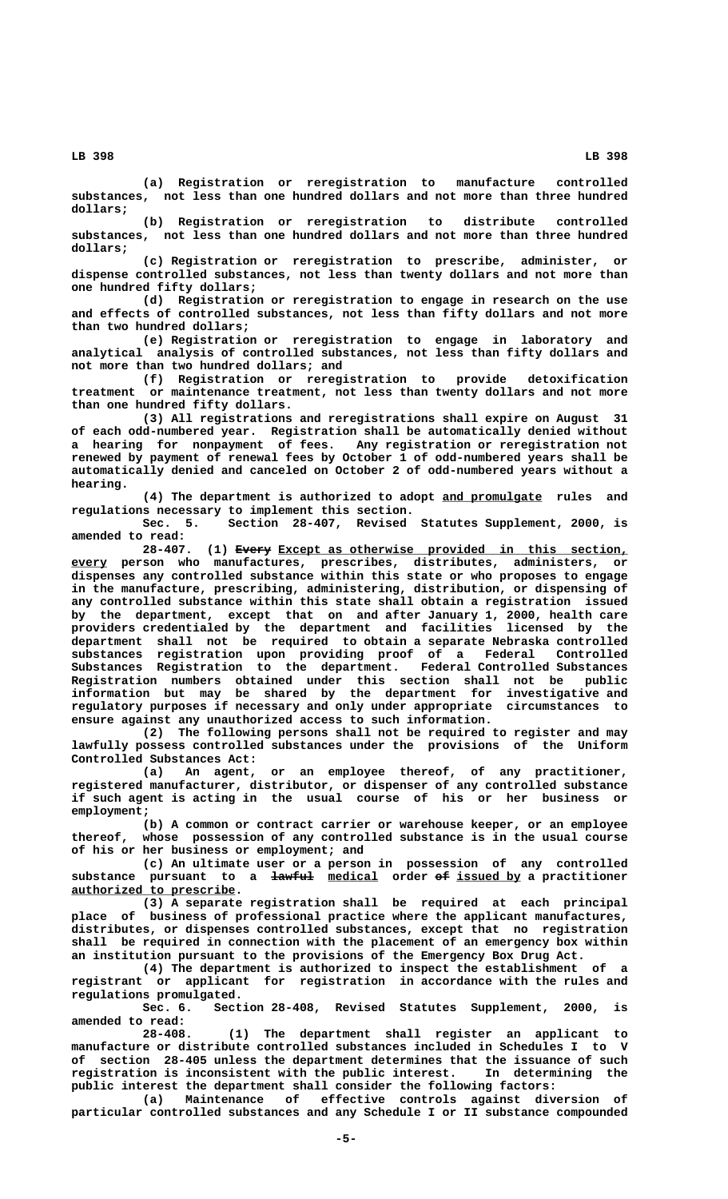**(a) Registration or reregistration to manufacture controlled substances, not less than one hundred dollars and not more than three hundred dollars;**

**(b) Registration or reregistration to distribute controlled substances, not less than one hundred dollars and not more than three hundred dollars;**

**(c) Registration or reregistration to prescribe, administer, or dispense controlled substances, not less than twenty dollars and not more than one hundred fifty dollars;**

**(d) Registration or reregistration to engage in research on the use and effects of controlled substances, not less than fifty dollars and not more than two hundred dollars;**

**(e) Registration or reregistration to engage in laboratory and analytical analysis of controlled substances, not less than fifty dollars and not more than two hundred dollars; and**

**(f) Registration or reregistration to provide detoxification treatment or maintenance treatment, not less than twenty dollars and not more than one hundred fifty dollars.**

**(3) All registrations and reregistrations shall expire on August 31 of each odd-numbered year. Registration shall be automatically denied without a hearing for nonpayment of fees. Any registration or reregistration not renewed by payment of renewal fees by October 1 of odd-numbered years shall be automatically denied and canceled on October 2 of odd-numbered years without a hearing.**

**(4) The department is authorized to adopt and promulgate rules and \_\_\_\_\_\_\_\_\_\_\_\_\_\_ regulations necessary to implement this section.**

**Sec. 5. Section 28-407, Revised Statutes Supplement, 2000, is amended to read:**

 **————— \_\_\_\_\_\_\_\_\_\_\_\_\_\_\_\_\_\_\_\_\_\_\_\_\_\_\_\_\_\_\_\_\_\_\_\_\_\_\_\_\_\_\_\_\_\_\_\_\_ 28-407. (1) Every Except as otherwise provided in this section, \_\_\_\_\_ every person who manufactures, prescribes, distributes, administers, or dispenses any controlled substance within this state or who proposes to engage in the manufacture, prescribing, administering, distribution, or dispensing of any controlled substance within this state shall obtain a registration issued by the department, except that on and after January 1, 2000, health care providers credentialed by the department and facilities licensed by the department shall not be required to obtain a separate Nebraska controlled substances registration upon providing proof of a Federal Controlled Substances Registration to the department. Federal Controlled Substances Registration numbers obtained under this section shall not be public information but may be shared by the department for investigative and regulatory purposes if necessary and only under appropriate circumstances to ensure against any unauthorized access to such information.**

> **(2) The following persons shall not be required to register and may lawfully possess controlled substances under the provisions of the Uniform Controlled Substances Act:**

> **(a) An agent, or an employee thereof, of any practitioner, registered manufacturer, distributor, or dispenser of any controlled substance if such agent is acting in the usual course of his or her business or employment;**

> **(b) A common or contract carrier or warehouse keeper, or an employee thereof, whose possession of any controlled substance is in the usual course of his or her business or employment; and**

> **(c) An ultimate user or a person in possession of any controlled** substance pursuant to a  $\frac{1}{4}$  medical order of issued by a practitioner  **\_\_\_\_\_\_\_\_\_\_\_\_\_\_\_\_\_\_\_\_\_\_\_ authorized to prescribe.**

> **(3) A separate registration shall be required at each principal place of business of professional practice where the applicant manufactures, distributes, or dispenses controlled substances, except that no registration shall be required in connection with the placement of an emergency box within an institution pursuant to the provisions of the Emergency Box Drug Act.**

> **(4) The department is authorized to inspect the establishment of a registrant or applicant for registration in accordance with the rules and regulations promulgated.**

> **Sec. 6. Section 28-408, Revised Statutes Supplement, 2000, is amended to read:**

> **28-408. (1) The department shall register an applicant to manufacture or distribute controlled substances included in Schedules I to V of section 28-405 unless the department determines that the issuance of such registration is inconsistent with the public interest. In determining the public interest the department shall consider the following factors:**

> **(a) Maintenance of effective controls against diversion of particular controlled substances and any Schedule I or II substance compounded**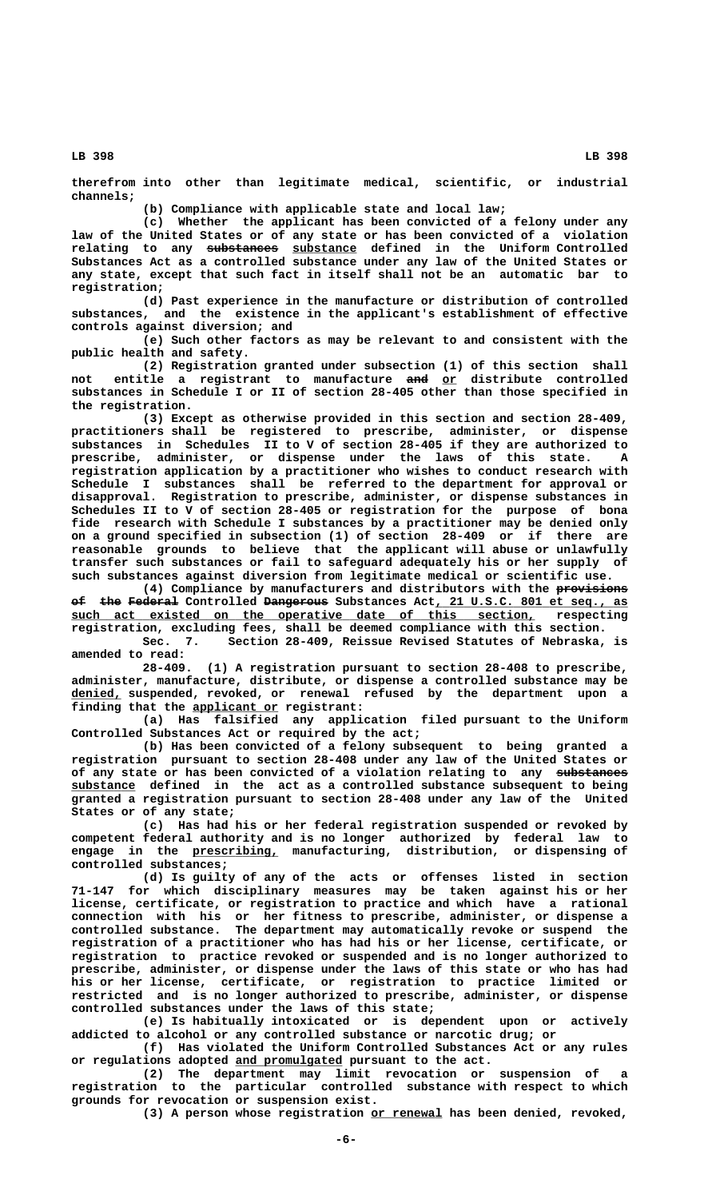**therefrom into other than legitimate medical, scientific, or industrial channels;**

**(b) Compliance with applicable state and local law;**

**(c) Whether the applicant has been convicted of a felony under any law of the United States or of any state or has been convicted of a violation —————————— \_\_\_\_\_\_\_\_\_ relating to any substances substance defined in the Uniform Controlled Substances Act as a controlled substance under any law of the United States or any state, except that such fact in itself shall not be an automatic bar to registration;**

**(d) Past experience in the manufacture or distribution of controlled substances, and the existence in the applicant's establishment of effective controls against diversion; and**

**(e) Such other factors as may be relevant to and consistent with the public health and safety.**

**(2) Registration granted under subsection (1) of this section shall not entitle a registrant to manufacture and or distribute controlled ——— \_\_ substances in Schedule I or II of section 28-405 other than those specified in the registration.**

**(3) Except as otherwise provided in this section and section 28-409, practitioners shall be registered to prescribe, administer, or dispense substances in Schedules II to V of section 28-405 if they are authorized to prescribe, administer, or dispense under the laws of this state. A registration application by a practitioner who wishes to conduct research with Schedule I substances shall be referred to the department for approval or disapproval. Registration to prescribe, administer, or dispense substances in Schedules II to V of section 28-405 or registration for the purpose of bona fide research with Schedule I substances by a practitioner may be denied only on a ground specified in subsection (1) of section 28-409 or if there are reasonable grounds to believe that the applicant will abuse or unlawfully transfer such substances or fail to safeguard adequately his or her supply of such substances against diversion from legitimate medical or scientific use.**

(4) Compliance by manufacturers and distributors with the provisions  $\epsilon$  the Federal Controlled Dangerous Substances Act, 21 U.S.C. 801 et seq., as  **\_\_\_\_\_\_\_\_\_\_\_\_\_\_\_\_\_\_\_\_\_\_\_\_\_\_\_\_\_\_\_\_\_\_\_\_\_\_\_\_\_\_\_\_\_\_\_\_\_\_\_\_\_\_\_\_\_\_\_\_\_\_\_\_\_ such act existed on the operative date of this section, respecting registration, excluding fees, shall be deemed compliance with this section.**

**Sec. 7. Section 28-409, Reissue Revised Statutes of Nebraska, is amended to read:**

**28-409. (1) A registration pursuant to section 28-408 to prescribe, administer, manufacture, distribute, or dispense a controlled substance may be \_\_\_\_\_\_\_ denied, suspended, revoked, or renewal refused by the department upon a \_\_\_\_\_\_\_\_\_\_\_\_ finding that the applicant or registrant:**

> **(a) Has falsified any application filed pursuant to the Uniform Controlled Substances Act or required by the act;**

> **(b) Has been convicted of a felony subsequent to being granted a registration pursuant to section 28-408 under any law of the United States or** of any state or has been convicted of a violation relating to any substances  **\_\_\_\_\_\_\_\_\_ substance defined in the act as a controlled substance subsequent to being granted a registration pursuant to section 28-408 under any law of the United States or of any state;**

**(c) Has had his or her federal registration suspended or revoked by competent federal authority and is no longer authorized by federal law to \_\_\_\_\_\_\_\_\_\_\_\_ engage in the prescribing, manufacturing, distribution, or dispensing of controlled substances;**

> **(d) Is guilty of any of the acts or offenses listed in section 71-147 for which disciplinary measures may be taken against his or her license, certificate, or registration to practice and which have a rational connection with his or her fitness to prescribe, administer, or dispense a controlled substance. The department may automatically revoke or suspend the registration of a practitioner who has had his or her license, certificate, or registration to practice revoked or suspended and is no longer authorized to prescribe, administer, or dispense under the laws of this state or who has had his or her license, certificate, or registration to practice limited or restricted and is no longer authorized to prescribe, administer, or dispense controlled substances under the laws of this state;**

> **(e) Is habitually intoxicated or is dependent upon or actively addicted to alcohol or any controlled substance or narcotic drug; or**

> **(f) Has violated the Uniform Controlled Substances Act or any rules \_\_\_\_\_\_\_\_\_\_\_\_\_\_\_ or regulations adopted and promulgated pursuant to the act.**

> **(2) The department may limit revocation or suspension of a registration to the particular controlled substance with respect to which grounds for revocation or suspension exist.**

 **\_\_\_\_\_\_\_\_\_\_ (3) A person whose registration or renewal has been denied, revoked,**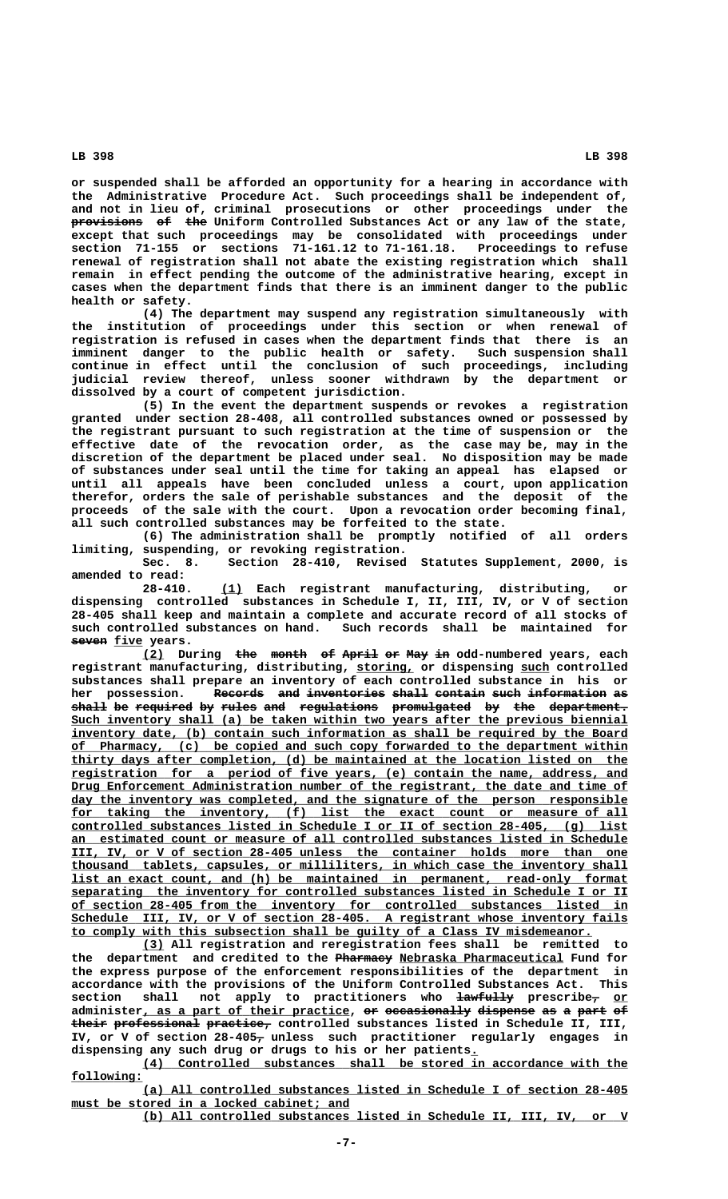**or suspended shall be afforded an opportunity for a hearing in accordance with the Administrative Procedure Act. Such proceedings shall be independent of, and not in lieu of, criminal prosecutions or other proceedings under the provisions** of the Uniform Controlled Substances Act or any law of the state, **except that such proceedings may be consolidated with proceedings under**

**section 71-155 or sections 71-161.12 to 71-161.18. Proceedings to refuse renewal of registration shall not abate the existing registration which shall remain in effect pending the outcome of the administrative hearing, except in cases when the department finds that there is an imminent danger to the public health or safety. (4) The department may suspend any registration simultaneously with**

**the institution of proceedings under this section or when renewal of registration is refused in cases when the department finds that there is an imminent danger to the public health or safety. Such suspension shall continue in effect until the conclusion of such proceedings, including judicial review thereof, unless sooner withdrawn by the department or dissolved by a court of competent jurisdiction.**

**(5) In the event the department suspends or revokes a registration granted under section 28-408, all controlled substances owned or possessed by the registrant pursuant to such registration at the time of suspension or the effective date of the revocation order, as the case may be, may in the discretion of the department be placed under seal. No disposition may be made of substances under seal until the time for taking an appeal has elapsed or until all appeals have been concluded unless a court, upon application therefor, orders the sale of perishable substances and the deposit of the proceeds of the sale with the court. Upon a revocation order becoming final, all such controlled substances may be forfeited to the state.**

**(6) The administration shall be promptly notified of all orders limiting, suspending, or revoking registration.**

Section 28-410, Revised Statutes Supplement, 2000, is **amended to read:**

 **\_\_\_ 28-410. (1) Each registrant manufacturing, distributing, or dispensing controlled substances in Schedule I, II, III, IV, or V of section 28-405 shall keep and maintain a complete and accurate record of all stocks of** Such records shall be maintained for  $f{seven}$  *five* years.

**(2)** During the month of April or May in odd-numbered years, each  **\_\_\_\_\_\_\_\_ \_\_\_\_ registrant manufacturing, distributing, storing, or dispensing such controlled substances shall prepare an inventory of each controlled substance in his or** her possession. Records and inventories shall contain such information as **shall be required by rules and regulations promulgated by the department. ————— —— ———————— —— ————— ——— ——————————— ——————————— —— ——— ——————————— \_\_\_\_\_\_\_\_\_\_\_\_\_\_\_\_\_\_\_\_\_\_\_\_\_\_\_\_\_\_\_\_\_\_\_\_\_\_\_\_\_\_\_\_\_\_\_\_\_\_\_\_\_\_\_\_\_\_\_\_\_\_\_\_\_\_\_\_\_\_\_\_\_\_\_\_\_\_ Such inventory shall (a) be taken within two years after the previous biennial** inventory date, (b) contain such information as shall be required by the Board  **\_\_\_\_\_\_\_\_\_\_\_\_\_\_\_\_\_\_\_\_\_\_\_\_\_\_\_\_\_\_\_\_\_\_\_\_\_\_\_\_\_\_\_\_\_\_\_\_\_\_\_\_\_\_\_\_\_\_\_\_\_\_\_\_\_\_\_\_\_\_\_\_\_\_\_\_\_\_ of Pharmacy, (c) be copied and such copy forwarded to the department within \_\_\_\_\_\_\_\_\_\_\_\_\_\_\_\_\_\_\_\_\_\_\_\_\_\_\_\_\_\_\_\_\_\_\_\_\_\_\_\_\_\_\_\_\_\_\_\_\_\_\_\_\_\_\_\_\_\_\_\_\_\_\_\_\_\_\_\_\_\_\_\_\_\_\_\_\_\_ thirty days after completion, (d) be maintained at the location listed on the \_\_\_\_\_\_\_\_\_\_\_\_\_\_\_\_\_\_\_\_\_\_\_\_\_\_\_\_\_\_\_\_\_\_\_\_\_\_\_\_\_\_\_\_\_\_\_\_\_\_\_\_\_\_\_\_\_\_\_\_\_\_\_\_\_\_\_\_\_\_\_\_\_\_\_\_\_\_ registration for a period of five years, (e) contain the name, address, and \_\_\_\_\_\_\_\_\_\_\_\_\_\_\_\_\_\_\_\_\_\_\_\_\_\_\_\_\_\_\_\_\_\_\_\_\_\_\_\_\_\_\_\_\_\_\_\_\_\_\_\_\_\_\_\_\_\_\_\_\_\_\_\_\_\_\_\_\_\_\_\_\_\_\_\_\_\_ Drug Enforcement Administration number of the registrant, the date and time of \_\_\_\_\_\_\_\_\_\_\_\_\_\_\_\_\_\_\_\_\_\_\_\_\_\_\_\_\_\_\_\_\_\_\_\_\_\_\_\_\_\_\_\_\_\_\_\_\_\_\_\_\_\_\_\_\_\_\_\_\_\_\_\_\_\_\_\_\_\_\_\_\_\_\_\_\_\_ day the inventory was completed, and the signature of the person responsible** for taking the inventory, (f) list the exact count or measure of all  **\_\_\_\_\_\_\_\_\_\_\_\_\_\_\_\_\_\_\_\_\_\_\_\_\_\_\_\_\_\_\_\_\_\_\_\_\_\_\_\_\_\_\_\_\_\_\_\_\_\_\_\_\_\_\_\_\_\_\_\_\_\_\_\_\_\_\_\_\_\_\_\_\_\_\_\_\_\_ controlled substances listed in Schedule I or II of section 28-405, (g) list \_\_\_\_\_\_\_\_\_\_\_\_\_\_\_\_\_\_\_\_\_\_\_\_\_\_\_\_\_\_\_\_\_\_\_\_\_\_\_\_\_\_\_\_\_\_\_\_\_\_\_\_\_\_\_\_\_\_\_\_\_\_\_\_\_\_\_\_\_\_\_\_\_\_\_\_\_\_ an estimated count or measure of all controlled substances listed in Schedule \_\_\_\_\_\_\_\_\_\_\_\_\_\_\_\_\_\_\_\_\_\_\_\_\_\_\_\_\_\_\_\_\_\_\_\_\_\_\_\_\_\_\_\_\_\_\_\_\_\_\_\_\_\_\_\_\_\_\_\_\_\_\_\_\_\_\_\_\_\_\_\_\_\_\_\_\_\_ III, IV, or V of section 28-405 unless the container holds more than one \_\_\_\_\_\_\_\_\_\_\_\_\_\_\_\_\_\_\_\_\_\_\_\_\_\_\_\_\_\_\_\_\_\_\_\_\_\_\_\_\_\_\_\_\_\_\_\_\_\_\_\_\_\_\_\_\_\_\_\_\_\_\_\_\_\_\_\_\_\_\_\_\_\_\_\_\_\_ thousand tablets, capsules, or milliliters, in which case the inventory shall \_\_\_\_\_\_\_\_\_\_\_\_\_\_\_\_\_\_\_\_\_\_\_\_\_\_\_\_\_\_\_\_\_\_\_\_\_\_\_\_\_\_\_\_\_\_\_\_\_\_\_\_\_\_\_\_\_\_\_\_\_\_\_\_\_\_\_\_\_\_\_\_\_\_\_\_\_\_ list an exact count, and (h) be maintained in permanent, read-only format**  $separating$  the inventory for controlled substances listed in Schedule I or II  **\_\_\_\_\_\_\_\_\_\_\_\_\_\_\_\_\_\_\_\_\_\_\_\_\_\_\_\_\_\_\_\_\_\_\_\_\_\_\_\_\_\_\_\_\_\_\_\_\_\_\_\_\_\_\_\_\_\_\_\_\_\_\_\_\_\_\_\_\_\_\_\_\_\_\_\_\_\_ of section 28-405 from the inventory for controlled substances listed in \_\_\_\_\_\_\_\_\_\_\_\_\_\_\_\_\_\_\_\_\_\_\_\_\_\_\_\_\_\_\_\_\_\_\_\_\_\_\_\_\_\_\_\_\_\_\_\_\_\_\_\_\_\_\_\_\_\_\_\_\_\_\_\_\_\_\_\_\_\_\_\_\_\_\_\_\_\_ Schedule III, IV, or V of section 28-405. A registrant whose inventory fails \_\_\_\_\_\_\_\_\_\_\_\_\_\_\_\_\_\_\_\_\_\_\_\_\_\_\_\_\_\_\_\_\_\_\_\_\_\_\_\_\_\_\_\_\_\_\_\_\_\_\_\_\_\_\_\_\_\_\_\_\_\_\_\_\_\_\_\_\_\_\_\_\_ to comply with this subsection shall be guilty of a Class IV misdemeanor.**

 **\_\_\_ (3) All registration and reregistration fees shall be remitted to** the department and credited to the Pharmacy Nebraska Pharmaceutical Fund for **the express purpose of the enforcement responsibilities of the department in accordance with the provisions of the Uniform Controlled Substances Act. This** section shall not apply to practitioners who  $\frac{1}{4}$  and  $\frac{1}{4}$  prescribe<sub>7</sub> or administer, as a part of their practice, or occasionally dispense as a part of their professional practice, controlled substances listed in Schedule II, III,  **— IV, or V of section 28-405, unless such practitioner regularly engages in dispensing any such drug or drugs to his or her patients.\_**

 **\_\_\_\_\_\_\_\_\_\_\_\_\_\_\_\_\_\_\_\_\_\_\_\_\_\_\_\_\_\_\_\_\_\_\_\_\_\_\_\_\_\_\_\_\_\_\_\_\_\_\_\_\_\_\_\_\_\_\_\_\_\_\_\_\_\_\_\_ (4) Controlled substances shall be stored in accordance with the following: \_\_\_\_\_\_\_\_\_\_**

 **\_\_\_\_\_\_\_\_\_\_\_\_\_\_\_\_\_\_\_\_\_\_\_\_\_\_\_\_\_\_\_\_\_\_\_\_\_\_\_\_\_\_\_\_\_\_\_\_\_\_\_\_\_\_\_\_\_\_\_\_\_\_\_\_\_\_\_\_ (a) All controlled substances listed in Schedule I of section 28-405** must be stored in a locked cabinet; and

 **\_\_\_\_\_\_\_\_\_\_\_\_\_\_\_\_\_\_\_\_\_\_\_\_\_\_\_\_\_\_\_\_\_\_\_\_\_\_\_\_\_\_\_\_\_\_\_\_\_\_\_\_\_\_\_\_\_\_\_\_\_\_\_\_\_\_\_\_ (b) All controlled substances listed in Schedule II, III, IV, or V**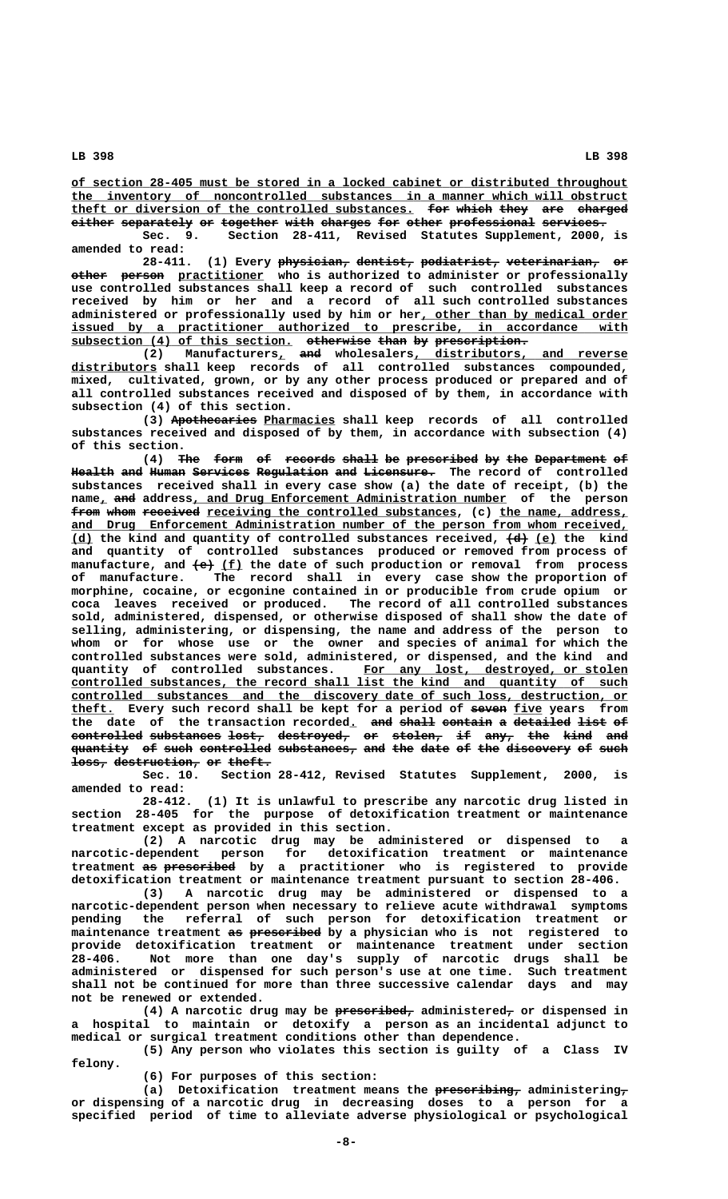**\_\_\_\_\_\_\_\_\_\_\_\_\_\_\_\_\_\_\_\_\_\_\_\_\_\_\_\_\_\_\_\_\_\_\_\_\_\_\_\_\_\_\_\_\_\_\_\_\_\_\_\_\_\_\_\_\_\_\_\_\_\_\_\_\_\_\_\_\_\_\_\_\_\_\_\_\_\_ of section 28-405 must be stored in a locked cabinet or distributed throughout \_\_\_\_\_\_\_\_\_\_\_\_\_\_\_\_\_\_\_\_\_\_\_\_\_\_\_\_\_\_\_\_\_\_\_\_\_\_\_\_\_\_\_\_\_\_\_\_\_\_\_\_\_\_\_\_\_\_\_\_\_\_\_\_\_\_\_\_\_\_\_\_\_\_\_\_\_\_ the inventory of noncontrolled substances in a manner which will obstruct theft or diversion of the controlled substances. for which they are charged \_\_\_\_\_\_\_\_\_\_\_\_\_\_\_\_\_\_\_\_\_\_\_\_\_\_\_\_\_\_\_\_\_\_\_\_\_\_\_\_\_\_\_\_\_\_\_\_ ——— ————— ———— ——— ——————**  $i$  either separately or together with charges for other professional services.

**Sec. 9. Section 28-411, Revised Statutes Supplement, 2000, is amended to read:**

28-411. (1) Every physician, dentist, podiatrist, veterinarian, or  $\bullet$  **person** practitioner who is authorized to administer or professionally **use controlled substances shall keep a record of such controlled substances received by him or her and a record of all such controlled substances** administered or professionally used by him or her, other than by medical order  **\_\_\_\_\_\_\_\_\_\_\_\_\_\_\_\_\_\_\_\_\_\_\_\_\_\_\_\_\_\_\_\_\_\_\_\_\_\_\_\_\_\_\_\_\_\_\_\_\_\_\_\_\_\_\_\_\_\_\_\_\_\_\_\_\_\_\_\_\_\_\_\_\_\_\_\_\_\_ issued by a practitioner authorized to prescribe, in accordance with subsection (4) of this section. otherwise than by prescription. \_\_\_\_\_\_\_\_\_\_\_\_\_\_\_\_\_\_\_\_\_\_\_\_\_\_\_\_\_\_\_ ————————— ———— —— —————————————**

**(2) Manufacturers, and wholesalers, distributors, and reverse \_\_\_\_\_\_\_\_\_\_\_\_ distributors shall keep records of all controlled substances compounded, mixed, cultivated, grown, or by any other process produced or prepared and of all controlled substances received and disposed of by them, in accordance with subsection (4) of this section.**

> (3) Apothecaries Pharmacies shall keep records of all controlled **substances received and disposed of by them, in accordance with subsection (4) of this section.**

> (4) The form of records shall be prescribed by the Department of Health and Human Services Regulation and Licensure. The record of controlled **substances received shall in every case show (a) the date of receipt, (b) the**  $name_{L}$  and address, and Drug Enforcement Administration number of the person from whom received receiving the controlled substances, (c) the name, address,  **\_\_\_\_\_\_\_\_\_\_\_\_\_\_\_\_\_\_\_\_\_\_\_\_\_\_\_\_\_\_\_\_\_\_\_\_\_\_\_\_\_\_\_\_\_\_\_\_\_\_\_\_\_\_\_\_\_\_\_\_\_\_\_\_\_\_\_\_\_\_\_\_\_\_\_\_\_\_ and Drug Enforcement Administration number of the person from whom received, \_\_\_ (d) the kind and quantity of controlled substances received, (d) (e) the kind ——— \_\_\_ and quantity of controlled substances produced or removed from process of** manufacture, and  $\leftarrow \text{(f)}$  the date of such production or removal from process **of manufacture. The record shall in every case show the proportion of morphine, cocaine, or ecgonine contained in or producible from crude opium or coca leaves received or produced. The record of all controlled substances sold, administered, dispensed, or otherwise disposed of shall show the date of selling, administering, or dispensing, the name and address of the person to whom or for whose use or the owner and species of animal for which the controlled substances were sold, administered, or dispensed, and the kind and \_\_\_\_\_\_\_\_\_\_\_\_\_\_\_\_\_\_\_\_\_\_\_\_\_\_\_\_\_\_\_\_\_\_\_\_\_ quantity of controlled substances. For any lost, destroyed, or stolen** controlled substances, the record shall list the kind and quantity of such  **\_\_\_\_\_\_\_\_\_\_\_\_\_\_\_\_\_\_\_\_\_\_\_\_\_\_\_\_\_\_\_\_\_\_\_\_\_\_\_\_\_\_\_\_\_\_\_\_\_\_\_\_\_\_\_\_\_\_\_\_\_\_\_\_\_\_\_\_\_\_\_\_\_\_\_\_\_\_ controlled substances and the discovery date of such loss, destruction, or** theft. Every such record shall be kept for a period of seven five years from the date of the transaction recorded<u>.</u> <del>and shall contain</del> <del>a detailed list of</del> **controlled substances lost, destroyed, or stolen, if any, the kind and —————————— —————————— ————— —————————— —— ——————— —— ———— ——— ———— ———**  $\overline{\textbf{quantity}}$  of such controlled substances, and the date of the discovery of such  $\frac{1}{1}$ **destruction, or theft.**

> **Sec. 10. Section 28-412, Revised Statutes Supplement, 2000, is amended to read:**

> **28-412. (1) It is unlawful to prescribe any narcotic drug listed in section 28-405 for the purpose of detoxification treatment or maintenance treatment except as provided in this section.**

> **(2) A narcotic drug may be administered or dispensed to a narcotic-dependent person for detoxification treatment or maintenance** treatment as prescribed by a practitioner who is registered to provide **detoxification treatment or maintenance treatment pursuant to section 28-406.**

> **(3) A narcotic drug may be administered or dispensed to a narcotic-dependent person when necessary to relieve acute withdrawal symptoms pending the referral of such person for detoxification treatment or —— —————————— maintenance treatment as prescribed by a physician who is not registered to provide detoxification treatment or maintenance treatment under section 28-406. Not more than one day's supply of narcotic drugs shall be administered or dispensed for such person's use at one time. Such treatment shall not be continued for more than three successive calendar days and may not be renewed or extended.**

> **——————————— — (4) A narcotic drug may be prescribed, administered, or dispensed in a hospital to maintain or detoxify a person as an incidental adjunct to medical or surgical treatment conditions other than dependence.**

> **(5) Any person who violates this section is guilty of a Class IV felony.**

**(6) For purposes of this section:**

(a) Detoxification treatment means the **prescribing,** administering, **or dispensing of a narcotic drug in decreasing doses to a person for a specified period of time to alleviate adverse physiological or psychological**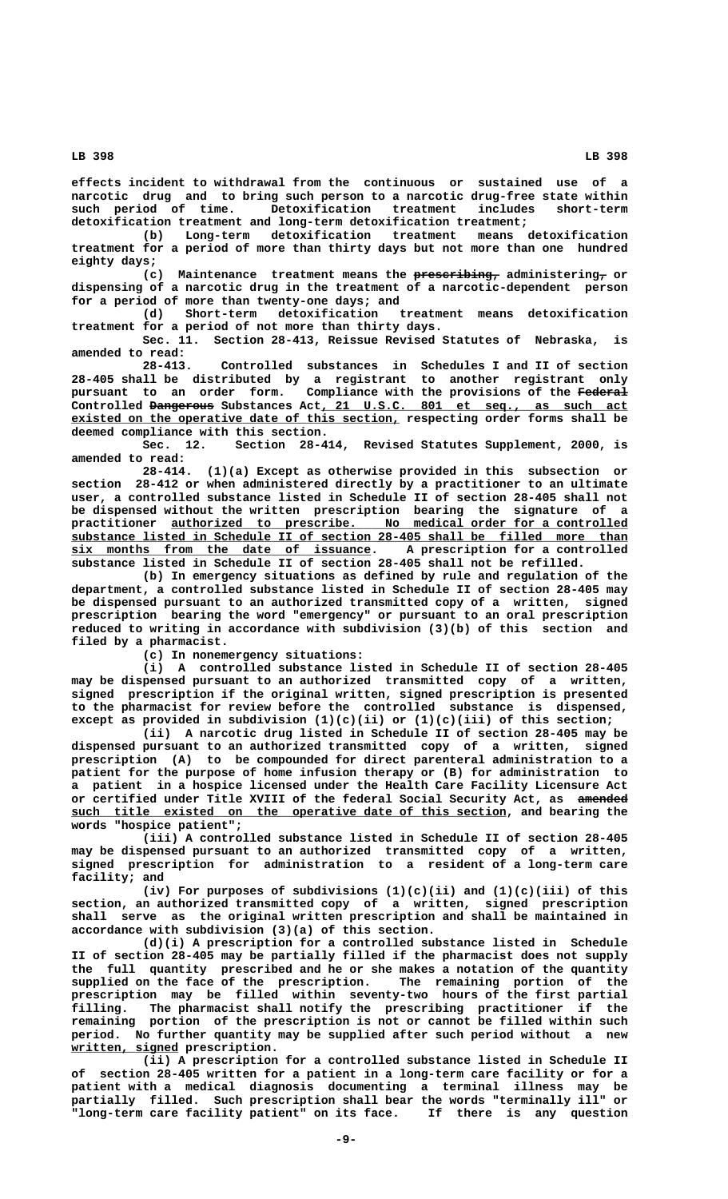**effects incident to withdrawal from the continuous or sustained use of a narcotic drug and to bring such person to a narcotic drug-free state within such period of time. Detoxification treatment includes short-term detoxification treatment and long-term detoxification treatment;**

**(b) Long-term detoxification treatment means detoxification treatment for a period of more than thirty days but not more than one hundred eighty days;**

(c) Maintenance treatment means the **prescribing,** administering, or **dispensing of a narcotic drug in the treatment of a narcotic-dependent person for a period of more than twenty-one days; and**

**(d) Short-term detoxification treatment means detoxification treatment for a period of not more than thirty days.**

**Sec. 11. Section 28-413, Reissue Revised Statutes of Nebraska, is amended to read:**

**28-413. Controlled substances in Schedules I and II of section 28-405 shall be distributed by a registrant to another registrant only pursuant to an order form. Compliance with the provisions of the Federal ———————** Controlled <del>Dangerous</del> Substances Act, 21 U.S.C. 801 et seq., as such act existed on the operative date of this section, respecting order forms shall be **deemed compliance with this section.**

**Sec. 12. Section 28-414, Revised Statutes Supplement, 2000, is amended to read:**

**28-414. (1)(a) Except as otherwise provided in this subsection or section 28-412 or when administered directly by a practitioner to an ultimate user, a controlled substance listed in Schedule II of section 28-405 shall not be dispensed without the written prescription bearing the signature of a \_\_\_\_\_\_\_\_\_\_\_\_\_\_\_\_\_\_\_\_\_\_\_\_\_\_\_\_\_\_\_\_\_\_\_\_\_\_\_\_\_\_\_\_\_\_\_\_\_\_\_\_\_\_\_\_\_\_\_\_\_\_\_\_ practitioner authorized to prescribe. No medical order for a controlled \_\_\_\_\_\_\_\_\_\_\_\_\_\_\_\_\_\_\_\_\_\_\_\_\_\_\_\_\_\_\_\_\_\_\_\_\_\_\_\_\_\_\_\_\_\_\_\_\_\_\_\_\_\_\_\_\_\_\_\_\_\_\_\_\_\_\_\_\_\_\_\_\_\_\_\_\_\_ substance listed in Schedule II of section 28-405 shall be filled more than \_\_\_\_\_\_\_\_\_\_\_\_\_\_\_\_\_\_\_\_\_\_\_\_\_\_\_\_\_\_\_\_\_\_\_\_\_\_\_\_\_\_ six months from the date of issuance. A prescription for a controlled substance listed in Schedule II of section 28-405 shall not be refilled.**

**(b) In emergency situations as defined by rule and regulation of the department, a controlled substance listed in Schedule II of section 28-405 may be dispensed pursuant to an authorized transmitted copy of a written, signed prescription bearing the word "emergency" or pursuant to an oral prescription reduced to writing in accordance with subdivision (3)(b) of this section and filed by a pharmacist.**

**(c) In nonemergency situations:**

**(i) A controlled substance listed in Schedule II of section 28-405 may be dispensed pursuant to an authorized transmitted copy of a written, signed prescription if the original written, signed prescription is presented to the pharmacist for review before the controlled substance is dispensed, except as provided in subdivision (1)(c)(ii) or (1)(c)(iii) of this section;**

**(ii) A narcotic drug listed in Schedule II of section 28-405 may be dispensed pursuant to an authorized transmitted copy of a written, signed prescription (A) to be compounded for direct parenteral administration to a patient for the purpose of home infusion therapy or (B) for administration to a patient in a hospice licensed under the Health Care Facility Licensure Act** or certified under Title XVIII of the federal Social Security Act, as amended  $such$  title existed on the operative date of this section, and bearing the **words "hospice patient";**

**(iii) A controlled substance listed in Schedule II of section 28-405 may be dispensed pursuant to an authorized transmitted copy of a written, signed prescription for administration to a resident of a long-term care facility; and**

**(iv) For purposes of subdivisions (1)(c)(ii) and (1)(c)(iii) of this section, an authorized transmitted copy of a written, signed prescription shall serve as the original written prescription and shall be maintained in accordance with subdivision (3)(a) of this section.**

**(d)(i) A prescription for a controlled substance listed in Schedule II of section 28-405 may be partially filled if the pharmacist does not supply the full quantity prescribed and he or she makes a notation of the quantity supplied on the face of the prescription. The remaining portion of the prescription may be filled within seventy-two hours of the first partial filling. The pharmacist shall notify the prescribing practitioner if the remaining portion of the prescription is not or cannot be filled within such period. No further quantity may be supplied after such period without a new \_\_\_\_\_\_\_\_\_\_\_\_\_\_\_ written, signed prescription.**

**(ii) A prescription for a controlled substance listed in Schedule II of section 28-405 written for a patient in a long-term care facility or for a patient with a medical diagnosis documenting a terminal illness may be partially filled. Such prescription shall bear the words "terminally ill" or "long-term care facility patient" on its face. If there is any question**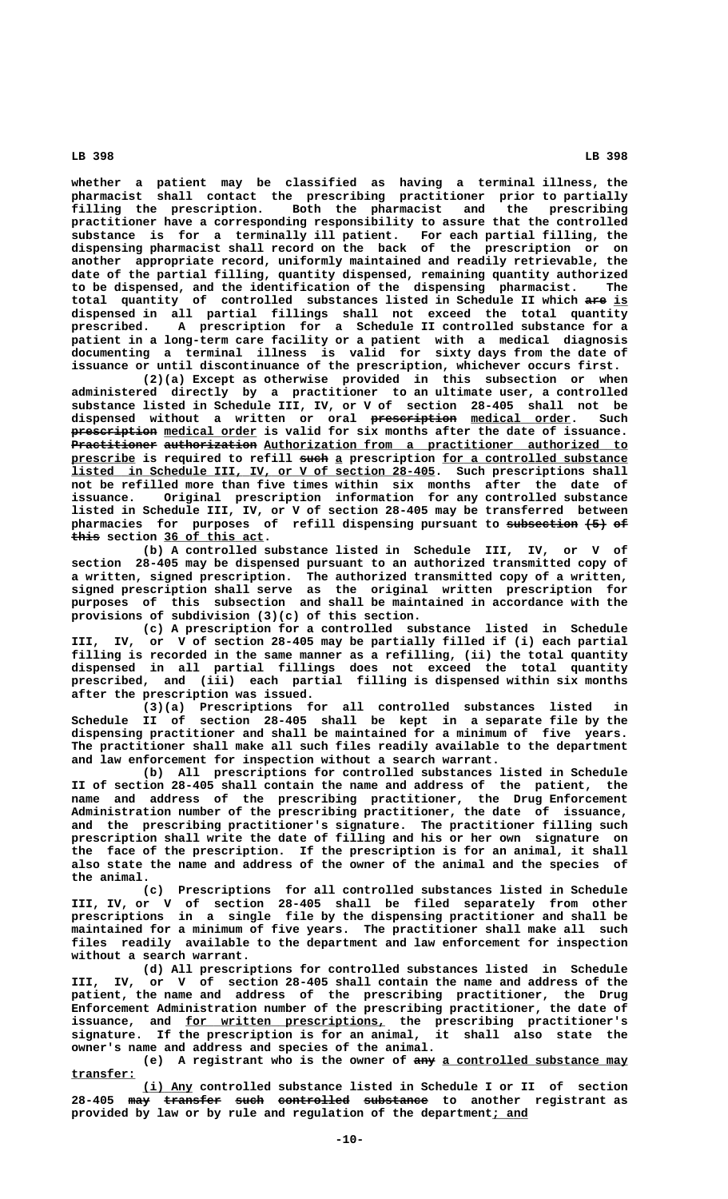**whether a patient may be classified as having a terminal illness, the pharmacist shall contact the prescribing practitioner prior to partially filling the prescription. Both the pharmacist and the prescribing practitioner have a corresponding responsibility to assure that the controlled substance is for a terminally ill patient. For each partial filling, the dispensing pharmacist shall record on the back of the prescription or on another appropriate record, uniformly maintained and readily retrievable, the date of the partial filling, quantity dispensed, remaining quantity authorized to be dispensed, and the identification of the dispensing pharmacist. The** total quantity of controlled substances listed in Schedule II which are is **dispensed in all partial fillings shall not exceed the total quantity prescribed. A prescription for a Schedule II controlled substance for a patient in a long-term care facility or a patient with a medical diagnosis documenting a terminal illness is valid for sixty days from the date of issuance or until discontinuance of the prescription, whichever occurs first.**

**(2)(a) Except as otherwise provided in this subsection or when administered directly by a practitioner to an ultimate user, a controlled substance listed in Schedule III, IV, or V of section 28-405 shall not be ———————————— \_\_\_\_\_\_\_\_\_\_\_\_\_\_ dispensed without a written or oral prescription medical order. Such prescription** medical order is valid for six months after the date of issuance. Practitioner authorization Authorization from a practitioner authorized to  **\_\_\_\_\_\_\_\_\_ ———— \_ \_\_\_\_\_\_\_\_\_\_\_\_\_\_\_\_\_\_\_\_\_\_\_\_\_\_ prescribe is required to refill such a prescription for a controlled substance \_\_\_\_\_\_\_\_\_\_\_\_\_\_\_\_\_\_\_\_\_\_\_\_\_\_\_\_\_\_\_\_\_\_\_\_\_\_\_\_\_\_\_\_\_\_\_\_\_\_\_ listed in Schedule III, IV, or V of section 28-405. Such prescriptions shall not be refilled more than five times within six months after the date of issuance. Original prescription information for any controlled substance listed in Schedule III, IV, or V of section 28-405 may be transferred between** pharmacies for purposes of refill dispensing pursuant to subsection  $\leftarrow$  5) of  **———— \_\_\_\_\_\_\_\_\_\_\_\_\_\_ this section 36 of this act.**

**(b) A controlled substance listed in Schedule III, IV, or V of section 28-405 may be dispensed pursuant to an authorized transmitted copy of a written, signed prescription. The authorized transmitted copy of a written, signed prescription shall serve as the original written prescription for purposes of this subsection and shall be maintained in accordance with the provisions of subdivision (3)(c) of this section.**

**(c) A prescription for a controlled substance listed in Schedule III, IV, or V of section 28-405 may be partially filled if (i) each partial filling is recorded in the same manner as a refilling, (ii) the total quantity dispensed in all partial fillings does not exceed the total quantity prescribed, and (iii) each partial filling is dispensed within six months after the prescription was issued.**

(3)(a) Prescriptions for all controlled substances listed **Schedule II of section 28-405 shall be kept in a separate file by the dispensing practitioner and shall be maintained for a minimum of five years. The practitioner shall make all such files readily available to the department and law enforcement for inspection without a search warrant.**

**(b) All prescriptions for controlled substances listed in Schedule II of section 28-405 shall contain the name and address of the patient, the name and address of the prescribing practitioner, the Drug Enforcement Administration number of the prescribing practitioner, the date of issuance, and the prescribing practitioner's signature. The practitioner filling such prescription shall write the date of filling and his or her own signature on the face of the prescription. If the prescription is for an animal, it shall also state the name and address of the owner of the animal and the species of the animal.**

**(c) Prescriptions for all controlled substances listed in Schedule III, IV, or V of section 28-405 shall be filed separately from other prescriptions in a single file by the dispensing practitioner and shall be maintained for a minimum of five years. The practitioner shall make all such files readily available to the department and law enforcement for inspection without a search warrant.**

**(d) All prescriptions for controlled substances listed in Schedule III, IV, or V of section 28-405 shall contain the name and address of the patient, the name and address of the prescribing practitioner, the Drug Enforcement Administration number of the prescribing practitioner, the date of \_\_\_\_\_\_\_\_\_\_\_\_\_\_\_\_\_\_\_\_\_\_\_\_\_\_\_\_ issuance, and for written prescriptions, the prescribing practitioner's signature. If the prescription is for an animal, it shall also state the owner's name and address and species of the animal.**

> (e) A registrant who is the owner of  $\frac{1}{2}$  a controlled substance may  **transfer: \_\_\_\_\_\_\_\_\_**

> <u>(i) Any</u> controlled substance listed in Schedule I or II of section<br>28-405 <del>may transfer such controlled substance</del> to another registrant as **28-405 may transfer such controlled substance to another registrant as ——— ———————— ———— —————————— ———————— provided by law or by rule and regulation of the department; and \_\_\_\_\_**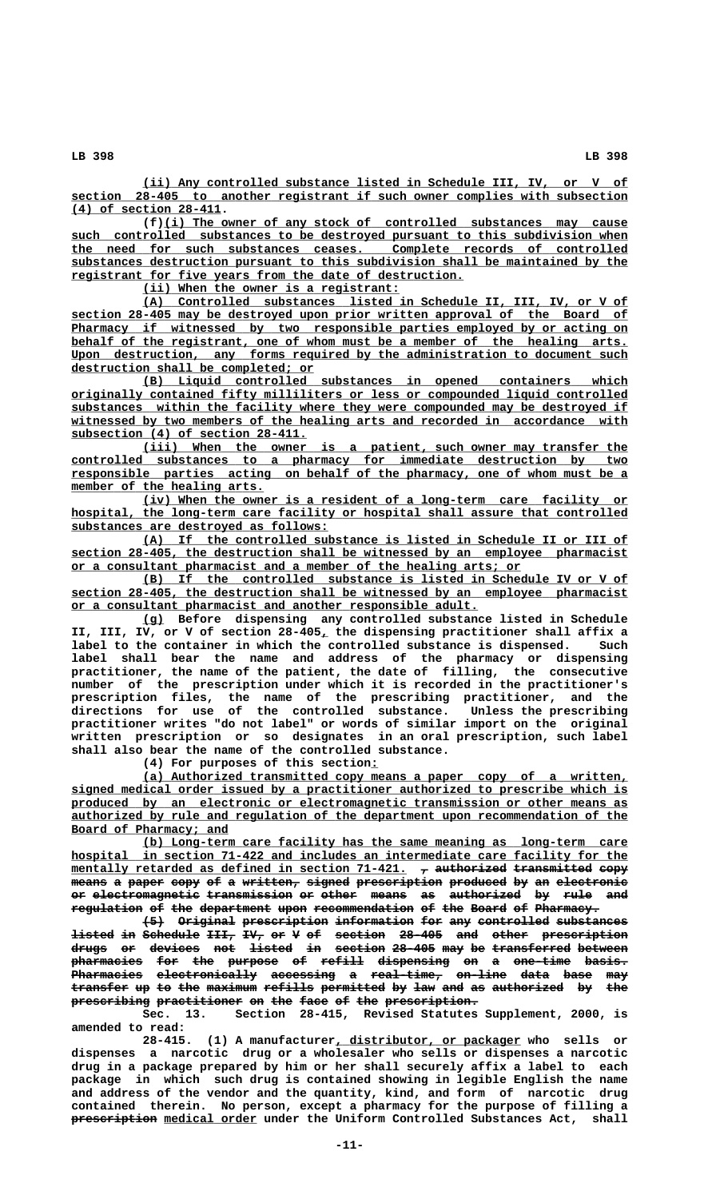**\_\_\_\_\_\_\_\_\_\_\_\_\_\_\_\_\_\_\_\_\_\_\_\_\_\_\_\_\_\_\_\_\_\_\_\_\_\_\_\_\_\_\_\_\_\_\_\_\_\_\_\_\_\_\_\_\_\_\_\_\_\_\_\_\_\_\_\_ (ii) Any controlled substance listed in Schedule III, IV, or V of \_\_\_\_\_\_\_\_\_\_\_\_\_\_\_\_\_\_\_\_\_\_\_\_\_\_\_\_\_\_\_\_\_\_\_\_\_\_\_\_\_\_\_\_\_\_\_\_\_\_\_\_\_\_\_\_\_\_\_\_\_\_\_\_\_\_\_\_\_\_\_\_\_\_\_\_\_\_ section 28-405 to another registrant if such owner complies with subsection \_\_\_\_\_\_\_\_\_\_\_\_\_\_\_\_\_\_\_\_\_ (4) of section 28-411.**

 **\_\_\_\_\_\_\_\_\_\_\_\_\_\_\_\_\_\_\_\_\_\_\_\_\_\_\_\_\_\_\_\_\_\_\_\_\_\_\_\_\_\_\_\_\_\_\_\_\_\_\_\_\_\_\_\_\_\_\_\_\_\_\_\_\_ (f)(i) The owner of any stock of controlled substances may cause**  $\frac{1}{2}$  such controlled substances to be destroyed pursuant to this subdivision when  **\_\_\_\_\_\_\_\_\_\_\_\_\_\_\_\_\_\_\_\_\_\_\_\_\_\_\_\_\_\_\_\_\_\_\_\_\_\_\_\_\_\_\_\_\_\_\_\_\_\_\_\_\_\_\_\_\_\_\_\_\_\_\_\_\_\_\_\_\_\_\_\_\_\_\_\_\_\_ the need for such substances ceases. Complete records of controlled \_\_\_\_\_\_\_\_\_\_\_\_\_\_\_\_\_\_\_\_\_\_\_\_\_\_\_\_\_\_\_\_\_\_\_\_\_\_\_\_\_\_\_\_\_\_\_\_\_\_\_\_\_\_\_\_\_\_\_\_\_\_\_\_\_\_\_\_\_\_\_\_\_\_\_\_\_\_ substances destruction pursuant to this subdivision shall be maintained by the \_\_\_\_\_\_\_\_\_\_\_\_\_\_\_\_\_\_\_\_\_\_\_\_\_\_\_\_\_\_\_\_\_\_\_\_\_\_\_\_\_\_\_\_\_\_\_\_\_\_\_\_\_\_\_ registrant for five years from the date of destruction.**

 **\_\_\_\_\_\_\_\_\_\_\_\_\_\_\_\_\_\_\_\_\_\_\_\_\_\_\_\_\_\_\_\_\_\_\_\_ (ii) When the owner is a registrant:**

 **\_\_\_\_\_\_\_\_\_\_\_\_\_\_\_\_\_\_\_\_\_\_\_\_\_\_\_\_\_\_\_\_\_\_\_\_\_\_\_\_\_\_\_\_\_\_\_\_\_\_\_\_\_\_\_\_\_\_\_\_\_\_\_\_\_\_\_\_ (A) Controlled substances listed in Schedule II, III, IV, or V of \_\_\_\_\_\_\_\_\_\_\_\_\_\_\_\_\_\_\_\_\_\_\_\_\_\_\_\_\_\_\_\_\_\_\_\_\_\_\_\_\_\_\_\_\_\_\_\_\_\_\_\_\_\_\_\_\_\_\_\_\_\_\_\_\_\_\_\_\_\_\_\_\_\_\_\_\_\_ section 28-405 may be destroyed upon prior written approval of the Board of \_\_\_\_\_\_\_\_\_\_\_\_\_\_\_\_\_\_\_\_\_\_\_\_\_\_\_\_\_\_\_\_\_\_\_\_\_\_\_\_\_\_\_\_\_\_\_\_\_\_\_\_\_\_\_\_\_\_\_\_\_\_\_\_\_\_\_\_\_\_\_\_\_\_\_\_\_\_ Pharmacy if witnessed by two responsible parties employed by or acting on \_\_\_\_\_\_\_\_\_\_\_\_\_\_\_\_\_\_\_\_\_\_\_\_\_\_\_\_\_\_\_\_\_\_\_\_\_\_\_\_\_\_\_\_\_\_\_\_\_\_\_\_\_\_\_\_\_\_\_\_\_\_\_\_\_\_\_\_\_\_\_\_\_\_\_\_\_\_ behalf of the registrant, one of whom must be a member of the healing arts. \_\_\_\_\_\_\_\_\_\_\_\_\_\_\_\_\_\_\_\_\_\_\_\_\_\_\_\_\_\_\_\_\_\_\_\_\_\_\_\_\_\_\_\_\_\_\_\_\_\_\_\_\_\_\_\_\_\_\_\_\_\_\_\_\_\_\_\_\_\_\_\_\_\_\_\_\_\_ Upon destruction, any forms required by the administration to document such \_\_\_\_\_\_\_\_\_\_\_\_\_\_\_\_\_\_\_\_\_\_\_\_\_\_\_\_\_\_\_\_\_\_ destruction shall be completed; or**

> **\_\_\_\_\_\_\_\_\_\_\_\_\_\_\_\_\_\_\_\_\_\_\_\_\_\_\_\_\_\_\_\_\_\_\_\_\_\_\_\_\_\_\_\_\_\_\_\_\_\_\_\_\_\_\_\_\_\_\_\_\_\_\_\_\_\_\_\_ (B) Liquid controlled substances in opened containers which \_\_\_\_\_\_\_\_\_\_\_\_\_\_\_\_\_\_\_\_\_\_\_\_\_\_\_\_\_\_\_\_\_\_\_\_\_\_\_\_\_\_\_\_\_\_\_\_\_\_\_\_\_\_\_\_\_\_\_\_\_\_\_\_\_\_\_\_\_\_\_\_\_\_\_\_\_\_ originally contained fifty milliliters or less or compounded liquid controlled** substances within the facility where they were compounded may be destroyed if  **\_\_\_\_\_\_\_\_\_\_\_\_\_\_\_\_\_\_\_\_\_\_\_\_\_\_\_\_\_\_\_\_\_\_\_\_\_\_\_\_\_\_\_\_\_\_\_\_\_\_\_\_\_\_\_\_\_\_\_\_\_\_\_\_\_\_\_\_\_\_\_\_\_\_\_\_\_\_ witnessed by two members of the healing arts and recorded in accordance with \_\_\_\_\_\_\_\_\_\_\_\_\_\_\_\_\_\_\_\_\_\_\_\_\_\_\_\_\_\_\_\_\_ subsection (4) of section 28-411.**

 **\_\_\_\_\_\_\_\_\_\_\_\_\_\_\_\_\_\_\_\_\_\_\_\_\_\_\_\_\_\_\_\_\_\_\_\_\_\_\_\_\_\_\_\_\_\_\_\_\_\_\_\_\_\_\_\_\_\_\_\_\_\_\_\_\_\_\_\_ (iii) When the owner is a patient, such owner may transfer the \_\_\_\_\_\_\_\_\_\_\_\_\_\_\_\_\_\_\_\_\_\_\_\_\_\_\_\_\_\_\_\_\_\_\_\_\_\_\_\_\_\_\_\_\_\_\_\_\_\_\_\_\_\_\_\_\_\_\_\_\_\_\_\_\_\_\_\_\_\_\_\_\_\_\_\_\_\_ controlled substances to a pharmacy for immediate destruction by two \_\_\_\_\_\_\_\_\_\_\_\_\_\_\_\_\_\_\_\_\_\_\_\_\_\_\_\_\_\_\_\_\_\_\_\_\_\_\_\_\_\_\_\_\_\_\_\_\_\_\_\_\_\_\_\_\_\_\_\_\_\_\_\_\_\_\_\_\_\_\_\_\_\_\_\_\_\_ responsible parties acting on behalf of the pharmacy, one of whom must be a \_\_\_\_\_\_\_\_\_\_\_\_\_\_\_\_\_\_\_\_\_\_\_\_\_\_\_ member of the healing arts.**

 **\_\_\_\_\_\_\_\_\_\_\_\_\_\_\_\_\_\_\_\_\_\_\_\_\_\_\_\_\_\_\_\_\_\_\_\_\_\_\_\_\_\_\_\_\_\_\_\_\_\_\_\_\_\_\_\_\_\_\_\_\_\_\_\_\_\_\_\_ (iv) When the owner is a resident of a long-term care facility or \_\_\_\_\_\_\_\_\_\_\_\_\_\_\_\_\_\_\_\_\_\_\_\_\_\_\_\_\_\_\_\_\_\_\_\_\_\_\_\_\_\_\_\_\_\_\_\_\_\_\_\_\_\_\_\_\_\_\_\_\_\_\_\_\_\_\_\_\_\_\_\_\_\_\_\_\_\_ hospital, the long-term care facility or hospital shall assure that controlled \_\_\_\_\_\_\_\_\_\_\_\_\_\_\_\_\_\_\_\_\_\_\_\_\_\_\_\_\_\_\_\_\_\_\_\_ substances are destroyed as follows:**

 **\_\_\_\_\_\_\_\_\_\_\_\_\_\_\_\_\_\_\_\_\_\_\_\_\_\_\_\_\_\_\_\_\_\_\_\_\_\_\_\_\_\_\_\_\_\_\_\_\_\_\_\_\_\_\_\_\_\_\_\_\_\_\_\_\_\_\_\_ (A) If the controlled substance is listed in Schedule II or III of \_\_\_\_\_\_\_\_\_\_\_\_\_\_\_\_\_\_\_\_\_\_\_\_\_\_\_\_\_\_\_\_\_\_\_\_\_\_\_\_\_\_\_\_\_\_\_\_\_\_\_\_\_\_\_\_\_\_\_\_\_\_\_\_\_\_\_\_\_\_\_\_\_\_\_\_\_\_ section 28-405, the destruction shall be witnessed by an employee pharmacist \_\_\_\_\_\_\_\_\_\_\_\_\_\_\_\_\_\_\_\_\_\_\_\_\_\_\_\_\_\_\_\_\_\_\_\_\_\_\_\_\_\_\_\_\_\_\_\_\_\_\_\_\_\_\_\_\_\_\_\_\_\_\_ or a consultant pharmacist and a member of the healing arts; or**

 **\_\_\_\_\_\_\_\_\_\_\_\_\_\_\_\_\_\_\_\_\_\_\_\_\_\_\_\_\_\_\_\_\_\_\_\_\_\_\_\_\_\_\_\_\_\_\_\_\_\_\_\_\_\_\_\_\_\_\_\_\_\_\_\_\_\_\_\_ (B) If the controlled substance is listed in Schedule IV or V of \_\_\_\_\_\_\_\_\_\_\_\_\_\_\_\_\_\_\_\_\_\_\_\_\_\_\_\_\_\_\_\_\_\_\_\_\_\_\_\_\_\_\_\_\_\_\_\_\_\_\_\_\_\_\_\_\_\_\_\_\_\_\_\_\_\_\_\_\_\_\_\_\_\_\_\_\_\_ section 28-405, the destruction shall be witnessed by an employee pharmacist \_\_\_\_\_\_\_\_\_\_\_\_\_\_\_\_\_\_\_\_\_\_\_\_\_\_\_\_\_\_\_\_\_\_\_\_\_\_\_\_\_\_\_\_\_\_\_\_\_\_\_\_\_\_\_\_\_ or a consultant pharmacist and another responsible adult.**

 **\_\_\_ (g) Before dispensing any controlled substance listed in Schedule \_ II, III, IV, or V of section 28-405, the dispensing practitioner shall affix a label to the container in which the controlled substance is dispensed. Such label shall bear the name and address of the pharmacy or dispensing practitioner, the name of the patient, the date of filling, the consecutive number of the prescription under which it is recorded in the practitioner's prescription files, the name of the prescribing practitioner, and the directions for use of the controlled substance. Unless the prescribing practitioner writes "do not label" or words of similar import on the original written prescription or so designates in an oral prescription, such label shall also bear the name of the controlled substance.**

 **\_ (4) For purposes of this section:**

 **\_\_\_\_\_\_\_\_\_\_\_\_\_\_\_\_\_\_\_\_\_\_\_\_\_\_\_\_\_\_\_\_\_\_\_\_\_\_\_\_\_\_\_\_\_\_\_\_\_\_\_\_\_\_\_\_\_\_\_\_\_\_\_\_\_\_\_\_ (a) Authorized transmitted copy means a paper copy of a written, \_\_\_\_\_\_\_\_\_\_\_\_\_\_\_\_\_\_\_\_\_\_\_\_\_\_\_\_\_\_\_\_\_\_\_\_\_\_\_\_\_\_\_\_\_\_\_\_\_\_\_\_\_\_\_\_\_\_\_\_\_\_\_\_\_\_\_\_\_\_\_\_\_\_\_\_\_\_ signed medical order issued by a practitioner authorized to prescribe which is \_\_\_\_\_\_\_\_\_\_\_\_\_\_\_\_\_\_\_\_\_\_\_\_\_\_\_\_\_\_\_\_\_\_\_\_\_\_\_\_\_\_\_\_\_\_\_\_\_\_\_\_\_\_\_\_\_\_\_\_\_\_\_\_\_\_\_\_\_\_\_\_\_\_\_\_\_\_ produced by an electronic or electromagnetic transmission or other means as \_\_\_\_\_\_\_\_\_\_\_\_\_\_\_\_\_\_\_\_\_\_\_\_\_\_\_\_\_\_\_\_\_\_\_\_\_\_\_\_\_\_\_\_\_\_\_\_\_\_\_\_\_\_\_\_\_\_\_\_\_\_\_\_\_\_\_\_\_\_\_\_\_\_\_\_\_\_ authorized by rule and regulation of the department upon recommendation of the \_\_\_\_\_\_\_\_\_\_\_\_\_\_\_\_\_\_\_\_\_\_ Board of Pharmacy; and**

 **\_\_\_\_\_\_\_\_\_\_\_\_\_\_\_\_\_\_\_\_\_\_\_\_\_\_\_\_\_\_\_\_\_\_\_\_\_\_\_\_\_\_\_\_\_\_\_\_\_\_\_\_\_\_\_\_\_\_\_\_\_\_\_\_\_\_\_\_ (b) Long-term care facility has the same meaning as long-term care \_\_\_\_\_\_\_\_\_\_\_\_\_\_\_\_\_\_\_\_\_\_\_\_\_\_\_\_\_\_\_\_\_\_\_\_\_\_\_\_\_\_\_\_\_\_\_\_\_\_\_\_\_\_\_\_\_\_\_\_\_\_\_\_\_\_\_\_\_\_\_\_\_\_\_\_\_\_ hospital in section 71-422 and includes an intermediate care facility for the** mentally retarded as defined in section 71-421.  $\tau$  authorized transmitted copy  $\frac{1}{n}$  a paper copy of a written, signed prescription produced by an electronic or electromagnetic transmission or other means as authorized by rule and regulation of the department upon recommendation of the Board of Pharmacy.

**(5) Original prescription information for any controlled substances ——— ———————— ———————————— ——————————— ——— ——— —————————— ——————————**  $\tt{1}$  in Schedule <del>III,</del> IV, or V of section 28-405 and other prescription **drugs or devices not listed in section 28-405 may be transferred between ————— —— ——————— ——— —————— —— ——————— —————— ——— —— ——————————— ———————**  $\frac{1}{2}$  pharmacies for the purpose of refill dispensing on a one-time basis. **Pharmacies electronically accessing a real-time, on-line data base may** transfer up to the maximum refills permitted by law and as authorized by the **prescribing practitioner on the face of the prescription. ——————————— ———————————— —— ——— ———— —— ——— —————————————**

**Sec. 13. Section 28-415, Revised Statutes Supplement, 2000, is amended to read:**

 **\_\_\_\_\_\_\_\_\_\_\_\_\_\_\_\_\_\_\_\_\_\_\_\_\_\_ 28-415. (1) A manufacturer, distributor, or packager who sells or dispenses a narcotic drug or a wholesaler who sells or dispenses a narcotic drug in a package prepared by him or her shall securely affix a label to each package in which such drug is contained showing in legible English the name and address of the vendor and the quantity, kind, and form of narcotic drug contained therein. No person, except a pharmacy for the purpose of filling a**  $\frac{1}{2}$   $\frac{1}{2}$   $\frac{1}{2}$   $\frac{1}{2}$   $\frac{1}{2}$   $\frac{1}{2}$   $\frac{1}{2}$   $\frac{1}{2}$   $\frac{1}{2}$   $\frac{1}{2}$   $\frac{1}{2}$   $\frac{1}{2}$   $\frac{1}{2}$   $\frac{1}{2}$   $\frac{1}{2}$   $\frac{1}{2}$   $\frac{1}{2}$   $\frac{1}{2}$   $\frac{1}{2}$   $\frac{1}{2}$   $\frac{1}{2}$   $\frac{1}{2}$   $\$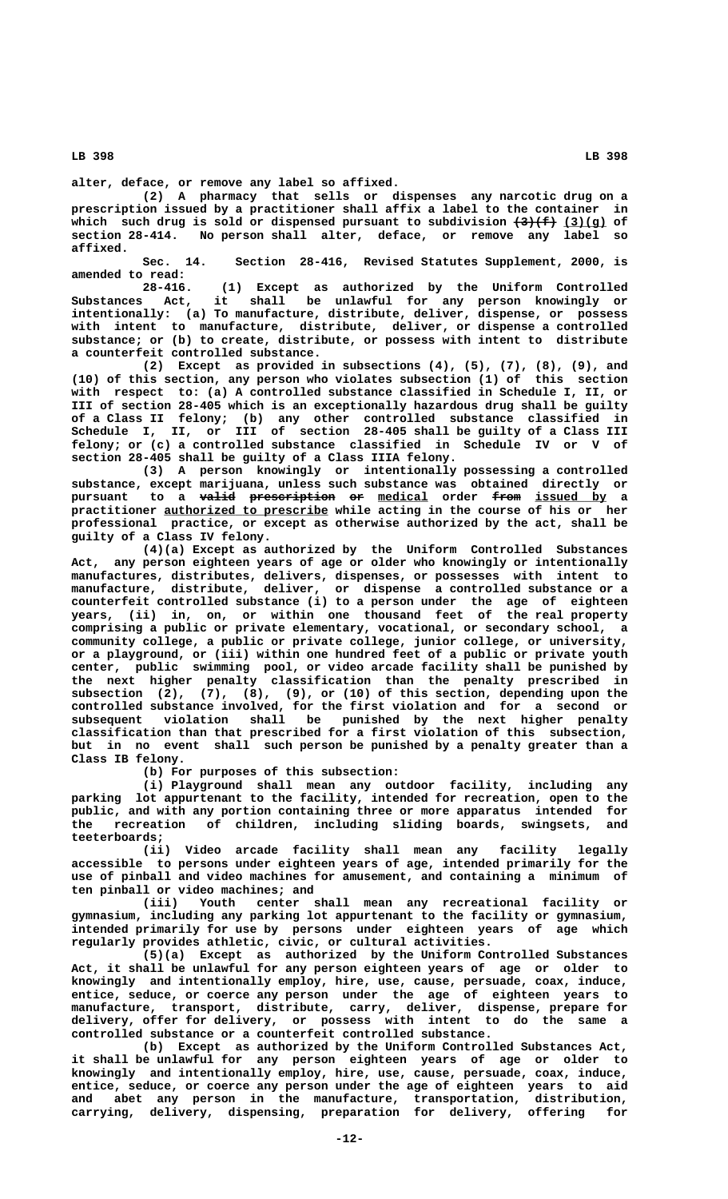**alter, deface, or remove any label so affixed.**

**(2) A pharmacy that sells or dispenses any narcotic drug on a prescription issued by a practitioner shall affix a label to the container in** which such drug is sold or dispensed pursuant to subdivision  $\left(3\right)\left(4\right)$  (3) (g) of **section 28-414. No person shall alter, deface, or remove any label so affixed.**

**Sec. 14. Section 28-416, Revised Statutes Supplement, 2000, is amended to read:**

**28-416. (1) Except as authorized by the Uniform Controlled Substances Act, it shall be unlawful for any person knowingly or intentionally: (a) To manufacture, distribute, deliver, dispense, or possess with intent to manufacture, distribute, deliver, or dispense a controlled substance; or (b) to create, distribute, or possess with intent to distribute a counterfeit controlled substance.**

**(2) Except as provided in subsections (4), (5), (7), (8), (9), and (10) of this section, any person who violates subsection (1) of this section with respect to: (a) A controlled substance classified in Schedule I, II, or III of section 28-405 which is an exceptionally hazardous drug shall be guilty of a Class II felony; (b) any other controlled substance classified in Schedule I, II, or III of section 28-405 shall be guilty of a Class III felony; or (c) a controlled substance classified in Schedule IV or V of section 28-405 shall be guilty of a Class IIIA felony.**

**(3) A person knowingly or intentionally possessing a controlled substance, except marijuana, unless such substance was obtained directly or pursuant to a valid prescription or medical order from issued by a ————— ———————————— —— \_\_\_\_\_\_\_ ———— \_\_\_\_\_\_\_\_\_\_ \_\_\_\_\_\_\_\_\_\_\_\_\_\_\_\_\_\_\_\_\_\_\_ practitioner authorized to prescribe while acting in the course of his or her professional practice, or except as otherwise authorized by the act, shall be guilty of a Class IV felony.**

**(4)(a) Except as authorized by the Uniform Controlled Substances Act, any person eighteen years of age or older who knowingly or intentionally manufactures, distributes, delivers, dispenses, or possesses with intent to manufacture, distribute, deliver, or dispense a controlled substance or a counterfeit controlled substance (i) to a person under the age of eighteen years, (ii) in, on, or within one thousand feet of the real property comprising a public or private elementary, vocational, or secondary school, a community college, a public or private college, junior college, or university, or a playground, or (iii) within one hundred feet of a public or private youth center, public swimming pool, or video arcade facility shall be punished by the next higher penalty classification than the penalty prescribed in subsection (2), (7), (8), (9), or (10) of this section, depending upon the controlled substance involved, for the first violation and for a second or subsequent violation shall be punished by the next higher penalty classification than that prescribed for a first violation of this subsection, but in no event shall such person be punished by a penalty greater than a Class IB felony.**

**(b) For purposes of this subsection:**

**(i) Playground shall mean any outdoor facility, including any parking lot appurtenant to the facility, intended for recreation, open to the public, and with any portion containing three or more apparatus intended for the recreation of children, including sliding boards, swingsets, and teeterboards;**

**(ii) Video arcade facility shall mean any facility legally accessible to persons under eighteen years of age, intended primarily for the use of pinball and video machines for amusement, and containing a minimum of ten pinball or video machines; and**

**(iii) Youth center shall mean any recreational facility or gymnasium, including any parking lot appurtenant to the facility or gymnasium, intended primarily for use by persons under eighteen years of age which regularly provides athletic, civic, or cultural activities.**

**(5)(a) Except as authorized by the Uniform Controlled Substances Act, it shall be unlawful for any person eighteen years of age or older to knowingly and intentionally employ, hire, use, cause, persuade, coax, induce, entice, seduce, or coerce any person under the age of eighteen years to manufacture, transport, distribute, carry, deliver, dispense, prepare for delivery, offer for delivery, or possess with intent to do the same a controlled substance or a counterfeit controlled substance.**

**(b) Except as authorized by the Uniform Controlled Substances Act, it shall be unlawful for any person eighteen years of age or older to knowingly and intentionally employ, hire, use, cause, persuade, coax, induce, entice, seduce, or coerce any person under the age of eighteen years to aid and abet any person in the manufacture, transportation, distribution, carrying, delivery, dispensing, preparation for delivery, offering for**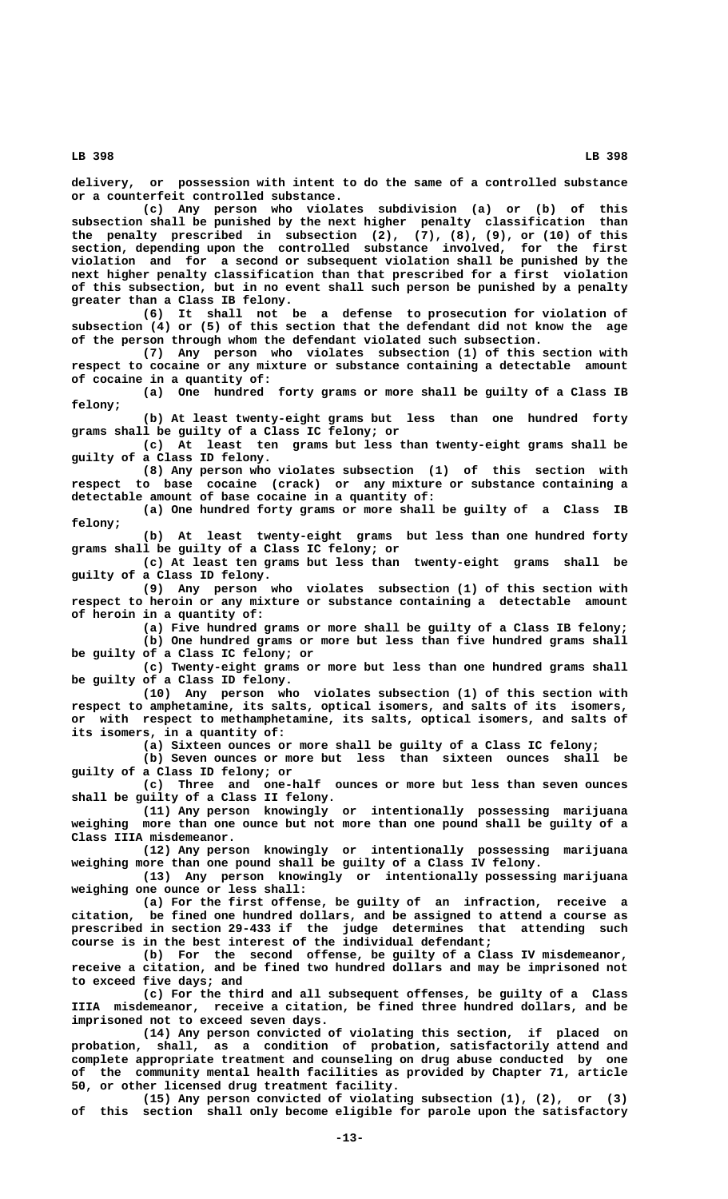**delivery, or possession with intent to do the same of a controlled substance or a counterfeit controlled substance.**

**(c) Any person who violates subdivision (a) or (b) of this subsection shall be punished by the next higher penalty classification than the penalty prescribed in subsection (2), (7), (8), (9), or (10) of this section, depending upon the controlled substance involved, for the first violation and for a second or subsequent violation shall be punished by the next higher penalty classification than that prescribed for a first violation of this subsection, but in no event shall such person be punished by a penalty greater than a Class IB felony.**

**(6) It shall not be a defense to prosecution for violation of subsection (4) or (5) of this section that the defendant did not know the age of the person through whom the defendant violated such subsection.**

**(7) Any person who violates subsection (1) of this section with respect to cocaine or any mixture or substance containing a detectable amount of cocaine in a quantity of:**

**(a) One hundred forty grams or more shall be guilty of a Class IB felony;**

**(b) At least twenty-eight grams but less than one hundred forty grams shall be guilty of a Class IC felony; or**

**(c) At least ten grams but less than twenty-eight grams shall be guilty of a Class ID felony.**

**(8) Any person who violates subsection (1) of this section with respect to base cocaine (crack) or any mixture or substance containing a detectable amount of base cocaine in a quantity of:**

**(a) One hundred forty grams or more shall be guilty of a Class IB felony;**

**(b) At least twenty-eight grams but less than one hundred forty grams shall be guilty of a Class IC felony; or**

**(c) At least ten grams but less than twenty-eight grams shall be guilty of a Class ID felony.**

**(9) Any person who violates subsection (1) of this section with respect to heroin or any mixture or substance containing a detectable amount of heroin in a quantity of:**

> **(a) Five hundred grams or more shall be guilty of a Class IB felony; (b) One hundred grams or more but less than five hundred grams shall**

**be guilty of a Class IC felony; or**

**(c) Twenty-eight grams or more but less than one hundred grams shall be guilty of a Class ID felony.**

**(10) Any person who violates subsection (1) of this section with respect to amphetamine, its salts, optical isomers, and salts of its isomers, or with respect to methamphetamine, its salts, optical isomers, and salts of its isomers, in a quantity of:**

**(a) Sixteen ounces or more shall be guilty of a Class IC felony;**

**(b) Seven ounces or more but less than sixteen ounces shall be guilty of a Class ID felony; or**

**(c) Three and one-half ounces or more but less than seven ounces shall be guilty of a Class II felony.**

**(11) Any person knowingly or intentionally possessing marijuana weighing more than one ounce but not more than one pound shall be guilty of a Class IIIA misdemeanor.**

**(12) Any person knowingly or intentionally possessing marijuana weighing more than one pound shall be guilty of a Class IV felony.**

**(13) Any person knowingly or intentionally possessing marijuana weighing one ounce or less shall:**

**(a) For the first offense, be guilty of an infraction, receive a citation, be fined one hundred dollars, and be assigned to attend a course as prescribed in section 29-433 if the judge determines that attending such course is in the best interest of the individual defendant;**

**(b) For the second offense, be guilty of a Class IV misdemeanor, receive a citation, and be fined two hundred dollars and may be imprisoned not to exceed five days; and**

**(c) For the third and all subsequent offenses, be guilty of a Class IIIA misdemeanor, receive a citation, be fined three hundred dollars, and be imprisoned not to exceed seven days.**

**(14) Any person convicted of violating this section, if placed on probation, shall, as a condition of probation, satisfactorily attend and complete appropriate treatment and counseling on drug abuse conducted by one of the community mental health facilities as provided by Chapter 71, article 50, or other licensed drug treatment facility.**

**(15) Any person convicted of violating subsection (1), (2), or (3) of this section shall only become eligible for parole upon the satisfactory**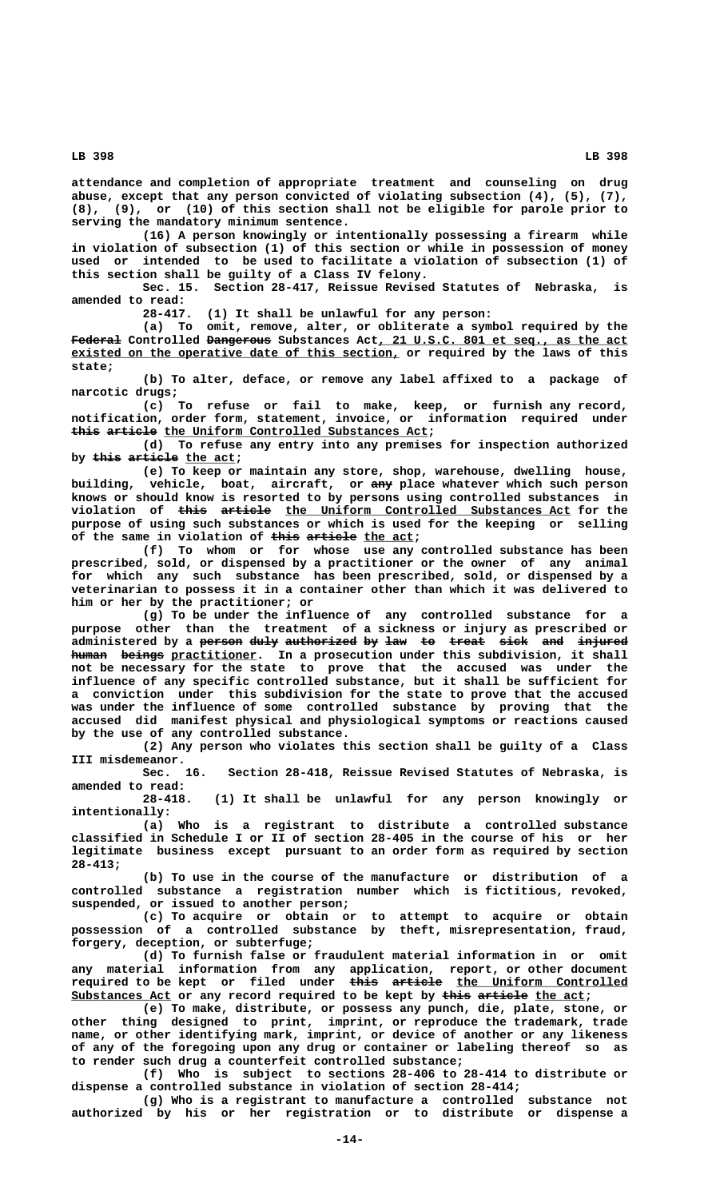**attendance and completion of appropriate treatment and counseling on drug abuse, except that any person convicted of violating subsection (4), (5), (7), (8), (9), or (10) of this section shall not be eligible for parole prior to serving the mandatory minimum sentence.**

**(16) A person knowingly or intentionally possessing a firearm while in violation of subsection (1) of this section or while in possession of money used or intended to be used to facilitate a violation of subsection (1) of this section shall be guilty of a Class IV felony.**

**Sec. 15. Section 28-417, Reissue Revised Statutes of Nebraska, is amended to read:**

**28-417. (1) It shall be unlawful for any person:**

**(a) To omit, remove, alter, or obliterate a symbol required by the** Federal Controlled Dangerous Substances Act, 21 U.S.C. 801 et seq., as the act existed on the operative date of this section, or required by the laws of this  **state;**

**(b) To alter, deface, or remove any label affixed to a package of narcotic drugs;**

**(c) To refuse or fail to make, keep, or furnish any record, notification, order form, statement, invoice, or information required under** this article the Uniform Controlled Substances Act;

**(d) To refuse any entry into any premises for inspection authorized** by this article the act;

**(e) To keep or maintain any store, shop, warehouse, dwelling house, ——— building, vehicle, boat, aircraft, or any place whatever which such person knows or should know is resorted to by persons using controlled substances in**  $\text{violation of } \text{this article} \text{or the Uniform Controled Substances Act}$  for the **purpose of using such substances or which is used for the keeping or selling of the same in violation of <del>this article</del> the act;** 

**(f) To whom or for whose use any controlled substance has been prescribed, sold, or dispensed by a practitioner or the owner of any animal for which any such substance has been prescribed, sold, or dispensed by a veterinarian to possess it in a container other than which it was delivered to him or her by the practitioner; or**

**(g) To be under the influence of any controlled substance for a purpose other than the treatment of a sickness or injury as prescribed or** administered by a <del>person</del> duly authorized by law to treat sick and injured human beings practitioner. In a prosecution under this subdivision, it shall **not be necessary for the state to prove that the accused was under the influence of any specific controlled substance, but it shall be sufficient for a conviction under this subdivision for the state to prove that the accused was under the influence of some controlled substance by proving that the accused did manifest physical and physiological symptoms or reactions caused by the use of any controlled substance.**

**(2) Any person who violates this section shall be guilty of a Class III misdemeanor.**

**Sec. 16. Section 28-418, Reissue Revised Statutes of Nebraska, is amended to read:**

**28-418. (1) It shall be unlawful for any person knowingly or intentionally:**

**(a) Who is a registrant to distribute a controlled substance classified in Schedule I or II of section 28-405 in the course of his or her legitimate business except pursuant to an order form as required by section 28-413;**

**(b) To use in the course of the manufacture or distribution of a controlled substance a registration number which is fictitious, revoked, suspended, or issued to another person;**

**(c) To acquire or obtain or to attempt to acquire or obtain possession of a controlled substance by theft, misrepresentation, fraud, forgery, deception, or subterfuge;**

**(d) To furnish false or fraudulent material information in or omit any material information from any application, report, or other document required to be kept or filed under this article the Uniform Controlled ———— ——————— \_\_\_\_\_\_\_\_\_\_\_\_\_\_\_\_\_\_\_\_\_\_\_\_** Substances Act or any record required to be kept by this article the act;

**(e) To make, distribute, or possess any punch, die, plate, stone, or other thing designed to print, imprint, or reproduce the trademark, trade name, or other identifying mark, imprint, or device of another or any likeness of any of the foregoing upon any drug or container or labeling thereof so as to render such drug a counterfeit controlled substance;**

**(f) Who is subject to sections 28-406 to 28-414 to distribute or dispense a controlled substance in violation of section 28-414;**

**(g) Who is a registrant to manufacture a controlled substance not authorized by his or her registration or to distribute or dispense a**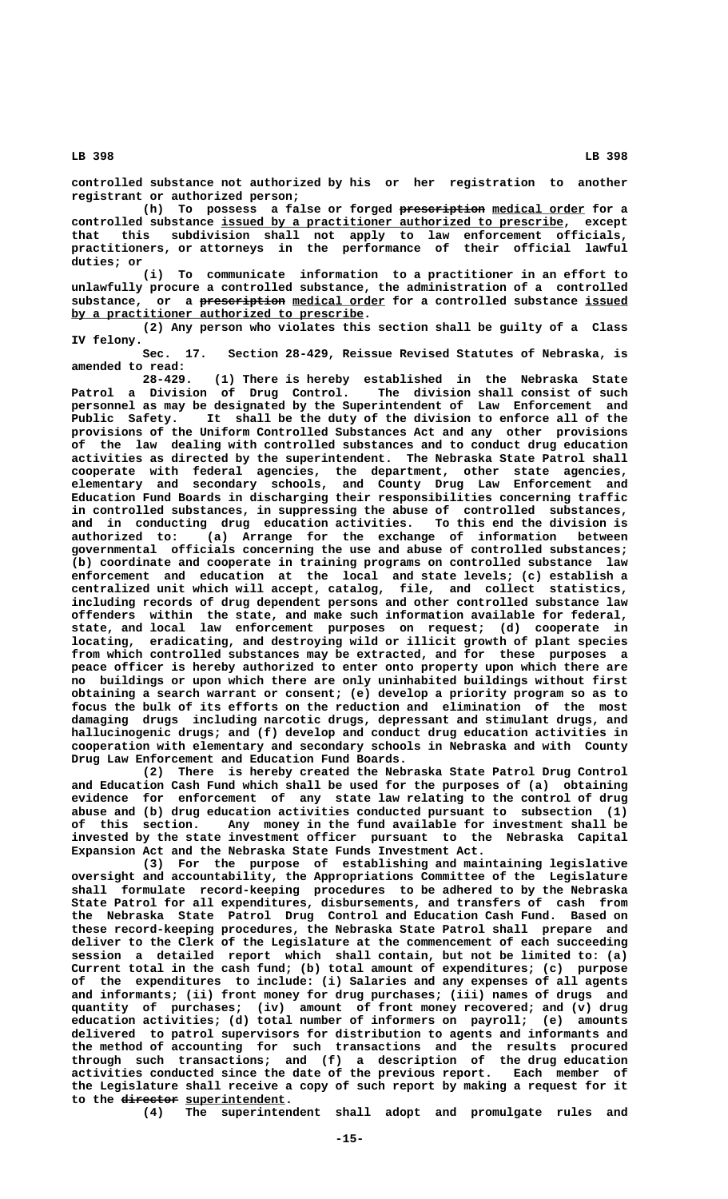**controlled substance not authorized by his or her registration to another registrant or authorized person;**

(h) To possess a false or forged preseription medical order for a controlled substance issued by a practitioner authorized to prescribe, except **that this subdivision shall not apply to law enforcement officials, practitioners, or attorneys in the performance of their official lawful duties; or**

**(i) To communicate information to a practitioner in an effort to unlawfully procure a controlled substance, the administration of a controlled** substance, or a **prescription** medical order for a controlled substance issued  **\_\_\_\_\_\_\_\_\_\_\_\_\_\_\_\_\_\_\_\_\_\_\_\_\_\_\_\_\_\_\_\_\_\_\_\_\_\_\_\_\_ by a practitioner authorized to prescribe.**

**(2) Any person who violates this section shall be guilty of a Class IV felony.**

**Sec. 17. Section 28-429, Reissue Revised Statutes of Nebraska, is amended to read:**

**28-429. (1) There is hereby established in the Nebraska State Patrol a Division of Drug Control. The division shall consist of such personnel as may be designated by the Superintendent of Law Enforcement and Public Safety. It shall be the duty of the division to enforce all of the provisions of the Uniform Controlled Substances Act and any other provisions of the law dealing with controlled substances and to conduct drug education activities as directed by the superintendent. The Nebraska State Patrol shall cooperate with federal agencies, the department, other state agencies, elementary and secondary schools, and County Drug Law Enforcement and Education Fund Boards in discharging their responsibilities concerning traffic in controlled substances, in suppressing the abuse of controlled substances, and in conducting drug education activities. To this end the division is authorized to: (a) Arrange for the exchange of information between governmental officials concerning the use and abuse of controlled substances; (b) coordinate and cooperate in training programs on controlled substance law enforcement and education at the local and state levels; (c) establish a centralized unit which will accept, catalog, file, and collect statistics, including records of drug dependent persons and other controlled substance law offenders within the state, and make such information available for federal, state, and local law enforcement purposes on request; (d) cooperate in locating, eradicating, and destroying wild or illicit growth of plant species from which controlled substances may be extracted, and for these purposes a peace officer is hereby authorized to enter onto property upon which there are no buildings or upon which there are only uninhabited buildings without first obtaining a search warrant or consent; (e) develop a priority program so as to focus the bulk of its efforts on the reduction and elimination of the most damaging drugs including narcotic drugs, depressant and stimulant drugs, and hallucinogenic drugs; and (f) develop and conduct drug education activities in cooperation with elementary and secondary schools in Nebraska and with County Drug Law Enforcement and Education Fund Boards.**

**(2) There is hereby created the Nebraska State Patrol Drug Control and Education Cash Fund which shall be used for the purposes of (a) obtaining evidence for enforcement of any state law relating to the control of drug abuse and (b) drug education activities conducted pursuant to subsection (1) of this section. Any money in the fund available for investment shall be invested by the state investment officer pursuant to the Nebraska Capital Expansion Act and the Nebraska State Funds Investment Act.**

**(3) For the purpose of establishing and maintaining legislative oversight and accountability, the Appropriations Committee of the Legislature shall formulate record-keeping procedures to be adhered to by the Nebraska State Patrol for all expenditures, disbursements, and transfers of cash from the Nebraska State Patrol Drug Control and Education Cash Fund. Based on these record-keeping procedures, the Nebraska State Patrol shall prepare and deliver to the Clerk of the Legislature at the commencement of each succeeding session a detailed report which shall contain, but not be limited to: (a) Current total in the cash fund; (b) total amount of expenditures; (c) purpose of the expenditures to include: (i) Salaries and any expenses of all agents and informants; (ii) front money for drug purchases; (iii) names of drugs and quantity of purchases; (iv) amount of front money recovered; and (v) drug education activities; (d) total number of informers on payroll; (e) amounts delivered to patrol supervisors for distribution to agents and informants and the method of accounting for such transactions and the results procured through such transactions; and (f) a description of the drug education activities conducted since the date of the previous report. Each member of the Legislature shall receive a copy of such report by making a request for it** to the director superintendent.

**(4) The superintendent shall adopt and promulgate rules and**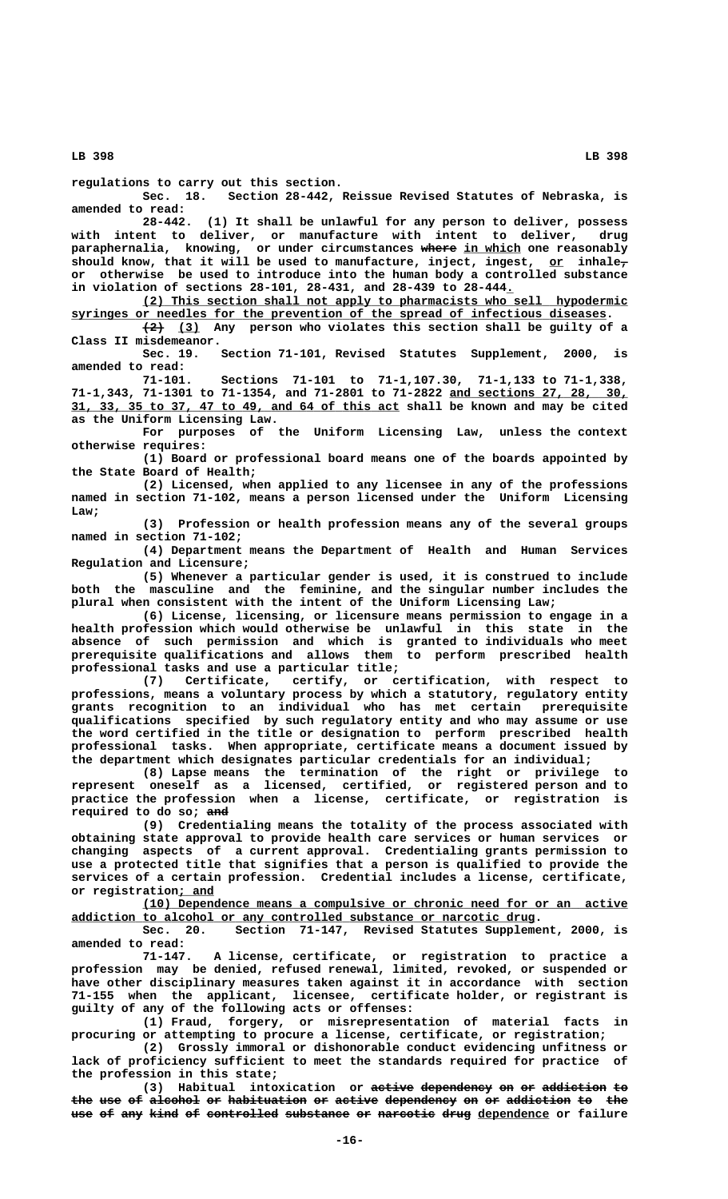**regulations to carry out this section.**

Section 28-442, Reissue Revised Statutes of Nebraska, is **amended to read:**

**28-442. (1) It shall be unlawful for any person to deliver, possess with intent to deliver, or manufacture with intent to deliver, drug paraphernalia, knowing, or under circumstances where in which one reasonably ————— \_\_\_\_\_\_\_\_**  $\mathbf{s}$ hould know, that it will be used to manufacture, inject, ingest, <u>or</u> inhale<del>,</del> **or otherwise be used to introduce into the human body a controlled substance in violation of sections 28-101, 28-431, and 28-439 to 28-444.\_**

 **\_\_\_\_\_\_\_\_\_\_\_\_\_\_\_\_\_\_\_\_\_\_\_\_\_\_\_\_\_\_\_\_\_\_\_\_\_\_\_\_\_\_\_\_\_\_\_\_\_\_\_\_\_\_\_\_\_\_\_\_\_\_\_\_\_\_\_\_ (2) This section shall not apply to pharmacists who sell hypodermic \_\_\_\_\_\_\_\_\_\_\_\_\_\_\_\_\_\_\_\_\_\_\_\_\_\_\_\_\_\_\_\_\_\_\_\_\_\_\_\_\_\_\_\_\_\_\_\_\_\_\_\_\_\_\_\_\_\_\_\_\_\_\_\_\_\_\_\_\_\_\_\_\_\_\_ syringes or needles for the prevention of the spread of infectious diseases.**  $\overline{(2)}$  (3) Any person who violates this section shall be guilty of a **Class II misdemeanor.**

**Sec. 19. Section 71-101, Revised Statutes Supplement, 2000, is amended to read:**

**71-101. Sections 71-101 to 71-1,107.30, 71-1,133 to 71-1,338,** 71-1,343, 71-1301 to 71-1354, and 71-2801 to 71-2822 and sections 27, 28, 30,  **\_\_\_\_\_\_\_\_\_\_\_\_\_\_\_\_\_\_\_\_\_\_\_\_\_\_\_\_\_\_\_\_\_\_\_\_\_\_\_\_\_\_\_\_\_\_ 31, 33, 35 to 37, 47 to 49, and 64 of this act shall be known and may be cited as the Uniform Licensing Law.**

**For purposes of the Uniform Licensing Law, unless the context otherwise requires:**

**(1) Board or professional board means one of the boards appointed by the State Board of Health;**

**(2) Licensed, when applied to any licensee in any of the professions named in section 71-102, means a person licensed under the Uniform Licensing Law;**

**(3) Profession or health profession means any of the several groups named in section 71-102;**

**(4) Department means the Department of Health and Human Services Regulation and Licensure;**

**(5) Whenever a particular gender is used, it is construed to include both the masculine and the feminine, and the singular number includes the plural when consistent with the intent of the Uniform Licensing Law;**

**(6) License, licensing, or licensure means permission to engage in a health profession which would otherwise be unlawful in this state in the absence of such permission and which is granted to individuals who meet prerequisite qualifications and allows them to perform prescribed health professional tasks and use a particular title;**

**(7) Certificate, certify, or certification, with respect to professions, means a voluntary process by which a statutory, regulatory entity grants recognition to an individual who has met certain prerequisite qualifications specified by such regulatory entity and who may assume or use the word certified in the title or designation to perform prescribed health professional tasks. When appropriate, certificate means a document issued by the department which designates particular credentials for an individual;**

**(8) Lapse means the termination of the right or privilege to represent oneself as a licensed, certified, or registered person and to practice the profession when a license, certificate, or registration is ——— required to do so; and**

**(9) Credentialing means the totality of the process associated with obtaining state approval to provide health care services or human services or changing aspects of a current approval. Credentialing grants permission to use a protected title that signifies that a person is qualified to provide the services of a certain profession. Credential includes a license, certificate, \_\_\_\_\_ or registration; and**

 **\_\_\_\_\_\_\_\_\_\_\_\_\_\_\_\_\_\_\_\_\_\_\_\_\_\_\_\_\_\_\_\_\_\_\_\_\_\_\_\_\_\_\_\_\_\_\_\_\_\_\_\_\_\_\_\_\_\_\_\_\_\_\_\_\_\_\_\_ (10) Dependence means a compulsive or chronic need for or an active**

addiction to alcohol or any controlled substance or narcotic drug.<br>Sec. 20. Section 71-147, Revised Statutes Suppleme Section 71-147, Revised Statutes Supplement, 2000, is **amended to read:**

**71-147. A license, certificate, or registration to practice a profession may be denied, refused renewal, limited, revoked, or suspended or have other disciplinary measures taken against it in accordance with section 71-155 when the applicant, licensee, certificate holder, or registrant is guilty of any of the following acts or offenses:**

**(1) Fraud, forgery, or misrepresentation of material facts in procuring or attempting to procure a license, certificate, or registration;**

**(2) Grossly immoral or dishonorable conduct evidencing unfitness or lack of proficiency sufficient to meet the standards required for practice of the profession in this state;**

**(3)** Habitual intoxication or active dependency on or addiction to the use of alcohol or habituation or active dependency on or addiction to the use of any kind of controlled substance or narcotic drug dependence or failure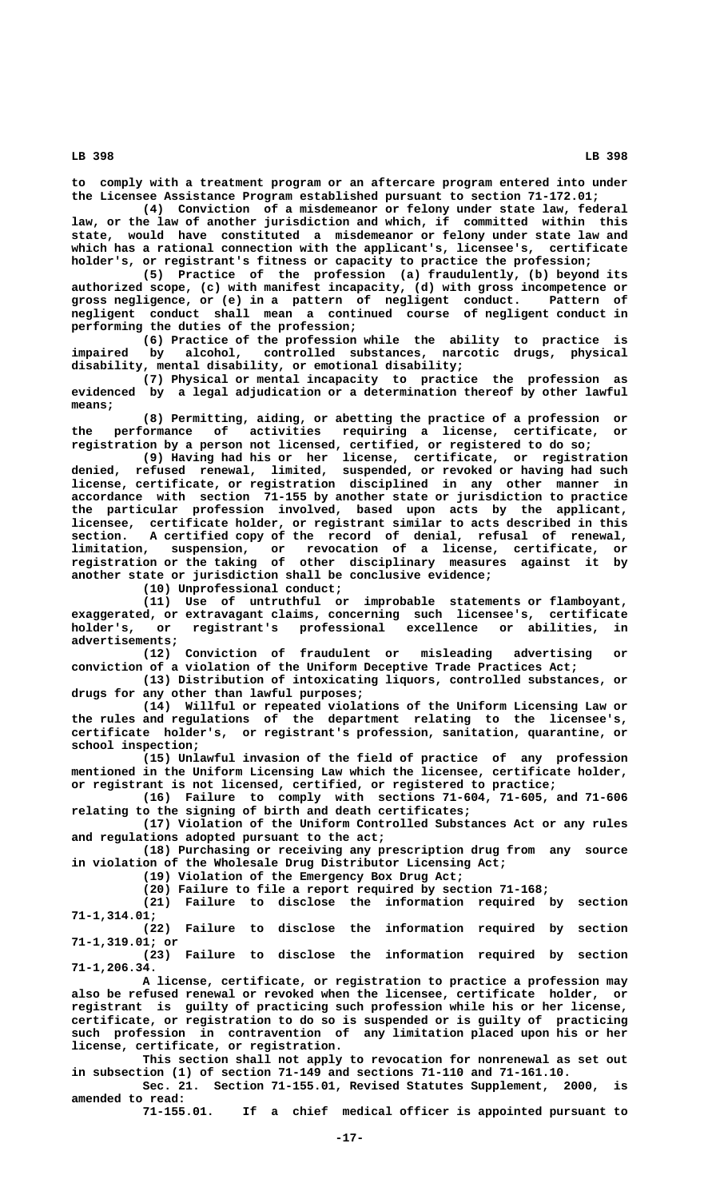**to comply with a treatment program or an aftercare program entered into under the Licensee Assistance Program established pursuant to section 71-172.01;**

**(4) Conviction of a misdemeanor or felony under state law, federal law, or the law of another jurisdiction and which, if committed within this state, would have constituted a misdemeanor or felony under state law and which has a rational connection with the applicant's, licensee's, certificate holder's, or registrant's fitness or capacity to practice the profession;**

**(5) Practice of the profession (a) fraudulently, (b) beyond its authorized scope, (c) with manifest incapacity, (d) with gross incompetence or gross negligence, or (e) in a pattern of negligent conduct. Pattern of negligent conduct shall mean a continued course of negligent conduct in performing the duties of the profession;**

**(6) Practice of the profession while the ability to practice is impaired by alcohol, controlled substances, narcotic drugs, physical disability, mental disability, or emotional disability;**

**(7) Physical or mental incapacity to practice the profession as evidenced by a legal adjudication or a determination thereof by other lawful means;**

**(8) Permitting, aiding, or abetting the practice of a profession or the performance of activities requiring a license, certificate, or registration by a person not licensed, certified, or registered to do so;**

**(9) Having had his or her license, certificate, or registration denied, refused renewal, limited, suspended, or revoked or having had such license, certificate, or registration disciplined in any other manner in accordance with section 71-155 by another state or jurisdiction to practice the particular profession involved, based upon acts by the applicant, licensee, certificate holder, or registrant similar to acts described in this section. A certified copy of the record of denial, refusal of renewal, limitation, suspension, or revocation of a license, certificate, or registration or the taking of other disciplinary measures against it by another state or jurisdiction shall be conclusive evidence;**

**(10) Unprofessional conduct;**

**(11) Use of untruthful or improbable statements or flamboyant, exaggerated, or extravagant claims, concerning such licensee's, certificate holder's, or registrant's professional excellence or abilities, in advertisements;**

**(12) Conviction of fraudulent or misleading advertising or conviction of a violation of the Uniform Deceptive Trade Practices Act;**

**(13) Distribution of intoxicating liquors, controlled substances, or drugs for any other than lawful purposes;**

**(14) Willful or repeated violations of the Uniform Licensing Law or the rules and regulations of the department relating to the licensee's, certificate holder's, or registrant's profession, sanitation, quarantine, or school inspection;**

**(15) Unlawful invasion of the field of practice of any profession mentioned in the Uniform Licensing Law which the licensee, certificate holder, or registrant is not licensed, certified, or registered to practice;**

**(16) Failure to comply with sections 71-604, 71-605, and 71-606 relating to the signing of birth and death certificates;**

**(17) Violation of the Uniform Controlled Substances Act or any rules and regulations adopted pursuant to the act;**

**(18) Purchasing or receiving any prescription drug from any source in violation of the Wholesale Drug Distributor Licensing Act;**

**(19) Violation of the Emergency Box Drug Act;**

**(20) Failure to file a report required by section 71-168;**

**(21) Failure to disclose the information required by section 71-1,314.01;**

**(22) Failure to disclose the information required by section 71-1,319.01; or**

**(23) Failure to disclose the information required by section 71-1,206.34.**

**A license, certificate, or registration to practice a profession may also be refused renewal or revoked when the licensee, certificate holder, or registrant is guilty of practicing such profession while his or her license, certificate, or registration to do so is suspended or is guilty of practicing such profession in contravention of any limitation placed upon his or her license, certificate, or registration.**

**This section shall not apply to revocation for nonrenewal as set out in subsection (1) of section 71-149 and sections 71-110 and 71-161.10.**

**Sec. 21. Section 71-155.01, Revised Statutes Supplement, 2000, is amended to read:**

If a chief medical officer is appointed pursuant to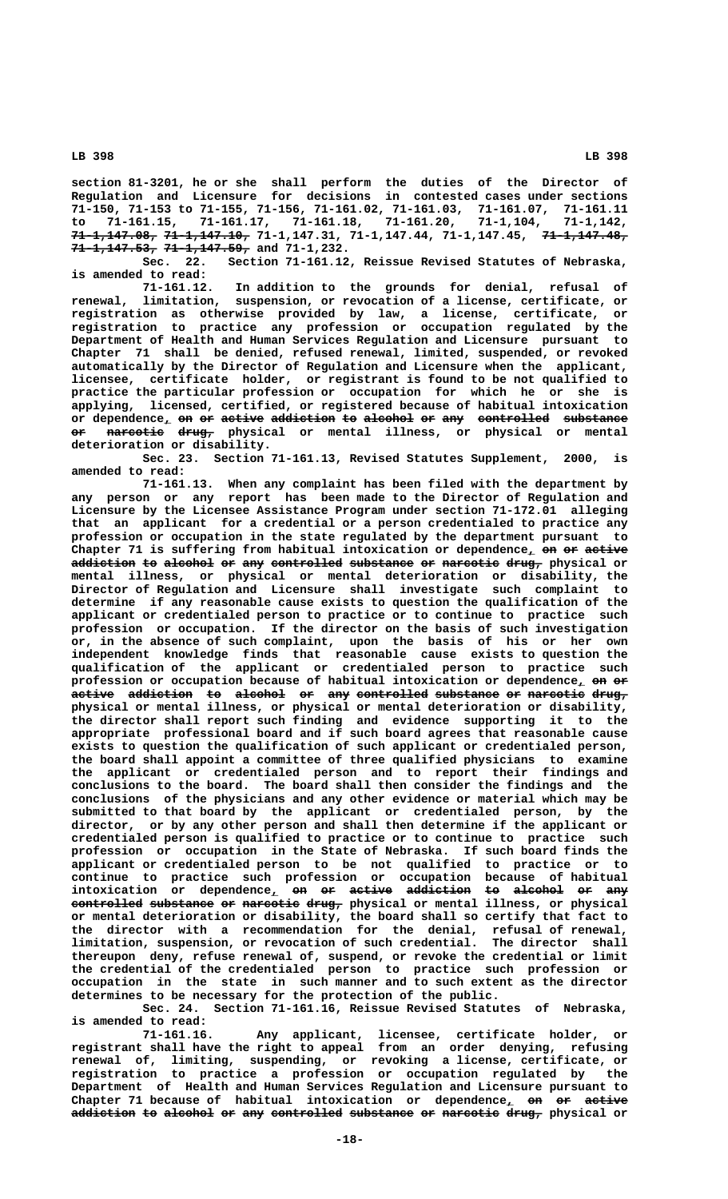**section 81-3201, he or she shall perform the duties of the Director of Regulation and Licensure for decisions in contested cases under sections 71-150, 71-153 to 71-155, 71-156, 71-161.02, 71-161.03, 71-161.07, 71-161.11 to 71-161.15, 71-161.17, 71-161.18, 71-161.20, 71-1,104, 71-1,142, ———————————— ———————————— ———————————— 71-1,147.08, 71-1,147.10, 71-1,147.31, 71-1,147.44, 71-1,147.45, 71-1,147.48,**

**11-1,147.53, 71-1,147.59, and 71-1,232.**<br>Sec. 22. Section 71-161.12 Section 71-161.12, Reissue Revised Statutes of Nebraska, **is amended to read:**

In addition to the grounds for denial, refusal of **renewal, limitation, suspension, or revocation of a license, certificate, or registration as otherwise provided by law, a license, certificate, or registration to practice any profession or occupation regulated by the Department of Health and Human Services Regulation and Licensure pursuant to Chapter 71 shall be denied, refused renewal, limited, suspended, or revoked automatically by the Director of Regulation and Licensure when the applicant, licensee, certificate holder, or registrant is found to be not qualified to practice the particular profession or occupation for which he or she is applying, licensed, certified, or registered because of habitual intoxication** or dependence<u>,</u> <del>on</del> <del>or active addiction to alcohol or any controlled substance</del>  **—— ———————— ————— or narcotic drug, physical or mental illness, or physical or mental deterioration or disability.**

**Sec. 23. Section 71-161.13, Revised Statutes Supplement, 2000, is amended to read:**

**71-161.13. When any complaint has been filed with the department by any person or any report has been made to the Director of Regulation and Licensure by the Licensee Assistance Program under section 71-172.01 alleging that an applicant for a credential or a person credentialed to practice any profession or occupation in the state regulated by the department pursuant to** Chapter 71 is suffering from habitual intoxication or dependence, on or active addiction to alcohol or any controlled substance or narcotic drug, physical or **mental illness, or physical or mental deterioration or disability, the Director of Regulation and Licensure shall investigate such complaint to determine if any reasonable cause exists to question the qualification of the applicant or credentialed person to practice or to continue to practice such profession or occupation. If the director on the basis of such investigation or, in the absence of such complaint, upon the basis of his or her own independent knowledge finds that reasonable cause exists to question the qualification of the applicant or credentialed person to practice such profession or occupation because of habitual intoxication or dependence, on or \_ —— — active addiction to alcohol or any controlled substance or narcotic drug, —————— ————————— —— ——————— —— ——— —————————— ————————— —— ———————— ———— physical or mental illness, or physical or mental deterioration or disability, the director shall report such finding and evidence supporting it to the appropriate professional board and if such board agrees that reasonable cause exists to question the qualification of such applicant or credentialed person, the board shall appoint a committee of three qualified physicians to examine the applicant or credentialed person and to report their findings and conclusions to the board. The board shall then consider the findings and the conclusions of the physicians and any other evidence or material which may be submitted to that board by the applicant or credentialed person, by the director, or by any other person and shall then determine if the applicant or credentialed person is qualified to practice or to continue to practice such profession or occupation in the State of Nebraska. If such board finds the applicant or credentialed person to be not qualified to practice or to continue to practice such profession or occupation because of habitual** intoxication or dependence<sub>*l*</sub> on or active addiction to alcohol or any **controlled substance or narcotic drug, physical or mental illness, or physical —————————— ————————— —— ———————— ———— or mental deterioration or disability, the board shall so certify that fact to the director with a recommendation for the denial, refusal of renewal, limitation, suspension, or revocation of such credential. The director shall thereupon deny, refuse renewal of, suspend, or revoke the credential or limit the credential of the credentialed person to practice such profession or occupation in the state in such manner and to such extent as the director determines to be necessary for the protection of the public.**

**Sec. 24. Section 71-161.16, Reissue Revised Statutes of Nebraska, is amended to read:**

**71-161.16. Any applicant, licensee, certificate holder, or registrant shall have the right to appeal from an order denying, refusing renewal of, limiting, suspending, or revoking a license, certificate, or registration to practice a profession or occupation regulated by the Department of Health and Human Services Regulation and Licensure pursuant to** Chapter 71 because of habitual intoxication or dependence<sub>1</sub> on or active a<del>ddiction</del> to alcohol or any controlled substance or narcotic drug, physical or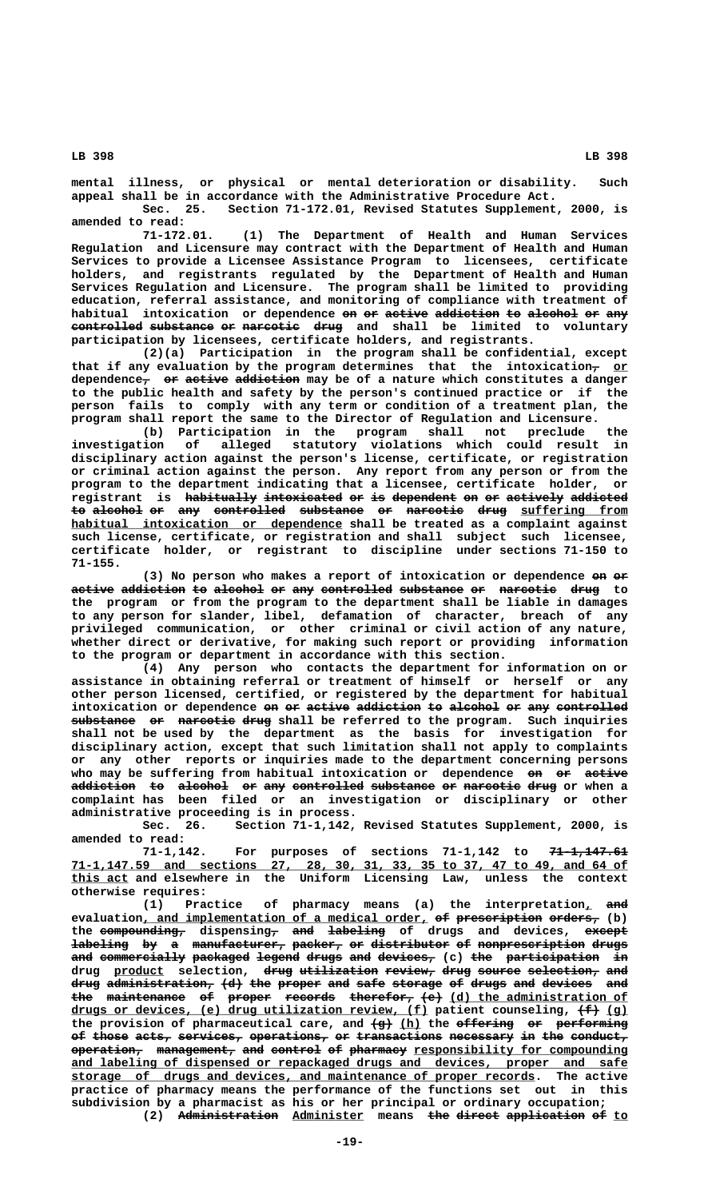**mental illness, or physical or mental deterioration or disability. Such appeal shall be in accordance with the Administrative Procedure Act. Sec. 25. Section 71-172.01, Revised Statutes Supplement, 2000, is**

**amended to read: 71-172.01. (1) The Department of Health and Human Services**

**Regulation and Licensure may contract with the Department of Health and Human Services to provide a Licensee Assistance Program to licensees, certificate holders, and registrants regulated by the Department of Health and Human Services Regulation and Licensure. The program shall be limited to providing education, referral assistance, and monitoring of compliance with treatment of habitual intoxication or dependence on or active addiction to alcohol or any —— —— —————— ————————— —— ——————— —— —— controlled substance or narcotic drug and shall be limited to voluntary —————————— ————————— —— ———————— ——— participation by licensees, certificate holders, and registrants.**

**(2)(a) Participation in the program shall be confidential, except** that if any evaluation by the program determines that the intoxication<sub>7</sub> or dependence<sub>7</sub> or active addiction may be of a nature which constitutes a danger **to the public health and safety by the person's continued practice or if the person fails to comply with any term or condition of a treatment plan, the program shall report the same to the Director of Regulation and Licensure.**

**(b) Participation in the program shall not preclude the investigation of alleged statutory violations which could result in disciplinary action against the person's license, certificate, or registration or criminal action against the person. Any report from any person or from the program to the department indicating that a licensee, certificate holder, or** registrant is habitually intoxicated or is dependent on or actively addicted to alcohol or any controlled substance or narcotic drug suffering from  **\_\_\_\_\_\_\_\_\_\_\_\_\_\_\_\_\_\_\_\_\_\_\_\_\_\_\_\_\_\_\_\_\_\_\_\_\_\_ habitual intoxication or dependence shall be treated as a complaint against such license, certificate, or registration and shall subject such licensee, certificate holder, or registrant to discipline under sections 71-150 to 71-155.**

(3) No person who makes a report of intoxication or dependence on or active addiction to alcohol or any controlled substance or narcotic drug to **the program or from the program to the department shall be liable in damages to any person for slander, libel, defamation of character, breach of any privileged communication, or other criminal or civil action of any nature, whether direct or derivative, for making such report or providing information to the program or department in accordance with this section.**

**(4) Any person who contacts the department for information on or assistance in obtaining referral or treatment of himself or herself or any other person licensed, certified, or registered by the department for habitual** intoxication or dependence on or active addiction to alcohol or any controlled  $s$ ubstance or narcotic drug shall be referred to the program. Such inquiries **shall not be used by the department as the basis for investigation for disciplinary action, except that such limitation shall not apply to complaints or any other reports or inquiries made to the department concerning persons** who may be suffering from habitual intoxication or dependence on or active addiction to alcohol or any controlled substance or narcotic drug or when a **complaint has been filed or an investigation or disciplinary or other administrative proceeding is in process.**

**Sec. 26. Section 71-1,142, Revised Statutes Supplement, 2000, is amended to read:**

71-1,142. For purposes of sections 71-1,142 to 71-1,147.61  **\_\_\_\_\_\_\_\_\_\_\_\_\_\_\_\_\_\_\_\_\_\_\_\_\_\_\_\_\_\_\_\_\_\_\_\_\_\_\_\_\_\_\_\_\_\_\_\_\_\_\_\_\_\_\_\_\_\_\_\_\_\_\_\_\_\_\_\_\_\_\_\_\_\_\_\_\_\_ 71-1,147.59 and sections 27, 28, 30, 31, 33, 35 to 37, 47 to 49, and 64 of \_\_\_\_\_\_\_\_ this act and elsewhere in the Uniform Licensing Law, unless the context otherwise requires:**

(1) Practice of pharmacy means (a) the interpretation<sub>1</sub> and evaluation, and implementation of a medical order, of prescription orders, (b) **the compounding, dispensing, and labeling of drugs and devices, except ———————————— — ——— ———————— ——————**  ${\tt labeling}$  by a manufacturer, packer, or distributor of nonprescription drugs **and commercially packaged legend drugs and devices, (c) the participation in ——— ———————————— ———————— —————— ————— ——— ———————— ——— ————————————— —** drug product selection, <del>drug utilization review, drug source selection, and</del> drug administration, (d) the proper and safe storage of drugs and devices and the maintenance of proper records therefor,  $\left( e \right)$  (d) the administration of drugs or devices, (e) drug utilization review, (f) patient counseling,  $\{\text{f}\}$  (g) the provision of pharmaceutical care, and  $\frac{\pi}{4}$  (h) the effering er performing of those acts, services, operations, or transactions necessary in the conduct,  $o$  peration, management, and control of pharmacy responsibility for compounding  **\_\_\_\_\_\_\_\_\_\_\_\_\_\_\_\_\_\_\_\_\_\_\_\_\_\_\_\_\_\_\_\_\_\_\_\_\_\_\_\_\_\_\_\_\_\_\_\_\_\_\_\_\_\_\_\_\_\_\_\_\_\_\_\_\_\_\_\_\_\_\_\_\_\_\_\_\_\_ and labeling of dispensed or repackaged drugs and devices, proper and safe \_\_\_\_\_\_\_\_\_\_\_\_\_\_\_\_\_\_\_\_\_\_\_\_\_\_\_\_\_\_\_\_\_\_\_\_\_\_\_\_\_\_\_\_\_\_\_\_\_\_\_\_\_\_\_\_\_\_\_\_\_\_\_\_\_ storage of drugs and devices, and maintenance of proper records. The active practice of pharmacy means the performance of the functions set out in this subdivision by a pharmacist as his or her principal or ordinary occupation;** (2) Administration Administer means the direct application of to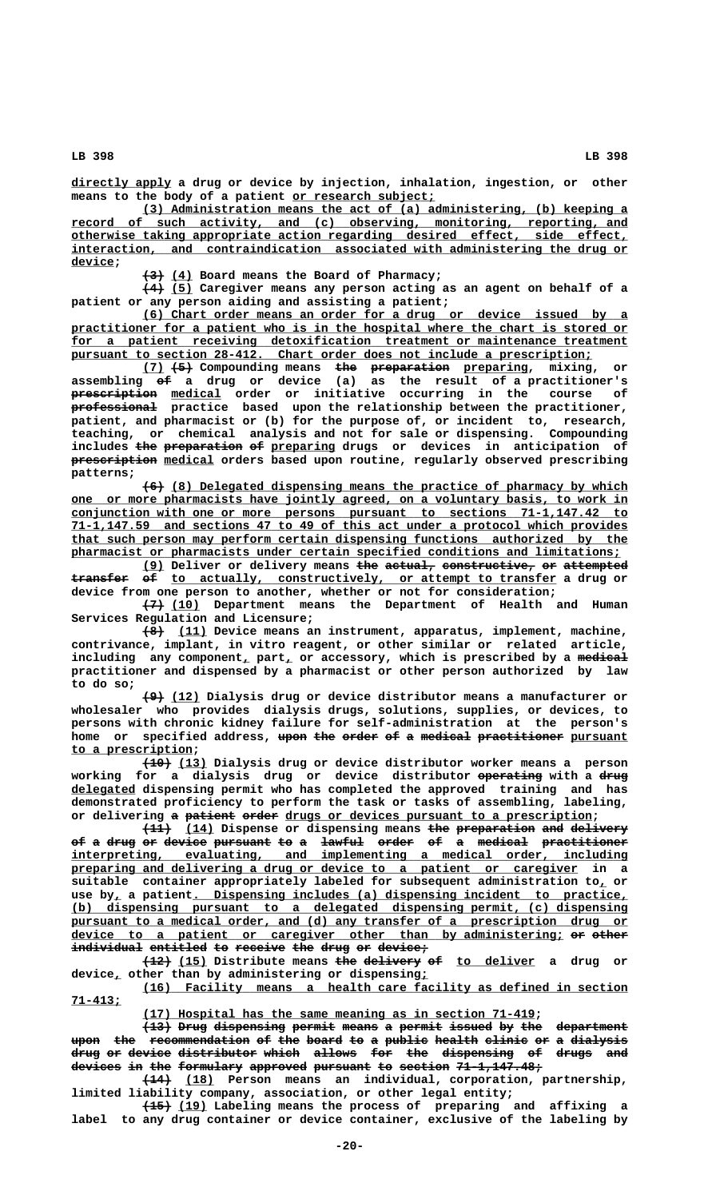**\_\_\_\_\_\_\_\_\_\_\_\_\_\_ directly apply a drug or device by injection, inhalation, ingestion, or other** means to the body of a patient or research subject;

 **\_\_\_\_\_\_\_\_\_\_\_\_\_\_\_\_\_\_\_\_\_\_\_\_\_\_\_\_\_\_\_\_\_\_\_\_\_\_\_\_\_\_\_\_\_\_\_\_\_\_\_\_\_\_\_\_\_\_\_\_\_\_\_\_\_\_\_\_ (3) Administration means the act of (a) administering, (b) keeping a \_\_\_\_\_\_\_\_\_\_\_\_\_\_\_\_\_\_\_\_\_\_\_\_\_\_\_\_\_\_\_\_\_\_\_\_\_\_\_\_\_\_\_\_\_\_\_\_\_\_\_\_\_\_\_\_\_\_\_\_\_\_\_\_\_\_\_\_\_\_\_\_\_\_\_\_\_\_ record of such activity, and (c) observing, monitoring, reporting, and \_\_\_\_\_\_\_\_\_\_\_\_\_\_\_\_\_\_\_\_\_\_\_\_\_\_\_\_\_\_\_\_\_\_\_\_\_\_\_\_\_\_\_\_\_\_\_\_\_\_\_\_\_\_\_\_\_\_\_\_\_\_\_\_\_\_\_\_\_\_\_\_\_\_\_\_\_\_ otherwise taking appropriate action regarding desired effect, side effect, \_\_\_\_\_\_\_\_\_\_\_\_\_\_\_\_\_\_\_\_\_\_\_\_\_\_\_\_\_\_\_\_\_\_\_\_\_\_\_\_\_\_\_\_\_\_\_\_\_\_\_\_\_\_\_\_\_\_\_\_\_\_\_\_\_\_\_\_\_\_\_\_\_\_\_\_\_\_ interaction, and contraindication associated with administering the drug or** device;

 $\overline{(4)}$  Board means the Board of Pharmacy;

 **——— \_\_\_ (4) (5) Caregiver means any person acting as an agent on behalf of a patient or any person aiding and assisting a patient;**

 **\_\_\_\_\_\_\_\_\_\_\_\_\_\_\_\_\_\_\_\_\_\_\_\_\_\_\_\_\_\_\_\_\_\_\_\_\_\_\_\_\_\_\_\_\_\_\_\_\_\_\_\_\_\_\_\_\_\_\_\_\_\_\_\_\_\_\_\_ (6) Chart order means an order for a drug or device issued by a** practitioner for a patient who is in the hospital where the chart is stored or for a patient receiving detoxification treatment or maintenance treatment pursuant to section 28-412. Chart order does not include a prescription;

**(7) (5) Compounding means the preparation preparing, mixing, or \_\_\_ ——— ——— ——————————— \_\_\_\_\_\_\_\_\_ —— assembling of a drug or device (a) as the result of a practitioner's ———————————— \_\_\_\_\_\_\_ prescription medical order or initiative occurring in the course of ———————————— professional practice based upon the relationship between the practitioner, patient, and pharmacist or (b) for the purpose of, or incident to, research, teaching, or chemical analysis and not for sale or dispensing. Compounding** includes <del>the preparation</del> <del>of</del> preparing drugs or devices in anticipation of  **———————————— \_\_\_\_\_\_\_ prescription medical orders based upon routine, regularly observed prescribing patterns;**

> $(6)$  (8) Delegated dispensing means the practice of pharmacy by which  **\_\_\_\_\_\_\_\_\_\_\_\_\_\_\_\_\_\_\_\_\_\_\_\_\_\_\_\_\_\_\_\_\_\_\_\_\_\_\_\_\_\_\_\_\_\_\_\_\_\_\_\_\_\_\_\_\_\_\_\_\_\_\_\_\_\_\_\_\_\_\_\_\_\_\_\_\_\_ one or more pharmacists have jointly agreed, on a voluntary basis, to work in \_\_\_\_\_\_\_\_\_\_\_\_\_\_\_\_\_\_\_\_\_\_\_\_\_\_\_\_\_\_\_\_\_\_\_\_\_\_\_\_\_\_\_\_\_\_\_\_\_\_\_\_\_\_\_\_\_\_\_\_\_\_\_\_\_\_\_\_\_\_\_\_\_\_\_\_\_\_ conjunction with one or more persons pursuant to sections 71-1,147.42 to \_\_\_\_\_\_\_\_\_\_\_\_\_\_\_\_\_\_\_\_\_\_\_\_\_\_\_\_\_\_\_\_\_\_\_\_\_\_\_\_\_\_\_\_\_\_\_\_\_\_\_\_\_\_\_\_\_\_\_\_\_\_\_\_\_\_\_\_\_\_\_\_\_\_\_\_\_\_ 71-1,147.59 and sections 47 to 49 of this act under a protocol which provides \_\_\_\_\_\_\_\_\_\_\_\_\_\_\_\_\_\_\_\_\_\_\_\_\_\_\_\_\_\_\_\_\_\_\_\_\_\_\_\_\_\_\_\_\_\_\_\_\_\_\_\_\_\_\_\_\_\_\_\_\_\_\_\_\_\_\_\_\_\_\_\_\_\_\_\_\_\_ that such person may perform certain dispensing functions authorized by the \_\_\_\_\_\_\_\_\_\_\_\_\_\_\_\_\_\_\_\_\_\_\_\_\_\_\_\_\_\_\_\_\_\_\_\_\_\_\_\_\_\_\_\_\_\_\_\_\_\_\_\_\_\_\_\_\_\_\_\_\_\_\_\_\_\_\_\_\_\_\_\_\_\_\_\_\_ pharmacist or pharmacists under certain specified conditions and limitations;**

> **(9) Deliver or delivery means the actual, constructive, or attempted \_\_\_ ——— ——————— ————————————— —— —————————**  $\textbf{transfer}$  of to actually, constructively, or attempt to transfer a drug or **device from one person to another, whether or not for consideration;**

 **——— \_\_\_\_ (7) (10) Department means the Department of Health and Human Services Regulation and Licensure;**

 **——— \_\_\_\_ (8) (11) Device means an instrument, apparatus, implement, machine, contrivance, implant, in vitro reagent, or other similar or related article,** including any component, part, or accessory, which is prescribed by a <del>medical</del> **practitioner and dispensed by a pharmacist or other person authorized by law to do so;**

> **——— \_\_\_\_ (9) (12) Dialysis drug or device distributor means a manufacturer or wholesaler who provides dialysis drugs, solutions, supplies, or devices, to persons with chronic kidney failure for self-administration at the person's** home or specified address, upon the order of a medical practitioner pursuant  **\_\_\_\_\_\_\_\_\_\_\_\_\_\_\_\_\_ to a prescription;**

 **———— \_\_\_\_ (10) (13) Dialysis drug or device distributor worker means a person** working for a dialysis drug or device distributor-<del>operating</del>-with-a-<del>drug</del>  **\_\_\_\_\_\_\_\_\_ delegated dispensing permit who has completed the approved training and has demonstrated proficiency to perform the task or tasks of assembling, labeling,** or delivering a patient order drugs or devices pursuant to a prescription;

 $\overline{(11)}$  (14) Dispense or dispensing means the preparation and delivery of a drug or device pursuant to a lawful order of a medical practitioner  ${\tt intercepteting,}$  evaluating, and implementing a medical order, including  **\_\_\_\_\_\_\_\_\_\_\_\_\_\_\_\_\_\_\_\_\_\_\_\_\_\_\_\_\_\_\_\_\_\_\_\_\_\_\_\_\_\_\_\_\_\_\_\_\_\_\_\_\_\_\_\_\_\_\_\_\_\_\_\_\_\_\_\_\_\_\_ preparing and delivering a drug or device to a patient or caregiver in a suitable container appropriately labeled for subsequent administration to, or \_** use by, a patient. Dispensing includes (a) dispensing incident to practice,  **\_\_\_\_\_\_\_\_\_\_\_\_\_\_\_\_\_\_\_\_\_\_\_\_\_\_\_\_\_\_\_\_\_\_\_\_\_\_\_\_\_\_\_\_\_\_\_\_\_\_\_\_\_\_\_\_\_\_\_\_\_\_\_\_\_\_\_\_\_\_\_\_\_\_\_\_\_\_ (b) dispensing pursuant to a delegated dispensing permit, (c) dispensing** pursuant to a medical order, and (d) any transfer of a prescription drug or device to a patient or caregiver other than by administering; or other individual entitled to receive the drug or device;

> **(12) (15)** Distribute means the delivery of to deliver a drug or  **\_ \_ device, other than by administering or dispensing;**

> **\_\_\_\_\_\_\_\_\_\_\_\_\_\_\_\_\_\_\_\_\_\_\_\_\_\_\_\_\_\_\_\_\_\_\_\_\_\_\_\_\_\_\_\_\_\_\_\_\_\_\_\_\_\_\_\_\_\_\_\_\_\_\_\_\_\_\_\_ (16) Facility means a health care facility as defined in section 71-413; \_\_\_\_\_\_\_**

> > **\_\_\_\_\_\_\_\_\_\_\_\_\_\_\_\_\_\_\_\_\_\_\_\_\_\_\_\_\_\_\_\_\_\_\_\_\_\_\_\_\_\_\_\_\_\_\_\_\_\_\_\_\_\_\_ (17) Hospital has the same meaning as in section 71-419;**

**(13) Drug dispensing permit means a permit issued by the department ———— ———— —————————— —————— ————— — —————— —————— —— ——— —————————** upon the recommendation of the board to a public health clinic or a dialysis **drug or device distributor which allows for the dispensing of drugs and** devices in the formulary approved pursuant to section 71-1,147.48;

 **———— \_\_\_\_ (14) (18) Person means an individual, corporation, partnership, limited liability company, association, or other legal entity;**

 **———— \_\_\_\_ (15) (19) Labeling means the process of preparing and affixing a label to any drug container or device container, exclusive of the labeling by**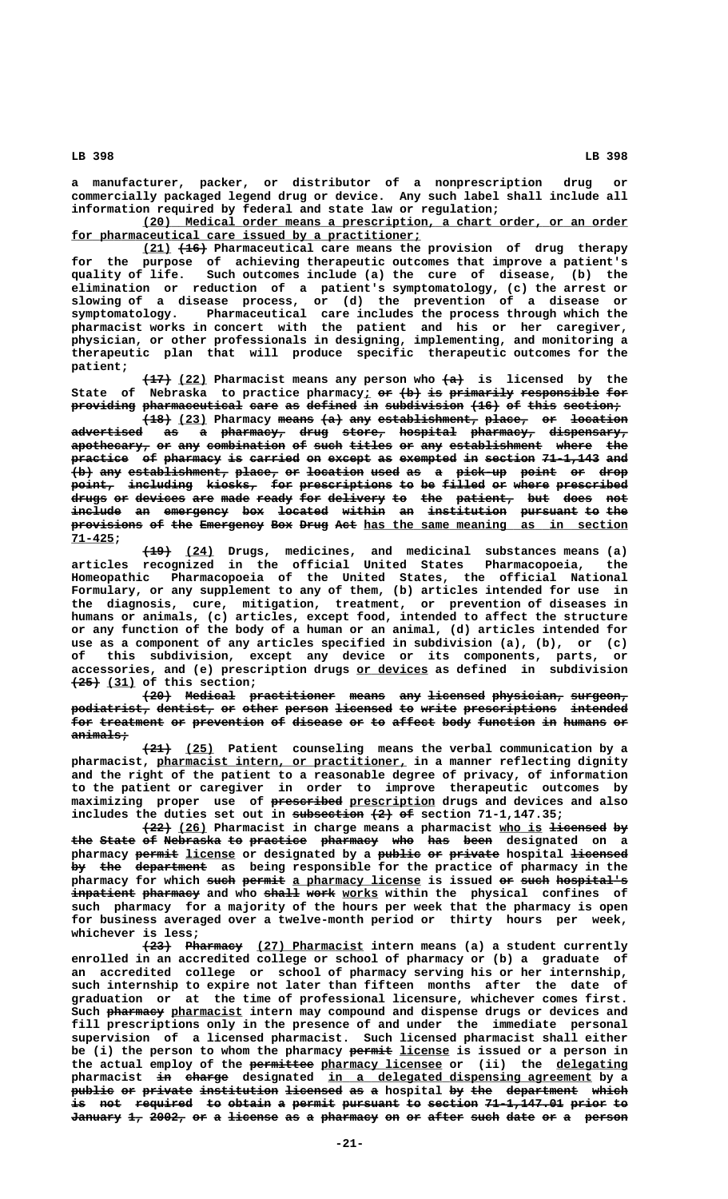**a manufacturer, packer, or distributor of a nonprescription drug or commercially packaged legend drug or device. Any such label shall include all information required by federal and state law or regulation;**

 **\_\_\_\_\_\_\_\_\_\_\_\_\_\_\_\_\_\_\_\_\_\_\_\_\_\_\_\_\_\_\_\_\_\_\_\_\_\_\_\_\_\_\_\_\_\_\_\_\_\_\_\_\_\_\_\_\_\_\_\_\_\_\_\_\_\_\_\_ (20) Medical order means a prescription, a chart order, or an order** for pharmaceutical care issued by a practitioner;

 **\_\_\_\_ ———— (21) (16) Pharmaceutical care means the provision of drug therapy for the purpose of achieving therapeutic outcomes that improve a patient's quality of life. Such outcomes include (a) the cure of disease, (b) the elimination or reduction of a patient's symptomatology, (c) the arrest or slowing of a disease process, or (d) the prevention of a disease or symptomatology. Pharmaceutical care includes the process through which the pharmacist works in concert with the patient and his or her caregiver, physician, or other professionals in designing, implementing, and monitoring a therapeutic plan that will produce specific therapeutic outcomes for the patient;**

**(17) (22)** Pharmacist means any person who  $\{a\}$  is licensed by the State of Nebraska to practice pharmacy; or (b) is primarily responsible for **providing pharmaceutical care as defined in subdivision (16) of this section;** 

**(18) (23) Pharmacy means (a) any establishment, place, or location advertised as a pharmacy, drug store, hospital pharmacy, dispensary, —————————— —— — ————————— ———— —————— ———————— ————————— ———————————**  $\tt{a}$  pothecary, or any combination of such titles or any establishment where the practice of pharmacy is carried on except as exempted in section 71-1,143 and  $\{b\}$  any establishment, place, or location used as a pick-up point or drop point, including kiosks, for prescriptions to be filled or where prescribed  $\overline{\texttt{drugs}}$  or devices are made ready for delivery to the patient, but does not **include an emergency box located within an institution pursuant to the ——————— —— ————————— ——— ——————— —————— —— ——————————— ———————— —— —— provisions of the Emergency Box Drug Act** has the same meaning as in section  **71-425; \_\_\_\_\_\_**

 **———— \_\_\_\_ (19) (24) Drugs, medicines, and medicinal substances means (a) articles recognized in the official United States Pharmacopoeia, the Homeopathic Pharmacopoeia of the United States, the official National Formulary, or any supplement to any of them, (b) articles intended for use in the diagnosis, cure, mitigation, treatment, or prevention of diseases in humans or animals, (c) articles, except food, intended to affect the structure or any function of the body of a human or an animal, (d) articles intended for use as a component of any articles specified in subdivision (a), (b), or (c) of this subdivision, except any device or its components, parts, or \_\_\_\_\_\_\_\_\_\_ accessories, and (e) prescription drugs or devices as defined in subdivision ———— \_\_\_\_ (25) (31) of this section;**

**(20) Medical practitioner means any licensed physician, surgeon, ———— ——————— ———————————— ————— ——— ———————— —————————— ———————** podiatrist, dentist, or other person licensed to write prescriptions intended for treatment or prevention of disease or to affect body function in humans or  **animals; ————————**

 **———— \_\_\_\_ (21) (25) Patient counseling means the verbal communication by a \_\_\_\_\_\_\_\_\_\_\_\_\_\_\_\_\_\_\_\_\_\_\_\_\_\_\_\_\_\_\_\_\_\_\_ pharmacist, pharmacist intern, or practitioner, in a manner reflecting dignity and the right of the patient to a reasonable degree of privacy, of information to the patient or caregiver in order to improve therapeutic outcomes by**  $maximizing$  proper use of **prescribed** prescription drugs and devices and also includes the duties set out in subsection  $\{2\}$  of section 71-1,147.35;

**(22)** (26) Pharmacist in charge means a pharmacist who is licensed by the State of Nebraska to practice pharmacy who has been designated on a pharmacy <del>permit</del> license or designated by a public or private hospital licensed by the department as being responsible for the practice of pharmacy in the pharmacy for which such permit a pharmacy license is issued or such hospital's inpatient pharmacy and who shall work works within the physical confines of **such pharmacy for a majority of the hours per week that the pharmacy is open for business averaged over a twelve-month period or thirty hours per week, whichever is less;**

**(23) Pharmacy** (27) Pharmacist intern means (a) a student currently **enrolled in an accredited college or school of pharmacy or (b) a graduate of an accredited college or school of pharmacy serving his or her internship, such internship to expire not later than fifteen months after the date of graduation or at the time of professional licensure, whichever comes first.** Such pharmacy pharmacist intern may compound and dispense drugs or devices and **fill prescriptions only in the presence of and under the immediate personal supervision of a licensed pharmacist. Such licensed pharmacist shall either** be (i) the person to whom the pharmacy permit license is issued or a person in the actual employ of the **permittee** pharmacy licensee or (ii) the delegating pharmacist <del>in charge</del> designated in a delegated dispensing agreement by a public or private institution licensed as a hospital by the department which is not required to obtain a permit pursuant to section 71-1,147.01 prior to January 1, 2002, or a license as a pharmacy on or after such date or a person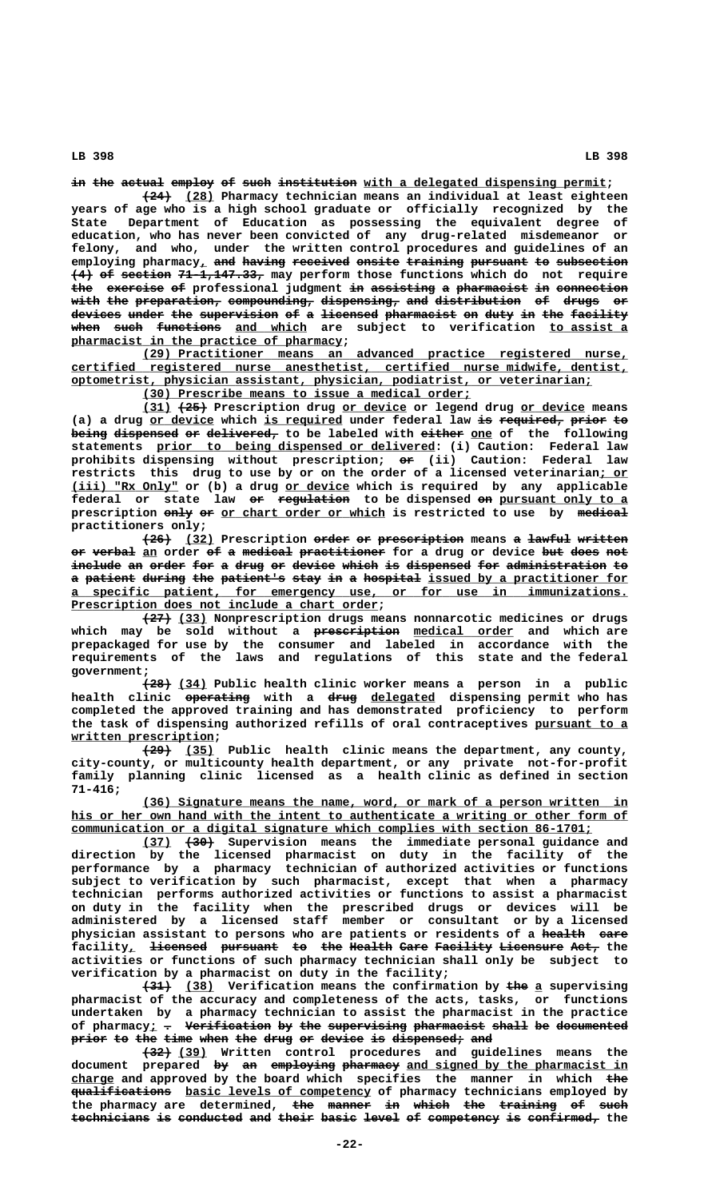in the actual employ of such institution with a delegated dispensing permit;

 **———— \_\_\_\_ (24) (28) Pharmacy technician means an individual at least eighteen years of age who is a high school graduate or officially recognized by the State Department of Education as possessing the equivalent degree of education, who has never been convicted of any drug-related misdemeanor or felony, and who, under the written control procedures and guidelines of an**  $employing$  pharmacy<sub>*l*</sub> and having received onsite training pursuant to subsection **(4) of section 71-1,147.33, may perform those functions which do not require** the exercise of professional judgment in assisting a pharmacist in connection with the preparation, compounding, dispensing, and distribution of drugs or devices under the supervision of a licensed pharmacist on duty in the facility **when such functions and which are subject to verification to assist a \_\_\_\_\_\_\_\_\_\_\_\_\_\_\_\_\_\_\_\_\_\_\_\_\_\_\_\_\_\_\_\_\_\_\_\_\_\_ pharmacist in the practice of pharmacy;**

 **\_\_\_\_\_\_\_\_\_\_\_\_\_\_\_\_\_\_\_\_\_\_\_\_\_\_\_\_\_\_\_\_\_\_\_\_\_\_\_\_\_\_\_\_\_\_\_\_\_\_\_\_\_\_\_\_\_\_\_\_\_\_\_\_\_\_\_\_ (29) Practitioner means an advanced practice registered nurse, \_\_\_\_\_\_\_\_\_\_\_\_\_\_\_\_\_\_\_\_\_\_\_\_\_\_\_\_\_\_\_\_\_\_\_\_\_\_\_\_\_\_\_\_\_\_\_\_\_\_\_\_\_\_\_\_\_\_\_\_\_\_\_\_\_\_\_\_\_\_\_\_\_\_\_\_\_\_ certified registered nurse anesthetist, certified nurse midwife, dentist, \_\_\_\_\_\_\_\_\_\_\_\_\_\_\_\_\_\_\_\_\_\_\_\_\_\_\_\_\_\_\_\_\_\_\_\_\_\_\_\_\_\_\_\_\_\_\_\_\_\_\_\_\_\_\_\_\_\_\_\_\_\_\_\_\_\_\_\_\_\_\_\_\_ optometrist, physician assistant, physician, podiatrist, or veterinarian;**

 **\_\_\_\_\_\_\_\_\_\_\_\_\_\_\_\_\_\_\_\_\_\_\_\_\_\_\_\_\_\_\_\_\_\_\_\_\_\_\_\_\_\_\_\_\_\_ (30) Prescribe means to issue a medical order;**

 **\_\_\_\_ ———— \_\_\_\_\_\_\_\_\_ \_\_\_\_\_\_\_\_\_ (31) (25) Prescription drug or device or legend drug or device means** (a) a drug or device which is required under federal law is required, prior to being dispensed or delivered, to be labeled with either one of the following  **\_\_\_\_\_\_\_\_\_\_\_\_\_\_\_\_\_\_\_\_\_\_\_\_\_\_\_\_\_\_\_\_\_\_\_\_\_\_\_ statements prior to being dispensed or delivered: (i) Caution: Federal law prohibits dispensing without prescription; or (ii) Caution: Federal law — restricts this drug to use by or on the order of a licensed veterinarian; or \_\_\_\_ (iii)** "Rx Only" or (b) a drug or device which is required by any applicable federal or state law or regulation to be dispensed on pursuant only to a prescription  $\frac{enly}{r}$  or chart order or which is restricted to use by medical  **practitioners only;**

**(26) (32) Prescription order or prescription means a lawful written ———— \_\_\_\_ ————— —— ———————————— — —————— —————— or verbal an order of a medical practitioner for a drug or device but does not —— —————— \_\_ —— — ——————— ———————————— ——— ———— ——** include an order for a drug or device which is dispensed for administration to a patient during the patient's stay in a hospital issued by a practitioner for  **\_\_\_\_\_\_\_\_\_\_\_\_\_\_\_\_\_\_\_\_\_\_\_\_\_\_\_\_\_\_\_\_\_\_\_\_\_\_\_\_\_\_\_\_\_\_\_\_\_\_\_\_\_\_\_\_\_\_\_\_\_\_\_\_\_\_\_\_\_\_\_\_\_\_\_\_\_\_ a specific patient, for emergency use, or for use in immunizations.** Prescription does not include a chart order;

 **———— \_\_\_\_ (27) (33) Nonprescription drugs means nonnarcotic medicines or drugs ———————————— \_\_\_\_\_\_\_\_\_\_\_\_\_\_ which may be sold without a prescription medical order and which are prepackaged for use by the consumer and labeled in accordance with the requirements of the laws and regulations of this state and the federal government;**

 **———— \_\_\_\_ (28) (34) Public health clinic worker means a person in a public ————————— ———— \_\_\_\_\_\_\_\_\_ health clinic operating with a drug delegated dispensing permit who has completed the approved training and has demonstrated proficiency to perform** the task of dispensing authorized refills of oral contraceptives pursuant to a  **written prescription; \_\_\_\_\_\_\_\_\_\_\_\_\_\_\_\_\_\_\_\_**

 **———— \_\_\_\_ (29) (35) Public health clinic means the department, any county, city-county, or multicounty health department, or any private not-for-profit family planning clinic licensed as a health clinic as defined in section 71-416;**

 **\_\_\_\_\_\_\_\_\_\_\_\_\_\_\_\_\_\_\_\_\_\_\_\_\_\_\_\_\_\_\_\_\_\_\_\_\_\_\_\_\_\_\_\_\_\_\_\_\_\_\_\_\_\_\_\_\_\_\_\_\_\_\_\_\_\_\_\_ (36) Signature means the name, word, or mark of a person written in** his or her own hand with the intent to authenticate a writing or other form of  **\_\_\_\_\_\_\_\_\_\_\_\_\_\_\_\_\_\_\_\_\_\_\_\_\_\_\_\_\_\_\_\_\_\_\_\_\_\_\_\_\_\_\_\_\_\_\_\_\_\_\_\_\_\_\_\_\_\_\_\_\_\_\_\_\_\_\_\_\_\_\_\_\_ communication or a digital signature which complies with section 86-1701;**

 **\_\_\_\_ ———— (37) (30) Supervision means the immediate personal guidance and direction by the licensed pharmacist on duty in the facility of the performance by a pharmacy technician of authorized activities or functions subject to verification by such pharmacist, except that when a pharmacy technician performs authorized activities or functions to assist a pharmacist on duty in the facility when the prescribed drugs or devices will be administered by a licensed staff member or consultant or by a licensed** physician assistant to persons who are patients or residents of a health eare facility, <del>licensed</del> pursuant to the Health Care Facility Licensure Act, the **activities or functions of such pharmacy technician shall only be subject to verification by a pharmacist on duty in the facility;**

 **———— \_\_\_\_ ——— \_ (31) (38) Verification means the confirmation by the a supervising pharmacist of the accuracy and completeness of the acts, tasks, or functions undertaken by a pharmacy technician to assist the pharmacist in the practice** of pharmacy<sub>i</sub> - Verification by the supervising pharmacist shall be documented prior to the time when the drug or device is dispensed; and

 **———— \_\_\_\_ (32) (39) Written control procedures and guidelines means the** document prepared <del>by an employing pharmacy</del> <u>and signed by the pharmacist in</u> charge and approved by the board which specifies the manner in which the  $qualifications$  basic levels of competency of pharmacy technicians employed by the pharmacy are determined, the manner in which the training of such technicians is conducted and their basic level of competency is confirmed, the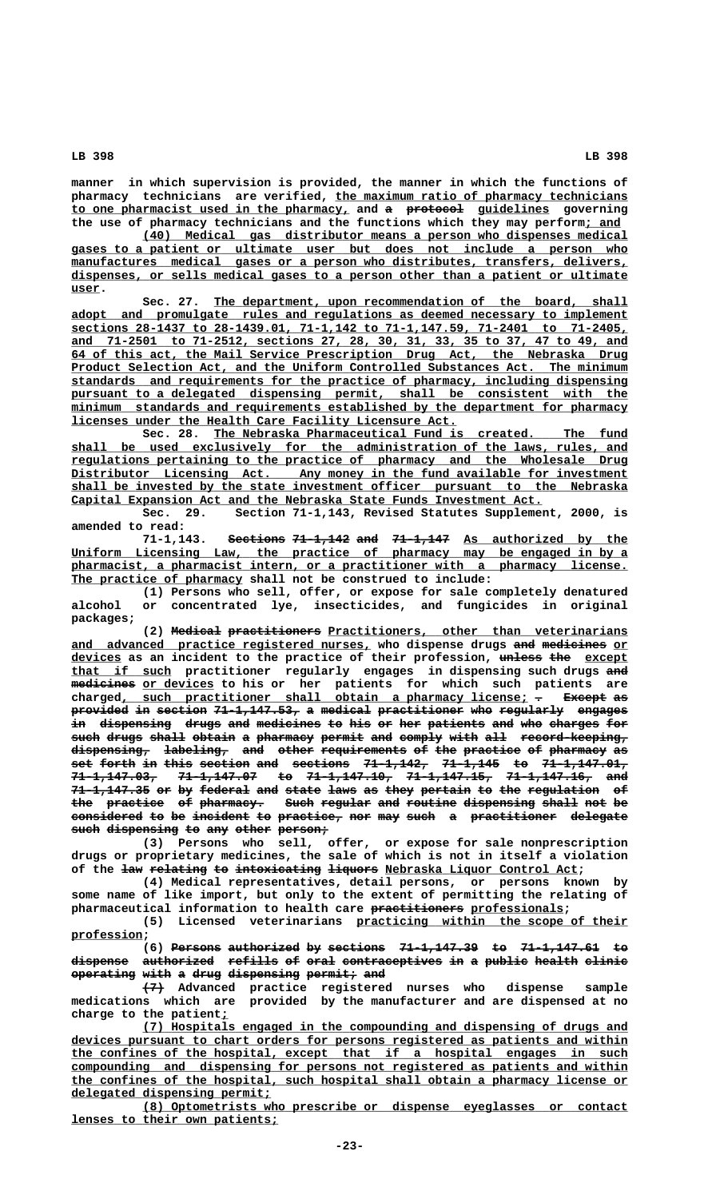**manner in which supervision is provided, the manner in which the functions of \_\_\_\_\_\_\_\_\_\_\_\_\_\_\_\_\_\_\_\_\_\_\_\_\_\_\_\_\_\_\_\_\_\_\_\_\_\_\_\_\_ pharmacy technicians are verified, the maximum ratio of pharmacy technicians** to one pharmacist used in the pharmacy, and a protocol guidelines governing the use of pharmacy technicians and the functions which they may perform; and

 **\_\_\_\_\_\_\_\_\_\_\_\_\_\_\_\_\_\_\_\_\_\_\_\_\_\_\_\_\_\_\_\_\_\_\_\_\_\_\_\_\_\_\_\_\_\_\_\_\_\_\_\_\_\_\_\_\_\_\_\_\_\_\_\_\_\_\_\_ (40) Medical gas distributor means a person who dispenses medical \_\_\_\_\_\_\_\_\_\_\_\_\_\_\_\_\_\_\_\_\_\_\_\_\_\_\_\_\_\_\_\_\_\_\_\_\_\_\_\_\_\_\_\_\_\_\_\_\_\_\_\_\_\_\_\_\_\_\_\_\_\_\_\_\_\_\_\_\_\_\_\_\_\_\_\_\_\_ gases to a patient or ultimate user but does not include a person who**  $manufactures  medical gases or a person who distributes, transfers, delivers$ </u>  **\_\_\_\_\_\_\_\_\_\_\_\_\_\_\_\_\_\_\_\_\_\_\_\_\_\_\_\_\_\_\_\_\_\_\_\_\_\_\_\_\_\_\_\_\_\_\_\_\_\_\_\_\_\_\_\_\_\_\_\_\_\_\_\_\_\_\_\_\_\_\_\_\_\_\_\_\_\_ dispenses, or sells medical gases to a person other than a patient or ultimate user. \_\_\_\_**

Sec. 27. The department, upon recommendation of the board, shall  **\_\_\_\_\_\_\_\_\_\_\_\_\_\_\_\_\_\_\_\_\_\_\_\_\_\_\_\_\_\_\_\_\_\_\_\_\_\_\_\_\_\_\_\_\_\_\_\_\_\_\_\_\_\_\_\_\_\_\_\_\_\_\_\_\_\_\_\_\_\_\_\_\_\_\_\_\_\_ adopt and promulgate rules and regulations as deemed necessary to implement \_\_\_\_\_\_\_\_\_\_\_\_\_\_\_\_\_\_\_\_\_\_\_\_\_\_\_\_\_\_\_\_\_\_\_\_\_\_\_\_\_\_\_\_\_\_\_\_\_\_\_\_\_\_\_\_\_\_\_\_\_\_\_\_\_\_\_\_\_\_\_\_\_\_\_\_\_\_ sections 28-1437 to 28-1439.01, 71-1,142 to 71-1,147.59, 71-2401 to 71-2405, \_\_\_\_\_\_\_\_\_\_\_\_\_\_\_\_\_\_\_\_\_\_\_\_\_\_\_\_\_\_\_\_\_\_\_\_\_\_\_\_\_\_\_\_\_\_\_\_\_\_\_\_\_\_\_\_\_\_\_\_\_\_\_\_\_\_\_\_\_\_\_\_\_\_\_\_\_\_ and 71-2501 to 71-2512, sections 27, 28, 30, 31, 33, 35 to 37, 47 to 49, and \_\_\_\_\_\_\_\_\_\_\_\_\_\_\_\_\_\_\_\_\_\_\_\_\_\_\_\_\_\_\_\_\_\_\_\_\_\_\_\_\_\_\_\_\_\_\_\_\_\_\_\_\_\_\_\_\_\_\_\_\_\_\_\_\_\_\_\_\_\_\_\_\_\_\_\_\_\_ 64 of this act, the Mail Service Prescription Drug Act, the Nebraska Drug \_\_\_\_\_\_\_\_\_\_\_\_\_\_\_\_\_\_\_\_\_\_\_\_\_\_\_\_\_\_\_\_\_\_\_\_\_\_\_\_\_\_\_\_\_\_\_\_\_\_\_\_\_\_\_\_\_\_\_\_\_\_\_\_\_\_\_\_\_\_\_\_\_\_\_\_\_\_ Product Selection Act, and the Uniform Controlled Substances Act. The minimum \_\_\_\_\_\_\_\_\_\_\_\_\_\_\_\_\_\_\_\_\_\_\_\_\_\_\_\_\_\_\_\_\_\_\_\_\_\_\_\_\_\_\_\_\_\_\_\_\_\_\_\_\_\_\_\_\_\_\_\_\_\_\_\_\_\_\_\_\_\_\_\_\_\_\_\_\_\_ standards and requirements for the practice of pharmacy, including dispensing** pursuant to a delegated dispensing permit, shall be consistent with the  $minimm$  standards and requirements established by the department for pharmacy  **\_\_\_\_\_\_\_\_\_\_\_\_\_\_\_\_\_\_\_\_\_\_\_\_\_\_\_\_\_\_\_\_\_\_\_\_\_\_\_\_\_\_\_\_\_\_\_\_\_\_\_\_\_\_ licenses under the Health Care Facility Licensure Act.**

Sec. 28. The Nebraska Pharmaceutical Fund is created. The fund  **\_\_\_\_\_\_\_\_\_\_\_\_\_\_\_\_\_\_\_\_\_\_\_\_\_\_\_\_\_\_\_\_\_\_\_\_\_\_\_\_\_\_\_\_\_\_\_\_\_\_\_\_\_\_\_\_\_\_\_\_\_\_\_\_\_\_\_\_\_\_\_\_\_\_\_\_\_\_ shall be used exclusively for the administration of the laws, rules, and \_\_\_\_\_\_\_\_\_\_\_\_\_\_\_\_\_\_\_\_\_\_\_\_\_\_\_\_\_\_\_\_\_\_\_\_\_\_\_\_\_\_\_\_\_\_\_\_\_\_\_\_\_\_\_\_\_\_\_\_\_\_\_\_\_\_\_\_\_\_\_\_\_\_\_\_\_\_ regulations pertaining to the practice of pharmacy and the Wholesale Drug** Distributor Licensing Act. Any money in the fund available for investment  **\_\_\_\_\_\_\_\_\_\_\_\_\_\_\_\_\_\_\_\_\_\_\_\_\_\_\_\_\_\_\_\_\_\_\_\_\_\_\_\_\_\_\_\_\_\_\_\_\_\_\_\_\_\_\_\_\_\_\_\_\_\_\_\_\_\_\_\_\_\_\_\_\_\_\_\_\_\_ shall be invested by the state investment officer pursuant to the Nebraska**

 **\_\_\_\_\_\_\_\_\_\_\_\_\_\_\_\_\_\_\_\_\_\_\_\_\_\_\_\_\_\_\_\_\_\_\_\_\_\_\_\_\_\_\_\_\_\_\_\_\_\_\_\_\_\_\_\_\_\_\_\_\_\_\_\_\_\_ Capital Expansion Act and the Nebraska State Funds Investment Act. Sec. 29. Section 71-1,143, Revised Statutes Supplement, 2000, is**

**amended to read: Sections 71-1,142 and 71-1,147** As authorized by the <u>Uniform Licensing Law, the practice of pharmacy may be engaged in by a</u>  **\_\_\_\_\_\_\_\_\_\_\_\_\_\_\_\_\_\_\_\_\_\_\_\_\_\_\_\_\_\_\_\_\_\_\_\_\_\_\_\_\_\_\_\_\_\_\_\_\_\_\_\_\_\_\_\_\_\_\_\_\_\_\_\_\_\_\_\_\_\_\_\_\_\_\_\_\_\_ pharmacist, a pharmacist intern, or a practitioner with a pharmacy license.** The practice of pharmacy shall not be construed to include:

**(1) Persons who sell, offer, or expose for sale completely denatured alcohol or concentrated lye, insecticides, and fungicides in original packages;**

(2) Medical practitioners Practitioners, other than veterinarians and advanced practice registered nurses, who dispense drugs and medicines or  **\_\_\_\_\_\_\_ —————— ——— \_\_\_\_\_\_ devices as an incident to the practice of their profession, unless the except \_\_\_\_\_\_\_\_\_\_\_\_\_\_ that if such practitioner regularly engages in dispensing such drugs and ——** medicines or devices to his or her patients for which such patients are charged, such practitioner shall obtain a pharmacy license;  $\tau$  Except as **provided in section 71-1,147.53, a medical practitioner who regularly engages** in dispensing drugs and medicines to his or her patients and who charges for such drugs shall obtain a pharmacy permit and comply with all record-keeping,  $d$ ispensing, labeling, and other requirements of the practice of pharmacy as **set forth in this section and sections 71-1,142, 71-1,145 to 71-1,147.01, ——— ————— —— ———— ——————— ——— ———————— ————————— ———————— —— ———————————— 71-1,147.03, 71-1,147.07 to 71-1,147.10, 71-1,147.15, 71-1,147.16, and ———————————— ——————————— —— ———————————— ———————————— ———————————— ———** 71-1,147.35 or by federal and state laws as they pertain to the regulation of the practice of pharmacy. Such regular and routine dispensing shall not be considered to be incident to practice, nor may such a practitioner delegate such dispensing to any other person;

**(3) Persons who sell, offer, or expose for sale nonprescription drugs or proprietary medicines, the sale of which is not in itself a violation** of the <del>law relating to intoxicating liquors</del> Nebraska Liquor Control Act;

**(4) Medical representatives, detail persons, or persons known by some name of like import, but only to the extent of permitting the relating of** pharmaceutical information to health care practitioners professionals;

 **\_\_\_\_\_\_\_\_\_\_\_\_\_\_\_\_\_\_\_\_\_\_\_\_\_\_\_\_\_\_\_\_\_\_\_\_\_\_ (5) Licensed veterinarians practicing within the scope of their profession; \_\_\_\_\_\_\_\_\_\_**

**(6)** Persons authorized by sections 71-1,147.39 to 71-1,147.61 to dispense authorized refills of oral contraceptives in a public health clinic **operating with a drug dispensing permit; and ————————— ———— — ———— —————————— ——————— ———**

 **——— (7) Advanced practice registered nurses who dispense sample medications which are provided by the manufacturer and are dispensed at no \_ charge to the patient;**

 **\_\_\_\_\_\_\_\_\_\_\_\_\_\_\_\_\_\_\_\_\_\_\_\_\_\_\_\_\_\_\_\_\_\_\_\_\_\_\_\_\_\_\_\_\_\_\_\_\_\_\_\_\_\_\_\_\_\_\_\_\_\_\_\_\_\_\_\_ (7) Hospitals engaged in the compounding and dispensing of drugs and \_\_\_\_\_\_\_\_\_\_\_\_\_\_\_\_\_\_\_\_\_\_\_\_\_\_\_\_\_\_\_\_\_\_\_\_\_\_\_\_\_\_\_\_\_\_\_\_\_\_\_\_\_\_\_\_\_\_\_\_\_\_\_\_\_\_\_\_\_\_\_\_\_\_\_\_\_\_ devices pursuant to chart orders for persons registered as patients and within \_\_\_\_\_\_\_\_\_\_\_\_\_\_\_\_\_\_\_\_\_\_\_\_\_\_\_\_\_\_\_\_\_\_\_\_\_\_\_\_\_\_\_\_\_\_\_\_\_\_\_\_\_\_\_\_\_\_\_\_\_\_\_\_\_\_\_\_\_\_\_\_\_\_\_\_\_\_ the confines of the hospital, except that if a hospital engages in such \_\_\_\_\_\_\_\_\_\_\_\_\_\_\_\_\_\_\_\_\_\_\_\_\_\_\_\_\_\_\_\_\_\_\_\_\_\_\_\_\_\_\_\_\_\_\_\_\_\_\_\_\_\_\_\_\_\_\_\_\_\_\_\_\_\_\_\_\_\_\_\_\_\_\_\_\_\_ compounding and dispensing for persons not registered as patients and within \_\_\_\_\_\_\_\_\_\_\_\_\_\_\_\_\_\_\_\_\_\_\_\_\_\_\_\_\_\_\_\_\_\_\_\_\_\_\_\_\_\_\_\_\_\_\_\_\_\_\_\_\_\_\_\_\_\_\_\_\_\_\_\_\_\_\_\_\_\_\_\_\_\_\_\_\_\_ the confines of the hospital, such hospital shall obtain a pharmacy license or \_\_\_\_\_\_\_\_\_\_\_\_\_\_\_\_\_\_\_\_\_\_\_\_\_\_\_\_ delegated dispensing permit;**

 **\_\_\_\_\_\_\_\_\_\_\_\_\_\_\_\_\_\_\_\_\_\_\_\_\_\_\_\_\_\_\_\_\_\_\_\_\_\_\_\_\_\_\_\_\_\_\_\_\_\_\_\_\_\_\_\_\_\_\_\_\_\_\_\_\_\_\_\_ (8) Optometrists who prescribe or dispense eyeglasses or contact \_\_\_\_\_\_\_\_\_\_\_\_\_\_\_\_\_\_\_\_\_\_\_\_\_\_\_\_\_ lenses to their own patients;**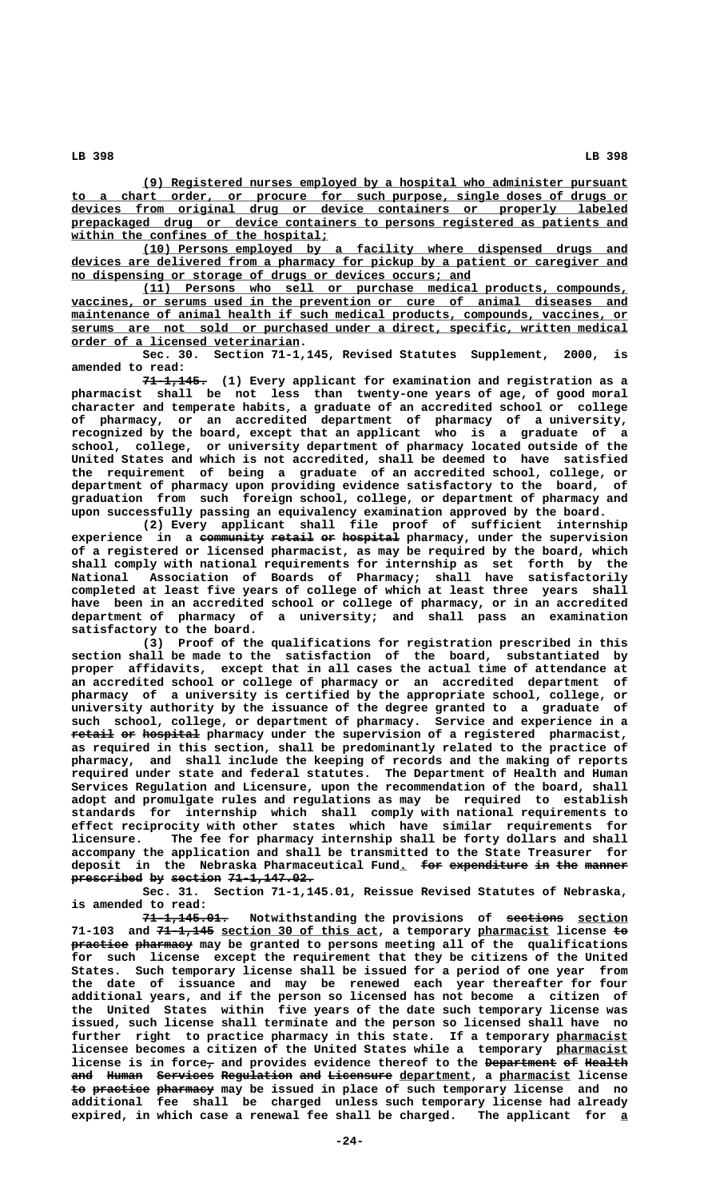**\_\_\_\_\_\_\_\_\_\_\_\_\_\_\_\_\_\_\_\_\_\_\_\_\_\_\_\_\_\_\_\_\_\_\_\_\_\_\_\_\_\_\_\_\_\_\_\_\_\_\_\_\_\_\_\_\_\_\_\_\_\_\_\_\_\_\_\_ (9) Registered nurses employed by a hospital who administer pursuant \_\_\_\_\_\_\_\_\_\_\_\_\_\_\_\_\_\_\_\_\_\_\_\_\_\_\_\_\_\_\_\_\_\_\_\_\_\_\_\_\_\_\_\_\_\_\_\_\_\_\_\_\_\_\_\_\_\_\_\_\_\_\_\_\_\_\_\_\_\_\_\_\_\_\_\_\_\_ to a chart order, or procure for such purpose, single doses of drugs or \_\_\_\_\_\_\_\_\_\_\_\_\_\_\_\_\_\_\_\_\_\_\_\_\_\_\_\_\_\_\_\_\_\_\_\_\_\_\_\_\_\_\_\_\_\_\_\_\_\_\_\_\_\_\_\_\_\_\_\_\_\_\_\_\_\_\_\_\_\_\_\_\_\_\_\_\_\_ devices from original drug or device containers or properly labeled \_\_\_\_\_\_\_\_\_\_\_\_\_\_\_\_\_\_\_\_\_\_\_\_\_\_\_\_\_\_\_\_\_\_\_\_\_\_\_\_\_\_\_\_\_\_\_\_\_\_\_\_\_\_\_\_\_\_\_\_\_\_\_\_\_\_\_\_\_\_\_\_\_\_\_\_\_\_ prepackaged drug or device containers to persons registered as patients and \_\_\_\_\_\_\_\_\_\_\_\_\_\_\_\_\_\_\_\_\_\_\_\_\_\_\_\_\_\_\_\_\_\_\_\_ within the confines of the hospital;**

 **\_\_\_\_\_\_\_\_\_\_\_\_\_\_\_\_\_\_\_\_\_\_\_\_\_\_\_\_\_\_\_\_\_\_\_\_\_\_\_\_\_\_\_\_\_\_\_\_\_\_\_\_\_\_\_\_\_\_\_\_\_\_\_\_\_\_\_\_ (10) Persons employed by a facility where dispensed drugs and \_\_\_\_\_\_\_\_\_\_\_\_\_\_\_\_\_\_\_\_\_\_\_\_\_\_\_\_\_\_\_\_\_\_\_\_\_\_\_\_\_\_\_\_\_\_\_\_\_\_\_\_\_\_\_\_\_\_\_\_\_\_\_\_\_\_\_\_\_\_\_\_\_\_\_\_\_\_ devices are delivered from a pharmacy for pickup by a patient or caregiver and \_\_\_\_\_\_\_\_\_\_\_\_\_\_\_\_\_\_\_\_\_\_\_\_\_\_\_\_\_\_\_\_\_\_\_\_\_\_\_\_\_\_\_\_\_\_\_\_\_\_\_\_\_\_\_\_ no dispensing or storage of drugs or devices occurs; and**

 **\_\_\_\_\_\_\_\_\_\_\_\_\_\_\_\_\_\_\_\_\_\_\_\_\_\_\_\_\_\_\_\_\_\_\_\_\_\_\_\_\_\_\_\_\_\_\_\_\_\_\_\_\_\_\_\_\_\_\_\_\_\_\_\_\_\_\_\_ (11) Persons who sell or purchase medical products, compounds,**  $vaccines$ , or serums used in the prevention or cure of animal diseases and</u>  $main$ tenance of animal health if such medical products, compounds, vaccines, or  $\texttt{serums}$  are not sold or purchased under a direct, specific, written medical  **\_\_\_\_\_\_\_\_\_\_\_\_\_\_\_\_\_\_\_\_\_\_\_\_\_\_\_\_\_\_\_\_ order of a licensed veterinarian.**

**Sec. 30. Section 71-1,145, Revised Statutes Supplement, 2000, is amended to read:**

 **————————— 71-1,145. (1) Every applicant for examination and registration as a pharmacist shall be not less than twenty-one years of age, of good moral character and temperate habits, a graduate of an accredited school or college of pharmacy, or an accredited department of pharmacy of a university, recognized by the board, except that an applicant who is a graduate of a school, college, or university department of pharmacy located outside of the United States and which is not accredited, shall be deemed to have satisfied the requirement of being a graduate of an accredited school, college, or department of pharmacy upon providing evidence satisfactory to the board, of graduation from such foreign school, college, or department of pharmacy and upon successfully passing an equivalency examination approved by the board.**

**(2) Every applicant shall file proof of sufficient internship experience in a community retail or hospital pharmacy, under the supervision ————————— —————— —— ——————— of a registered or licensed pharmacist, as may be required by the board, which shall comply with national requirements for internship as set forth by the National Association of Boards of Pharmacy; shall have satisfactorily completed at least five years of college of which at least three years shall have been in an accredited school or college of pharmacy, or in an accredited department of pharmacy of a university; and shall pass an examination satisfactory to the board.**

**(3) Proof of the qualifications for registration prescribed in this section shall be made to the satisfaction of the board, substantiated by proper affidavits, except that in all cases the actual time of attendance at an accredited school or college of pharmacy or an accredited department of pharmacy of a university is certified by the appropriate school, college, or university authority by the issuance of the degree granted to a graduate of such school, college, or department of pharmacy. Service and experience in a retail or hospital** pharmacy under the supervision of a registered pharmacist, **as required in this section, shall be predominantly related to the practice of pharmacy, and shall include the keeping of records and the making of reports required under state and federal statutes. The Department of Health and Human Services Regulation and Licensure, upon the recommendation of the board, shall adopt and promulgate rules and regulations as may be required to establish standards for internship which shall comply with national requirements to effect reciprocity with other states which have similar requirements for licensure. The fee for pharmacy internship shall be forty dollars and shall accompany the application and shall be transmitted to the State Treasurer for** deposit in the Nebraska Pharmaceutical Fund. <del>for expenditure in the manner</del> prescribed by section 71-1,147.02.

**Sec. 31. Section 71-1,145.01, Reissue Revised Statutes of Nebraska, is amended to read:**

 **———————————— ———————— \_\_\_\_\_\_\_ 71-1,145.01. Notwithstanding the provisions of sections section ———————— \_\_\_\_\_\_\_\_\_\_\_\_\_\_\_\_\_\_\_\_\_\_ \_\_\_\_\_\_\_\_\_\_ —— 71-103 and 71-1,145 section 30 of this act, a temporary pharmacist license to practice pharmacy** may be granted to persons meeting all of the qualifications **for such license except the requirement that they be citizens of the United States. Such temporary license shall be issued for a period of one year from the date of issuance and may be renewed each year thereafter for four additional years, and if the person so licensed has not become a citizen of the United States within five years of the date such temporary license was issued, such license shall terminate and the person so licensed shall have no** further right to practice pharmacy in this state. If a temporary pharmacist **licensee becomes a citizen of the United States while a temporary pharmacist \_\_\_\_\_\_\_\_\_\_** license is in force<sub>7</sub> and provides evidence thereof to the <del>Department of Health</del> and Human Services Regulation and Licensure department, a pharmacist license to practice pharmacy may be issued in place of such temporary license and no **additional fee shall be charged unless such temporary license had already expired, in which case a renewal fee shall be charged. The applicant for a\_**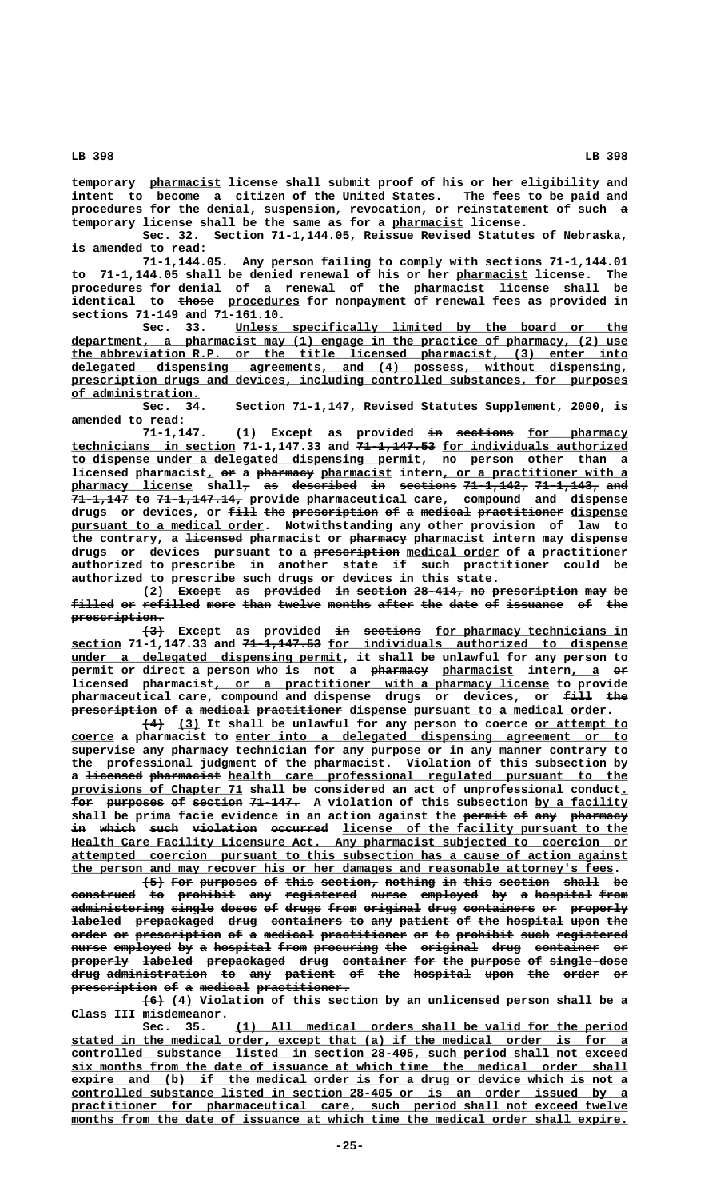**\_\_\_\_\_\_\_\_\_\_ temporary pharmacist license shall submit proof of his or her eligibility and intent to become a citizen of the United States. The fees to be paid and procedures for the denial, suspension, revocation, or reinstatement of such a temporary license shall be the same as for a pharmacist license. \_\_\_\_\_\_\_\_\_\_**

**Sec. 32. Section 71-1,144.05, Reissue Revised Statutes of Nebraska, is amended to read:**

**71-1,144.05. Any person failing to comply with sections 71-1,144.01** to 71-1,144.05 shall be denied renewal of his or her pharmacist license. The  **\_ \_\_\_\_\_\_\_\_\_\_ procedures for denial of a renewal of the pharmacist license shall be ————— \_\_\_\_\_\_\_\_\_\_ identical to those procedures for nonpayment of renewal fees as provided in**

**sections 71-149 and 71-161.10. \_\_\_\_\_\_\_\_\_\_\_\_\_\_\_\_\_\_\_\_\_\_\_\_\_\_\_\_\_\_\_\_\_\_\_\_\_\_\_\_\_\_\_\_\_\_\_\_\_\_\_\_\_\_\_ Sec. 33. Unless specifically limited by the board or the \_\_\_\_\_\_\_\_\_\_\_\_\_\_\_\_\_\_\_\_\_\_\_\_\_\_\_\_\_\_\_\_\_\_\_\_\_\_\_\_\_\_\_\_\_\_\_\_\_\_\_\_\_\_\_\_\_\_\_\_\_\_\_\_\_\_\_\_\_\_\_\_\_\_\_\_\_\_ department, a pharmacist may (1) engage in the practice of pharmacy, (2) use \_\_\_\_\_\_\_\_\_\_\_\_\_\_\_\_\_\_\_\_\_\_\_\_\_\_\_\_\_\_\_\_\_\_\_\_\_\_\_\_\_\_\_\_\_\_\_\_\_\_\_\_\_\_\_\_\_\_\_\_\_\_\_\_\_\_\_\_\_\_\_\_\_\_\_\_\_\_ the abbreviation R.P. or the title licensed pharmacist, (3) enter into \_\_\_\_\_\_\_\_\_\_\_\_\_\_\_\_\_\_\_\_\_\_\_\_\_\_\_\_\_\_\_\_\_\_\_\_\_\_\_\_\_\_\_\_\_\_\_\_\_\_\_\_\_\_\_\_\_\_\_\_\_\_\_\_\_\_\_\_\_\_\_\_\_\_\_\_\_\_ delegated dispensing agreements, and (4) possess, without dispensing, \_\_\_\_\_\_\_\_\_\_\_\_\_\_\_\_\_\_\_\_\_\_\_\_\_\_\_\_\_\_\_\_\_\_\_\_\_\_\_\_\_\_\_\_\_\_\_\_\_\_\_\_\_\_\_\_\_\_\_\_\_\_\_\_\_\_\_\_\_\_\_\_\_\_\_\_\_\_ prescription drugs and devices, including controlled substances, for purposes of administration. \_\_\_\_\_\_\_\_\_\_\_\_\_\_\_\_\_\_**

**Sec. 34. Section 71-1,147, Revised Statutes Supplement, 2000, is amended to read:**

(1) Except as provided <del>in sections</del> for pharmacy  **\_\_\_\_\_\_\_\_\_\_\_\_\_\_\_\_\_\_\_\_\_\_\_ ——————————— \_\_\_\_\_\_\_\_\_\_\_\_\_\_\_\_\_\_\_\_\_\_\_\_\_\_ technicians in section 71-1,147.33 and 71-1,147.53 for individuals authorized \_\_\_\_\_\_\_\_\_\_\_\_\_\_\_\_\_\_\_\_\_\_\_\_\_\_\_\_\_\_\_\_\_\_\_\_\_\_\_\_\_\_\_\_\_\_\_\_\_ to dispense under a delegated dispensing permit, no person other than a**  $l$ icensed pharmacist<sub>*l*</sub> or a pharmacy pharmacist intern, or a practitioner with a pharmacy license shall<sub>7</sub> as described in sections 71-1,142, 71-1,143, and **71-1,147 to 71-1,147.14, provide pharmaceutical care, compound and dispense ———————— —— ———————————** drugs or devices, or <del>fill the prescription</del> <del>of a medical practitioner</del> <u>dispense</u>  **\_\_\_\_\_\_\_\_\_\_\_\_\_\_\_\_\_\_\_\_\_\_\_\_\_\_\_ pursuant to a medical order. Notwithstanding any other provision of law to** the contrary, a <del>licensed</del> pharmacist or pharmacy pharmacist intern may dispense drugs or devices pursuant to a prescription medical order of a practitioner **authorized to prescribe in another state if such practitioner could be authorized to prescribe such drugs or devices in this state.**

(2) <del>Except</del> as provided in section 28-414, no prescription may be filled or refilled more than twelve months after the date of issuance of the prescription.

<del>(3)</del> Except as provided <del>in sections</del> <u>for-pharmacy-technicians-in</u>  **\_\_\_\_\_\_\_ ——————————— \_\_\_\_\_\_\_\_\_\_\_\_\_\_\_\_\_\_\_\_\_\_\_\_\_\_\_\_\_\_\_\_\_\_\_\_\_\_\_\_\_\_ section 71-1,147.33 and 71-1,147.53 for individuals authorized to dispense \_\_\_\_\_\_\_\_\_\_\_\_\_\_\_\_\_\_\_\_\_\_\_\_\_\_\_\_\_\_\_\_\_\_\_\_\_\_ under a delegated dispensing permit, it shall be unlawful for any person to** permit or direct a person who is not a pharmacy pharmacist intern, a er  $licensed$   $phanted$   $phanted$   $parameters$   $or$  a practitioner with a pharmacy license to provide pharmaceutical care, compound and dispense drugs or devices, or  $\frac{f}{f}$  the prescription of a medical practitioner dispense pursuant to a medical order.

 **——— \_\_\_ \_\_\_\_\_\_\_\_\_\_\_\_\_ (4) (3) It shall be unlawful for any person to coerce or attempt to \_\_\_\_\_\_ \_\_\_\_\_\_\_\_\_\_\_\_\_\_\_\_\_\_\_\_\_\_\_\_\_\_\_\_\_\_\_\_\_\_\_\_\_\_\_\_\_\_\_\_\_\_\_\_\_\_\_\_\_\_\_ coerce a pharmacist to enter into a delegated dispensing agreement or to supervise any pharmacy technician for any purpose or in any manner contrary to the professional judgment of the pharmacist. Violation of this subsection by** a <del>licensed</del> <del>pharmacist</del> <u>health care professional regulated pursuant to the </u>  **\_\_\_\_\_\_\_\_\_\_\_\_\_\_\_\_\_\_\_\_\_\_\_\_ \_ provisions of Chapter 71 shall be considered an act of unprofessional conduct.** for purposes of section 71-147. A violation of this subsection by a facility shall be prima facie evidence in an action against the permit of any pharmacy  $\textbf{in}$  which such violation occurred <u>license of the facility pursuant to the</u>  **\_\_\_\_\_\_\_\_\_\_\_\_\_\_\_\_\_\_\_\_\_\_\_\_\_\_\_\_\_\_\_\_\_\_\_\_\_\_\_\_\_\_\_\_\_\_\_\_\_\_\_\_\_\_\_\_\_\_\_\_\_\_\_\_\_\_\_\_\_\_\_\_\_\_\_\_\_\_ Health Care Facility Licensure Act. Any pharmacist subjected to coercion or \_\_\_\_\_\_\_\_\_\_\_\_\_\_\_\_\_\_\_\_\_\_\_\_\_\_\_\_\_\_\_\_\_\_\_\_\_\_\_\_\_\_\_\_\_\_\_\_\_\_\_\_\_\_\_\_\_\_\_\_\_\_\_\_\_\_\_\_\_\_\_\_\_\_\_\_\_\_ attempted coercion pursuant to this subsection has a cause of action against \_\_\_\_\_\_\_\_\_\_\_\_\_\_\_\_\_\_\_\_\_\_\_\_\_\_\_\_\_\_\_\_\_\_\_\_\_\_\_\_\_\_\_\_\_\_\_\_\_\_\_\_\_\_\_\_\_\_\_\_\_\_\_\_\_\_\_\_\_\_\_\_\_\_\_\_ the person and may recover his or her damages and reasonable attorney's fees.**

**(5) For purposes of this section, nothing in this section shall be ——— ——— ———————— —— ———— ———————— ——————— —— ———— ——————— ————— — construed to prohibit any registered nurse employed by a hospital from ————————— —— ———————— ——— —————————— ————— ———————— —— — ———————— ———** administering single doses of drugs from original drug containers or properly **labeled** prepackaged drug containers to any patient of the hospital upon the order or prescription of a medical practitioner or to prohibit such registered nurse employed by a hospital from procuring the original drug container or **properly labeled prepackaged drug container for the purpose of single-dose ———————— ——————— ——————————— ———— ————————— ——— ——— ——————— —— ——————————** d<del>rug administration to any patient of the hospital upon the order or</del> prescription of a medical practitioner.

 **——— \_\_\_ (6) (4) Violation of this section by an unlicensed person shall be a Class III misdemeanor.**

 **\_\_\_\_\_\_\_\_\_\_\_\_\_\_\_\_\_\_\_\_\_\_\_\_\_\_\_\_\_\_\_\_\_\_\_\_\_\_\_\_\_\_\_\_\_\_\_\_\_\_\_\_\_\_\_ Sec. 35. (1) All medical orders shall be valid for the period \_\_\_\_\_\_\_\_\_\_\_\_\_\_\_\_\_\_\_\_\_\_\_\_\_\_\_\_\_\_\_\_\_\_\_\_\_\_\_\_\_\_\_\_\_\_\_\_\_\_\_\_\_\_\_\_\_\_\_\_\_\_\_\_\_\_\_\_\_\_\_\_\_\_\_\_\_\_ stated in the medical order, except that (a) if the medical order is for a \_\_\_\_\_\_\_\_\_\_\_\_\_\_\_\_\_\_\_\_\_\_\_\_\_\_\_\_\_\_\_\_\_\_\_\_\_\_\_\_\_\_\_\_\_\_\_\_\_\_\_\_\_\_\_\_\_\_\_\_\_\_\_\_\_\_\_\_\_\_\_\_\_\_\_\_\_\_ controlled substance listed in section 28-405, such period shall not exceed**  $\exists$ ix months from the date of issuance at which time the medical order shall expire and (b) if the medical order is for a drug or device which is not a  **\_\_\_\_\_\_\_\_\_\_\_\_\_\_\_\_\_\_\_\_\_\_\_\_\_\_\_\_\_\_\_\_\_\_\_\_\_\_\_\_\_\_\_\_\_\_\_\_\_\_\_\_\_\_\_\_\_\_\_\_\_\_\_\_\_\_\_\_\_\_\_\_\_\_\_\_\_\_ controlled substance listed in section 28-405 or is an order issued by a \_\_\_\_\_\_\_\_\_\_\_\_\_\_\_\_\_\_\_\_\_\_\_\_\_\_\_\_\_\_\_\_\_\_\_\_\_\_\_\_\_\_\_\_\_\_\_\_\_\_\_\_\_\_\_\_\_\_\_\_\_\_\_\_\_\_\_\_\_\_\_\_\_\_\_\_\_\_ practitioner for pharmaceutical care, such period shall not exceed twelve \_\_\_\_\_\_\_\_\_\_\_\_\_\_\_\_\_\_\_\_\_\_\_\_\_\_\_\_\_\_\_\_\_\_\_\_\_\_\_\_\_\_\_\_\_\_\_\_\_\_\_\_\_\_\_\_\_\_\_\_\_\_\_\_\_\_\_\_\_\_\_\_\_\_\_\_\_\_ months from the date of issuance at which time the medical order shall expire.**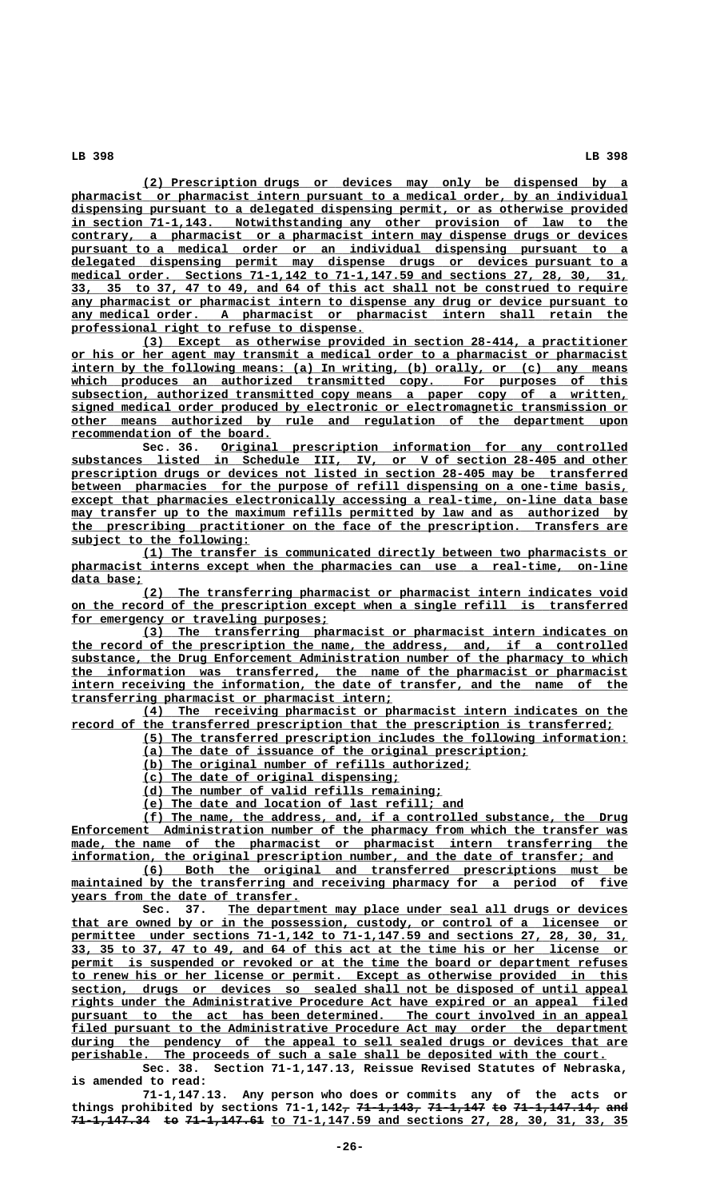**\_\_\_\_\_\_\_\_\_\_\_\_\_\_\_\_\_\_\_\_\_\_\_\_\_\_\_\_\_\_\_\_\_\_\_\_\_\_\_\_\_\_\_\_\_\_\_\_\_\_\_\_\_\_\_\_\_\_\_\_\_\_\_\_\_\_\_\_ (2) Prescription drugs or devices may only be dispensed by a \_\_\_\_\_\_\_\_\_\_\_\_\_\_\_\_\_\_\_\_\_\_\_\_\_\_\_\_\_\_\_\_\_\_\_\_\_\_\_\_\_\_\_\_\_\_\_\_\_\_\_\_\_\_\_\_\_\_\_\_\_\_\_\_\_\_\_\_\_\_\_\_\_\_\_\_\_\_ pharmacist or pharmacist intern pursuant to a medical order, by an individual \_\_\_\_\_\_\_\_\_\_\_\_\_\_\_\_\_\_\_\_\_\_\_\_\_\_\_\_\_\_\_\_\_\_\_\_\_\_\_\_\_\_\_\_\_\_\_\_\_\_\_\_\_\_\_\_\_\_\_\_\_\_\_\_\_\_\_\_\_\_\_\_\_\_\_\_\_\_ dispensing pursuant to a delegated dispensing permit, or as otherwise provided \_\_\_\_\_\_\_\_\_\_\_\_\_\_\_\_\_\_\_\_\_\_\_\_\_\_\_\_\_\_\_\_\_\_\_\_\_\_\_\_\_\_\_\_\_\_\_\_\_\_\_\_\_\_\_\_\_\_\_\_\_\_\_\_\_\_\_\_\_\_\_\_\_\_\_\_\_\_ in section 71-1,143. Notwithstanding any other provision of law to the \_\_\_\_\_\_\_\_\_\_\_\_\_\_\_\_\_\_\_\_\_\_\_\_\_\_\_\_\_\_\_\_\_\_\_\_\_\_\_\_\_\_\_\_\_\_\_\_\_\_\_\_\_\_\_\_\_\_\_\_\_\_\_\_\_\_\_\_\_\_\_\_\_\_\_\_\_\_ contrary, a pharmacist or a pharmacist intern may dispense drugs or devices \_\_\_\_\_\_\_\_\_\_\_\_\_\_\_\_\_\_\_\_\_\_\_\_\_\_\_\_\_\_\_\_\_\_\_\_\_\_\_\_\_\_\_\_\_\_\_\_\_\_\_\_\_\_\_\_\_\_\_\_\_\_\_\_\_\_\_\_\_\_\_\_\_\_\_\_\_\_ pursuant to a medical order or an individual dispensing pursuant to a \_\_\_\_\_\_\_\_\_\_\_\_\_\_\_\_\_\_\_\_\_\_\_\_\_\_\_\_\_\_\_\_\_\_\_\_\_\_\_\_\_\_\_\_\_\_\_\_\_\_\_\_\_\_\_\_\_\_\_\_\_\_\_\_\_\_\_\_\_\_\_\_\_\_\_\_\_\_ delegated dispensing permit may dispense drugs or devices pursuant to a \_\_\_\_\_\_\_\_\_\_\_\_\_\_\_\_\_\_\_\_\_\_\_\_\_\_\_\_\_\_\_\_\_\_\_\_\_\_\_\_\_\_\_\_\_\_\_\_\_\_\_\_\_\_\_\_\_\_\_\_\_\_\_\_\_\_\_\_\_\_\_\_\_\_\_\_\_\_ medical order. Sections 71-1,142 to 71-1,147.59 and sections 27, 28, 30, 31, \_\_\_\_\_\_\_\_\_\_\_\_\_\_\_\_\_\_\_\_\_\_\_\_\_\_\_\_\_\_\_\_\_\_\_\_\_\_\_\_\_\_\_\_\_\_\_\_\_\_\_\_\_\_\_\_\_\_\_\_\_\_\_\_\_\_\_\_\_\_\_\_\_\_\_\_\_\_ 33, 35 to 37, 47 to 49, and 64 of this act shall not be construed to require \_\_\_\_\_\_\_\_\_\_\_\_\_\_\_\_\_\_\_\_\_\_\_\_\_\_\_\_\_\_\_\_\_\_\_\_\_\_\_\_\_\_\_\_\_\_\_\_\_\_\_\_\_\_\_\_\_\_\_\_\_\_\_\_\_\_\_\_\_\_\_\_\_\_\_\_\_\_ any pharmacist or pharmacist intern to dispense any drug or device pursuant to \_\_\_\_\_\_\_\_\_\_\_\_\_\_\_\_\_\_\_\_\_\_\_\_\_\_\_\_\_\_\_\_\_\_\_\_\_\_\_\_\_\_\_\_\_\_\_\_\_\_\_\_\_\_\_\_\_\_\_\_\_\_\_\_\_\_\_\_\_\_\_\_\_\_\_\_\_\_ any medical order. A pharmacist or pharmacist intern shall retain the \_\_\_\_\_\_\_\_\_\_\_\_\_\_\_\_\_\_\_\_\_\_\_\_\_\_\_\_\_\_\_\_\_\_\_\_\_\_\_\_\_ professional right to refuse to dispense.**

 **\_\_\_\_\_\_\_\_\_\_\_\_\_\_\_\_\_\_\_\_\_\_\_\_\_\_\_\_\_\_\_\_\_\_\_\_\_\_\_\_\_\_\_\_\_\_\_\_\_\_\_\_\_\_\_\_\_\_\_\_\_\_\_\_\_\_\_\_ (3) Except as otherwise provided in section 28-414, a practitioner \_\_\_\_\_\_\_\_\_\_\_\_\_\_\_\_\_\_\_\_\_\_\_\_\_\_\_\_\_\_\_\_\_\_\_\_\_\_\_\_\_\_\_\_\_\_\_\_\_\_\_\_\_\_\_\_\_\_\_\_\_\_\_\_\_\_\_\_\_\_\_\_\_\_\_\_\_\_ or his or her agent may transmit a medical order to a pharmacist or pharmacist** intern by the following means: (a) In writing, (b) orally, or (c) any means which produces an authorized transmitted copy. For purposes of this  **\_\_\_\_\_\_\_\_\_\_\_\_\_\_\_\_\_\_\_\_\_\_\_\_\_\_\_\_\_\_\_\_\_\_\_\_\_\_\_\_\_\_\_\_\_\_\_\_\_\_\_\_\_\_\_\_\_\_\_\_\_\_\_\_\_\_\_\_\_\_\_\_\_\_\_\_\_\_ subsection, authorized transmitted copy means a paper copy of a written, \_\_\_\_\_\_\_\_\_\_\_\_\_\_\_\_\_\_\_\_\_\_\_\_\_\_\_\_\_\_\_\_\_\_\_\_\_\_\_\_\_\_\_\_\_\_\_\_\_\_\_\_\_\_\_\_\_\_\_\_\_\_\_\_\_\_\_\_\_\_\_\_\_\_\_\_\_\_ signed medical order produced by electronic or electromagnetic transmission or \_\_\_\_\_\_\_\_\_\_\_\_\_\_\_\_\_\_\_\_\_\_\_\_\_\_\_\_\_\_\_\_\_\_\_\_\_\_\_\_\_\_\_\_\_\_\_\_\_\_\_\_\_\_\_\_\_\_\_\_\_\_\_\_\_\_\_\_\_\_\_\_\_\_\_\_\_\_ other means authorized by rule and regulation of the department upon recommendation of the board.**<br>Sec. 36. Original

 **\_\_\_\_\_\_\_\_\_\_\_\_\_\_\_\_\_\_\_\_\_\_\_\_\_\_\_\_\_\_\_\_\_\_\_\_\_\_\_\_\_\_\_\_\_\_\_\_\_\_\_\_\_\_\_\_\_ Sec. 36. Original prescription information for any controlled \_\_\_\_\_\_\_\_\_\_\_\_\_\_\_\_\_\_\_\_\_\_\_\_\_\_\_\_\_\_\_\_\_\_\_\_\_\_\_\_\_\_\_\_\_\_\_\_\_\_\_\_\_\_\_\_\_\_\_\_\_\_\_\_\_\_\_\_\_\_\_\_\_\_\_\_\_\_ substances listed in Schedule III, IV, or V of section 28-405 and other \_\_\_\_\_\_\_\_\_\_\_\_\_\_\_\_\_\_\_\_\_\_\_\_\_\_\_\_\_\_\_\_\_\_\_\_\_\_\_\_\_\_\_\_\_\_\_\_\_\_\_\_\_\_\_\_\_\_\_\_\_\_\_\_\_\_\_\_\_\_\_\_\_\_\_\_\_\_ prescription drugs or devices not listed in section 28-405 may be transferred \_\_\_\_\_\_\_\_\_\_\_\_\_\_\_\_\_\_\_\_\_\_\_\_\_\_\_\_\_\_\_\_\_\_\_\_\_\_\_\_\_\_\_\_\_\_\_\_\_\_\_\_\_\_\_\_\_\_\_\_\_\_\_\_\_\_\_\_\_\_\_\_\_\_\_\_\_\_ between pharmacies for the purpose of refill dispensing on a one-time basis, \_\_\_\_\_\_\_\_\_\_\_\_\_\_\_\_\_\_\_\_\_\_\_\_\_\_\_\_\_\_\_\_\_\_\_\_\_\_\_\_\_\_\_\_\_\_\_\_\_\_\_\_\_\_\_\_\_\_\_\_\_\_\_\_\_\_\_\_\_\_\_\_\_\_\_\_\_\_ except that pharmacies electronically accessing a real-time, on-line data base**  $\max$  transfer up to the maximum refills permitted by law and as authorized by  **\_\_\_\_\_\_\_\_\_\_\_\_\_\_\_\_\_\_\_\_\_\_\_\_\_\_\_\_\_\_\_\_\_\_\_\_\_\_\_\_\_\_\_\_\_\_\_\_\_\_\_\_\_\_\_\_\_\_\_\_\_\_\_\_\_\_\_\_\_\_\_\_\_\_\_\_\_\_ the prescribing practitioner on the face of the prescription. Transfers are \_\_\_\_\_\_\_\_\_\_\_\_\_\_\_\_\_\_\_\_\_\_\_\_\_ subject to the following:**

 **\_\_\_\_\_\_\_\_\_\_\_\_\_\_\_\_\_\_\_\_\_\_\_\_\_\_\_\_\_\_\_\_\_\_\_\_\_\_\_\_\_\_\_\_\_\_\_\_\_\_\_\_\_\_\_\_\_\_\_\_\_\_\_\_\_\_\_\_ (1) The transfer is communicated directly between two pharmacists or \_\_\_\_\_\_\_\_\_\_\_\_\_\_\_\_\_\_\_\_\_\_\_\_\_\_\_\_\_\_\_\_\_\_\_\_\_\_\_\_\_\_\_\_\_\_\_\_\_\_\_\_\_\_\_\_\_\_\_\_\_\_\_\_\_\_\_\_\_\_\_\_\_\_\_\_\_\_ pharmacist interns except when the pharmacies can use a real-time, on-line data base; \_\_\_\_\_\_\_\_\_\_**

 **\_\_\_\_\_\_\_\_\_\_\_\_\_\_\_\_\_\_\_\_\_\_\_\_\_\_\_\_\_\_\_\_\_\_\_\_\_\_\_\_\_\_\_\_\_\_\_\_\_\_\_\_\_\_\_\_\_\_\_\_\_\_\_\_\_\_\_\_ (2) The transferring pharmacist or pharmacist intern indicates void \_\_\_\_\_\_\_\_\_\_\_\_\_\_\_\_\_\_\_\_\_\_\_\_\_\_\_\_\_\_\_\_\_\_\_\_\_\_\_\_\_\_\_\_\_\_\_\_\_\_\_\_\_\_\_\_\_\_\_\_\_\_\_\_\_\_\_\_\_\_\_\_\_\_\_\_\_\_ on the record of the prescription except when a single refill is transferred** for emergency or traveling purposes;

 **\_\_\_\_\_\_\_\_\_\_\_\_\_\_\_\_\_\_\_\_\_\_\_\_\_\_\_\_\_\_\_\_\_\_\_\_\_\_\_\_\_\_\_\_\_\_\_\_\_\_\_\_\_\_\_\_\_\_\_\_\_\_\_\_\_\_\_\_ (3) The transferring pharmacist or pharmacist intern indicates on \_\_\_\_\_\_\_\_\_\_\_\_\_\_\_\_\_\_\_\_\_\_\_\_\_\_\_\_\_\_\_\_\_\_\_\_\_\_\_\_\_\_\_\_\_\_\_\_\_\_\_\_\_\_\_\_\_\_\_\_\_\_\_\_\_\_\_\_\_\_\_\_\_\_\_\_\_\_ the record of the prescription the name, the address, and, if a controlled \_\_\_\_\_\_\_\_\_\_\_\_\_\_\_\_\_\_\_\_\_\_\_\_\_\_\_\_\_\_\_\_\_\_\_\_\_\_\_\_\_\_\_\_\_\_\_\_\_\_\_\_\_\_\_\_\_\_\_\_\_\_\_\_\_\_\_\_\_\_\_\_\_\_\_\_\_\_ substance, the Drug Enforcement Administration number of the pharmacy to which \_\_\_\_\_\_\_\_\_\_\_\_\_\_\_\_\_\_\_\_\_\_\_\_\_\_\_\_\_\_\_\_\_\_\_\_\_\_\_\_\_\_\_\_\_\_\_\_\_\_\_\_\_\_\_\_\_\_\_\_\_\_\_\_\_\_\_\_\_\_\_\_\_\_\_\_\_\_ the information was transferred, the name of the pharmacist or pharmacist** intern receiving the information, the date of transfer, and the name of the  **\_\_\_\_\_\_\_\_\_\_\_\_\_\_\_\_\_\_\_\_\_\_\_\_\_\_\_\_\_\_\_\_\_\_\_\_\_\_\_\_\_\_\_\_\_ transferring pharmacist or pharmacist intern;**

 **\_\_\_\_\_\_\_\_\_\_\_\_\_\_\_\_\_\_\_\_\_\_\_\_\_\_\_\_\_\_\_\_\_\_\_\_\_\_\_\_\_\_\_\_\_\_\_\_\_\_\_\_\_\_\_\_\_\_\_\_\_\_\_\_\_\_\_\_ (4) The receiving pharmacist or pharmacist intern indicates on the \_\_\_\_\_\_\_\_\_\_\_\_\_\_\_\_\_\_\_\_\_\_\_\_\_\_\_\_\_\_\_\_\_\_\_\_\_\_\_\_\_\_\_\_\_\_\_\_\_\_\_\_\_\_\_\_\_\_\_\_\_\_\_\_\_\_\_\_\_\_\_\_\_\_\_\_ record of the transferred prescription that the prescription is transferred;**

- **\_\_\_\_\_\_\_\_\_\_\_\_\_\_\_\_\_\_\_\_\_\_\_\_\_\_\_\_\_\_\_\_\_\_\_\_\_\_\_\_\_\_\_\_\_\_\_\_\_\_\_\_\_\_\_\_\_\_\_\_\_\_\_\_\_\_\_\_ (5) The transferred prescription includes the following information: \_\_\_\_\_\_\_\_\_\_\_\_\_\_\_\_\_\_\_\_\_\_\_\_\_\_\_\_\_\_\_\_\_\_\_\_\_\_\_\_\_\_\_\_\_\_\_\_\_\_\_\_\_\_ (a) The date of issuance of the original prescription;**
	- **\_\_\_\_\_\_\_\_\_\_\_\_\_\_\_\_\_\_\_\_\_\_\_\_\_\_\_\_\_\_\_\_\_\_\_\_\_\_\_\_\_\_\_\_\_\_ (b) The original number of refills authorized;**
	- **\_\_\_\_\_\_\_\_\_\_\_\_\_\_\_\_\_\_\_\_\_\_\_\_\_\_\_\_\_\_\_\_\_\_\_\_ (c) The date of original dispensing;**
	- **\_\_\_\_\_\_\_\_\_\_\_\_\_\_\_\_\_\_\_\_\_\_\_\_\_\_\_\_\_\_\_\_\_\_\_\_\_\_\_\_\_\_ (d) The number of valid refills remaining;**
	- **\_\_\_\_\_\_\_\_\_\_\_\_\_\_\_\_\_\_\_\_\_\_\_\_\_\_\_\_\_\_\_\_\_\_\_\_\_\_\_\_\_\_\_\_\_ (e) The date and location of last refill; and**
	-

 **\_\_\_\_\_\_\_\_\_\_\_\_\_\_\_\_\_\_\_\_\_\_\_\_\_\_\_\_\_\_\_\_\_\_\_\_\_\_\_\_\_\_\_\_\_\_\_\_\_\_\_\_\_\_\_\_\_\_\_\_\_\_\_\_\_\_\_\_ (f) The name, the address, and, if a controlled substance, the Drug \_\_\_\_\_\_\_\_\_\_\_\_\_\_\_\_\_\_\_\_\_\_\_\_\_\_\_\_\_\_\_\_\_\_\_\_\_\_\_\_\_\_\_\_\_\_\_\_\_\_\_\_\_\_\_\_\_\_\_\_\_\_\_\_\_\_\_\_\_\_\_\_\_\_\_\_\_\_ Enforcement Administration number of the pharmacy from which the transfer was \_\_\_\_\_\_\_\_\_\_\_\_\_\_\_\_\_\_\_\_\_\_\_\_\_\_\_\_\_\_\_\_\_\_\_\_\_\_\_\_\_\_\_\_\_\_\_\_\_\_\_\_\_\_\_\_\_\_\_\_\_\_\_\_\_\_\_\_\_\_\_\_\_\_\_\_\_\_ made, the name of the pharmacist or pharmacist intern transferring the** information, the original prescription number, and the date of transfer; and

 **\_\_\_\_\_\_\_\_\_\_\_\_\_\_\_\_\_\_\_\_\_\_\_\_\_\_\_\_\_\_\_\_\_\_\_\_\_\_\_\_\_\_\_\_\_\_\_\_\_\_\_\_\_\_\_\_\_\_\_\_\_\_\_\_\_\_\_\_ (6) Both the original and transferred prescriptions must be** maintained by the transferring and receiving pharmacy for a period of five  **\_\_\_\_\_\_\_\_\_\_\_\_\_\_\_\_\_\_\_\_\_\_\_\_\_\_\_\_\_\_\_\_ years from the date of transfer.**

 **\_\_\_\_\_\_\_\_\_\_\_\_\_\_\_\_\_\_\_\_\_\_\_\_\_\_\_\_\_\_\_\_\_\_\_\_\_\_\_\_\_\_\_\_\_\_\_\_\_\_\_\_\_\_\_\_ Sec. 37. The department may place under seal all drugs or devices \_\_\_\_\_\_\_\_\_\_\_\_\_\_\_\_\_\_\_\_\_\_\_\_\_\_\_\_\_\_\_\_\_\_\_\_\_\_\_\_\_\_\_\_\_\_\_\_\_\_\_\_\_\_\_\_\_\_\_\_\_\_\_\_\_\_\_\_\_\_\_\_\_\_\_\_\_\_ that are owned by or in the possession, custody, or control of a licensee or \_\_\_\_\_\_\_\_\_\_\_\_\_\_\_\_\_\_\_\_\_\_\_\_\_\_\_\_\_\_\_\_\_\_\_\_\_\_\_\_\_\_\_\_\_\_\_\_\_\_\_\_\_\_\_\_\_\_\_\_\_\_\_\_\_\_\_\_\_\_\_\_\_\_\_\_\_\_ permittee under sections 71-1,142 to 71-1,147.59 and sections 27, 28, 30, 31, \_\_\_\_\_\_\_\_\_\_\_\_\_\_\_\_\_\_\_\_\_\_\_\_\_\_\_\_\_\_\_\_\_\_\_\_\_\_\_\_\_\_\_\_\_\_\_\_\_\_\_\_\_\_\_\_\_\_\_\_\_\_\_\_\_\_\_\_\_\_\_\_\_\_\_\_\_\_ 33, 35 to 37, 47 to 49, and 64 of this act at the time his or her license or** permit is suspended or revoked or at the time the board or department refuses  **\_\_\_\_\_\_\_\_\_\_\_\_\_\_\_\_\_\_\_\_\_\_\_\_\_\_\_\_\_\_\_\_\_\_\_\_\_\_\_\_\_\_\_\_\_\_\_\_\_\_\_\_\_\_\_\_\_\_\_\_\_\_\_\_\_\_\_\_\_\_\_\_\_\_\_\_\_\_ to renew his or her license or permit. Except as otherwise provided in this \_\_\_\_\_\_\_\_\_\_\_\_\_\_\_\_\_\_\_\_\_\_\_\_\_\_\_\_\_\_\_\_\_\_\_\_\_\_\_\_\_\_\_\_\_\_\_\_\_\_\_\_\_\_\_\_\_\_\_\_\_\_\_\_\_\_\_\_\_\_\_\_\_\_\_\_\_\_ section, drugs or devices so sealed shall not be disposed of until appeal \_\_\_\_\_\_\_\_\_\_\_\_\_\_\_\_\_\_\_\_\_\_\_\_\_\_\_\_\_\_\_\_\_\_\_\_\_\_\_\_\_\_\_\_\_\_\_\_\_\_\_\_\_\_\_\_\_\_\_\_\_\_\_\_\_\_\_\_\_\_\_\_\_\_\_\_\_\_ rights under the Administrative Procedure Act have expired or an appeal filed** pursuant to the act has been determined.  **\_\_\_\_\_\_\_\_\_\_\_\_\_\_\_\_\_\_\_\_\_\_\_\_\_\_\_\_\_\_\_\_\_\_\_\_\_\_\_\_\_\_\_\_\_\_\_\_\_\_\_\_\_\_\_\_\_\_\_\_\_\_\_\_\_\_\_\_\_\_\_\_\_\_\_\_\_\_ filed pursuant to the Administrative Procedure Act may order the department** during the pendency of the appeal to sell sealed drugs or devices that are  **\_\_\_\_\_\_\_\_\_\_\_\_\_\_\_\_\_\_\_\_\_\_\_\_\_\_\_\_\_\_\_\_\_\_\_\_\_\_\_\_\_\_\_\_\_\_\_\_\_\_\_\_\_\_\_\_\_\_\_\_\_\_\_\_\_\_\_\_\_\_\_\_\_\_\_ perishable. The proceeds of such a sale shall be deposited with the court. Sec. 38. Section 71-1,147.13, Reissue Revised Statutes of Nebraska,**

**is amended to read:**

**71-1,147.13. Any person who does or commits any of the acts or** things prohibited by sections 71-1,142<sub>7</sub> 71-1,143, 71-1,147 to 71-1,147.14, and 71-1,147.34 to 71-1,147.61 to 71-1,147.59 and sections 27, 28, 30, 31, 33, 35

#### **LB 398 LB 398**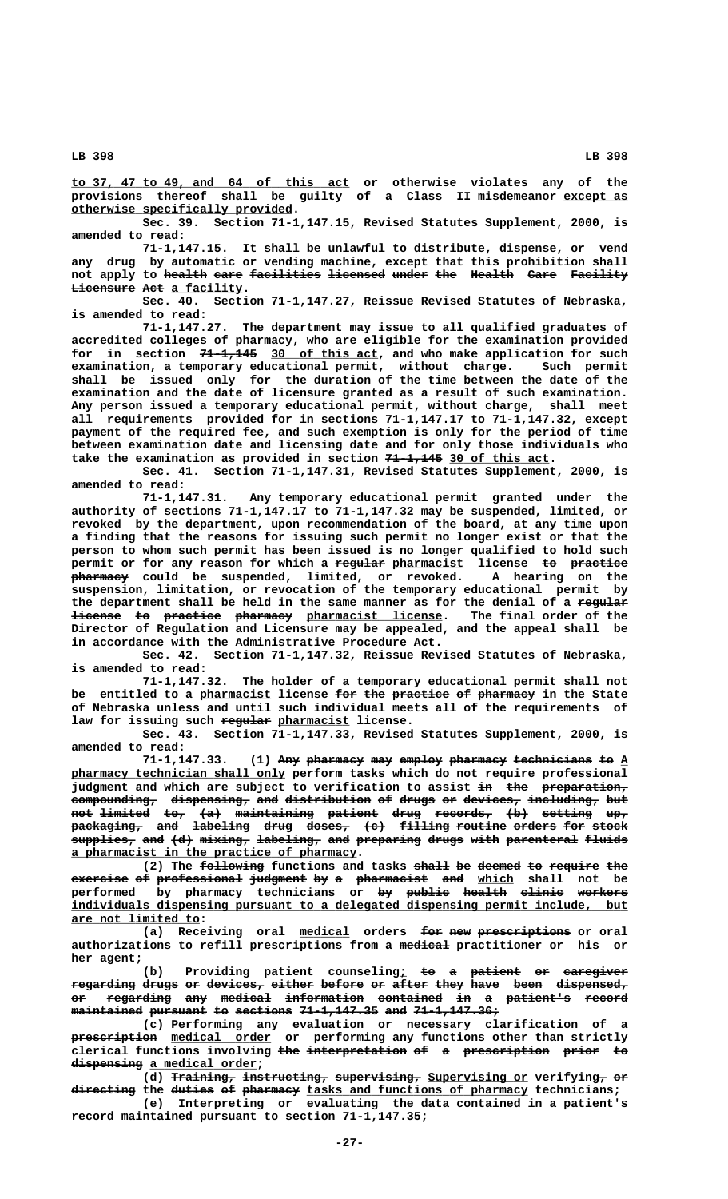**\_\_\_\_\_\_\_\_\_\_\_\_\_\_\_\_\_\_\_\_\_\_\_\_\_\_\_\_\_\_\_\_\_\_\_\_\_\_\_ to 37, 47 to 49, and 64 of this act or otherwise violates any of the provisions thereof shall be guilty of a Class II misdemeanor except as \_\_\_\_\_\_\_\_\_ \_\_\_\_\_\_\_\_\_\_\_\_\_\_\_\_\_\_\_\_\_\_\_\_\_\_\_\_\_\_\_ otherwise specifically provided.**

**Sec. 39. Section 71-1,147.15, Revised Statutes Supplement, 2000, is amended to read:**

**71-1,147.15. It shall be unlawful to distribute, dispense, or vend any drug by automatic or vending machine, except that this prohibition shall** not apply to <del>health</del> eare facilities licensed under the Health Care Facility **Licensure Act a facility.** 

**Sec. 40. Section 71-1,147.27, Reissue Revised Statutes of Nebraska, is amended to read:**

**71-1,147.27. The department may issue to all qualified graduates of accredited colleges of pharmacy, who are eligible for the examination provided** for in section  $71-1,145$  30 of this act, and who make application for such **examination, a temporary educational permit, without charge. Such permit shall be issued only for the duration of the time between the date of the examination and the date of licensure granted as a result of such examination. Any person issued a temporary educational permit, without charge, shall meet all requirements provided for in sections 71-1,147.17 to 71-1,147.32, except payment of the required fee, and such exemption is only for the period of time between examination date and licensing date and for only those individuals who** take the examination as provided in section 71-1,145 30 of this act.

**Sec. 41. Section 71-1,147.31, Revised Statutes Supplement, 2000, is amended to read:**

Any temporary educational permit granted under the **authority of sections 71-1,147.17 to 71-1,147.32 may be suspended, limited, or revoked by the department, upon recommendation of the board, at any time upon a finding that the reasons for issuing such permit no longer exist or that the person to whom such permit has been issued is no longer qualified to hold such** permit or for any reason for which a regular pharmacist license to practice  **———————— pharmacy could be suspended, limited, or revoked. A hearing on the suspension, limitation, or revocation of the temporary educational permit by** the department shall be held in the same manner as for the denial of a regular **license to practice pharmacy** pharmacist license. The final order of the **Director of Regulation and Licensure may be appealed, and the appeal shall be in accordance with the Administrative Procedure Act.**

**Sec. 42. Section 71-1,147.32, Reissue Revised Statutes of Nebraska, is amended to read:**

**71-1,147.32. The holder of a temporary educational permit shall not** entitled to a pharmacist license for the practice of pharmacy in the State **of Nebraska unless and until such individual meets all of the requirements of** law for issuing such regular pharmacist license.

**Sec. 43. Section 71-1,147.33, Revised Statutes Supplement, 2000, is amended to read:**

**71-1,147.33. (1) Any pharmacy may employ pharmacy technicians to A ——— ———————— ——— —————— ———————— ——————————— —— \_ \_\_\_\_\_\_\_\_\_\_\_\_\_\_\_\_\_\_\_\_\_\_\_\_\_\_\_\_\_\_ pharmacy technician shall only perform tasks which do not require professional** judgment and which are subject to verification to assist in the preparation,  $\overline{\mathtt{compounding}}$  dispensing, and distribution of drugs or devices, including, but **not limited to, (a) maintaining patient drug records, (b) setting up, ——— ——————— ——— ——— ——————————— ——————— ———— ———————— ——— ——————— —— packaging, and labeling drug doses, (c) filling routine orders for stock —————————— ——— ———————— ———— —————— ——— ——————— ——————— —————— ——— —————**  $\frac{1}{\text{supplies}}$  and (d) mixing, labeling, and preparing drugs with parenteral fluids  **\_\_\_\_\_\_\_\_\_\_\_\_\_\_\_\_\_\_\_\_\_\_\_\_\_\_\_\_\_\_\_\_\_\_\_\_\_\_\_\_ a pharmacist in the practice of pharmacy.**

(2) The following functions and tasks shall be deemed to require the **exercise of professional judgment by a pharmacist and which shall not be ———————— —— ———————————— ———————— —— — —————————— ——— \_\_\_\_\_ performed by pharmacy technicians or by public health clinic workers —— —————— —————— —————— ——————— \_\_\_\_\_\_\_\_\_\_\_\_\_\_\_\_\_\_\_\_\_\_\_\_\_\_\_\_\_\_\_\_\_\_\_\_\_\_\_\_\_\_\_\_\_\_\_\_\_\_\_\_\_\_\_\_\_\_\_\_\_\_\_\_\_\_\_\_\_\_\_\_\_\_\_\_\_\_ individuals dispensing pursuant to a delegated dispensing permit include, but \_\_\_\_\_\_\_\_\_\_\_\_\_\_\_\_\_\_ are not limited to:**

(a) Receiving oral medical orders <del>for new prescriptions</del> or oral authorizations to refill prescriptions from a medical practitioner or his or  **her agent;**

(b) Providing patient counseling<sub>i</sub> to a patient or caregiver  $\frac{1}{10}$  regarding drugs or devices, either before or after they have been dispensed, **or regarding any medical information contained in a patient's record —— ————————— ——— ——————— ——————————— ————————— —— — ————————— ————— maintained pursuant to sections 71-1,147.35 and 71-1,147.36;** 

**(c) Performing any evaluation or necessary clarification of a ———————————— \_\_\_\_\_\_\_\_\_\_\_\_\_\_ prescription medical order or performing any functions other than strictly** clerical functions involving the interpretation of a prescription prior to  $d$ **ispensing** a medical order;

(d) Training, instructing, supervising, Supervising or verifying, or  $\mathtt{discreting}$  the  $\mathtt{d  $\mathtt{d}$   $\mathtt{d}$   $\mathtt{d}$   $\mathtt{d}$   $\mathtt{d}$   $\mathtt{d}$   $\mathtt{d}$   $\mathtt{d}$   $\mathtt{d}$   $\mathtt{d}$   $\mathtt{d}$   $\mathtt{d}$   $\mathtt{d}$   $\mathtt{d}$   $\mathtt{d}$   $\mathtt{d}$   $\mathtt{d}$   $\mathtt{d}$   $\mathtt{d}$   $\mathtt{d}$   $\mathtt{d}$   $\mathtt{d}$$ 

**(e) Interpreting or evaluating the data contained in a patient's record maintained pursuant to section 71-1,147.35;**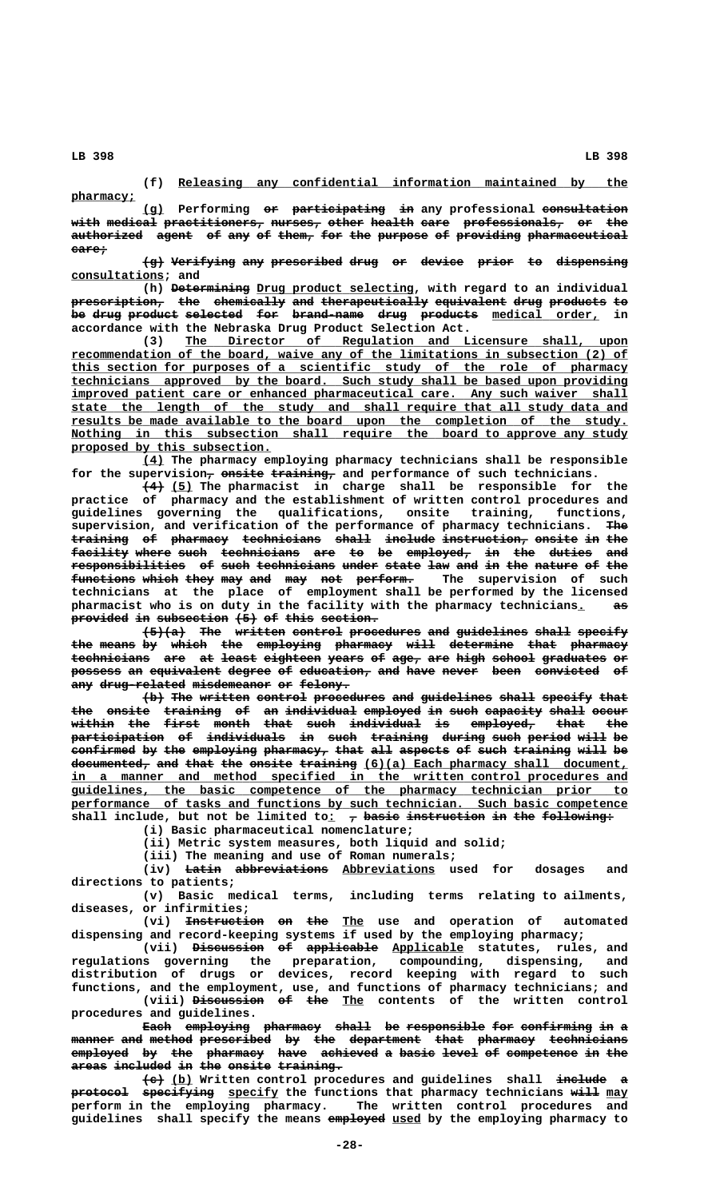**pharmacy; \_\_\_\_\_\_\_\_\_**

### **\_\_\_\_\_\_\_\_\_\_\_\_\_\_\_\_\_\_\_\_\_\_\_\_\_\_\_\_\_\_\_\_\_\_\_\_\_\_\_\_\_\_\_\_\_\_\_\_\_\_\_\_\_\_\_\_\_\_\_\_\_\_\_ (f) Releasing any confidential information maintained by the**

**(g) Performing or participating in any professional consultation \_\_\_ —— ————————————— —— ————————————**  ${\rm width \,\,\, median\,\,\, practical \,\,\, practical \,\,\, practical \,\,\, medical \,\,\, practical \,\,\, and}$ authorized agent of any of them, for the purpose of providing pharmaceutical  **care; —————**

 $\overline{\text{g}}}$  Verifying any prescribed drug or device prior to dispensing  **consultations; and \_\_\_\_\_\_\_\_\_\_\_\_\_**

(h) <del>Determining</del> Drug product selecting, with regard to an individual  $\frac{1}{2}$  prescription, the chemically and therapeutically equivalent drug products to be drug product selected for brand-name drug products medical order, in **accordance with the Nebraska Drug Product Selection Act.**

 **\_\_\_\_\_\_\_\_\_\_\_\_\_\_\_\_\_\_\_\_\_\_\_\_\_\_\_\_\_\_\_\_\_\_\_\_\_\_\_\_\_\_\_\_\_\_\_\_\_\_\_\_\_\_\_\_\_\_\_\_\_\_ (3) The Director of Regulation and Licensure shall, upon** recommendation of the board, waive any of the limitations in subsection (2) of  **\_\_\_\_\_\_\_\_\_\_\_\_\_\_\_\_\_\_\_\_\_\_\_\_\_\_\_\_\_\_\_\_\_\_\_\_\_\_\_\_\_\_\_\_\_\_\_\_\_\_\_\_\_\_\_\_\_\_\_\_\_\_\_\_\_\_\_\_\_\_\_\_\_\_\_\_\_\_ this section for purposes of a scientific study of the role of pharmacy \_\_\_\_\_\_\_\_\_\_\_\_\_\_\_\_\_\_\_\_\_\_\_\_\_\_\_\_\_\_\_\_\_\_\_\_\_\_\_\_\_\_\_\_\_\_\_\_\_\_\_\_\_\_\_\_\_\_\_\_\_\_\_\_\_\_\_\_\_\_\_\_\_\_\_\_\_\_ technicians approved by the board. Such study shall be based upon providing**  $improved$  patient care or enhanced pharmaceutical care. Any such waiver shall  **\_\_\_\_\_\_\_\_\_\_\_\_\_\_\_\_\_\_\_\_\_\_\_\_\_\_\_\_\_\_\_\_\_\_\_\_\_\_\_\_\_\_\_\_\_\_\_\_\_\_\_\_\_\_\_\_\_\_\_\_\_\_\_\_\_\_\_\_\_\_\_\_\_\_\_\_\_\_ state the length of the study and shall require that all study data and \_\_\_\_\_\_\_\_\_\_\_\_\_\_\_\_\_\_\_\_\_\_\_\_\_\_\_\_\_\_\_\_\_\_\_\_\_\_\_\_\_\_\_\_\_\_\_\_\_\_\_\_\_\_\_\_\_\_\_\_\_\_\_\_\_\_\_\_\_\_\_\_\_\_\_\_\_\_ results be made available to the board upon the completion of the study.** Nothing in this subsection shall require the board to approve any study  **\_\_\_\_\_\_\_\_\_\_\_\_\_\_\_\_\_\_\_\_\_\_\_\_\_\_\_\_ proposed by this subsection.**

 **\_\_\_ (4) The pharmacy employing pharmacy technicians shall be responsible** for the supervision<del>, onsite training,</del> and performance of such technicians.

 **——— \_\_\_ (4) (5) The pharmacist in charge shall be responsible for the practice of pharmacy and the establishment of written control procedures and guidelines governing the qualifications, onsite training, functions,** supervision, and verification of the performance of pharmacy technicians. The  $\textbf{training}$  of pharmacy technicians shall include instruction, onsite in the **facility where such technicians are to be employed, in the duties and ———————— ————— ———— ——————————— ——— —— —— ————————— —— ——— —————— ———**  $\texttt{response} \rightarrow \texttt{white}$  at such technicians under state law and in the nature of the functions which they may and may not perform. The supervision of such **technicians at the place of employment shall be performed by the licensed** pharmacist who is on duty in the facility with the pharmacy technicians<u>.</u> a<del>s</del> provided in subsection  $(5)$  of this section.

 $\left\{\frac{5}{6}\right\}$  The written control procedures and guidelines shall specify the means by which the employing pharmacy will determine that pharmacy technicians are at least eighteen years of age, are high school graduates or possess an equivalent degree of education, and have never been convicted of any drug-related misdemeanor or felony.

 $\{b\}$  The written control procedures and guidelines shall specify that the onsite training of an individual employed in such capacity shall occur within the first month that such individual is employed, that the widden: Jav 2002 2002 widdens in such training during such period will be<br>**participation of individuals in such training during such period will be** confirmed by the employing pharmacy, that all aspects of such training will be  $\frac{d$ ocumented<sub>r</sub> and that the onsite training  $(6)(a)$  Each pharmacy shall document,  **\_\_\_\_\_\_\_\_\_\_\_\_\_\_\_\_\_\_\_\_\_\_\_\_\_\_\_\_\_\_\_\_\_\_\_\_\_\_\_\_\_\_\_\_\_\_\_\_\_\_\_\_\_\_\_\_\_\_\_\_\_\_\_\_\_\_\_\_\_\_\_\_\_\_\_\_\_\_ in a manner and method specified in the written control procedures and \_\_\_\_\_\_\_\_\_\_\_\_\_\_\_\_\_\_\_\_\_\_\_\_\_\_\_\_\_\_\_\_\_\_\_\_\_\_\_\_\_\_\_\_\_\_\_\_\_\_\_\_\_\_\_\_\_\_\_\_\_\_\_\_\_\_\_\_\_\_\_\_\_\_\_\_\_\_ guidelines, the basic competence of the pharmacy technician prior to**  $performance$  of tasks and functions by such technician. Such basic competence shall include, but not be limited to<sub>: 7</sub> basic instruction in the following:

**(i) Basic pharmaceutical nomenclature;**

**(ii) Metric system measures, both liquid and solid;**

**(iii) The meaning and use of Roman numerals;**

(iv) <del>Latin abbreviations</del> Abbreviations used for dosages and **directions to patients;**

**(v) Basic medical terms, including terms relating to ailments, diseases, or infirmities;**

(vi) <del>Instruction</del> on the The use and operation of automated **dispensing and record-keeping systems if used by the employing pharmacy;**

(vii) <del>Discussion of applicable</del> Applicable statutes, rules, and **regulations governing the preparation, compounding, dispensing, and distribution of drugs or devices, record keeping with regard to such functions, and the employment, use, and functions of pharmacy technicians; and** (viii) Discussion of the The contents of the written control

**procedures and guidelines.** Each employing pharmacy shall be responsible for confirming in a **manner and method prescribed by the department that pharmacy technicians —————— ——— —————— —————————— —— ——— —————————— ———— ———————— ———————————**  $\texttt{employed}$  by the pharmacy have achieved a basic level of competence in the areas included in the onsite training.

 **——— \_\_\_ ——————— — (c) (b) Written control procedures and guidelines shall include a protocol specifying** specify the functions that pharmacy technicians will may **perform in the employing pharmacy. The written control procedures and** guidelines shall specify the means employed used by the employing pharmacy to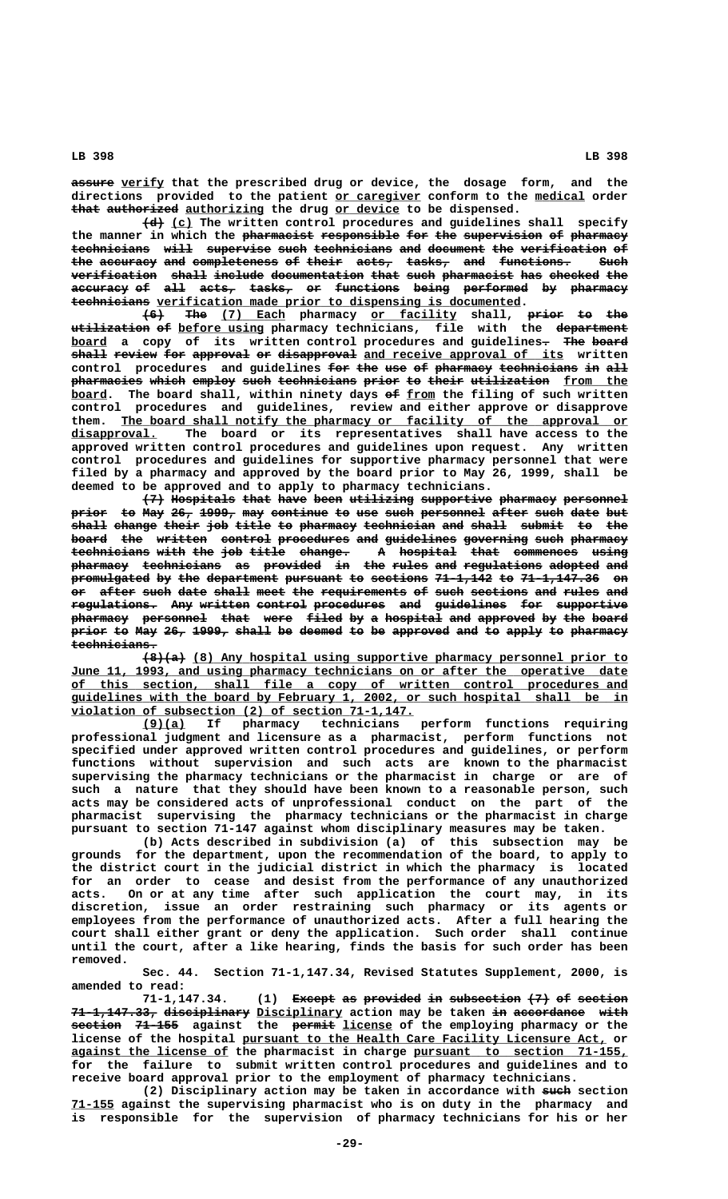**—————— \_\_\_\_\_\_ assure verify that the prescribed drug or device, the dosage form, and the** directions provided to the patient or caregiver conform to the medical order that authorized authorizing the drug or device to be dispensed.

**(d)** (c) The written control procedures and guidelines shall specify the manner in which the pharmacist responsible for the supervision of pharmacy technicians will supervise such technicians and document the verification of the accuracy and completeness of their acts, tasks, and functions. Such **verification** shall include documentation that such pharmacist has checked the **accuracy of all acts, tasks, or functions being performed by pharmacy ———————— —— ——— ————— —————— —— ————————— ————— ————————— —— ————————**  $\texttt{technicians}$  verification made prior to dispensing is documented.

**(6) The (7) Each pharmacy or facility shall, prior to the ——— ——— \_\_\_\_\_\_\_\_\_ \_\_\_\_\_\_\_\_\_\_\_\_ ————— —— —— utilization of before using pharmacy technicians, file with the department ——————————— —— \_\_\_\_\_\_\_\_\_\_\_\_ ————————— board** a copy of its written control procedures and guidelines. The board **shall review for approval or disapproval** and receive approval of its written control procedures and guidelines for the use of pharmacy technicians in all pharmacies which employ such technicians prior to their utilization from the board. The board shall, within ninety days of from the filing of such written **control procedures and guidelines, review and either approve or disapprove** them. <u>The board shall notify the pharmacy or facility of the approval or</u>  **\_\_\_\_\_\_\_\_\_\_\_\_ disapproval. The board or its representatives shall have access to the approved written control procedures and guidelines upon request. Any written control procedures and guidelines for supportive pharmacy personnel that were filed by a pharmacy and approved by the board prior to May 26, 1999, shall be deemed to be approved and to apply to pharmacy technicians.**

**(7) Hospitals that have been utilizing supportive pharmacy personnel ——— ————————— ———— ———— ———— ————————— —————————— ———————— ———————— prior** to May 26, 1999, may continue to use such personnel after such date but  $$ board the written control procedures and guidelines governing such pharmacy **technicians with the job title change. A hospital that commences using ——————————— ———— ——— ——— ————— ——————— — ———————— ———— ————————— ———— pharmacy technicians as provided in the rules and regulations adopted and ———————— ——————————— —— ———————— —— ——— ————— ——— ——————————— ——————— ——** promulgated by the department pursuant to sections 71-1,142 to 71-1,147.36 on **or after such date shall meet the requirements of such sections and rules and —— ————— ———— ———— ————— ———— ——— ———————————— —— ———— ———————— ——— ————— —— regulations. Any written control procedures and guidelines for supportive ———————————— ——— ——————— ——————— —————————— ——— —————————— ——— —————————** pharmacy personnel that were filed by a hospital and approved by the board **prior to May 26, 1999, shall be deemed to be approved and to apply to pharmacy technicians. ————————————**

 **—————— \_\_\_\_\_\_\_\_\_\_\_\_\_\_\_\_\_\_\_\_\_\_\_\_\_\_\_\_\_\_\_\_\_\_\_\_\_\_\_\_\_\_\_\_\_\_\_\_\_\_\_\_\_\_\_\_\_\_\_\_\_ (8)(a) (8) Any hospital using supportive pharmacy personnel prior to** June 11, 1993, and using pharmacy technicians on or after the operative date  **\_\_\_\_\_\_\_\_\_\_\_\_\_\_\_\_\_\_\_\_\_\_\_\_\_\_\_\_\_\_\_\_\_\_\_\_\_\_\_\_\_\_\_\_\_\_\_\_\_\_\_\_\_\_\_\_\_\_\_\_\_\_\_\_\_\_\_\_\_\_\_\_\_\_\_\_\_\_ of this section, shall file a copy of written control procedures and \_\_\_\_\_\_\_\_\_\_\_\_\_\_\_\_\_\_\_\_\_\_\_\_\_\_\_\_\_\_\_\_\_\_\_\_\_\_\_\_\_\_\_\_\_\_\_\_\_\_\_\_\_\_\_\_\_\_\_\_\_\_\_\_\_\_\_\_\_\_\_\_\_\_\_\_\_\_ guidelines with the board by February 1, 2002, or such hospital shall be in \_\_\_\_\_\_\_\_\_\_\_\_\_\_\_\_\_\_\_\_\_\_\_\_\_\_\_\_\_\_\_\_\_\_\_\_\_\_\_\_\_\_\_\_\_\_\_\_ violation of subsection (2) of section 71-1,147.**

 **\_\_\_\_\_\_ (9)(a) If pharmacy technicians perform functions requiring professional judgment and licensure as a pharmacist, perform functions not specified under approved written control procedures and guidelines, or perform functions without supervision and such acts are known to the pharmacist supervising the pharmacy technicians or the pharmacist in charge or are of such a nature that they should have been known to a reasonable person, such acts may be considered acts of unprofessional conduct on the part of the pharmacist supervising the pharmacy technicians or the pharmacist in charge pursuant to section 71-147 against whom disciplinary measures may be taken.**

**(b) Acts described in subdivision (a) of this subsection may be grounds for the department, upon the recommendation of the board, to apply to the district court in the judicial district in which the pharmacy is located for an order to cease and desist from the performance of any unauthorized acts. On or at any time after such application the court may, in its discretion, issue an order restraining such pharmacy or its agents or employees from the performance of unauthorized acts. After a full hearing the court shall either grant or deny the application. Such order shall continue until the court, after a like hearing, finds the basis for such order has been removed.**

**Sec. 44. Section 71-1,147.34, Revised Statutes Supplement, 2000, is amended to read:**

**71-1,147.34.** (1) Except as provided in subsection  $\{7\}$  of section **71-1,147.33, disciplinary Disciplinary action may be taken in accordance with ———————————— ———————————— \_\_\_\_\_\_\_\_\_\_\_\_ —— —————————— ———— ——————— —————— —————— \_\_\_\_\_\_\_ section 71-155 against the permit license of the employing pharmacy or the \_\_\_\_\_\_\_\_\_\_\_\_\_\_\_\_\_\_\_\_\_\_\_\_\_\_\_\_\_\_\_\_\_\_\_\_\_\_\_\_\_\_\_\_\_\_\_\_\_\_\_ license of the hospital pursuant to the Health Care Facility Licensure Act, or \_\_\_\_\_\_\_\_\_\_\_\_\_\_\_\_\_\_\_\_\_\_ \_\_\_\_\_\_\_\_\_\_\_\_\_\_\_\_\_\_\_\_\_\_\_\_\_\_\_\_\_\_ against the license of the pharmacist in charge pursuant to section 71-155, for the failure to submit written control procedures and guidelines and to receive board approval prior to the employment of pharmacy technicians.**

(2) Disciplinary action may be taken in accordance with such section  **\_\_\_\_\_\_ 71-155 against the supervising pharmacist who is on duty in the pharmacy and is responsible for the supervision of pharmacy technicians for his or her**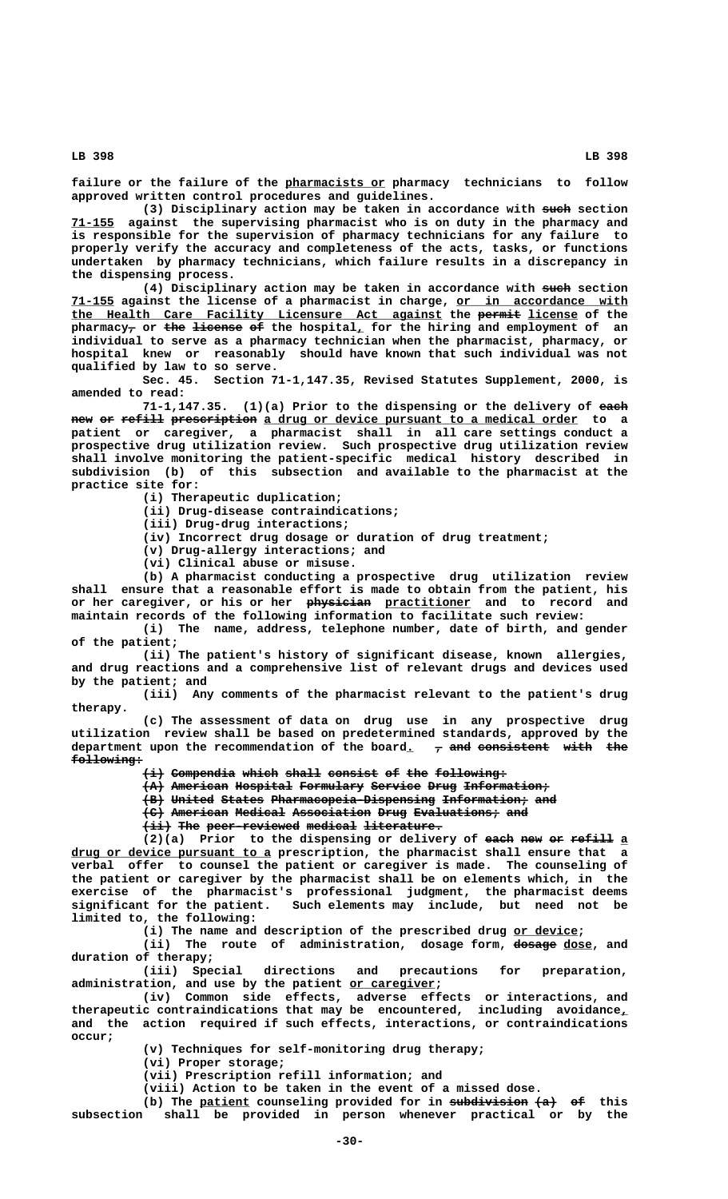**\_\_\_\_\_\_\_\_\_\_\_\_\_\_ failure or the failure of the pharmacists or pharmacy technicians to follow approved written control procedures and guidelines.**

(3) Disciplinary action may be taken in accordance with such section  **\_\_\_\_\_\_ 71-155 against the supervising pharmacist who is on duty in the pharmacy and is responsible for the supervision of pharmacy technicians for any failure to properly verify the accuracy and completeness of the acts, tasks, or functions undertaken by pharmacy technicians, which failure results in a discrepancy in the dispensing process.**

(4) Disciplinary action may be taken in accordance with such section  **\_\_\_\_\_\_ \_\_\_\_\_\_\_\_\_\_\_\_\_\_\_\_\_\_\_\_\_\_\_\_ 71-155 against the license of a pharmacist in charge, or in accordance with \_\_\_\_\_\_\_\_\_\_\_\_\_\_\_\_\_\_\_\_\_\_\_\_\_\_\_\_\_\_\_\_\_\_\_\_\_\_\_\_\_\_\_\_\_\_\_\_\_\_\_\_ —————— \_\_\_\_\_\_\_ the Health Care Facility Licensure Act against the permit license of the**  ${\tt pharmacy}_{\bm{\mathcal{T}}}$  or <del>the license</del> <del>of</del> the hospital<u>,</u> for the hiring and employment of an **individual to serve as a pharmacy technician when the pharmacist, pharmacy, or hospital knew or reasonably should have known that such individual was not qualified by law to so serve.**

**Sec. 45. Section 71-1,147.35, Revised Statutes Supplement, 2000, is amended to read:**

**71-1,147.35. (1)(a) Prior to the dispensing or the delivery of each ———** new or refill prescription a drug or device pursuant to a medical order to a **patient or caregiver, a pharmacist shall in all care settings conduct a prospective drug utilization review. Such prospective drug utilization review shall involve monitoring the patient-specific medical history described in subdivision (b) of this subsection and available to the pharmacist at the practice site for:**

**(i) Therapeutic duplication;**

**(ii) Drug-disease contraindications;**

**(iii) Drug-drug interactions;**

**(iv) Incorrect drug dosage or duration of drug treatment;**

**(v) Drug-allergy interactions; and**

**(vi) Clinical abuse or misuse.**

**(b) A pharmacist conducting a prospective drug utilization review shall ensure that a reasonable effort is made to obtain from the patient, his** or her caregiver, or his or her **physician** practitioner and to record and **maintain records of the following information to facilitate such review:**

**(i) The name, address, telephone number, date of birth, and gender of the patient;**

**(ii) The patient's history of significant disease, known allergies, and drug reactions and a comprehensive list of relevant drugs and devices used by the patient; and**

**(iii) Any comments of the pharmacist relevant to the patient's drug therapy.**

**(c) The assessment of data on drug use in any prospective drug utilization review shall be based on predetermined standards, approved by the** department upon the recommendation of the board<sub>.</sub>  $\tau$  and consistent with the  **following: ——————————**

 $\{\pm\}$  Compendia which shall consist of the following:

 ${A}$  American Hospital Formulary Service Drug Information;

**(B) United States Pharmacopeia-Dispensing Information; and ——— —————— —————— ——————————————————————— ———————————— ———**

**(C) American Medical Association Drug Evaluations; and ——— ———————— ——————— ——————————— ———— ———————————— ———**

 $\overrightarrow{+i+}$  The peer-reviewed medical literature.

(2)(a) Prior to the dispensing or delivery of each new or refill a  **\_\_\_\_\_\_\_\_\_\_\_\_\_\_\_\_\_\_\_\_\_\_\_\_\_\_\_\_ drug or device pursuant to a prescription, the pharmacist shall ensure that a verbal offer to counsel the patient or caregiver is made. The counseling of the patient or caregiver by the pharmacist shall be on elements which, in the exercise of the pharmacist's professional judgment, the pharmacist deems significant for the patient. Such elements may include, but need not be limited to, the following:**

**(i) The name and description of the prescribed drug or device; \_\_\_\_\_\_\_\_\_**

(ii) The route of administration, dosage form, dosage dose, and **duration of therapy;**

directions and precautions for preparation,  **\_\_\_\_\_\_\_\_\_\_\_\_ administration, and use by the patient or caregiver;**

> **(iv) Common side effects, adverse effects or interactions, and therapeutic contraindications that may be encountered, including avoidance,\_ and the action required if such effects, interactions, or contraindications occur;**

> > **(v) Techniques for self-monitoring drug therapy;**

**(vi) Proper storage;**

**(vii) Prescription refill information; and**

**(viii) Action to be taken in the event of a missed dose.**

(b) The patient counseling provided for in subdivision  $\{a\}$  of this **subsection shall be provided in person whenever practical or by the**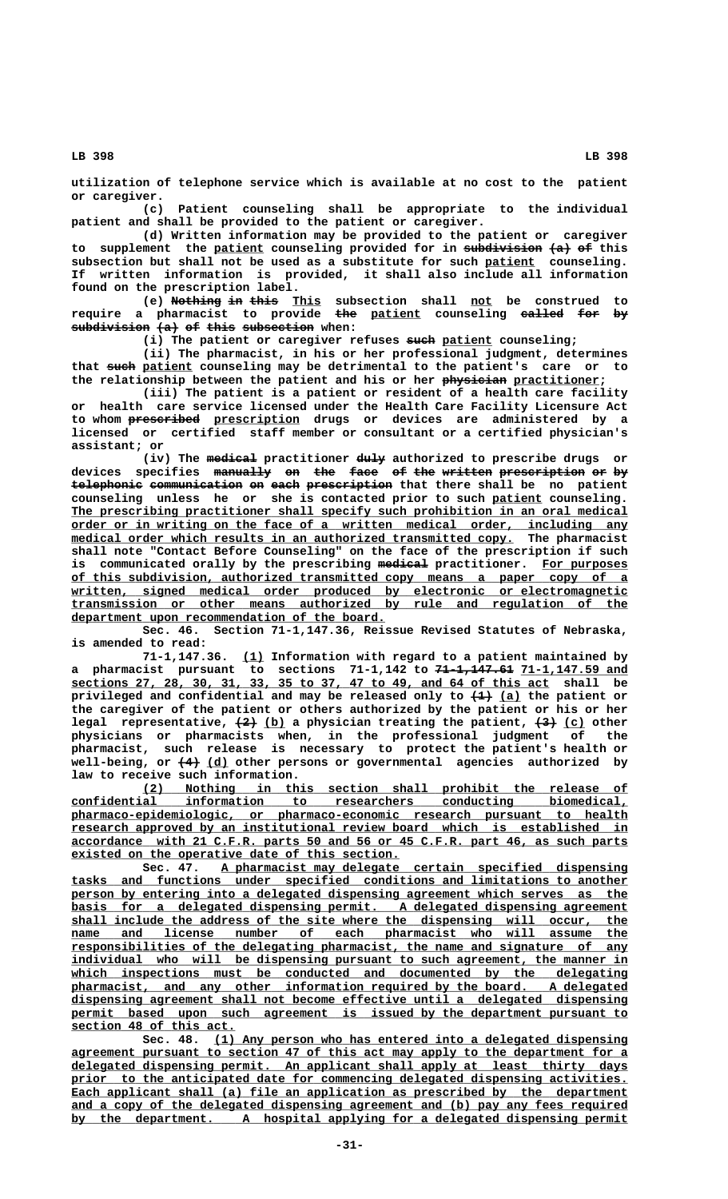**utilization of telephone service which is available at no cost to the patient or caregiver.**

**(c) Patient counseling shall be appropriate to the individual patient and shall be provided to the patient or caregiver.**

**(d) Written information may be provided to the patient or caregiver** to supplement the <u>patient</u> counseling provided for in subdivision (a) of this subsection but shall not be used as a substitute for such patient counseling. **If written information is provided, it shall also include all information found on the prescription label.**

(e) Nothing in this This subsection shall not be construed to **require a pharmacist to provide the patient counseling called for by ——— \_\_\_\_\_\_\_ —————— ——— —**  $subdivision (a)$  of this subsection when:

(i) The patient or caregiver refuses such patient counseling;

**(ii) The pharmacist, in his or her professional judgment, determines** that such patient counseling may be detrimental to the patient's care or to the relationship between the patient and his or her physician practitioner;

**(iii) The patient is a patient or resident of a health care facility or health care service licensed under the Health Care Facility Licensure Act —————————— \_\_\_\_\_\_\_\_\_\_\_\_ to whom prescribed prescription drugs or devices are administered by a licensed or certified staff member or consultant or a certified physician's assistant; or**

 **——————— ———— (iv) The medical practitioner duly authorized to prescribe drugs or** devices specifies <del>manually</del> <del>on the face of the written-prescription-or-by</del> telephonic communication on each prescription that there shall be no patient **counseling unless he or she is contacted prior to such patient counseling. \_\_\_\_\_\_\_** The prescribing practitioner shall specify such prohibition in an oral medical  **\_\_\_\_\_\_\_\_\_\_\_\_\_\_\_\_\_\_\_\_\_\_\_\_\_\_\_\_\_\_\_\_\_\_\_\_\_\_\_\_\_\_\_\_\_\_\_\_\_\_\_\_\_\_\_\_\_\_\_\_\_\_\_\_\_\_\_\_\_\_\_\_\_\_\_\_\_\_ order or in writing on the face of a written medical order, including any**  $medical order which results in an authorized transmitted copy. The pharmacist$ </u> **shall note "Contact Before Counseling" on the face of the prescription if such ——————— \_\_\_\_\_\_\_\_\_\_\_\_ is communicated orally by the prescribing medical practitioner. For purposes \_\_\_\_\_\_\_\_\_\_\_\_\_\_\_\_\_\_\_\_\_\_\_\_\_\_\_\_\_\_\_\_\_\_\_\_\_\_\_\_\_\_\_\_\_\_\_\_\_\_\_\_\_\_\_\_\_\_\_\_\_\_\_\_\_\_\_\_\_\_\_\_\_\_\_\_\_\_ of this subdivision, authorized transmitted copy means a paper copy of a \_\_\_\_\_\_\_\_\_\_\_\_\_\_\_\_\_\_\_\_\_\_\_\_\_\_\_\_\_\_\_\_\_\_\_\_\_\_\_\_\_\_\_\_\_\_\_\_\_\_\_\_\_\_\_\_\_\_\_\_\_\_\_\_\_\_\_\_\_\_\_\_\_\_\_\_\_\_ written, signed medical order produced by electronic or electromagnetic \_\_\_\_\_\_\_\_\_\_\_\_\_\_\_\_\_\_\_\_\_\_\_\_\_\_\_\_\_\_\_\_\_\_\_\_\_\_\_\_\_\_\_\_\_\_\_\_\_\_\_\_\_\_\_\_\_\_\_\_\_\_\_\_\_\_\_\_\_\_\_\_\_\_\_\_\_\_ transmission or other means authorized by rule and regulation of the \_\_\_\_\_\_\_\_\_\_\_\_\_\_\_\_\_\_\_\_\_\_\_\_\_\_\_\_\_\_\_\_\_\_\_\_\_\_\_\_\_\_\_\_ department upon recommendation of the board.**

**Sec. 46. Section 71-1,147.36, Reissue Revised Statutes of Nebraska, is amended to read:**

 **\_\_\_ 71-1,147.36. (1) Information with regard to a patient maintained by a** pharmacist pursuant to sections 71-1,142 to <del>71-1,147.61</del> 71-1,147.59 and  **\_\_\_\_\_\_\_\_\_\_\_\_\_\_\_\_\_\_\_\_\_\_\_\_\_\_\_\_\_\_\_\_\_\_\_\_\_\_\_\_\_\_\_\_\_\_\_\_\_\_\_\_\_\_\_\_\_\_\_\_\_\_\_\_\_\_\_ sections 27, 28, 30, 31, 33, 35 to 37, 47 to 49, and 64 of this act shall be** privileged and confidential and may be released only to  $\left(\frac{1}{1}\right)$  (a) the patient or **the caregiver of the patient or others authorized by the patient or his or her** legal representative,  $\left(2\right)$  (b) a physician treating the patient,  $\left(3\right)$  (c) other **physicians or pharmacists when, in the professional judgment of the pharmacist, such release is necessary to protect the patient's health or** well-being, or  $\left(4\right)$  (d) other persons or governmental agencies authorized by **law to receive such information.**

 **\_\_\_\_\_\_\_\_\_\_\_\_\_\_\_\_\_\_\_\_\_\_\_\_\_\_\_\_\_\_\_\_\_\_\_\_\_\_\_\_\_\_\_\_\_\_\_\_\_\_\_\_\_\_\_\_\_\_\_\_\_\_\_\_\_\_\_\_ (2) Nothing in this section shall prohibit the release of \_\_\_\_\_\_\_\_\_\_\_\_\_\_\_\_\_\_\_\_\_\_\_\_\_\_\_\_\_\_\_\_\_\_\_\_\_\_\_\_\_\_\_\_\_\_\_\_\_\_\_\_\_\_\_\_\_\_\_\_\_\_\_\_\_\_\_\_\_\_\_\_\_\_\_\_\_\_ confidential information to researchers conducting biomedical, \_\_\_\_\_\_\_\_\_\_\_\_\_\_\_\_\_\_\_\_\_\_\_\_\_\_\_\_\_\_\_\_\_\_\_\_\_\_\_\_\_\_\_\_\_\_\_\_\_\_\_\_\_\_\_\_\_\_\_\_\_\_\_\_\_\_\_\_\_\_\_\_\_\_\_\_\_\_ pharmaco-epidemiologic, or pharmaco-economic research pursuant to health \_\_\_\_\_\_\_\_\_\_\_\_\_\_\_\_\_\_\_\_\_\_\_\_\_\_\_\_\_\_\_\_\_\_\_\_\_\_\_\_\_\_\_\_\_\_\_\_\_\_\_\_\_\_\_\_\_\_\_\_\_\_\_\_\_\_\_\_\_\_\_\_\_\_\_\_\_\_ research approved by an institutional review board which is established in \_\_\_\_\_\_\_\_\_\_\_\_\_\_\_\_\_\_\_\_\_\_\_\_\_\_\_\_\_\_\_\_\_\_\_\_\_\_\_\_\_\_\_\_\_\_\_\_\_\_\_\_\_\_\_\_\_\_\_\_\_\_\_\_\_\_\_\_\_\_\_\_\_\_\_\_\_\_ accordance with 21 C.F.R. parts 50 and 56 or 45 C.F.R. part 46, as such parts \_\_\_\_\_\_\_\_\_\_\_\_\_\_\_\_\_\_\_\_\_\_\_\_\_\_\_\_\_\_\_\_\_\_\_\_\_\_\_\_\_\_\_\_\_\_ existed on the operative date of this section.**

 **\_\_\_\_\_\_\_\_\_\_\_\_\_\_\_\_\_\_\_\_\_\_\_\_\_\_\_\_\_\_\_\_\_\_\_\_\_\_\_\_\_\_\_\_\_\_\_\_\_\_\_\_\_\_\_\_\_ Sec. 47. A pharmacist may delegate certain specified dispensing \_\_\_\_\_\_\_\_\_\_\_\_\_\_\_\_\_\_\_\_\_\_\_\_\_\_\_\_\_\_\_\_\_\_\_\_\_\_\_\_\_\_\_\_\_\_\_\_\_\_\_\_\_\_\_\_\_\_\_\_\_\_\_\_\_\_\_\_\_\_\_\_\_\_\_\_\_\_ tasks and functions under specified conditions and limitations to another** person by entering into a delegated dispensing agreement which serves as the basis for a delegated dispensing permit. A delegated dispensing agreement shall include the address of the site where the dispensing will occur, the  $name$  and license number of each pharmacist who will assume the  **\_\_\_\_\_\_\_\_\_\_\_\_\_\_\_\_\_\_\_\_\_\_\_\_\_\_\_\_\_\_\_\_\_\_\_\_\_\_\_\_\_\_\_\_\_\_\_\_\_\_\_\_\_\_\_\_\_\_\_\_\_\_\_\_\_\_\_\_\_\_\_\_\_\_\_\_\_\_ responsibilities of the delegating pharmacist, the name and signature of any** individual who will be dispensing pursuant to such agreement, the manner in which inspections must be conducted and documented by the delegating  **\_\_\_\_\_\_\_\_\_\_\_\_\_\_\_\_\_\_\_\_\_\_\_\_\_\_\_\_\_\_\_\_\_\_\_\_\_\_\_\_\_\_\_\_\_\_\_\_\_\_\_\_\_\_\_\_\_\_\_\_\_\_\_\_\_\_\_\_\_\_\_\_\_\_\_\_\_\_ pharmacist, and any other information required by the board. A delegated \_\_\_\_\_\_\_\_\_\_\_\_\_\_\_\_\_\_\_\_\_\_\_\_\_\_\_\_\_\_\_\_\_\_\_\_\_\_\_\_\_\_\_\_\_\_\_\_\_\_\_\_\_\_\_\_\_\_\_\_\_\_\_\_\_\_\_\_\_\_\_\_\_\_\_\_\_\_ dispensing agreement shall not become effective until a delegated dispensing** permit based upon such agreement is issued by the department pursuant to  **\_\_\_\_\_\_\_\_\_\_\_\_\_\_\_\_\_\_\_\_\_\_\_ section 48 of this act.**

 **\_\_\_\_\_\_\_\_\_\_\_\_\_\_\_\_\_\_\_\_\_\_\_\_\_\_\_\_\_\_\_\_\_\_\_\_\_\_\_\_\_\_\_\_\_\_\_\_\_\_\_\_\_\_\_\_\_\_ Sec. 48. (1) Any person who has entered into a delegated dispensing \_\_\_\_\_\_\_\_\_\_\_\_\_\_\_\_\_\_\_\_\_\_\_\_\_\_\_\_\_\_\_\_\_\_\_\_\_\_\_\_\_\_\_\_\_\_\_\_\_\_\_\_\_\_\_\_\_\_\_\_\_\_\_\_\_\_\_\_\_\_\_\_\_\_\_\_\_\_ agreement pursuant to section 47 of this act may apply to the department for a \_\_\_\_\_\_\_\_\_\_\_\_\_\_\_\_\_\_\_\_\_\_\_\_\_\_\_\_\_\_\_\_\_\_\_\_\_\_\_\_\_\_\_\_\_\_\_\_\_\_\_\_\_\_\_\_\_\_\_\_\_\_\_\_\_\_\_\_\_\_\_\_\_\_\_\_\_\_ delegated dispensing permit. An applicant shall apply at least thirty days** prior to the anticipated date for commencing delegated dispensing activities. Each applicant shall (a) file an application as prescribed by the department  **\_\_\_\_\_\_\_\_\_\_\_\_\_\_\_\_\_\_\_\_\_\_\_\_\_\_\_\_\_\_\_\_\_\_\_\_\_\_\_\_\_\_\_\_\_\_\_\_\_\_\_\_\_\_\_\_\_\_\_\_\_\_\_\_\_\_\_\_\_\_\_\_\_\_\_\_\_\_ and a copy of the delegated dispensing agreement and (b) pay any fees required \_\_\_\_\_\_\_\_\_\_\_\_\_\_\_\_\_\_\_\_\_\_\_\_\_\_\_\_\_\_\_\_\_\_\_\_\_\_\_\_\_\_\_\_\_\_\_\_\_\_\_\_\_\_\_\_\_\_\_\_\_\_\_\_\_\_\_\_\_\_\_\_\_\_\_\_\_\_ by the department. A hospital applying for a delegated dispensing permit**

 **LB 398 LB 398**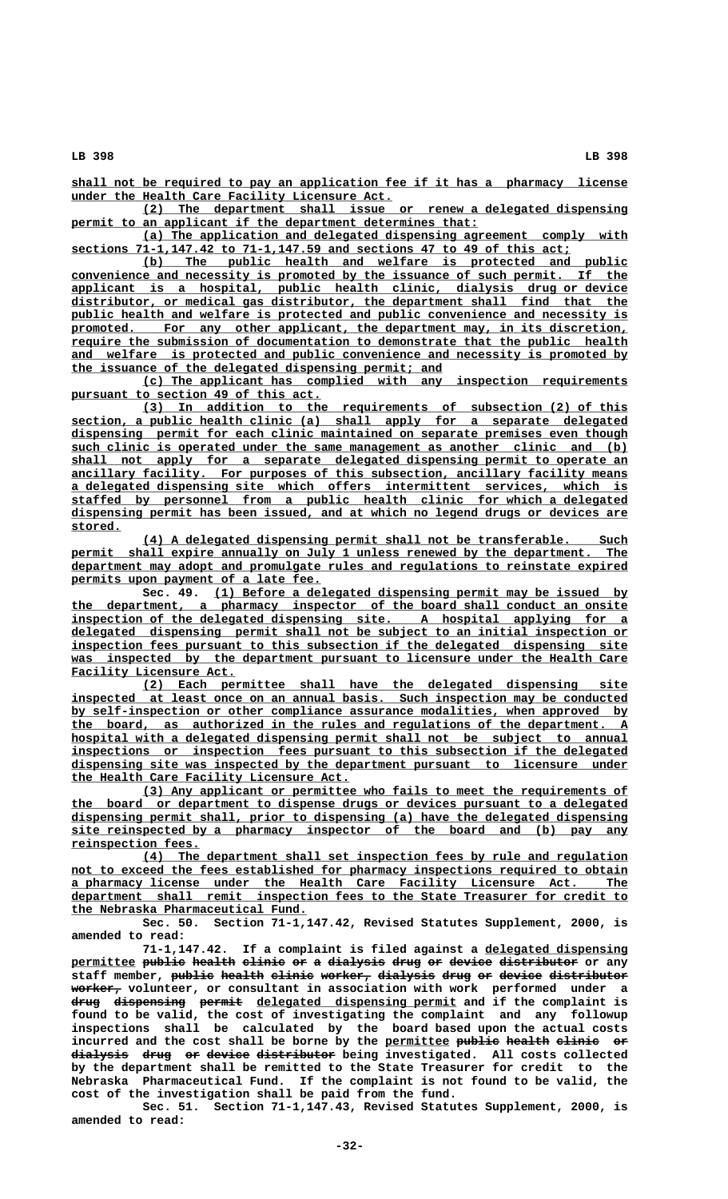**\_\_\_\_\_\_\_\_\_\_\_\_\_\_\_\_\_\_\_\_\_\_\_\_\_\_\_\_\_\_\_\_\_\_\_\_\_\_\_\_\_\_\_\_\_\_\_\_\_\_\_\_\_\_\_\_\_\_\_\_\_\_\_\_\_\_\_\_\_\_\_\_\_\_\_\_\_\_ shall not be required to pay an application fee if it has a pharmacy license \_\_\_\_\_\_\_\_\_\_\_\_\_\_\_\_\_\_\_\_\_\_\_\_\_\_\_\_\_\_\_\_\_\_\_\_\_\_\_\_\_\_\_\_\_ under the Health Care Facility Licensure Act.**

 **\_\_\_\_\_\_\_\_\_\_\_\_\_\_\_\_\_\_\_\_\_\_\_\_\_\_\_\_\_\_\_\_\_\_\_\_\_\_\_\_\_\_\_\_\_\_\_\_\_\_\_\_\_\_\_\_\_\_\_\_\_\_\_\_\_\_\_\_ (2) The department shall issue or renew a delegated dispensing** permit to an applicant if the department determines that:

 **\_\_\_\_\_\_\_\_\_\_\_\_\_\_\_\_\_\_\_\_\_\_\_\_\_\_\_\_\_\_\_\_\_\_\_\_\_\_\_\_\_\_\_\_\_\_\_\_\_\_\_\_\_\_\_\_\_\_\_\_\_\_\_\_\_\_\_\_ (a) The application and delegated dispensing agreement comply with \_\_\_\_\_\_\_\_\_\_\_\_\_\_\_\_\_\_\_\_\_\_\_\_\_\_\_\_\_\_\_\_\_\_\_\_\_\_\_\_\_\_\_\_\_\_\_\_\_\_\_\_\_\_\_\_\_\_\_\_\_\_\_\_\_\_\_\_\_\_ sections 71-1,147.42 to 71-1,147.59 and sections 47 to 49 of this act;**

 **\_\_\_\_\_\_\_\_\_\_\_\_\_\_\_\_\_\_\_\_\_\_\_\_\_\_\_\_\_\_\_\_\_\_\_\_\_\_\_\_\_\_\_\_\_\_\_\_\_\_\_\_\_\_\_\_\_\_\_\_\_\_\_\_\_\_\_\_ (b) The public health and welfare is protected and public \_\_\_\_\_\_\_\_\_\_\_\_\_\_\_\_\_\_\_\_\_\_\_\_\_\_\_\_\_\_\_\_\_\_\_\_\_\_\_\_\_\_\_\_\_\_\_\_\_\_\_\_\_\_\_\_\_\_\_\_\_\_\_\_\_\_\_\_\_\_\_\_\_\_\_\_\_\_ convenience and necessity is promoted by the issuance of such permit. If the \_\_\_\_\_\_\_\_\_\_\_\_\_\_\_\_\_\_\_\_\_\_\_\_\_\_\_\_\_\_\_\_\_\_\_\_\_\_\_\_\_\_\_\_\_\_\_\_\_\_\_\_\_\_\_\_\_\_\_\_\_\_\_\_\_\_\_\_\_\_\_\_\_\_\_\_\_\_ applicant is a hospital, public health clinic, dialysis drug or device**  $distributor, or medical gas distributor, the department shall find that the$ public health and welfare is protected and public convenience and necessity is promoted. For any other applicant, the department may, in its discretion,  **\_\_\_\_\_\_\_\_\_\_\_\_\_\_\_\_\_\_\_\_\_\_\_\_\_\_\_\_\_\_\_\_\_\_\_\_\_\_\_\_\_\_\_\_\_\_\_\_\_\_\_\_\_\_\_\_\_\_\_\_\_\_\_\_\_\_\_\_\_\_\_\_\_\_\_\_\_\_ require the submission of documentation to demonstrate that the public health \_\_\_\_\_\_\_\_\_\_\_\_\_\_\_\_\_\_\_\_\_\_\_\_\_\_\_\_\_\_\_\_\_\_\_\_\_\_\_\_\_\_\_\_\_\_\_\_\_\_\_\_\_\_\_\_\_\_\_\_\_\_\_\_\_\_\_\_\_\_\_\_\_\_\_\_\_\_ and welfare is protected and public convenience and necessity is promoted by \_\_\_\_\_\_\_\_\_\_\_\_\_\_\_\_\_\_\_\_\_\_\_\_\_\_\_\_\_\_\_\_\_\_\_\_\_\_\_\_\_\_\_\_\_\_\_\_\_\_\_\_ the issuance of the delegated dispensing permit; and**

 **\_\_\_\_\_\_\_\_\_\_\_\_\_\_\_\_\_\_\_\_\_\_\_\_\_\_\_\_\_\_\_\_\_\_\_\_\_\_\_\_\_\_\_\_\_\_\_\_\_\_\_\_\_\_\_\_\_\_\_\_\_\_\_\_\_\_\_\_ (c) The applicant has complied with any inspection requirements** pursuant to section 49 of this act.

 **\_\_\_\_\_\_\_\_\_\_\_\_\_\_\_\_\_\_\_\_\_\_\_\_\_\_\_\_\_\_\_\_\_\_\_\_\_\_\_\_\_\_\_\_\_\_\_\_\_\_\_\_\_\_\_\_\_\_\_\_\_\_\_\_\_\_\_\_ (3) In addition to the requirements of subsection (2) of this \_\_\_\_\_\_\_\_\_\_\_\_\_\_\_\_\_\_\_\_\_\_\_\_\_\_\_\_\_\_\_\_\_\_\_\_\_\_\_\_\_\_\_\_\_\_\_\_\_\_\_\_\_\_\_\_\_\_\_\_\_\_\_\_\_\_\_\_\_\_\_\_\_\_\_\_\_\_ section, a public health clinic (a) shall apply for a separate delegated \_\_\_\_\_\_\_\_\_\_\_\_\_\_\_\_\_\_\_\_\_\_\_\_\_\_\_\_\_\_\_\_\_\_\_\_\_\_\_\_\_\_\_\_\_\_\_\_\_\_\_\_\_\_\_\_\_\_\_\_\_\_\_\_\_\_\_\_\_\_\_\_\_\_\_\_\_\_ dispensing permit for each clinic maintained on separate premises even though \_\_\_\_\_\_\_\_\_\_\_\_\_\_\_\_\_\_\_\_\_\_\_\_\_\_\_\_\_\_\_\_\_\_\_\_\_\_\_\_\_\_\_\_\_\_\_\_\_\_\_\_\_\_\_\_\_\_\_\_\_\_\_\_\_\_\_\_\_\_\_\_\_\_\_\_\_\_ such clinic is operated under the same management as another clinic and (b)**  $shall$  not apply for a separate delegated dispensing permit to operate an  **\_\_\_\_\_\_\_\_\_\_\_\_\_\_\_\_\_\_\_\_\_\_\_\_\_\_\_\_\_\_\_\_\_\_\_\_\_\_\_\_\_\_\_\_\_\_\_\_\_\_\_\_\_\_\_\_\_\_\_\_\_\_\_\_\_\_\_\_\_\_\_\_\_\_\_\_\_\_ ancillary facility. For purposes of this subsection, ancillary facility means \_\_\_\_\_\_\_\_\_\_\_\_\_\_\_\_\_\_\_\_\_\_\_\_\_\_\_\_\_\_\_\_\_\_\_\_\_\_\_\_\_\_\_\_\_\_\_\_\_\_\_\_\_\_\_\_\_\_\_\_\_\_\_\_\_\_\_\_\_\_\_\_\_\_\_\_\_\_ a delegated dispensing site which offers intermittent services, which is \_\_\_\_\_\_\_\_\_\_\_\_\_\_\_\_\_\_\_\_\_\_\_\_\_\_\_\_\_\_\_\_\_\_\_\_\_\_\_\_\_\_\_\_\_\_\_\_\_\_\_\_\_\_\_\_\_\_\_\_\_\_\_\_\_\_\_\_\_\_\_\_\_\_\_\_\_\_ staffed by personnel from a public health clinic for which a delegated \_\_\_\_\_\_\_\_\_\_\_\_\_\_\_\_\_\_\_\_\_\_\_\_\_\_\_\_\_\_\_\_\_\_\_\_\_\_\_\_\_\_\_\_\_\_\_\_\_\_\_\_\_\_\_\_\_\_\_\_\_\_\_\_\_\_\_\_\_\_\_\_\_\_\_\_\_\_ dispensing permit has been issued, and at which no legend drugs or devices are stored. \_\_\_\_\_\_\_**

> **\_\_\_\_\_\_\_\_\_\_\_\_\_\_\_\_\_\_\_\_\_\_\_\_\_\_\_\_\_\_\_\_\_\_\_\_\_\_\_\_\_\_\_\_\_\_\_\_\_\_\_\_\_\_\_\_\_\_\_\_\_\_\_\_\_\_\_\_ (4) A delegated dispensing permit shall not be transferable. Such** permit shall expire annually on July 1 unless renewed by the department. The  **\_\_\_\_\_\_\_\_\_\_\_\_\_\_\_\_\_\_\_\_\_\_\_\_\_\_\_\_\_\_\_\_\_\_\_\_\_\_\_\_\_\_\_\_\_\_\_\_\_\_\_\_\_\_\_\_\_\_\_\_\_\_\_\_\_\_\_\_\_\_\_\_\_\_\_\_\_\_ department may adopt and promulgate rules and regulations to reinstate expired** permits upon payment of a late fee.

> Sec. 49. (1) Before a delegated dispensing permit may be issued by  **\_\_\_\_\_\_\_\_\_\_\_\_\_\_\_\_\_\_\_\_\_\_\_\_\_\_\_\_\_\_\_\_\_\_\_\_\_\_\_\_\_\_\_\_\_\_\_\_\_\_\_\_\_\_\_\_\_\_\_\_\_\_\_\_\_\_\_\_\_\_\_\_\_\_\_\_\_\_ the department, a pharmacy inspector of the board shall conduct an onsite \_\_\_\_\_\_\_\_\_\_\_\_\_\_\_\_\_\_\_\_\_\_\_\_\_\_\_\_\_\_\_\_\_\_\_\_\_\_\_\_\_\_\_\_\_\_\_\_\_\_\_\_\_\_\_\_\_\_\_\_\_\_\_\_\_\_\_\_\_\_\_\_\_\_\_\_\_\_ inspection of the delegated dispensing site. A hospital applying for a \_\_\_\_\_\_\_\_\_\_\_\_\_\_\_\_\_\_\_\_\_\_\_\_\_\_\_\_\_\_\_\_\_\_\_\_\_\_\_\_\_\_\_\_\_\_\_\_\_\_\_\_\_\_\_\_\_\_\_\_\_\_\_\_\_\_\_\_\_\_\_\_\_\_\_\_\_\_ delegated dispensing permit shall not be subject to an initial inspection or \_\_\_\_\_\_\_\_\_\_\_\_\_\_\_\_\_\_\_\_\_\_\_\_\_\_\_\_\_\_\_\_\_\_\_\_\_\_\_\_\_\_\_\_\_\_\_\_\_\_\_\_\_\_\_\_\_\_\_\_\_\_\_\_\_\_\_\_\_\_\_\_\_\_\_\_\_\_ inspection fees pursuant to this subsection if the delegated dispensing site \_\_\_\_\_\_\_\_\_\_\_\_\_\_\_\_\_\_\_\_\_\_\_\_\_\_\_\_\_\_\_\_\_\_\_\_\_\_\_\_\_\_\_\_\_\_\_\_\_\_\_\_\_\_\_\_\_\_\_\_\_\_\_\_\_\_\_\_\_\_\_\_\_\_\_\_\_\_ was inspected by the department pursuant to licensure under the Health Care**  $\overline{\text{Facility}}$  Licensure Act.

> **\_\_\_\_\_\_\_\_\_\_\_\_\_\_\_\_\_\_\_\_\_\_\_\_\_\_\_\_\_\_\_\_\_\_\_\_\_\_\_\_\_\_\_\_\_\_\_\_\_\_\_\_\_\_\_\_\_\_\_\_\_\_\_\_\_\_\_\_ (2) Each permittee shall have the delegated dispensing site \_\_\_\_\_\_\_\_\_\_\_\_\_\_\_\_\_\_\_\_\_\_\_\_\_\_\_\_\_\_\_\_\_\_\_\_\_\_\_\_\_\_\_\_\_\_\_\_\_\_\_\_\_\_\_\_\_\_\_\_\_\_\_\_\_\_\_\_\_\_\_\_\_\_\_\_\_\_ inspected at least once on an annual basis. Such inspection may be conducted \_\_\_\_\_\_\_\_\_\_\_\_\_\_\_\_\_\_\_\_\_\_\_\_\_\_\_\_\_\_\_\_\_\_\_\_\_\_\_\_\_\_\_\_\_\_\_\_\_\_\_\_\_\_\_\_\_\_\_\_\_\_\_\_\_\_\_\_\_\_\_\_\_\_\_\_\_\_ by self-inspection or other compliance assurance modalities, when approved by \_\_\_\_\_\_\_\_\_\_\_\_\_\_\_\_\_\_\_\_\_\_\_\_\_\_\_\_\_\_\_\_\_\_\_\_\_\_\_\_\_\_\_\_\_\_\_\_\_\_\_\_\_\_\_\_\_\_\_\_\_\_\_\_\_\_\_\_\_\_\_\_\_\_\_\_\_\_ the board, as authorized in the rules and regulations of the department. A \_\_\_\_\_\_\_\_\_\_\_\_\_\_\_\_\_\_\_\_\_\_\_\_\_\_\_\_\_\_\_\_\_\_\_\_\_\_\_\_\_\_\_\_\_\_\_\_\_\_\_\_\_\_\_\_\_\_\_\_\_\_\_\_\_\_\_\_\_\_\_\_\_\_\_\_\_\_ hospital with a delegated dispensing permit shall not be subject to annual \_\_\_\_\_\_\_\_\_\_\_\_\_\_\_\_\_\_\_\_\_\_\_\_\_\_\_\_\_\_\_\_\_\_\_\_\_\_\_\_\_\_\_\_\_\_\_\_\_\_\_\_\_\_\_\_\_\_\_\_\_\_\_\_\_\_\_\_\_\_\_\_\_\_\_\_\_\_ inspections or inspection fees pursuant to this subsection if the delegated \_\_\_\_\_\_\_\_\_\_\_\_\_\_\_\_\_\_\_\_\_\_\_\_\_\_\_\_\_\_\_\_\_\_\_\_\_\_\_\_\_\_\_\_\_\_\_\_\_\_\_\_\_\_\_\_\_\_\_\_\_\_\_\_\_\_\_\_\_\_\_\_\_\_\_\_\_\_ dispensing site was inspected by the department pursuant to licensure under \_\_\_\_\_\_\_\_\_\_\_\_\_\_\_\_\_\_\_\_\_\_\_\_\_\_\_\_\_\_\_\_\_\_\_\_\_\_\_ the Health Care Facility Licensure Act.**

> **\_\_\_\_\_\_\_\_\_\_\_\_\_\_\_\_\_\_\_\_\_\_\_\_\_\_\_\_\_\_\_\_\_\_\_\_\_\_\_\_\_\_\_\_\_\_\_\_\_\_\_\_\_\_\_\_\_\_\_\_\_\_\_\_\_\_\_\_ (3) Any applicant or permittee who fails to meet the requirements of \_\_\_\_\_\_\_\_\_\_\_\_\_\_\_\_\_\_\_\_\_\_\_\_\_\_\_\_\_\_\_\_\_\_\_\_\_\_\_\_\_\_\_\_\_\_\_\_\_\_\_\_\_\_\_\_\_\_\_\_\_\_\_\_\_\_\_\_\_\_\_\_\_\_\_\_\_\_ the board or department to dispense drugs or devices pursuant to a delegated \_\_\_\_\_\_\_\_\_\_\_\_\_\_\_\_\_\_\_\_\_\_\_\_\_\_\_\_\_\_\_\_\_\_\_\_\_\_\_\_\_\_\_\_\_\_\_\_\_\_\_\_\_\_\_\_\_\_\_\_\_\_\_\_\_\_\_\_\_\_\_\_\_\_\_\_\_\_ dispensing permit shall, prior to dispensing (a) have the delegated dispensing \_\_\_\_\_\_\_\_\_\_\_\_\_\_\_\_\_\_\_\_\_\_\_\_\_\_\_\_\_\_\_\_\_\_\_\_\_\_\_\_\_\_\_\_\_\_\_\_\_\_\_\_\_\_\_\_\_\_\_\_\_\_\_\_\_\_\_\_\_\_\_\_\_\_\_\_\_\_ site reinspected by a pharmacy inspector of the board and (b) pay any reinspection fees. \_\_\_\_\_\_\_\_\_\_\_\_\_\_\_\_\_\_**

> **\_\_\_\_\_\_\_\_\_\_\_\_\_\_\_\_\_\_\_\_\_\_\_\_\_\_\_\_\_\_\_\_\_\_\_\_\_\_\_\_\_\_\_\_\_\_\_\_\_\_\_\_\_\_\_\_\_\_\_\_\_\_\_\_\_\_\_\_ (4) The department shall set inspection fees by rule and regulation** not to exceed the fees established for pharmacy inspections required to obtain  **\_\_\_\_\_\_\_\_\_\_\_\_\_\_\_\_\_\_\_\_\_\_\_\_\_\_\_\_\_\_\_\_\_\_\_\_\_\_\_\_\_\_\_\_\_\_\_\_\_\_\_\_\_\_\_\_\_\_\_\_\_\_\_\_\_\_\_\_\_\_\_\_\_\_\_\_\_\_ a pharmacy license under the Health Care Facility Licensure Act. The \_\_\_\_\_\_\_\_\_\_\_\_\_\_\_\_\_\_\_\_\_\_\_\_\_\_\_\_\_\_\_\_\_\_\_\_\_\_\_\_\_\_\_\_\_\_\_\_\_\_\_\_\_\_\_\_\_\_\_\_\_\_\_\_\_\_\_\_\_\_\_\_\_\_\_\_\_\_ department shall remit inspection fees to the State Treasurer for credit to \_\_\_\_\_\_\_\_\_\_\_\_\_\_\_\_\_\_\_\_\_\_\_\_\_\_\_\_\_\_\_\_\_ the Nebraska Pharmaceutical Fund.**

> **Sec. 50. Section 71-1,147.42, Revised Statutes Supplement, 2000, is amended to read:**

> 71-1,147.42. If a complaint is filed against a delegated dispensing **permittee public health clinic or a dialysis drug or device distributor or any \_\_\_\_\_\_\_\_\_ —————— —————— —————— —— — ———————— ———— —— —————— ——————————** staff member, <del>public</del> health clinic worker, dialysis drug or device distributor  **——————— worker, volunteer, or consultant in association with work performed under a** drug dispensing permit delegated dispensing permit and if the complaint is **found to be valid, the cost of investigating the complaint and any followup inspections shall be calculated by the board based upon the actual costs** incurred and the cost shall be borne by the permittee public health clinic or **dialysis drug or device distributor being investigated. All costs collected ———————— ———— —— —————— —————————— by the department shall be remitted to the State Treasurer for credit to the Nebraska Pharmaceutical Fund. If the complaint is not found to be valid, the cost of the investigation shall be paid from the fund.**

> **Sec. 51. Section 71-1,147.43, Revised Statutes Supplement, 2000, is amended to read:**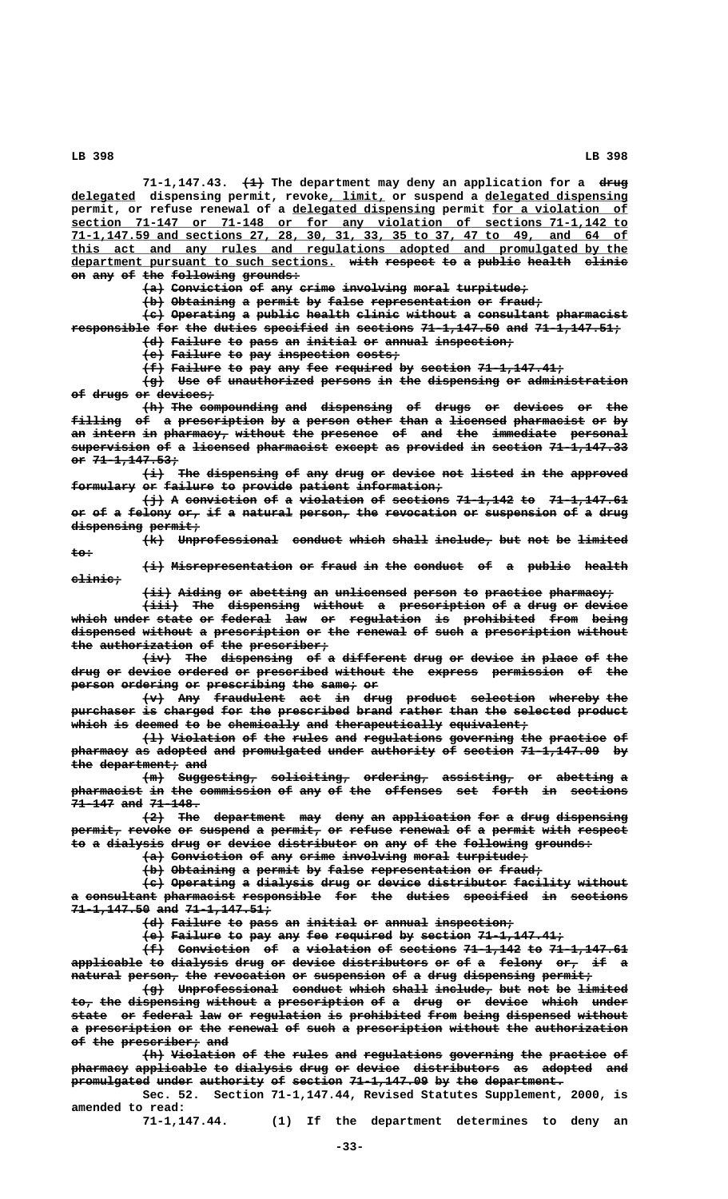**——— ———— 71-1,147.43. (1) The department may deny an application for a drug \_\_\_\_\_\_\_\_\_ \_\_\_\_\_\_\_\_ \_\_\_\_\_\_\_\_\_\_\_\_\_\_\_\_\_\_\_\_ delegated dispensing permit, revoke, limit, or suspend a delegated dispensing** permit, or refuse renewal of a delegated dispensing permit for a violation of  **\_\_\_\_\_\_\_\_\_\_\_\_\_\_\_\_\_\_\_\_\_\_\_\_\_\_\_\_\_\_\_\_\_\_\_\_\_\_\_\_\_\_\_\_\_\_\_\_\_\_\_\_\_\_\_\_\_\_\_\_\_\_\_\_\_\_\_\_\_\_\_\_\_\_\_\_\_\_ section 71-147 or 71-148 or for any violation of sections 71-1,142 to \_\_\_\_\_\_\_\_\_\_\_\_\_\_\_\_\_\_\_\_\_\_\_\_\_\_\_\_\_\_\_\_\_\_\_\_\_\_\_\_\_\_\_\_\_\_\_\_\_\_\_\_\_\_\_\_\_\_\_\_\_\_\_\_\_\_\_\_\_\_\_\_\_\_\_\_\_\_ 71-1,147.59 and sections 27, 28, 30, 31, 33, 35 to 37, 47 to 49, and 64 of \_\_\_\_\_\_\_\_\_\_\_\_\_\_\_\_\_\_\_\_\_\_\_\_\_\_\_\_\_\_\_\_\_\_\_\_\_\_\_\_\_\_\_\_\_\_\_\_\_\_\_\_\_\_\_\_\_\_\_\_\_\_\_\_\_\_\_\_\_\_\_\_\_\_\_\_\_\_ this act and any rules and regulations adopted and promulgated by the** department pursuant to such sections. with respect to a public health clinic on any of the following grounds:

 $\{a\}$  Conviction of any crime involving moral turpitude;

**(b) Obtaining a permit by false representation or fraud;** 

**(c) Operating a public health clinic without a consultant pharmacist ——— ————————— — —————— —————— —————— ——————— — —————————— —————————** responsible for the duties specified in sections 71-1,147.50 and 71-1,147.51; **(d) Failure to pass an initial or annual inspection; ——— ——————— —— ———— —— ——————— —— —————— ———————————**

**(e) Failure to pay inspection costs; ——— ——————— —— ——— —————————— ——————**

**(f) Failure to pay any fee required by section 71-1,147.41; ——— ——————— —— ——— ——— ——— ———————— —— ——————— ————————————**

**(g) Use of unauthorized persons in the dispensing or administration ——— ——— —— ———————————— ——————— —— ——— —————————— —— ————————————— of drugs or devices; —— ————— —— ————————**

 $\overline{h}$  The compounding and dispensing of drugs or devices or the filling of a prescription by a person other than a licensed pharmacist or by an intern in pharmacy, without the presence of and the immediate personal supervision of a <del>licensed</del> pharmacist except as provided in section 71-1,147.33  **or 71-1,147.53; —— ————————————**

 $\overrightarrow{a}$  The dispensing of any drug or device not listed in the approved **formulary or failure to provide patient information;** 

(<del>j</del>) A conviction of a violation of sections 71-1,142 to 71-1,147.61 or of a felony or, if a natural person, the revocation or suspension of a drug dispensing permit;

 $\{k\}$  Unprofessional conduct which shall include, but not be limited  **to: ———**

 $\overrightarrow{a}$  Misrepresentation or fraud in the conduct of a public health  **clinic; ———————**

 $\overbrace{\text{with a identity}}$  or abetting an unlicensed person to practice pharmacy;

 $\overbrace{\text{init}}$  The dispensing without a prescription of a drug or device which under state or federal law or regulation is prohibited from being dispensed without a prescription or the renewal of such a prescription without the authorization of the prescriber;

 $\overbrace{\text{div}}$  The dispensing of a different drug or device in place of the drug or device ordered or prescribed without the express permission of the **person ordering or prescribing the same, or** 

 $\left\{\text{w}\right\}$  Any fraudulent act in drug product selection whereby the purchaser is charged for the prescribed brand rather than the selected product which is deemed to be chemically and therapeutically equivalent,

**(l) Violation of the rules and regulations governing the practice of ——— ————————— —— ——— ————— ——— ——————————— ————————— ——— ———————— —** pharmacy as adopted and promulgated under authority of section 71-1,147.09 by **the department; and ——— ——————————— ———**

 $\{m\}$  Suggesting, soliciting, ordering, assisting, or abetting a **pharmacist in the commission of any of the offenses set forth in sections 71-147 and 71-148. —————— ——— ———————**

 $\{2\}$  The department may deny an application for a drug dispensing permit, revoke or suspend a permit, or refuse renewal of a permit with respect to a dialysis drug or device distributor on any of the following grounds:

 $\{a\}$  Conviction of any crime involving moral turpitude;

 $\left\{\text{b}\right\}$  Obtaining a permit by false representation or fraud;

**(c) Operating a dialysis drug or device distributor facility without ——— ————————— — ———————— ———— —— —————— ——————————— ———————— ——————** a consultant pharmacist responsible for the duties specified in sections **71-1,147.50 and 71-1,147.51; ——————————— ——— ————————————**

**(d) Failure to pass an initial or annual inspection;** 

**(e) Failure to pay any fee required by section 71-1,147.41;** 

**(f) Conviction of a violation of sections 71-1,142 to 71-1,147.61 ——— —————————— —— — ————————— —— ———————— ———————— —— ——————————** applicable to dialysis drug or device distributors or of a felony or, if a  $natural$  person, the revocation or suspension of a drug dispensing permit,

**(g) Unprofessional conduct which shall include, but not be limited ——— —————————————— ——————— ————— ————— ———————— ——— ——— —— ——————** to, the dispensing without a prescription of a drug or device which under **state or federal law or regulation is prohibited from being dispensed without ————— —— ——————— ——— —— —————————— —— —————————— ———— ————— ————————— ——————** a <del>prescription</del> <del>or the renewal</del> <del>of such a prescription without the authorization</del> **of the prescriber; and** 

 ${+}{\bf h}$  Violation of the rules and regulations governing the practice of pharmacy applicable to dialysis drug or device distributors as adopted and promulgated under authority of section 71-1,147.09 by the department.

**Sec. 52. Section 71-1,147.44, Revised Statutes Supplement, 2000, is amended to read:**

**71-1,147.44. (1) If the department determines to deny an**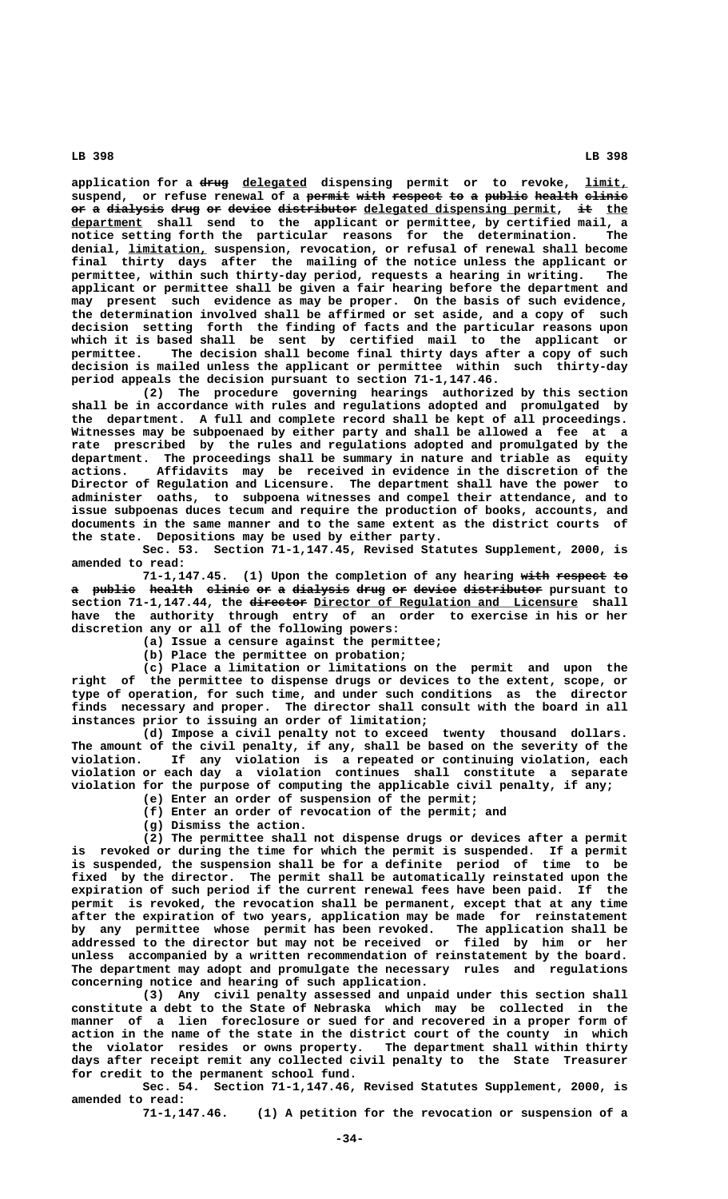**———— \_\_\_\_\_\_\_\_\_ \_\_\_\_\_\_ application for a drug delegated dispensing permit or to revoke, limit,** suspend, or refuse renewal of a <del>permit with respect to a public health</del> clinic or a dialysis drug or device distributor delegated dispensing permit, it the  **\_\_\_\_\_\_\_\_\_\_ department shall send to the applicant or permittee, by certified mail, a notice setting forth the particular reasons for the determination. The \_\_\_\_\_\_\_\_\_\_\_ denial, limitation, suspension, revocation, or refusal of renewal shall become final thirty days after the mailing of the notice unless the applicant or permittee, within such thirty-day period, requests a hearing in writing. The applicant or permittee shall be given a fair hearing before the department and may present such evidence as may be proper. On the basis of such evidence, the determination involved shall be affirmed or set aside, and a copy of such decision setting forth the finding of facts and the particular reasons upon which it is based shall be sent by certified mail to the applicant or** The decision shall become final thirty days after a copy of such **decision is mailed unless the applicant or permittee within such thirty-day period appeals the decision pursuant to section 71-1,147.46.**

**(2) The procedure governing hearings authorized by this section shall be in accordance with rules and regulations adopted and promulgated by the department. A full and complete record shall be kept of all proceedings. Witnesses may be subpoenaed by either party and shall be allowed a fee at a rate prescribed by the rules and regulations adopted and promulgated by the department. The proceedings shall be summary in nature and triable as equity actions. Affidavits may be received in evidence in the discretion of the Director of Regulation and Licensure. The department shall have the power to administer oaths, to subpoena witnesses and compel their attendance, and to issue subpoenas duces tecum and require the production of books, accounts, and documents in the same manner and to the same extent as the district courts of the state. Depositions may be used by either party.**

**Sec. 53. Section 71-1,147.45, Revised Statutes Supplement, 2000, is amended to read:**

**71-1,147.45.** (1) Upon the completion of any hearing with respect to a publie health elinie or a dialysis drug or device distributor pursuant to section 71-1,147.44, the director Director of Regulation and Licensure shall **have the authority through entry of an order to exercise in his or her discretion any or all of the following powers:**

**(a) Issue a censure against the permittee;**

**(b) Place the permittee on probation;**

**(c) Place a limitation or limitations on the permit and upon the right of the permittee to dispense drugs or devices to the extent, scope, or type of operation, for such time, and under such conditions as the director finds necessary and proper. The director shall consult with the board in all instances prior to issuing an order of limitation;**

**(d) Impose a civil penalty not to exceed twenty thousand dollars. The amount of the civil penalty, if any, shall be based on the severity of the violation. If any violation is a repeated or continuing violation, each violation or each day a violation continues shall constitute a separate violation for the purpose of computing the applicable civil penalty, if any;**

**(e) Enter an order of suspension of the permit;**

**(f) Enter an order of revocation of the permit; and**

**(g) Dismiss the action.**

**(2) The permittee shall not dispense drugs or devices after a permit is revoked or during the time for which the permit is suspended. If a permit is suspended, the suspension shall be for a definite period of time to be fixed by the director. The permit shall be automatically reinstated upon the expiration of such period if the current renewal fees have been paid. If the permit is revoked, the revocation shall be permanent, except that at any time after the expiration of two years, application may be made for reinstatement by any permittee whose permit has been revoked. The application shall be addressed to the director but may not be received or filed by him or her unless accompanied by a written recommendation of reinstatement by the board. The department may adopt and promulgate the necessary rules and regulations concerning notice and hearing of such application.**

**(3) Any civil penalty assessed and unpaid under this section shall constitute a debt to the State of Nebraska which may be collected in the manner of a lien foreclosure or sued for and recovered in a proper form of action in the name of the state in the district court of the county in which the violator resides or owns property. The department shall within thirty days after receipt remit any collected civil penalty to the State Treasurer for credit to the permanent school fund.**

**Sec. 54. Section 71-1,147.46, Revised Statutes Supplement, 2000, is amended to read:**

**71-1,147.46. (1) A petition for the revocation or suspension of a**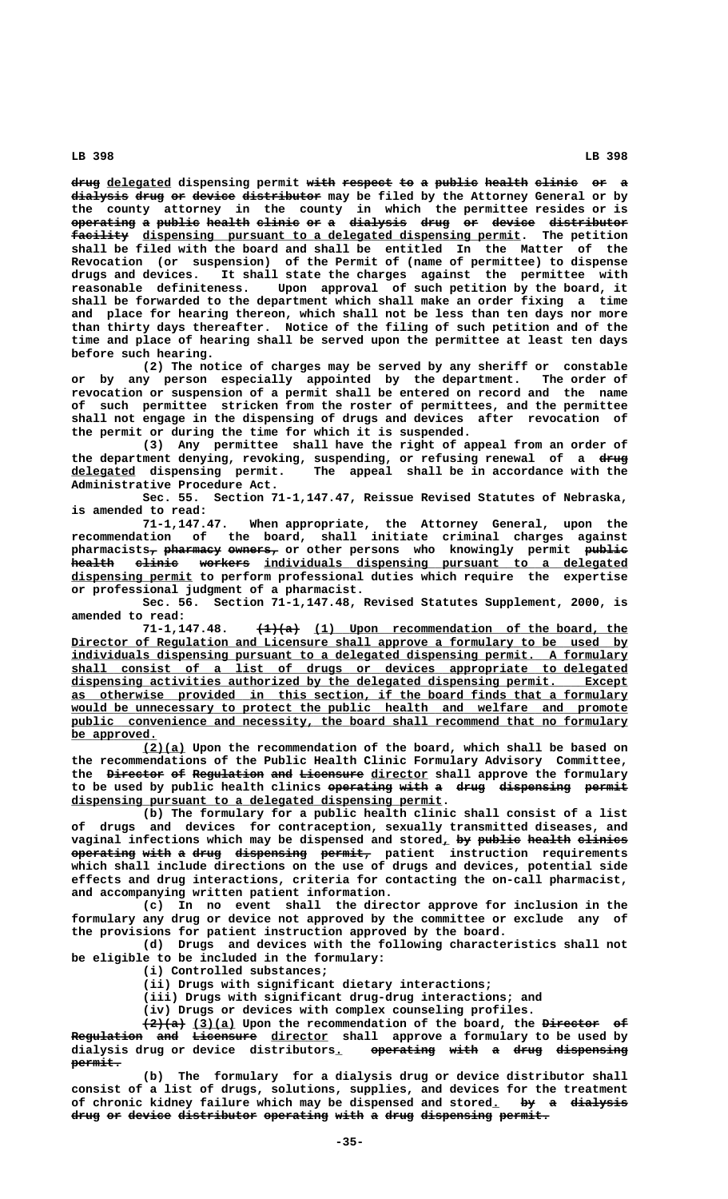drug delegated dispensing permit with respect to a public health clinic or a dialysis drug or device distributor may be filed by the Attorney General or by **the county attorney in the county in which the permittee resides or is operating a public health clinic or a dialysis drug or device distributor ————————— — —————— —————— —————— —— — ———————— ———— —— —————— ———————————**  $\texttt{factility}$  dispensing pursuant to a delegated dispensing permit. The petition **shall be filed with the board and shall be entitled In the Matter of the Revocation (or suspension) of the Permit of (name of permittee) to dispense drugs and devices. It shall state the charges against the permittee with reasonable definiteness. Upon approval of such petition by the board, it shall be forwarded to the department which shall make an order fixing a time and place for hearing thereon, which shall not be less than ten days nor more than thirty days thereafter. Notice of the filing of such petition and of the time and place of hearing shall be served upon the permittee at least ten days before such hearing.**

**(2) The notice of charges may be served by any sheriff or constable or by any person especially appointed by the department. The order of revocation or suspension of a permit shall be entered on record and the name of such permittee stricken from the roster of permittees, and the permittee shall not engage in the dispensing of drugs and devices after revocation of the permit or during the time for which it is suspended.**

**(3) Any permittee shall have the right of appeal from an order of** the department denying, revoking, suspending, or refusing renewal of a drug  **\_\_\_\_\_\_\_\_\_ delegated dispensing permit. The appeal shall be in accordance with the Administrative Procedure Act.**

**Sec. 55. Section 71-1,147.47, Reissue Revised Statutes of Nebraska, is amended to read:**

**71-1,147.47. When appropriate, the Attorney General, upon the recommendation of the board, shall initiate criminal charges against**  ${\tt pharmacists_{\mathcal{T}}}$   ${\tt pharmacy}$   ${\tt owners_{\mathcal{T}}}$  or other  ${\tt persons}$  who knowingly  ${\tt permic}$   ${\tt publie}$ health elinie workers individuals dispensing pursuant to a delegated  **\_\_\_\_\_\_\_\_\_\_\_\_\_\_\_\_\_ dispensing permit to perform professional duties which require the expertise or professional judgment of a pharmacist.**

**Sec. 56. Section 71-1,147.48, Revised Statutes Supplement, 2000, is**

**amended to read:**  $\frac{1}{2}(1)$  (1) Upon recommendation of the board, the  **\_\_\_\_\_\_\_\_\_\_\_\_\_\_\_\_\_\_\_\_\_\_\_\_\_\_\_\_\_\_\_\_\_\_\_\_\_\_\_\_\_\_\_\_\_\_\_\_\_\_\_\_\_\_\_\_\_\_\_\_\_\_\_\_\_\_\_\_\_\_\_\_\_\_\_\_\_\_ Director of Regulation and Licensure shall approve a formulary to be used by \_\_\_\_\_\_\_\_\_\_\_\_\_\_\_\_\_\_\_\_\_\_\_\_\_\_\_\_\_\_\_\_\_\_\_\_\_\_\_\_\_\_\_\_\_\_\_\_\_\_\_\_\_\_\_\_\_\_\_\_\_\_\_\_\_\_\_\_\_\_\_\_\_\_\_\_\_\_ individuals dispensing pursuant to a delegated dispensing permit. A formulary \_\_\_\_\_\_\_\_\_\_\_\_\_\_\_\_\_\_\_\_\_\_\_\_\_\_\_\_\_\_\_\_\_\_\_\_\_\_\_\_\_\_\_\_\_\_\_\_\_\_\_\_\_\_\_\_\_\_\_\_\_\_\_\_\_\_\_\_\_\_\_\_\_\_\_\_\_\_ shall consist of a list of drugs or devices appropriate to delegated \_\_\_\_\_\_\_\_\_\_\_\_\_\_\_\_\_\_\_\_\_\_\_\_\_\_\_\_\_\_\_\_\_\_\_\_\_\_\_\_\_\_\_\_\_\_\_\_\_\_\_\_\_\_\_\_\_\_\_\_\_\_\_\_\_\_\_\_\_\_\_\_\_\_\_\_\_\_ dispensing activities authorized by the delegated dispensing permit. Except \_\_\_\_\_\_\_\_\_\_\_\_\_\_\_\_\_\_\_\_\_\_\_\_\_\_\_\_\_\_\_\_\_\_\_\_\_\_\_\_\_\_\_\_\_\_\_\_\_\_\_\_\_\_\_\_\_\_\_\_\_\_\_\_\_\_\_\_\_\_\_\_\_\_\_\_\_\_ as otherwise provided in this section, if the board finds that a formulary** would be unnecessary to protect the public health and welfare and promote public convenience and necessity, the board shall recommend that no formulary be approved.

 **\_\_\_\_\_\_ (2)(a) Upon the recommendation of the board, which shall be based on the recommendations of the Public Health Clinic Formulary Advisory Committee,** the <del>Director</del> of Regulation and Licensure director shall approve the formulary to be used by public health clinics operating with a drug dispensing permit  **\_\_\_\_\_\_\_\_\_\_\_\_\_\_\_\_\_\_\_\_\_\_\_\_\_\_\_\_\_\_\_\_\_\_\_\_\_\_\_\_\_\_\_\_\_\_\_\_\_\_\_\_ dispensing pursuant to a delegated dispensing permit.**

**(b) The formulary for a public health clinic shall consist of a list of drugs and devices for contraception, sexually transmitted diseases, and**  $v$  vaginal infections which may be dispensed and stored, by public health clinics  $\frac{1}{2}$   $\frac{1}{2}$   $\frac{1}{2}$   $\frac{1}{2}$   $\frac{1}{2}$   $\frac{1}{2}$   $\frac{1}{2}$   $\frac{1}{2}$   $\frac{1}{2}$   $\frac{1}{2}$   $\frac{1}{2}$   $\frac{1}{2}$   $\frac{1}{2}$   $\frac{1}{2}$   $\frac{1}{2}$   $\frac{1}{2}$   $\frac{1}{2}$   $\frac{1}{2}$   $\frac{1}{2}$   $\frac{1}{2}$   $\frac{1}{2}$   $\frac{1}{2}$   $\$ **which shall include directions on the use of drugs and devices, potential side effects and drug interactions, criteria for contacting the on-call pharmacist, and accompanying written patient information.**

**(c) In no event shall the director approve for inclusion in the formulary any drug or device not approved by the committee or exclude any of the provisions for patient instruction approved by the board.**

**(d) Drugs and devices with the following characteristics shall not be eligible to be included in the formulary:**

**(i) Controlled substances;**

**(ii) Drugs with significant dietary interactions;**

**(iii) Drugs with significant drug-drug interactions; and**

**(iv) Drugs or devices with complex counseling profiles.**

 **—————— \_\_\_\_\_\_ ———————— —— (2)(a) (3)(a) Upon the recommendation of the board, the Director of Regulation and Licensure director shall approve a formulary to be used by —————————— ——— ————————— \_\_\_\_\_\_\_\_ dialysis drug or device distributors. operating with a drug dispensing \_ ————————— ———— — ———— ————————— permit. ———————**

**(b) The formulary for a dialysis drug or device distributor shall consist of a list of drugs, solutions, supplies, and devices for the treatment** of chronic kidney failure which may be dispensed and stored. by a dialysis drug or device distributor operating with a drug dispensing permit.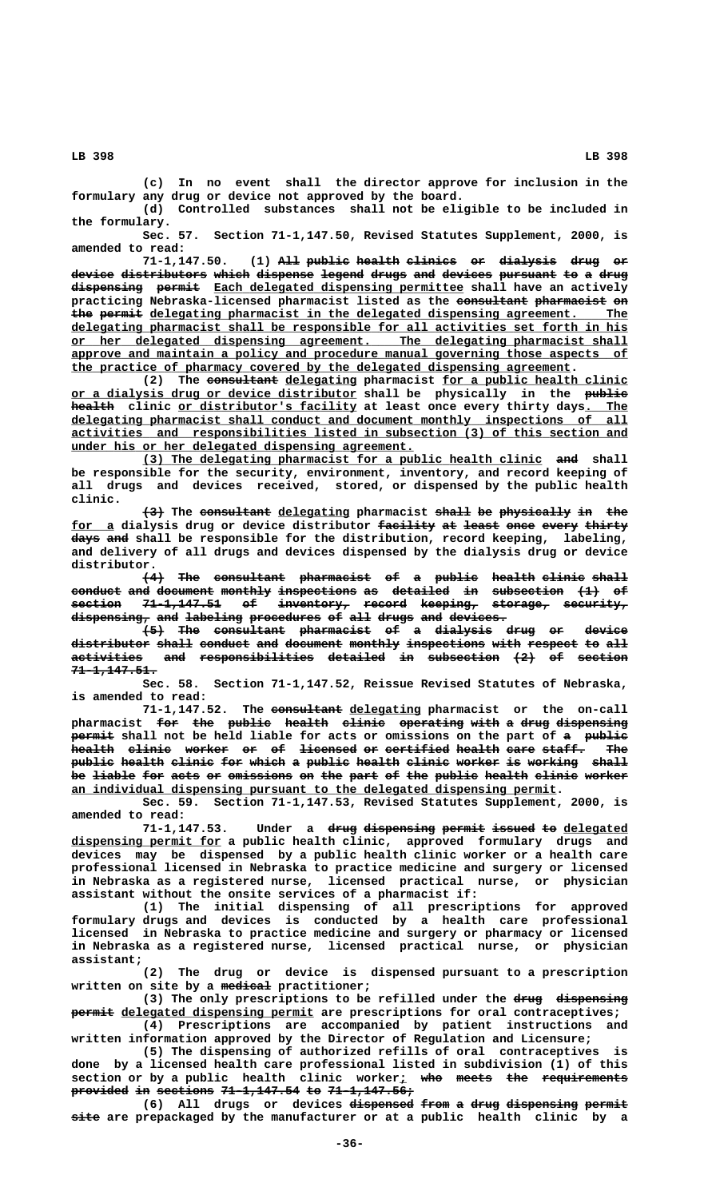**(c) In no event shall the director approve for inclusion in the formulary any drug or device not approved by the board.**

**(d) Controlled substances shall not be eligible to be included in the formulary.**

**Sec. 57. Section 71-1,147.50, Revised Statutes Supplement, 2000, is amended to read:**

(1) All public health clinics or dialysis drug or device distributors which dispense legend drugs and devices pursuant to a drug dispensing permit Each delegated dispensing permittee shall have an actively practicing Nebraska-licensed pharmacist listed as the consultant pharmacist on the permit delegating pharmacist in the delegated dispensing agreement. The  **\_\_\_\_\_\_\_\_\_\_\_\_\_\_\_\_\_\_\_\_\_\_\_\_\_\_\_\_\_\_\_\_\_\_\_\_\_\_\_\_\_\_\_\_\_\_\_\_\_\_\_\_\_\_\_\_\_\_\_\_\_\_\_\_\_\_\_\_\_\_\_\_\_\_\_\_\_\_ delegating pharmacist shall be responsible for all activities set forth in his \_\_\_\_\_\_\_\_\_\_\_\_\_\_\_\_\_\_\_\_\_\_\_\_\_\_\_\_\_\_\_\_\_\_\_\_\_\_\_\_\_\_\_\_\_\_\_\_\_\_\_\_\_\_\_\_\_\_\_\_\_\_\_\_\_\_\_\_\_\_\_\_\_\_\_\_\_\_ or her delegated dispensing agreement. The delegating pharmacist shall \_\_\_\_\_\_\_\_\_\_\_\_\_\_\_\_\_\_\_\_\_\_\_\_\_\_\_\_\_\_\_\_\_\_\_\_\_\_\_\_\_\_\_\_\_\_\_\_\_\_\_\_\_\_\_\_\_\_\_\_\_\_\_\_\_\_\_\_\_\_\_\_\_\_\_\_\_\_ approve and maintain a policy and procedure manual governing those aspects of \_\_\_\_\_\_\_\_\_\_\_\_\_\_\_\_\_\_\_\_\_\_\_\_\_\_\_\_\_\_\_\_\_\_\_\_\_\_\_\_\_\_\_\_\_\_\_\_\_\_\_\_\_\_\_\_\_\_\_\_\_\_\_\_\_\_\_\_\_\_ the practice of pharmacy covered by the delegated dispensing agreement.**

(2) The <del>consultant</del> delegating pharmacist <u>for a public health clinic</u>  **\_\_\_\_\_\_\_\_\_\_\_\_\_\_\_\_\_\_\_\_\_\_\_\_\_\_\_\_\_\_\_\_\_\_\_\_\_\_\_\_ —————— or a dialysis drug or device distributor shall be physically in the public**  $h$ ealth clinic or distributor's facility at least once every thirty days. The delegating pharmacist shall conduct and document monthly inspections of all  **\_\_\_\_\_\_\_\_\_\_\_\_\_\_\_\_\_\_\_\_\_\_\_\_\_\_\_\_\_\_\_\_\_\_\_\_\_\_\_\_\_\_\_\_\_\_\_\_\_\_\_\_\_\_\_\_\_\_\_\_\_\_\_\_\_\_\_\_\_\_\_\_\_\_\_\_\_\_ activities and responsibilities listed in subsection (3) of this section and \_\_\_\_\_\_\_\_\_\_\_\_\_\_\_\_\_\_\_\_\_\_\_\_\_\_\_\_\_\_\_\_\_\_\_\_\_\_\_\_\_\_\_\_\_\_\_\_ under his or her delegated dispensing agreement.**

 **\_\_\_\_\_\_\_\_\_\_\_\_\_\_\_\_\_\_\_\_\_\_\_\_\_\_\_\_\_\_\_\_\_\_\_\_\_\_\_\_\_\_\_\_\_\_\_\_\_\_\_\_\_\_\_\_ ——— (3) The delegating pharmacist for a public health clinic and shall be responsible for the security, environment, inventory, and record keeping of all drugs and devices received, stored, or dispensed by the public health clinic.**

**(3)** The consultant delegating pharmacist shall be physically in the **for a dialysis drug or device distributor facility at least once every thirty \_\_\_\_\_\_ ———————— —— ————— ———— ————— —————— ———— ——— days and shall be responsible for the distribution, record keeping, labeling, and delivery of all drugs and devices dispensed by the dialysis drug or device distributor.**

**(4) The consultant pharmacist of a public health clinic shall ——— ——— —————————— —————————— —— — —————— —————— —————— ———— conduct and document monthly inspections as detailed in subsection (1) of ——————— ——— ———————— ——————— ——————————— —— ———————— —— —————————— ——— — section 71-1,147.51 of inventory, record keeping, storage, security, ——————— ——————————— —— —————————— —————— ———————— ———————— ————————**  $d$ ispensing, and labeling procedures of all drugs and devices.

 $\leftarrow$  <del>The consultant pharmacist of a dialysis drug or device</del> distributor shall conduct and document monthly inspections with respect to all  $\overline{a}$  ativities and responsibilities detailed in subsection  $\{2\}$  of section  **71-1,147.51. ————————————**

**Sec. 58. Section 71-1,147.52, Reissue Revised Statutes of Nebraska, is amended to read:**

71-1,147.52. The consultant delegating pharmacist or the on-call pharmacist <del>for the public health clinic operating with a drug dispensing</del> **Permit** shall not be held liable for acts or omissions on the part of a public **health clinic worker or of licensed or certified health care staff. The —————— —————— —————— —— —— ———————— —— ————————— —————— ———— —————— ——** public health clinic for which a public health clinic worker is working shall be <del>liable for acts</del> or omissions on the part of the public health clinic worker  **\_\_\_\_\_\_\_\_\_\_\_\_\_\_\_\_\_\_\_\_\_\_\_\_\_\_\_\_\_\_\_\_\_\_\_\_\_\_\_\_\_\_\_\_\_\_\_\_\_\_\_\_\_\_\_\_\_\_\_\_\_\_\_\_\_\_\_\_ an individual dispensing pursuant to the delegated dispensing permit.**

**Sec. 59. Section 71-1,147.53, Revised Statutes Supplement, 2000, is amended to read:**

71-1,147.53. Under a <del>drug</del> dispensing permit issued to delegated  **\_\_\_\_\_\_\_\_\_\_\_\_\_\_\_\_\_\_\_\_\_ dispensing permit for a public health clinic, approved formulary drugs and devices may be dispensed by a public health clinic worker or a health care professional licensed in Nebraska to practice medicine and surgery or licensed in Nebraska as a registered nurse, licensed practical nurse, or physician assistant without the onsite services of a pharmacist if:**

**(1) The initial dispensing of all prescriptions for approved formulary drugs and devices is conducted by a health care professional licensed in Nebraska to practice medicine and surgery or pharmacy or licensed in Nebraska as a registered nurse, licensed practical nurse, or physician assistant;**

**(2) The drug or device is dispensed pursuant to a prescription ——————— written on site by a medical practitioner;**

(3) The only prescriptions to be refilled under the drug dispensing  $\frac{1}{2}$  **permit** delegated dispensing permit are prescriptions for oral contraceptives; **(4) Prescriptions are accompanied by patient instructions and**

**written information approved by the Director of Regulation and Licensure; (5) The dispensing of authorized refills of oral contraceptives is**

**done by a licensed health care professional listed in subdivision (1) of this section or by a public health clinic worker; who meets the requirements \_ ——— ————— ——— ——————————— provided in sections 71-1,147.54 to 71-1,147.56; ———————— —— ———————— ——————————— —— ————————————**

**(6)** All drugs or devices <del>dispensed from</del> a drug dispensing permit  **———— site are prepackaged by the manufacturer or at a public health clinic by a**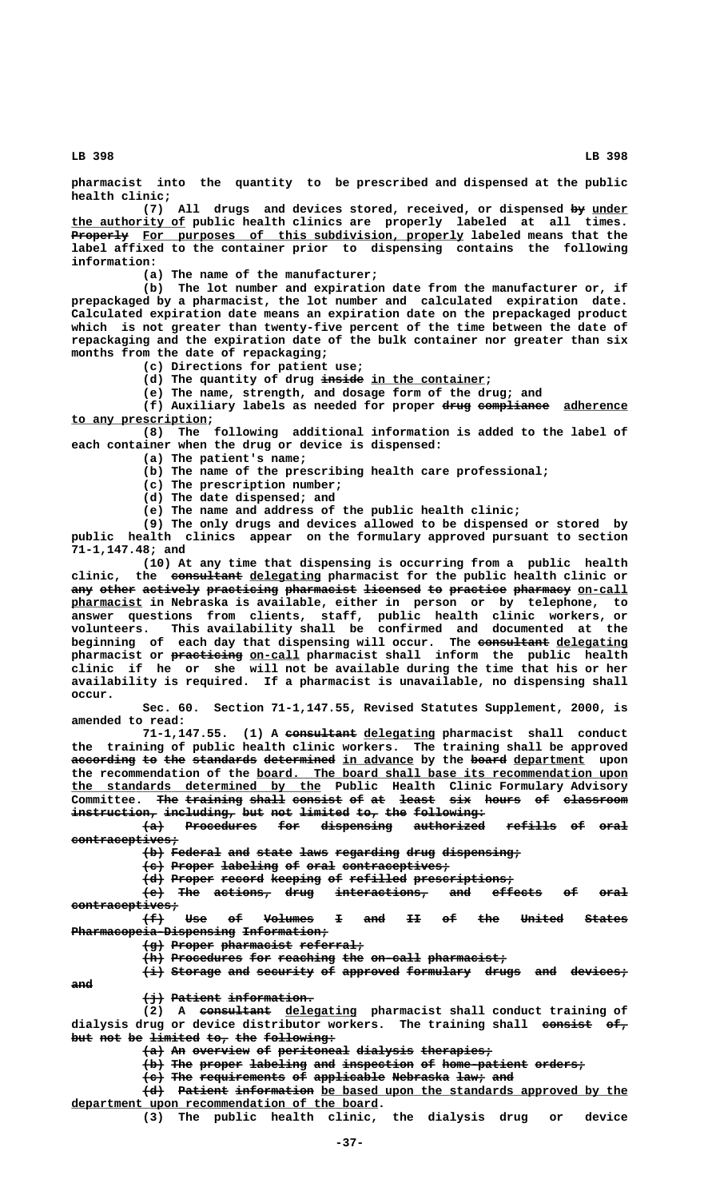**pharmacist into the quantity to be prescribed and dispensed at the public health clinic;**

(7) All drugs and devices stored, received, or dispensed by under  **\_\_\_\_\_\_\_\_\_\_\_\_\_\_\_\_ the authority of public health clinics are properly labeled at all times.** Properly For purposes of this subdivision, properly labeled means that the **label affixed to the container prior to dispensing contains the following information:**

**(a) The name of the manufacturer;**

**(b) The lot number and expiration date from the manufacturer or, if prepackaged by a pharmacist, the lot number and calculated expiration date. Calculated expiration date means an expiration date on the prepackaged product which is not greater than twenty-five percent of the time between the date of repackaging and the expiration date of the bulk container nor greater than six months from the date of repackaging;**

**(c) Directions for patient use;**

(d) The quantity of drug inside in the container;

**(e) The name, strength, and dosage form of the drug; and**

(f) Auxiliary labels as needed for proper drug compliance adherence  **\_\_\_\_\_\_\_\_\_\_\_\_\_\_\_\_\_\_\_ to any prescription;**

**(8) The following additional information is added to the label of each container when the drug or device is dispensed:**

**(a) The patient's name;**

**(b) The name of the prescribing health care professional;**

- **(c) The prescription number;**
- **(d) The date dispensed; and**

**(e) The name and address of the public health clinic;**

**(9) The only drugs and devices allowed to be dispensed or stored by public health clinics appear on the formulary approved pursuant to section 71-1,147.48; and**

**(10) At any time that dispensing is occurring from a public health —————————— \_\_\_\_\_\_\_\_\_\_ clinic, the consultant delegating pharmacist for the public health clinic or** any other actively practicing pharmacist licensed to practice pharmacy on-call  **\_\_\_\_\_\_\_\_\_\_ pharmacist in Nebraska is available, either in person or by telephone, to answer questions from clients, staff, public health clinic workers, or volunteers. This availability shall be confirmed and documented at the** beginning of each day that dispensing will occur. The consultant delegating  **—————————— \_\_\_\_\_\_\_ pharmacist or practicing on-call pharmacist shall inform the public health clinic if he or she will not be available during the time that his or her availability is required. If a pharmacist is unavailable, no dispensing shall occur.**

> **Sec. 60. Section 71-1,147.55, Revised Statutes Supplement, 2000, is amended to read:**

71-1,147.55. (1) A consultant delegating pharmacist shall conduct **the training of public health clinic workers. The training shall be approved** according to the standards determined in advance by the board department upon the recommendation of the board. The board shall base its recommendation upon  **\_\_\_\_\_\_\_\_\_\_\_\_\_\_\_\_\_\_\_\_\_\_\_\_\_\_\_\_\_\_\_\_\_\_\_ the standards determined by the Public Health Clinic Formulary Advisory** Committee. <del>The training shall</del> <del>consist of at least six hours of classroom</del> instruction, including, but not limited to, the following:

**(a) Procedures for dispensing authorized refills of oral ——— —————————— ——— —————————— —————————— ——————— —— ———** contraceptives;

 $\{b\}$  Federal and state laws regarding drug dispensing;

**(c) Proper labeling of oral contraceptives; ——— —————— ———————— —— ———— ———————————————**

**(d) Proper record keeping of refilled prescriptions; ——— —————— —————— ——————— —— ———————— ——————————————**

**(e) The actions, drug interactions, and effects of oral ——— ——— ———————— ———— ————————————— ——— ——————— —— ————**

 **contraceptives; ——————————————— (f) Use of Volumes I and II of the United States ——— ——— —— ——————— — ——— —— —— ——— —————— —————— Pharmacopeia-Dispensing Information;** 

**(g) Proper pharmacist referral; ——— —————— —————————— —————————**

 $\{h\}$  Procedures for reaching the on-call pharmacist;

 $\overline{\text{#}}$  Storage and security of approved formulary drugs and devices;  **and ———**

 $\{\dot{\exists}\}$  Patient information.

 **—————————— \_\_\_\_\_\_\_\_\_\_ (2) A consultant delegating pharmacist shall conduct training of dialysis drug or device distributor workers. The training shall consist of, ——————— ——** but not be limited to, the following:

 $\{a\}$  An overview of peritoneal dialysis therapies;

 $\{\rightarrow$  The proper labeling and inspection of home-patient orders;

**(c) The requirements of applicable Nebraska law; and ——— ——— ———————————— —— —————————— ———————— ———— ———**

 $\left\{ \text{d} \right\}$  Patient information be based upon the standards approved by the  **\_\_\_\_\_\_\_\_\_\_\_\_\_\_\_\_\_\_\_\_\_\_\_\_\_\_\_\_\_\_\_\_\_\_\_\_\_\_\_\_\_\_\_ department upon recommendation of the board.**

**(3) The public health clinic, the dialysis drug or device**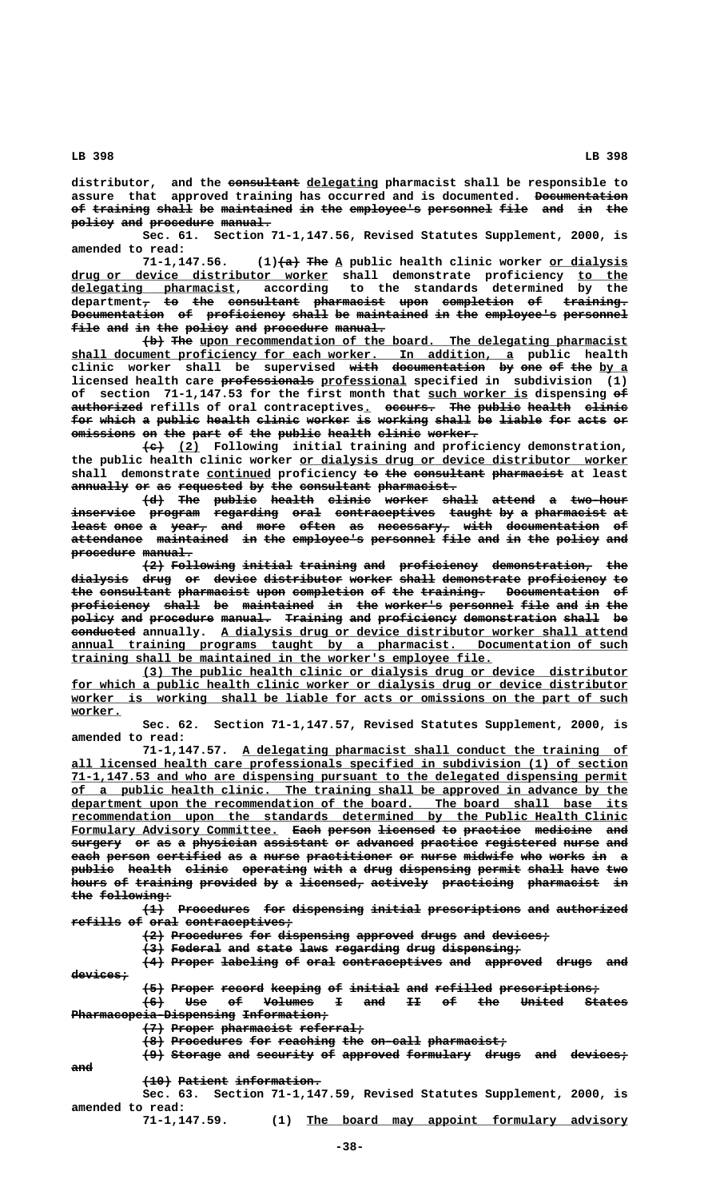**—————————— \_\_\_\_\_\_\_\_\_\_ distributor, and the consultant delegating pharmacist shall be responsible to assure that approved training has occurred and is documented. Documentation ————————————** of training shall be maintained in the employee's personnel file and in the policy and procedure manual.

**Sec. 61. Section 71-1,147.56, Revised Statutes Supplement, 2000, is amended to read:**

**71-1,147.56.** (1)  $\left\{\nabla \cdot \mathbf{A}\n\right\}$  The A public health clinic worker or dialysis  $\tt{drug or}$   $\tt{device}$   $\tt{distributor}$  worker shall demonstrate proficiency <u>to the</u>  **\_\_\_\_\_\_\_\_\_\_\_\_\_\_\_\_\_\_\_\_\_\_\_ delegating pharmacist, according to the standards determined by the**  $\texttt{department}_{\tau}$  to the consultant pharmacist upon completion of training. Documentation of proficiency shall be maintained in the employee's personnel file and in the policy and procedure manual.

> $\{\rightarrow\}$  The upon recommendation of the board. The delegating pharmacist  **\_\_\_\_\_\_\_\_\_\_\_\_\_\_\_\_\_\_\_\_\_\_\_\_\_\_\_\_\_\_\_\_\_\_\_\_\_\_\_\_\_\_\_\_\_\_\_\_\_\_\_\_\_\_\_\_\_\_\_\_\_\_ shall document proficiency for each worker. In addition, a public health** clinic worker shall be supervised with documentation by one of the by a  **————————————— \_\_\_\_\_\_\_\_\_\_\_\_ licensed health care professionals professional specified in subdivision (1)** of section 71-1,147.53 for the first month that such worker is dispensing  $e^{\frac{f}{h}}$ **authorized refills of oral contraceptives. occurs. The public health clinic —————————— \_ ——————— ——— —————— —————— ————— for which a public health clinic worker is working shall be liable for acts or ——— ————— — —————— —————— —————— —————— —— ——————— ————— —— —————— ——— ———— ——**  $\overline{\text{emission}}$  on the part of the public health clinic worker.

> **——— \_\_\_ (c) (2) Following initial training and proficiency demonstration,** the public health clinic worker or dialysis drug or device distributor worker shall demonstrate **continued** proficiency to the consultant pharmacist at least annually or as requested by the consultant pharmacist.

> **(d) The public health clinic worker shall attend a two-hour ——— ——— —————— —————— —————— —————— ————— —————— — ——————— inservice program regarding oral contraceptives taught by a pharmacist at ————————— ——————— ————————— ———— —————————————— —————— —— — —————————— — least once a year, and more often as necessary, with documentation of ————— ———— — ————— ——— ———— ————— —— —————————— ———— ————————————— —** attendance maintained in the employee's personnel file and in the policy and procedure manual.

> **(2) Following initial training and proficiency demonstration, the ——— ————————— ——————— ———————— ——— ——————————— —————————————— ——** dialysis drug or device distributor worker shall demonstrate proficiency to the consultant pharmacist upon completion of the training. Documentation of proficiency shall be maintained in the worker's personnel file and in the policy and procedure manual. Training and proficiency demonstration shall be **eonducted** annually. A dialysis drug or device distributor worker shall attend  **\_\_\_\_\_\_\_\_\_\_\_\_\_\_\_\_\_\_\_\_\_\_\_\_\_\_\_\_\_\_\_\_\_\_\_\_\_\_\_\_\_\_\_\_\_\_\_\_\_\_\_\_\_\_\_\_\_\_\_\_\_\_\_\_\_\_\_\_\_\_\_\_\_\_\_\_\_\_ annual training programs taught by a pharmacist. Documentation of such \_\_\_\_\_\_\_\_\_\_\_\_\_\_\_\_\_\_\_\_\_\_\_\_\_\_\_\_\_\_\_\_\_\_\_\_\_\_\_\_\_\_\_\_\_\_\_\_\_\_\_\_\_\_\_\_\_\_\_ training shall be maintained in the worker's employee file.**

> **\_\_\_\_\_\_\_\_\_\_\_\_\_\_\_\_\_\_\_\_\_\_\_\_\_\_\_\_\_\_\_\_\_\_\_\_\_\_\_\_\_\_\_\_\_\_\_\_\_\_\_\_\_\_\_\_\_\_\_\_\_\_\_\_\_\_\_\_ (3) The public health clinic or dialysis drug or device distributor** for which a public health clinic worker or dialysis drug or device distributor  **\_\_\_\_\_\_\_\_\_\_\_\_\_\_\_\_\_\_\_\_\_\_\_\_\_\_\_\_\_\_\_\_\_\_\_\_\_\_\_\_\_\_\_\_\_\_\_\_\_\_\_\_\_\_\_\_\_\_\_\_\_\_\_\_\_\_\_\_\_\_\_\_\_\_\_\_\_\_ worker is working shall be liable for acts or omissions on the part of such worker. \_\_\_\_\_\_\_**

> **Sec. 62. Section 71-1,147.57, Revised Statutes Supplement, 2000, is amended to read:**

> **\_\_\_\_\_\_\_\_\_\_\_\_\_\_\_\_\_\_\_\_\_\_\_\_\_\_\_\_\_\_\_\_\_\_\_\_\_\_\_\_\_\_\_\_\_\_\_\_\_\_\_\_\_\_ 71-1,147.57. A delegating pharmacist shall conduct the training of \_\_\_\_\_\_\_\_\_\_\_\_\_\_\_\_\_\_\_\_\_\_\_\_\_\_\_\_\_\_\_\_\_\_\_\_\_\_\_\_\_\_\_\_\_\_\_\_\_\_\_\_\_\_\_\_\_\_\_\_\_\_\_\_\_\_\_\_\_\_\_\_\_\_\_\_\_\_ all licensed health care professionals specified in subdivision (1) of section \_\_\_\_\_\_\_\_\_\_\_\_\_\_\_\_\_\_\_\_\_\_\_\_\_\_\_\_\_\_\_\_\_\_\_\_\_\_\_\_\_\_\_\_\_\_\_\_\_\_\_\_\_\_\_\_\_\_\_\_\_\_\_\_\_\_\_\_\_\_\_\_\_\_\_\_\_\_ 71-1,147.53 and who are dispensing pursuant to the delegated dispensing permit \_\_\_\_\_\_\_\_\_\_\_\_\_\_\_\_\_\_\_\_\_\_\_\_\_\_\_\_\_\_\_\_\_\_\_\_\_\_\_\_\_\_\_\_\_\_\_\_\_\_\_\_\_\_\_\_\_\_\_\_\_\_\_\_\_\_\_\_\_\_\_\_\_\_\_\_\_\_ of a public health clinic. The training shall be approved in advance by the** department upon the recommendation of the board. The board shall base its  $recommedation upon the standards determined by the Public Health Clinic$ </u> Formulary Advisory Committee. <del>Each</del> person <del>licensed to practice</del> medicine and  $surgery$  or as a physician assistant or advanced practice registered nurse and each person certified as a nurse practitioner or nurse midwife who works in a public health clinic operating with a drug dispensing permit shall have two hours of training provided by a licensed, actively practicing pharmacist in the following:

> **(1) Procedures for dispensing initial prescriptions and authorized ——— —————————— ——— —————————— ——————— ————————————— ——— ——————————**  $\textbf{refills}$  of oral contraceptives;

 $\{2\}$  Procedures for dispensing approved drugs and devices;

**(3) Federal and state laws regarding drug dispensing; ——— ——————— ——— ————— ———— ————————— ———— ———————————**

**(4) Proper labeling of oral contraceptives and approved drugs and ——— —————— ———————— —— ———— —————————————— ——— ———————— ————— —— devices; ————————**

 $\left\{\frac{5}{2}\right\}$  Proper record keeping of initial and refilled prescriptions;

**(6) Use of Volumes I and II of the United States ——— ——— —— ——————— — ——— —— —— ——— —————— —————— Pharmacopeia-Dispensing Information;** 

 $\left\{\frac{7}{7}\right\}$  Proper pharmacist referral;

**(8) Procedures for reaching the on-call pharmacist; ——— —————————— ——— ———————— ——— ——————— ———————————**

 $\left\{\frac{9}{2}\right\}$  Storage and security of approved formulary drugs and devices;

 **and ———**

 $(10)$  Patient information.

**Sec. 63. Section 71-1,147.59, Revised Statutes Supplement, 2000, is amended to read:**

 **\_\_\_\_\_\_\_\_\_\_\_\_\_\_\_\_\_\_\_\_\_\_\_\_\_\_\_\_\_\_\_\_\_\_\_\_\_\_\_\_\_\_\_\_\_ 71-1,147.59. (1) The board may appoint formulary advisory**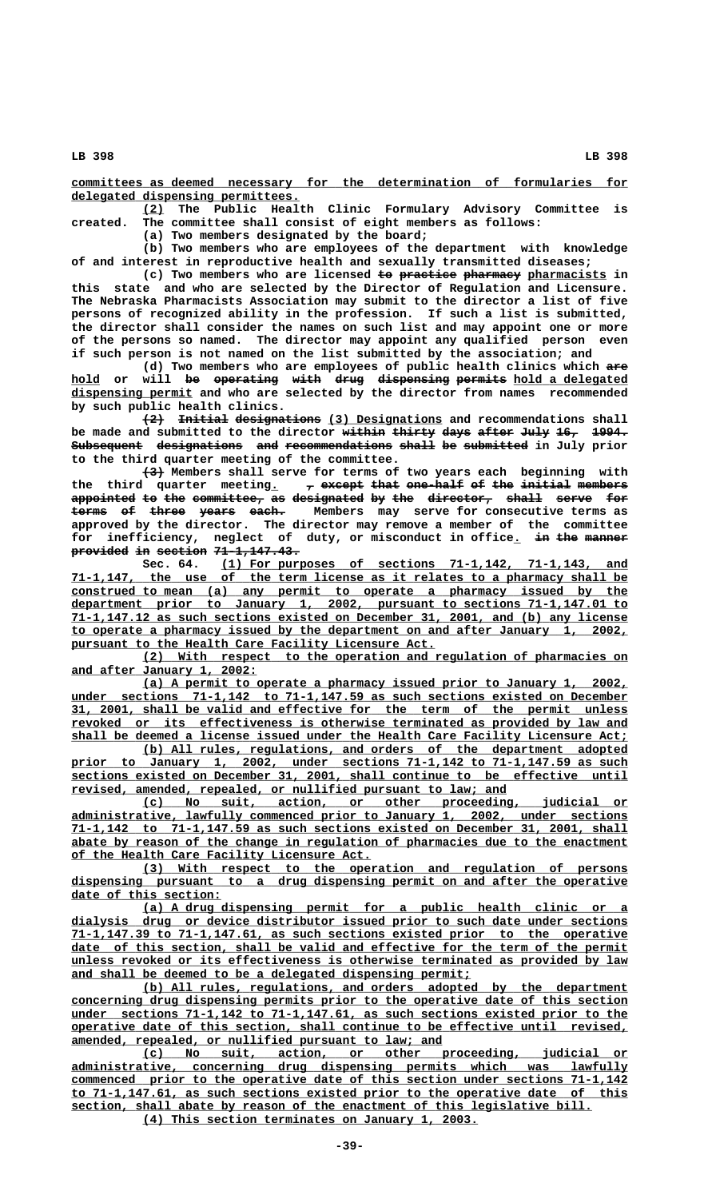**\_\_\_\_\_\_\_\_\_\_\_\_\_\_\_\_\_\_\_\_\_\_\_\_\_\_\_\_\_\_\_\_\_\_\_\_\_\_\_\_\_\_\_\_\_\_\_\_\_\_\_\_\_\_\_\_\_\_\_\_\_\_\_\_\_\_\_\_\_\_\_\_\_\_\_\_\_\_ committees as deemed necessary for the determination of formularies for \_\_\_\_\_\_\_\_\_\_\_\_\_\_\_\_\_\_\_\_\_\_\_\_\_\_\_\_\_\_\_\_ delegated dispensing permittees.**

 **\_\_\_ (2) The Public Health Clinic Formulary Advisory Committee is created. The committee shall consist of eight members as follows:**

**(a) Two members designated by the board;**

**(b) Two members who are employees of the department with knowledge of and interest in reproductive health and sexually transmitted diseases;**

(c) Two members who are licensed to practice pharmacy pharmacists in **this state and who are selected by the Director of Regulation and Licensure. The Nebraska Pharmacists Association may submit to the director a list of five persons of recognized ability in the profession. If such a list is submitted, the director shall consider the names on such list and may appoint one or more of the persons so named. The director may appoint any qualified person even if such person is not named on the list submitted by the association; and**

(d) Two members who are employees of public health clinics which are hold or will <del>be operating with drug dispensing permits</del> hold a delegated  **\_\_\_\_\_\_\_\_\_\_\_\_\_\_\_\_\_ dispensing permit and who are selected by the director from names recommended by such public health clinics.**

 $\overbrace{\text{initial designations}}$  (3) Designations and recommendations shall be made and submitted to the director <del>within thirty days after July</del> <del>16,</del> 1994.  ${\small\textsf{\small{Subsequent}}}\quad$  designations  $\quad$  and recommendations shall be submitted in July prior **to the third quarter meeting of the committee.**

 **——— (3) Members shall serve for terms of two years each beginning with** the third quarter meeting.  $\tau$  except that one-half of the initial members appointed to the committee, as designated by the director, shall serve for **terms of three years each.** Members may serve for consecutive terms as **approved by the director. The director may remove a member of the committee** for inefficiency, neglect of duty, or misconduct in office<sub>n</sub> in the manner **provided in section 71-1,147.43.** 

 **\_\_\_\_\_\_\_\_\_\_\_\_\_\_\_\_\_\_\_\_\_\_\_\_\_\_\_\_\_\_\_\_\_\_\_\_\_\_\_\_\_\_\_\_\_\_\_\_\_\_\_\_\_\_\_\_\_ Sec. 64. (1) For purposes of sections 71-1,142, 71-1,143, and \_\_\_\_\_\_\_\_\_\_\_\_\_\_\_\_\_\_\_\_\_\_\_\_\_\_\_\_\_\_\_\_\_\_\_\_\_\_\_\_\_\_\_\_\_\_\_\_\_\_\_\_\_\_\_\_\_\_\_\_\_\_\_\_\_\_\_\_\_\_\_\_\_\_\_\_\_\_ 71-1,147, the use of the term license as it relates to a pharmacy shall be \_\_\_\_\_\_\_\_\_\_\_\_\_\_\_\_\_\_\_\_\_\_\_\_\_\_\_\_\_\_\_\_\_\_\_\_\_\_\_\_\_\_\_\_\_\_\_\_\_\_\_\_\_\_\_\_\_\_\_\_\_\_\_\_\_\_\_\_\_\_\_\_\_\_\_\_\_\_ construed to mean (a) any permit to operate a pharmacy issued by the \_\_\_\_\_\_\_\_\_\_\_\_\_\_\_\_\_\_\_\_\_\_\_\_\_\_\_\_\_\_\_\_\_\_\_\_\_\_\_\_\_\_\_\_\_\_\_\_\_\_\_\_\_\_\_\_\_\_\_\_\_\_\_\_\_\_\_\_\_\_\_\_\_\_\_\_\_\_ department prior to January 1, 2002, pursuant to sections 71-1,147.01 to \_\_\_\_\_\_\_\_\_\_\_\_\_\_\_\_\_\_\_\_\_\_\_\_\_\_\_\_\_\_\_\_\_\_\_\_\_\_\_\_\_\_\_\_\_\_\_\_\_\_\_\_\_\_\_\_\_\_\_\_\_\_\_\_\_\_\_\_\_\_\_\_\_\_\_\_\_\_ 71-1,147.12 as such sections existed on December 31, 2001, and (b) any license \_\_\_\_\_\_\_\_\_\_\_\_\_\_\_\_\_\_\_\_\_\_\_\_\_\_\_\_\_\_\_\_\_\_\_\_\_\_\_\_\_\_\_\_\_\_\_\_\_\_\_\_\_\_\_\_\_\_\_\_\_\_\_\_\_\_\_\_\_\_\_\_\_\_\_\_\_\_ to operate a pharmacy issued by the department on and after January 1, 2002,** pursuant to the Health Care Facility Licensure Act.

> **\_\_\_\_\_\_\_\_\_\_\_\_\_\_\_\_\_\_\_\_\_\_\_\_\_\_\_\_\_\_\_\_\_\_\_\_\_\_\_\_\_\_\_\_\_\_\_\_\_\_\_\_\_\_\_\_\_\_\_\_\_\_\_\_\_\_\_\_ (2) With respect to the operation and regulation of pharmacies on \_\_\_\_\_\_\_\_\_\_\_\_\_\_\_\_\_\_\_\_\_\_\_\_\_\_ and after January 1, 2002:**

> **\_\_\_\_\_\_\_\_\_\_\_\_\_\_\_\_\_\_\_\_\_\_\_\_\_\_\_\_\_\_\_\_\_\_\_\_\_\_\_\_\_\_\_\_\_\_\_\_\_\_\_\_\_\_\_\_\_\_\_\_\_\_\_\_\_\_\_\_ (a) A permit to operate a pharmacy issued prior to January 1, 2002, \_\_\_\_\_\_\_\_\_\_\_\_\_\_\_\_\_\_\_\_\_\_\_\_\_\_\_\_\_\_\_\_\_\_\_\_\_\_\_\_\_\_\_\_\_\_\_\_\_\_\_\_\_\_\_\_\_\_\_\_\_\_\_\_\_\_\_\_\_\_\_\_\_\_\_\_\_\_ under sections 71-1,142 to 71-1,147.59 as such sections existed on December \_\_\_\_\_\_\_\_\_\_\_\_\_\_\_\_\_\_\_\_\_\_\_\_\_\_\_\_\_\_\_\_\_\_\_\_\_\_\_\_\_\_\_\_\_\_\_\_\_\_\_\_\_\_\_\_\_\_\_\_\_\_\_\_\_\_\_\_\_\_\_\_\_\_\_\_\_\_ 31, 2001, shall be valid and effective for the term of the permit unless \_\_\_\_\_\_\_\_\_\_\_\_\_\_\_\_\_\_\_\_\_\_\_\_\_\_\_\_\_\_\_\_\_\_\_\_\_\_\_\_\_\_\_\_\_\_\_\_\_\_\_\_\_\_\_\_\_\_\_\_\_\_\_\_\_\_\_\_\_\_\_\_\_\_\_\_\_\_ revoked or its effectiveness is otherwise terminated as provided by law and** shall be deemed a license issued under the Health Care Facility Licensure Act;

> **\_\_\_\_\_\_\_\_\_\_\_\_\_\_\_\_\_\_\_\_\_\_\_\_\_\_\_\_\_\_\_\_\_\_\_\_\_\_\_\_\_\_\_\_\_\_\_\_\_\_\_\_\_\_\_\_\_\_\_\_\_\_\_\_\_\_\_\_ (b) All rules, regulations, and orders of the department adopted \_\_\_\_\_\_\_\_\_\_\_\_\_\_\_\_\_\_\_\_\_\_\_\_\_\_\_\_\_\_\_\_\_\_\_\_\_\_\_\_\_\_\_\_\_\_\_\_\_\_\_\_\_\_\_\_\_\_\_\_\_\_\_\_\_\_\_\_\_\_\_\_\_\_\_\_\_\_ prior to January 1, 2002, under sections 71-1,142 to 71-1,147.59 as such \_\_\_\_\_\_\_\_\_\_\_\_\_\_\_\_\_\_\_\_\_\_\_\_\_\_\_\_\_\_\_\_\_\_\_\_\_\_\_\_\_\_\_\_\_\_\_\_\_\_\_\_\_\_\_\_\_\_\_\_\_\_\_\_\_\_\_\_\_\_\_\_\_\_\_\_\_\_ sections existed on December 31, 2001, shall continue to be effective until**  $revised$ , amended, repealed, or nullified pursuant to law; and

 **\_\_\_\_\_\_\_\_\_\_\_\_\_\_\_\_\_\_\_\_\_\_\_\_\_\_\_\_\_\_\_\_\_\_\_\_\_\_\_\_\_\_\_\_\_\_\_\_\_\_\_\_\_\_\_\_\_\_\_\_\_\_\_\_\_\_\_\_ (c) No suit, action, or other proceeding, judicial or \_\_\_\_\_\_\_\_\_\_\_\_\_\_\_\_\_\_\_\_\_\_\_\_\_\_\_\_\_\_\_\_\_\_\_\_\_\_\_\_\_\_\_\_\_\_\_\_\_\_\_\_\_\_\_\_\_\_\_\_\_\_\_\_\_\_\_\_\_\_\_\_\_\_\_\_\_\_ administrative, lawfully commenced prior to January 1, 2002, under sections \_\_\_\_\_\_\_\_\_\_\_\_\_\_\_\_\_\_\_\_\_\_\_\_\_\_\_\_\_\_\_\_\_\_\_\_\_\_\_\_\_\_\_\_\_\_\_\_\_\_\_\_\_\_\_\_\_\_\_\_\_\_\_\_\_\_\_\_\_\_\_\_\_\_\_\_\_\_ 71-1,142 to 71-1,147.59 as such sections existed on December 31, 2001, shall** abate by reason of the change in regulation of pharmacies due to the enactment  **\_\_\_\_\_\_\_\_\_\_\_\_\_\_\_\_\_\_\_\_\_\_\_\_\_\_\_\_\_\_\_\_\_\_\_\_\_\_\_\_\_\_ of the Health Care Facility Licensure Act.**

> **\_\_\_\_\_\_\_\_\_\_\_\_\_\_\_\_\_\_\_\_\_\_\_\_\_\_\_\_\_\_\_\_\_\_\_\_\_\_\_\_\_\_\_\_\_\_\_\_\_\_\_\_\_\_\_\_\_\_\_\_\_\_\_\_\_\_\_\_ (3) With respect to the operation and regulation of persons \_\_\_\_\_\_\_\_\_\_\_\_\_\_\_\_\_\_\_\_\_\_\_\_\_\_\_\_\_\_\_\_\_\_\_\_\_\_\_\_\_\_\_\_\_\_\_\_\_\_\_\_\_\_\_\_\_\_\_\_\_\_\_\_\_\_\_\_\_\_\_\_\_\_\_\_\_\_ dispensing pursuant to a drug dispensing permit on and after the operative \_\_\_\_\_\_\_\_\_\_\_\_\_\_\_\_\_\_\_\_\_ date of this section:**

> **\_\_\_\_\_\_\_\_\_\_\_\_\_\_\_\_\_\_\_\_\_\_\_\_\_\_\_\_\_\_\_\_\_\_\_\_\_\_\_\_\_\_\_\_\_\_\_\_\_\_\_\_\_\_\_\_\_\_\_\_\_\_\_\_\_\_\_\_ (a) A drug dispensing permit for a public health clinic or a \_\_\_\_\_\_\_\_\_\_\_\_\_\_\_\_\_\_\_\_\_\_\_\_\_\_\_\_\_\_\_\_\_\_\_\_\_\_\_\_\_\_\_\_\_\_\_\_\_\_\_\_\_\_\_\_\_\_\_\_\_\_\_\_\_\_\_\_\_\_\_\_\_\_\_\_\_\_ dialysis drug or device distributor issued prior to such date under sections \_\_\_\_\_\_\_\_\_\_\_\_\_\_\_\_\_\_\_\_\_\_\_\_\_\_\_\_\_\_\_\_\_\_\_\_\_\_\_\_\_\_\_\_\_\_\_\_\_\_\_\_\_\_\_\_\_\_\_\_\_\_\_\_\_\_\_\_\_\_\_\_\_\_\_\_\_\_ 71-1,147.39 to 71-1,147.61, as such sections existed prior to the operative** date of this section, shall be valid and effective for the term of the permit  **\_\_\_\_\_\_\_\_\_\_\_\_\_\_\_\_\_\_\_\_\_\_\_\_\_\_\_\_\_\_\_\_\_\_\_\_\_\_\_\_\_\_\_\_\_\_\_\_\_\_\_\_\_\_\_\_\_\_\_\_\_\_\_\_\_\_\_\_\_\_\_\_\_\_\_\_\_\_ unless revoked or its effectiveness is otherwise terminated as provided by law** and shall be deemed to be a delegated dispensing permit;

> **\_\_\_\_\_\_\_\_\_\_\_\_\_\_\_\_\_\_\_\_\_\_\_\_\_\_\_\_\_\_\_\_\_\_\_\_\_\_\_\_\_\_\_\_\_\_\_\_\_\_\_\_\_\_\_\_\_\_\_\_\_\_\_\_\_\_\_\_ (b) All rules, regulations, and orders adopted by the department \_\_\_\_\_\_\_\_\_\_\_\_\_\_\_\_\_\_\_\_\_\_\_\_\_\_\_\_\_\_\_\_\_\_\_\_\_\_\_\_\_\_\_\_\_\_\_\_\_\_\_\_\_\_\_\_\_\_\_\_\_\_\_\_\_\_\_\_\_\_\_\_\_\_\_\_\_\_ concerning drug dispensing permits prior to the operative date of this section \_\_\_\_\_\_\_\_\_\_\_\_\_\_\_\_\_\_\_\_\_\_\_\_\_\_\_\_\_\_\_\_\_\_\_\_\_\_\_\_\_\_\_\_\_\_\_\_\_\_\_\_\_\_\_\_\_\_\_\_\_\_\_\_\_\_\_\_\_\_\_\_\_\_\_\_\_\_ under sections 71-1,142 to 71-1,147.61, as such sections existed prior to the \_\_\_\_\_\_\_\_\_\_\_\_\_\_\_\_\_\_\_\_\_\_\_\_\_\_\_\_\_\_\_\_\_\_\_\_\_\_\_\_\_\_\_\_\_\_\_\_\_\_\_\_\_\_\_\_\_\_\_\_\_\_\_\_\_\_\_\_\_\_\_\_\_\_\_\_\_\_ operative date of this section, shall continue to be effective until revised, \_\_\_\_\_\_\_\_\_\_\_\_\_\_\_\_\_\_\_\_\_\_\_\_\_\_\_\_\_\_\_\_\_\_\_\_\_\_\_\_\_\_\_\_\_\_\_\_\_\_\_\_ amended, repealed, or nullified pursuant to law; and**

> **\_\_\_\_\_\_\_\_\_\_\_\_\_\_\_\_\_\_\_\_\_\_\_\_\_\_\_\_\_\_\_\_\_\_\_\_\_\_\_\_\_\_\_\_\_\_\_\_\_\_\_\_\_\_\_\_\_\_\_\_\_\_\_\_\_\_\_\_ (c) No suit, action, or other proceeding, judicial or \_\_\_\_\_\_\_\_\_\_\_\_\_\_\_\_\_\_\_\_\_\_\_\_\_\_\_\_\_\_\_\_\_\_\_\_\_\_\_\_\_\_\_\_\_\_\_\_\_\_\_\_\_\_\_\_\_\_\_\_\_\_\_\_\_\_\_\_\_\_\_\_\_\_\_\_\_\_ administrative, concerning drug dispensing permits which was lawfully \_\_\_\_\_\_\_\_\_\_\_\_\_\_\_\_\_\_\_\_\_\_\_\_\_\_\_\_\_\_\_\_\_\_\_\_\_\_\_\_\_\_\_\_\_\_\_\_\_\_\_\_\_\_\_\_\_\_\_\_\_\_\_\_\_\_\_\_\_\_\_\_\_\_\_\_\_\_ commenced prior to the operative date of this section under sections 71-1,142 \_\_\_\_\_\_\_\_\_\_\_\_\_\_\_\_\_\_\_\_\_\_\_\_\_\_\_\_\_\_\_\_\_\_\_\_\_\_\_\_\_\_\_\_\_\_\_\_\_\_\_\_\_\_\_\_\_\_\_\_\_\_\_\_\_\_\_\_\_\_\_\_\_\_\_\_\_\_ to 71-1,147.61, as such sections existed prior to the operative date of this** section, shall abate by reason of the enactment of this legislative bill.  **\_\_\_\_\_\_\_\_\_\_\_\_\_\_\_\_\_\_\_\_\_\_\_\_\_\_\_\_\_\_\_\_\_\_\_\_\_\_\_\_\_\_\_\_\_\_\_ (4) This section terminates on January 1, 2003.**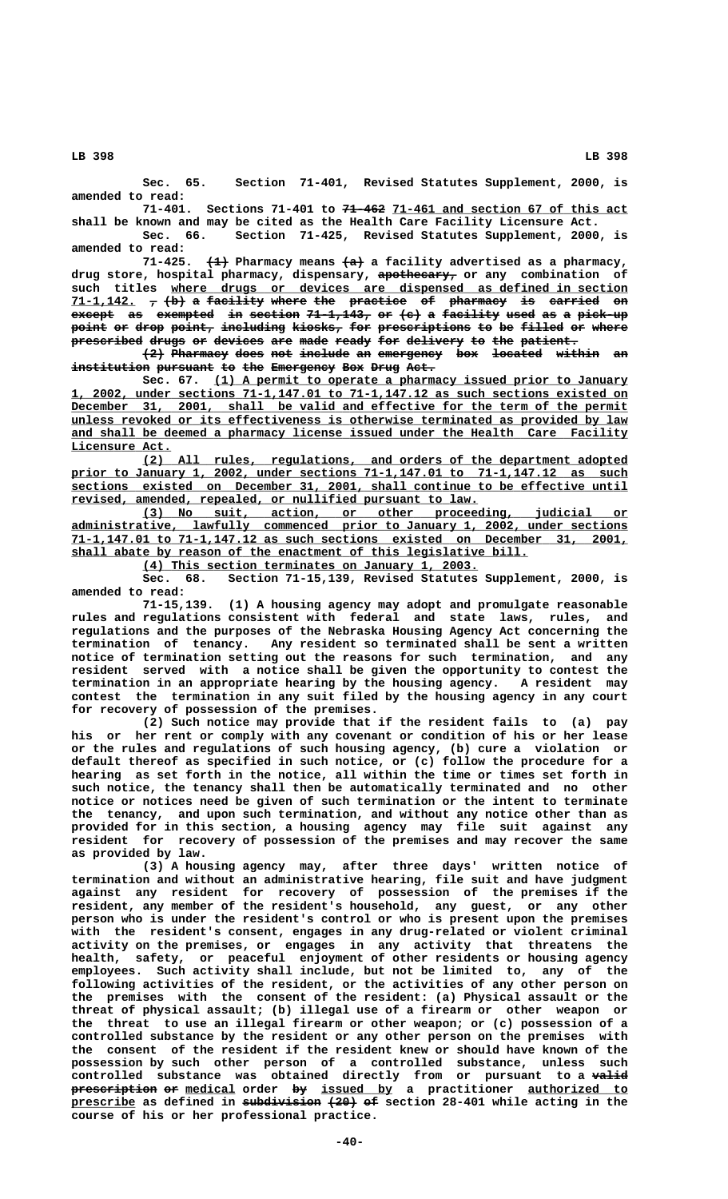**Sec. 65. Section 71-401, Revised Statutes Supplement, 2000, is amended to read:**

71-401. Sections 71-401 to <del>71-462</del> 71-461 and section 67 of this act **shall be known and may be cited as the Health Care Facility Licensure Act.**

**Sec. 66. Section 71-425, Revised Statutes Supplement, 2000, is amended to read:**

71-425. <del>(1)</del> Pharmacy means  $\leftarrow a$  a facility advertised as a pharmacy,  **——————————— drug store, hospital pharmacy, dispensary, apothecary, or any combination of** such titles where drugs or devices are dispensed as defined in section **71-1,142. , (b) a facility where the practice of pharmacy is carried on \_\_\_\_\_\_\_\_\_ — ——— — ———————— ————— ——— ———————— —— ———————— —— ——————— —** exempted in section 71-1,143, or (c) a facility used as a pick-up  $point$  or drop point, including kiosks, for prescriptions to be filled or where -<br>**prescribed drugs or devices are made ready for delivery to the patient.** 

**(2) Pharmacy does not include an emergency box located within an ——— ———————— ———— ——— ——————— —— ————————— ——— ——————— —————— —** institution pursuant to the Emergency Box Drug Act.

Sec. 67. (1) A permit to operate a pharmacy issued prior to January  **\_\_\_\_\_\_\_\_\_\_\_\_\_\_\_\_\_\_\_\_\_\_\_\_\_\_\_\_\_\_\_\_\_\_\_\_\_\_\_\_\_\_\_\_\_\_\_\_\_\_\_\_\_\_\_\_\_\_\_\_\_\_\_\_\_\_\_\_\_\_\_\_\_\_\_\_\_\_ 1, 2002, under sections 71-1,147.01 to 71-1,147.12 as such sections existed on**  $December$  31, 2001, shall be valid and effective for the term of the permit  **\_\_\_\_\_\_\_\_\_\_\_\_\_\_\_\_\_\_\_\_\_\_\_\_\_\_\_\_\_\_\_\_\_\_\_\_\_\_\_\_\_\_\_\_\_\_\_\_\_\_\_\_\_\_\_\_\_\_\_\_\_\_\_\_\_\_\_\_\_\_\_\_\_\_\_\_\_\_ unless revoked or its effectiveness is otherwise terminated as provided by law \_\_\_\_\_\_\_\_\_\_\_\_\_\_\_\_\_\_\_\_\_\_\_\_\_\_\_\_\_\_\_\_\_\_\_\_\_\_\_\_\_\_\_\_\_\_\_\_\_\_\_\_\_\_\_\_\_\_\_\_\_\_\_\_\_\_\_\_\_\_\_\_\_\_\_\_\_\_ and shall be deemed a pharmacy license issued under the Health Care Facility Licensure Act. \_\_\_\_\_\_\_\_\_\_\_\_\_\_**

 **\_\_\_\_\_\_\_\_\_\_\_\_\_\_\_\_\_\_\_\_\_\_\_\_\_\_\_\_\_\_\_\_\_\_\_\_\_\_\_\_\_\_\_\_\_\_\_\_\_\_\_\_\_\_\_\_\_\_\_\_\_\_\_\_\_\_\_\_ (2) All rules, regulations, and orders of the department adopted \_\_\_\_\_\_\_\_\_\_\_\_\_\_\_\_\_\_\_\_\_\_\_\_\_\_\_\_\_\_\_\_\_\_\_\_\_\_\_\_\_\_\_\_\_\_\_\_\_\_\_\_\_\_\_\_\_\_\_\_\_\_\_\_\_\_\_\_\_\_\_\_\_\_\_\_\_\_ prior to January 1, 2002, under sections 71-1,147.01 to 71-1,147.12 as such \_\_\_\_\_\_\_\_\_\_\_\_\_\_\_\_\_\_\_\_\_\_\_\_\_\_\_\_\_\_\_\_\_\_\_\_\_\_\_\_\_\_\_\_\_\_\_\_\_\_\_\_\_\_\_\_\_\_\_\_\_\_\_\_\_\_\_\_\_\_\_\_\_\_\_\_\_\_ sections existed on December 31, 2001, shall continue to be effective until \_\_\_\_\_\_\_\_\_\_\_\_\_\_\_\_\_\_\_\_\_\_\_\_\_\_\_\_\_\_\_\_\_\_\_\_\_\_\_\_\_\_\_\_\_\_\_\_\_\_\_\_\_\_\_\_\_ revised, amended, repealed, or nullified pursuant to law.**

 **\_\_\_\_\_\_\_\_\_\_\_\_\_\_\_\_\_\_\_\_\_\_\_\_\_\_\_\_\_\_\_\_\_\_\_\_\_\_\_\_\_\_\_\_\_\_\_\_\_\_\_\_\_\_\_\_\_\_\_\_\_\_\_\_\_\_\_\_ (3) No suit, action, or other proceeding, judicial or \_\_\_\_\_\_\_\_\_\_\_\_\_\_\_\_\_\_\_\_\_\_\_\_\_\_\_\_\_\_\_\_\_\_\_\_\_\_\_\_\_\_\_\_\_\_\_\_\_\_\_\_\_\_\_\_\_\_\_\_\_\_\_\_\_\_\_\_\_\_\_\_\_\_\_\_\_\_ administrative, lawfully commenced prior to January 1, 2002, under sections \_\_\_\_\_\_\_\_\_\_\_\_\_\_\_\_\_\_\_\_\_\_\_\_\_\_\_\_\_\_\_\_\_\_\_\_\_\_\_\_\_\_\_\_\_\_\_\_\_\_\_\_\_\_\_\_\_\_\_\_\_\_\_\_\_\_\_\_\_\_\_\_\_\_\_\_\_\_ 71-1,147.01 to 71-1,147.12 as such sections existed on December 31, 2001,** shall abate by reason of the enactment of this legislative bill.

 **\_\_\_\_\_\_\_\_\_\_\_\_\_\_\_\_\_\_\_\_\_\_\_\_\_\_\_\_\_\_\_\_\_\_\_\_\_\_\_\_\_\_\_\_\_\_\_ (4) This section terminates on January 1, 2003.**

**Sec. 68. Section 71-15,139, Revised Statutes Supplement, 2000, is amended to read:**

**71-15,139. (1) A housing agency may adopt and promulgate reasonable rules and regulations consistent with federal and state laws, rules, and regulations and the purposes of the Nebraska Housing Agency Act concerning the termination of tenancy. Any resident so terminated shall be sent a written notice of termination setting out the reasons for such termination, and any resident served with a notice shall be given the opportunity to contest the termination in an appropriate hearing by the housing agency. A resident may contest the termination in any suit filed by the housing agency in any court for recovery of possession of the premises.**

**(2) Such notice may provide that if the resident fails to (a) pay his or her rent or comply with any covenant or condition of his or her lease or the rules and regulations of such housing agency, (b) cure a violation or default thereof as specified in such notice, or (c) follow the procedure for a hearing as set forth in the notice, all within the time or times set forth in such notice, the tenancy shall then be automatically terminated and no other notice or notices need be given of such termination or the intent to terminate the tenancy, and upon such termination, and without any notice other than as provided for in this section, a housing agency may file suit against any resident for recovery of possession of the premises and may recover the same as provided by law.**

**(3) A housing agency may, after three days' written notice of termination and without an administrative hearing, file suit and have judgment against any resident for recovery of possession of the premises if the resident, any member of the resident's household, any guest, or any other person who is under the resident's control or who is present upon the premises with the resident's consent, engages in any drug-related or violent criminal activity on the premises, or engages in any activity that threatens the health, safety, or peaceful enjoyment of other residents or housing agency employees. Such activity shall include, but not be limited to, any of the following activities of the resident, or the activities of any other person on the premises with the consent of the resident: (a) Physical assault or the threat of physical assault; (b) illegal use of a firearm or other weapon or the threat to use an illegal firearm or other weapon; or (c) possession of a controlled substance by the resident or any other person on the premises with the consent of the resident if the resident knew or should have known of the possession by such other person of a controlled substance, unless such controlled substance was obtained directly from or pursuant to a valid ———— prescription or medical order by issued by a practitioner authorized to ———————————— —— \_\_\_\_\_\_\_ —— \_\_\_\_\_\_\_\_\_\_ \_\_\_\_\_\_\_\_\_\_\_\_\_\_** prescribe as defined in subdivision  $(20)$  of section 28-401 while acting in the **course of his or her professional practice.**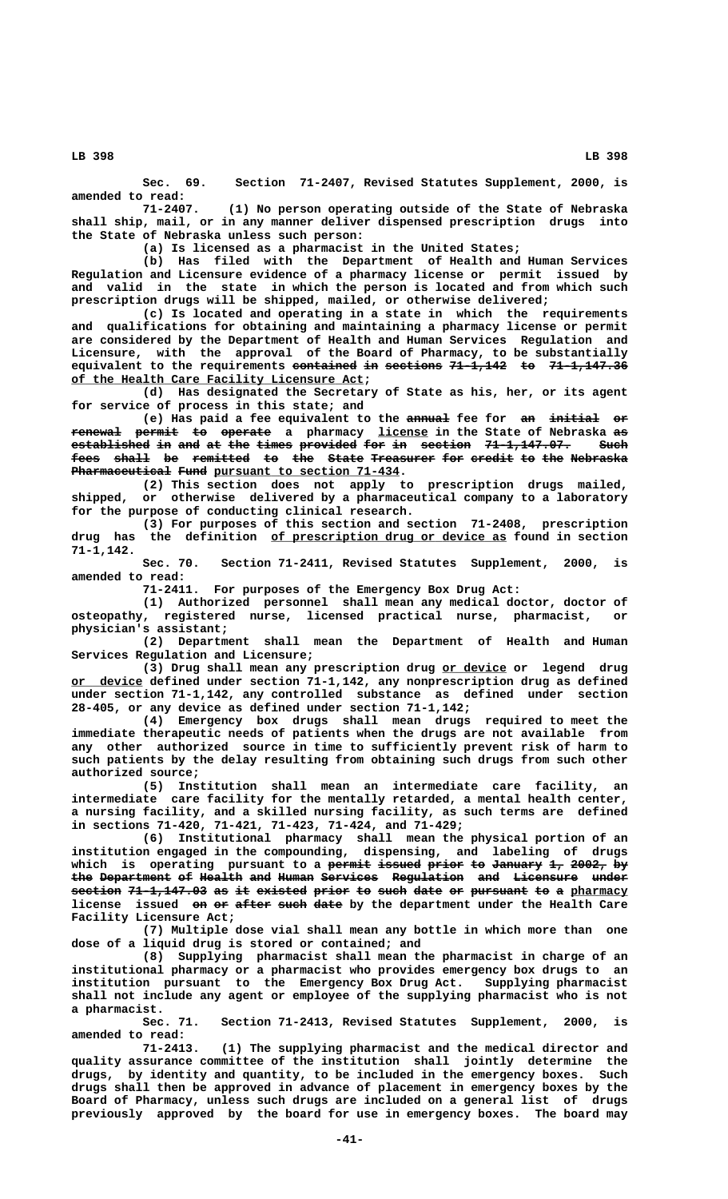**Sec. 69. Section 71-2407, Revised Statutes Supplement, 2000, is amended to read:**

**71-2407. (1) No person operating outside of the State of Nebraska shall ship, mail, or in any manner deliver dispensed prescription drugs into the State of Nebraska unless such person:**

**(a) Is licensed as a pharmacist in the United States;**

**(b) Has filed with the Department of Health and Human Services Regulation and Licensure evidence of a pharmacy license or permit issued by and valid in the state in which the person is located and from which such prescription drugs will be shipped, mailed, or otherwise delivered;**

**(c) Is located and operating in a state in which the requirements and qualifications for obtaining and maintaining a pharmacy license or permit are considered by the Department of Health and Human Services Regulation and Licensure, with the approval of the Board of Pharmacy, to be substantially equivalent to the requirements <del>contained</del> in sections 71-1,142 to 71-1,147.36</del> \_\_\_\_\_\_\_\_\_\_\_\_\_\_\_\_\_\_\_\_\_\_\_\_\_\_\_\_\_\_\_\_\_\_\_\_\_\_\_\_\_ of the Health Care Facility Licensure Act;**

**(d) Has designated the Secretary of State as his, her, or its agent for service of process in this state; and**

(e) Has paid a fee equivalent to the annual fee for an initial or **renewal permit to operate** a pharmacy license in the State of Nebraska as established in and at the times provided for in section 71-1,147.07. Such **fees shall be remitted to the State Treasurer for credit to the Nebraska ———— ————— —— ———————— —— ——— ————— ————————— ——— —————— —— ——— ————————** Pharmaceutical Fund pursuant to section 71-434.

**(2) This section does not apply to prescription drugs mailed, shipped, or otherwise delivered by a pharmaceutical company to a laboratory for the purpose of conducting clinical research.**

(3) For purposes of this section and section 71-2408, prescription drug has the definition <u>of prescription dr</u>ug or device as found in section the definition of prescription drug or device as found in section  **71-1,142.**

**Sec. 70. Section 71-2411, Revised Statutes Supplement, 2000, is amended to read:**

**71-2411. For purposes of the Emergency Box Drug Act:**

**(1) Authorized personnel shall mean any medical doctor, doctor of osteopathy, registered nurse, licensed practical nurse, pharmacist, or physician's assistant;**

> **(2) Department shall mean the Department of Health and Human Services Regulation and Licensure;**

> **(3) Drug shall mean any prescription drug or device or legend drug \_\_\_\_\_\_\_\_\_ \_\_\_\_\_\_\_\_\_\_ or device defined under section 71-1,142, any nonprescription drug as defined under section 71-1,142, any controlled substance as defined under section 28-405, or any device as defined under section 71-1,142;**

> **(4) Emergency box drugs shall mean drugs required to meet the immediate therapeutic needs of patients when the drugs are not available from any other authorized source in time to sufficiently prevent risk of harm to such patients by the delay resulting from obtaining such drugs from such other authorized source;**

> **(5) Institution shall mean an intermediate care facility, an intermediate care facility for the mentally retarded, a mental health center, a nursing facility, and a skilled nursing facility, as such terms are defined in sections 71-420, 71-421, 71-423, 71-424, and 71-429;**

> **(6) Institutional pharmacy shall mean the physical portion of an institution engaged in the compounding, dispensing, and labeling of drugs** which is operating pursuant to a <del>permit issued prior to January</del> 1, 2002, by the Department of Health and Human Services Regulation and Licensure under section 71-1,147.03 as it existed prior to such date or pursuant to a pharmacy license issued on or after such date by the department under the Health Care **Facility Licensure Act;**

> **(7) Multiple dose vial shall mean any bottle in which more than one dose of a liquid drug is stored or contained; and**

> **(8) Supplying pharmacist shall mean the pharmacist in charge of an institutional pharmacy or a pharmacist who provides emergency box drugs to an institution pursuant to the Emergency Box Drug Act. Supplying pharmacist shall not include any agent or employee of the supplying pharmacist who is not a pharmacist.**

> Sec. 71. Section 71-2413, Revised Statutes Supplement, 2000, **amended to read:**

> **71-2413. (1) The supplying pharmacist and the medical director and quality assurance committee of the institution shall jointly determine the drugs, by identity and quantity, to be included in the emergency boxes. Such drugs shall then be approved in advance of placement in emergency boxes by the Board of Pharmacy, unless such drugs are included on a general list of drugs previously approved by the board for use in emergency boxes. The board may**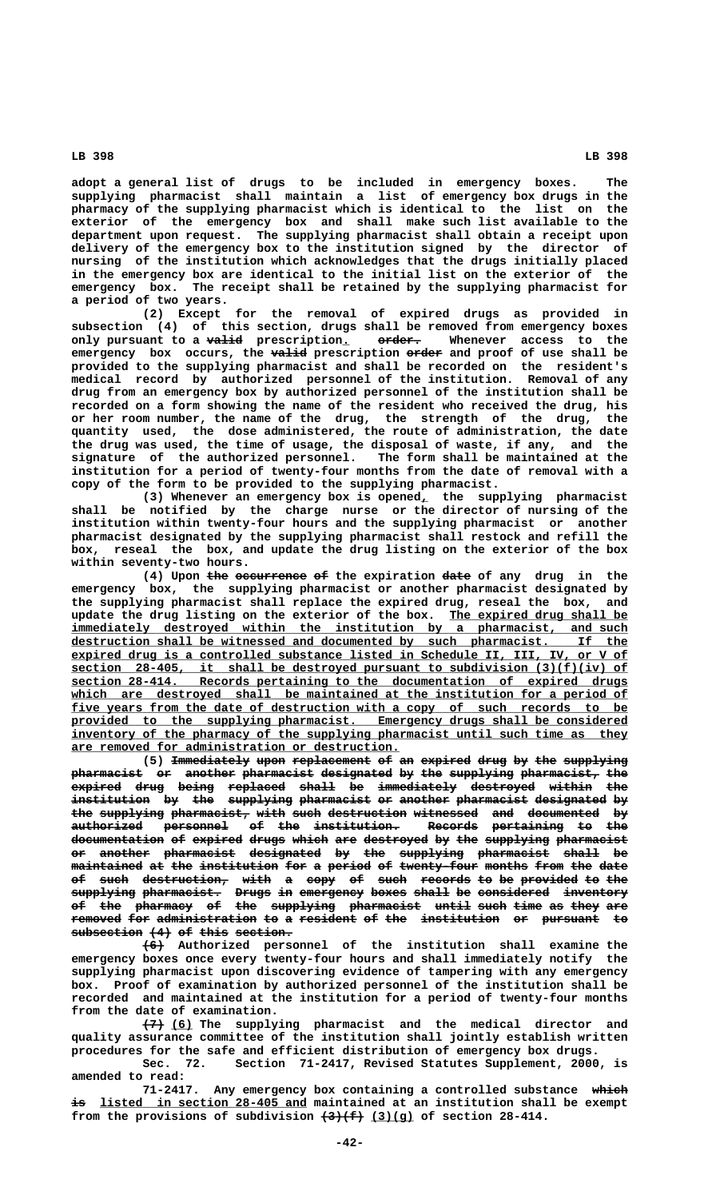**adopt a general list of drugs to be included in emergency boxes. The supplying pharmacist shall maintain a list of emergency box drugs in the pharmacy of the supplying pharmacist which is identical to the list on the exterior of the emergency box and shall make such list available to the department upon request. The supplying pharmacist shall obtain a receipt upon delivery of the emergency box to the institution signed by the director of nursing of the institution which acknowledges that the drugs initially placed in the emergency box are identical to the initial list on the exterior of the emergency box. The receipt shall be retained by the supplying pharmacist for a period of two years.**

**(2) Except for the removal of expired drugs as provided in subsection (4) of this section, drugs shall be removed from emergency boxes** only pursuant to a valid prescription. **order.** Whenever access to the emergency box occurs, the valid prescription erder and proof of use shall be **provided to the supplying pharmacist and shall be recorded on the resident's medical record by authorized personnel of the institution. Removal of any drug from an emergency box by authorized personnel of the institution shall be recorded on a form showing the name of the resident who received the drug, his or her room number, the name of the drug, the strength of the drug, the quantity used, the dose administered, the route of administration, the date the drug was used, the time of usage, the disposal of waste, if any, and the signature of the authorized personnel. The form shall be maintained at the institution for a period of twenty-four months from the date of removal with a copy of the form to be provided to the supplying pharmacist.**

**(3) Whenever an emergency box is opened, the supplying pharmacist \_ shall be notified by the charge nurse or the director of nursing of the institution within twenty-four hours and the supplying pharmacist or another pharmacist designated by the supplying pharmacist shall restock and refill the box, reseal the box, and update the drug listing on the exterior of the box within seventy-two hours.**

(4) Upon the occurrence of the expiration date of any drug in the **emergency box, the supplying pharmacist or another pharmacist designated by the supplying pharmacist shall replace the expired drug, reseal the box, and** update the drug listing on the exterior of the box. <u>The expired drug shall be</u> *\_\_*  $\texttt{immediately}$  destroyed within the institution by a pharmacist, and such  ${\tt destruction~ shall~ be~ witnessed~and~ documented~by~~such~phant哲.~If~ the$  **\_\_\_\_\_\_\_\_\_\_\_\_\_\_\_\_\_\_\_\_\_\_\_\_\_\_\_\_\_\_\_\_\_\_\_\_\_\_\_\_\_\_\_\_\_\_\_\_\_\_\_\_\_\_\_\_\_\_\_\_\_\_\_\_\_\_\_\_\_\_\_\_\_\_\_\_\_\_ expired drug is a controlled substance listed in Schedule II, III, IV, or V of section** 28-405, it shall be destroyed pursuant to subdivision (3)(f)(iv) of  **\_\_\_\_\_\_\_\_\_\_\_\_\_\_\_\_\_\_\_\_\_\_\_\_\_\_\_\_\_\_\_\_\_\_\_\_\_\_\_\_\_\_\_\_\_\_\_\_\_\_\_\_\_\_\_\_\_\_\_\_\_\_\_\_\_\_\_\_\_\_\_\_\_\_\_\_\_\_ section 28-414. Records pertaining to the documentation of expired drugs** which are destroyed shall be maintained at the institution for a period of five years from the date of destruction with a copy of such records to be provided to the supplying pharmacist. Emergency drugs shall be considered inventory of the pharmacy of the supplying pharmacist until such time as they  **\_\_\_\_\_\_\_\_\_\_\_\_\_\_\_\_\_\_\_\_\_\_\_\_\_\_\_\_\_\_\_\_\_\_\_\_\_\_\_\_\_\_\_\_\_\_ are removed for administration or destruction.**

(5) <del>Immediately</del> upon replacement of an expired drug by the supplying pharmacist or another pharmacist designated by the supplying pharmacist, the expired drug being replaced shall be immediately destroyed within the institution by the supplying pharmacist or another pharmacist designated by the supplying pharmacist, with such destruction witnessed and documented by authorized personnel of the institution. Records pertaining to the documentation of expired drugs which are destroyed by the supplying pharmacist **or another pharmacist designated by the supplying pharmacist shall be —— ——————— —————————— —————————— —— ——— ————————— —————————— ————— —** maintained at the institution for a period of twenty-four months from the date of such destruction, with a copy of such records to be provided to the **supplying pharmacist. Drugs in emergency boxes shall be considered inventory ————————— ——————————— ————— —— ————————— ————— ————— —— —————————— ———————— of the pharmacy of the supplying pharmacist until such time as they are —— ——— ———————— —— ——— ————————— —————————— ————— ———— ———— —— ———— ——** removed for administration to a resident of the institution or pursuant to  $subsection$  (4) of this section.

 **——— (6) Authorized personnel of the institution shall examine the emergency boxes once every twenty-four hours and shall immediately notify the supplying pharmacist upon discovering evidence of tampering with any emergency box. Proof of examination by authorized personnel of the institution shall be recorded and maintained at the institution for a period of twenty-four months from the date of examination.**

 **——— \_\_\_ (7) (6) The supplying pharmacist and the medical director and quality assurance committee of the institution shall jointly establish written procedures for the safe and efficient distribution of emergency box drugs.**

**Sec. 72. Section 71-2417, Revised Statutes Supplement, 2000, is amended to read:**

71-2417. Any emergency box containing a controlled substance which  $\frac{1}{2}$  **isted in section 28-405 and maintained at an institution shall be exempt** from the provisions of subdivision  $\left(\frac{3}{f}\right)\left(\frac{g}{g}\right)$  of section 28-414.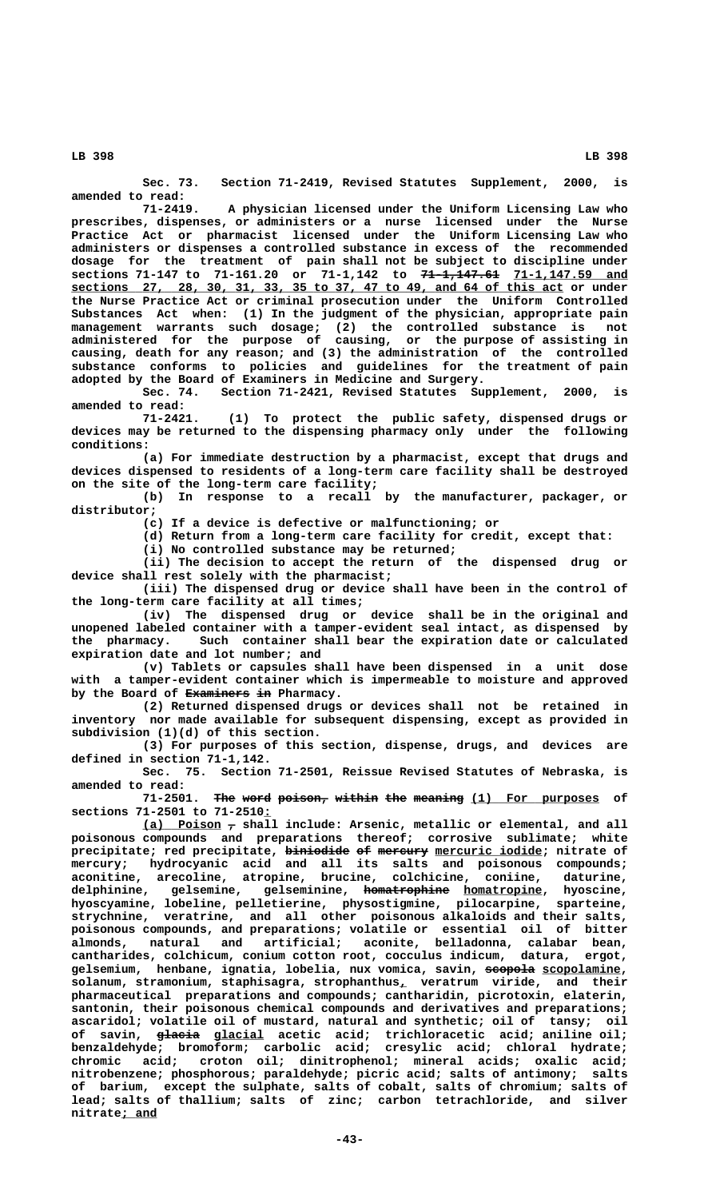**Sec. 73. Section 71-2419, Revised Statutes Supplement, 2000, is amended to read:**

**71-2419. A physician licensed under the Uniform Licensing Law who prescribes, dispenses, or administers or a nurse licensed under the Nurse Practice Act or pharmacist licensed under the Uniform Licensing Law who administers or dispenses a controlled substance in excess of the recommended dosage for the treatment of pain shall not be subject to discipline under sections 71-147 to 71-161.20 or 71-1,142 to <del>71-1,147.61</del> 71-1,147.59 and \_\_\_\_\_\_\_\_\_\_\_\_\_\_\_\_\_\_\_\_\_\_\_\_\_\_\_\_\_\_\_\_\_\_\_\_\_\_\_\_\_\_\_\_\_\_\_\_\_\_\_\_\_\_\_\_\_\_\_\_\_\_\_\_\_\_\_\_\_ sections 27, 28, 30, 31, 33, 35 to 37, 47 to 49, and 64 of this act or under the Nurse Practice Act or criminal prosecution under the Uniform Controlled Substances Act when: (1) In the judgment of the physician, appropriate pain management warrants such dosage; (2) the controlled substance is not administered for the purpose of causing, or the purpose of assisting in causing, death for any reason; and (3) the administration of the controlled substance conforms to policies and guidelines for the treatment of pain adopted by the Board of Examiners in Medicine and Surgery.**

**Sec. 74. Section 71-2421, Revised Statutes Supplement, 2000, is amended to read:**

(1) To protect the public safety, dispensed drugs or **devices may be returned to the dispensing pharmacy only under the following conditions:**

**(a) For immediate destruction by a pharmacist, except that drugs and devices dispensed to residents of a long-term care facility shall be destroyed on the site of the long-term care facility;**

**(b) In response to a recall by the manufacturer, packager, or distributor;**

**(c) If a device is defective or malfunctioning; or**

**(d) Return from a long-term care facility for credit, except that:**

**(i) No controlled substance may be returned;**

**(ii) The decision to accept the return of the dispensed drug or device shall rest solely with the pharmacist;**

**(iii) The dispensed drug or device shall have been in the control of the long-term care facility at all times;**

**(iv) The dispensed drug or device shall be in the original and unopened labeled container with a tamper-evident seal intact, as dispensed by the pharmacy. Such container shall bear the expiration date or calculated expiration date and lot number; and**

**(v) Tablets or capsules shall have been dispensed in a unit dose with a tamper-evident container which is impermeable to moisture and approved** by the Board of Examiners in Pharmacy.

**(2) Returned dispensed drugs or devices shall not be retained in inventory nor made available for subsequent dispensing, except as provided in subdivision (1)(d) of this section.**

**(3) For purposes of this section, dispense, drugs, and devices are defined in section 71-1,142.**

**Sec. 75. Section 71-2501, Reissue Revised Statutes of Nebraska, is amended to read:**

71-2501. The word poison, within the meaning (1) For purposes of  **\_ sections 71-2501 to 71-2510:**

 **\_\_\_\_\_\_\_\_\_\_\_ — (a) Poison , shall include: Arsenic, metallic or elemental, and all poisonous compounds and preparations thereof; corrosive sublimate; white**  $\texttt{precipitate}$ ; red  $\texttt{precipitate}$ ,  $\texttt{b\bar{inide}}$  of  $\texttt{merewry}$   $\texttt{mercuric iodide}$ ;  $\texttt{nitrate}$  of **mercury; hydrocyanic acid and all its salts and poisonous compounds; aconitine, arecoline, atropine, brucine, colchicine, coniine, daturine,** delphinine, gelsemine, gelseminine, <del>homatrophine</del> <u>homatropine</u>, hyoscine,<br>hyoscyamine, lobeline, pelletierine, physostigmine, pilocarpine, sparteine, hyoscyamine, lobeline, pelletierine, physostigmine, pilocarpine, **strychnine, veratrine, and all other poisonous alkaloids and their salts, poisonous compounds, and preparations; volatile or essential oil of bitter almonds, natural and artificial; aconite, belladonna, calabar bean, cantharides, colchicum, conium cotton root, cocculus indicum, datura, ergot,** gelsemium, henbane, ignatia, lobelia, nux vomica, savin, scopola scopolamine, **solanum, stramonium, staphisagra, strophanthus, veratrum viride, and their \_ pharmaceutical preparations and compounds; cantharidin, picrotoxin, elaterin, santonin, their poisonous chemical compounds and derivatives and preparations; ascaridol; volatile oil of mustard, natural and synthetic; oil of tansy; oil** of savin, <del>glacia</del> g<u>lacial</u> acetic acid; trichloracetic acid; aniline oil; **benzaldehyde; bromoform; carbolic acid; cresylic acid; chloral hydrate; chromic acid; croton oil; dinitrophenol; mineral acids; oxalic acid; nitrobenzene; phosphorous; paraldehyde; picric acid; salts of antimony; salts of barium, except the sulphate, salts of cobalt, salts of chromium; salts of lead; salts of thallium; salts of zinc; carbon tetrachloride, and silver nitrate; and \_\_\_\_\_**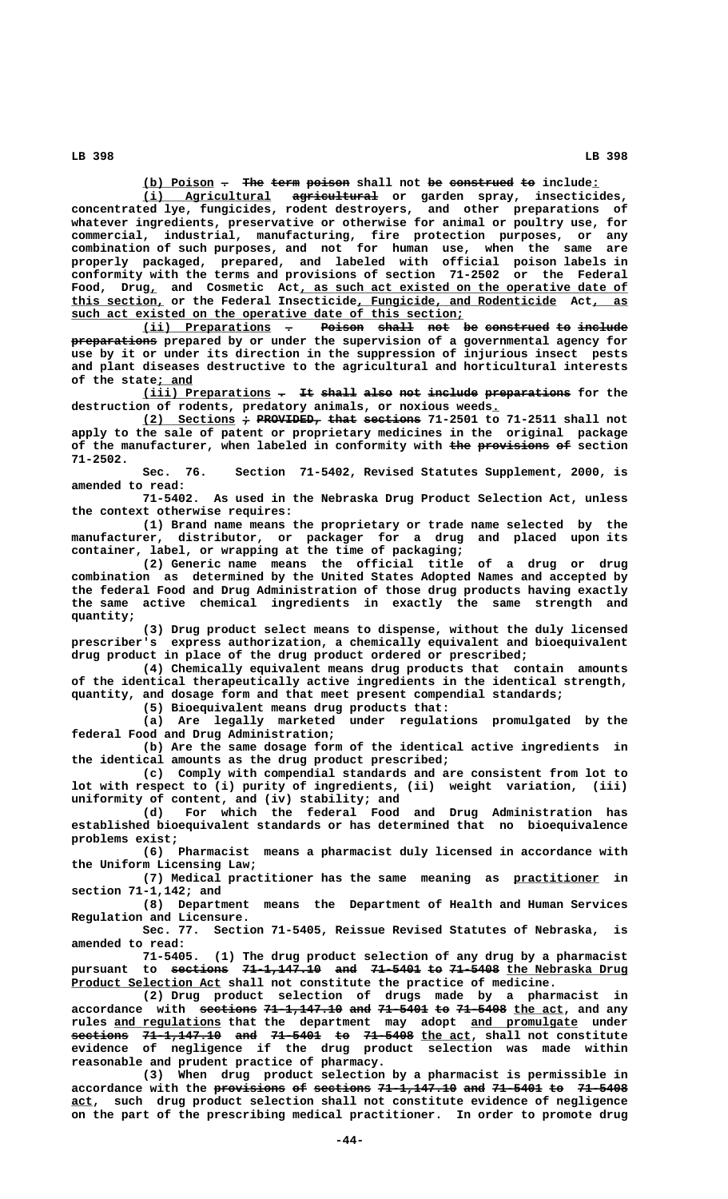**(b) Poison . The term poison shall not be construed to include: \_\_\_\_\_\_\_\_\_\_ — ——— ———— —————— —— ————————— —— \_**

 **\_\_\_\_\_\_\_\_\_\_\_\_\_\_\_\_\_\_ ———————————— (i) Agricultural agricultural or garden spray, insecticides, concentrated lye, fungicides, rodent destroyers, and other preparations of whatever ingredients, preservative or otherwise for animal or poultry use, for commercial, industrial, manufacturing, fire protection purposes, or any combination of such purposes, and not for human use, when the same are properly packaged, prepared, and labeled with official poison labels in conformity with the terms and provisions of section 71-2502 or the Federal**  $\texttt{Food,}$   $\texttt{ Drug}_{\textit{L}}$  and  $\texttt{Cosmetric}$  Act<u>, as such act existed on the operative date of</u>  **\_\_\_\_\_\_\_\_\_\_\_\_\_ \_\_\_\_\_\_\_\_\_\_\_\_\_\_\_\_\_\_\_\_\_\_\_\_\_\_\_\_ \_\_\_\_\_ this section, or the Federal Insecticide, Fungicide, and Rodenticide Act, as \_\_\_\_\_\_\_\_\_\_\_\_\_\_\_\_\_\_\_\_\_\_\_\_\_\_\_\_\_\_\_\_\_\_\_\_\_\_\_\_\_\_\_\_\_\_\_\_\_\_\_\_\_\_\_ such act existed on the operative date of this section;**

> **(ii) Preparations . Poison shall not be construed to include \_\_\_\_\_\_\_\_\_\_\_\_\_\_\_\_\_\_ — —————— ————— ——— —— ————————— —— ——————— ———————————— preparations prepared by or under the supervision of a governmental agency for use by it or under its direction in the suppression of injurious insect pests and plant diseases destructive to the agricultural and horticultural interests \_\_\_\_\_ of the state; and**

> **(iii) Preparations - It shall also not include preparations for the destruction of rodents, predatory animals, or noxious weeds.\_**

> **(2) Sections ; PROVIDED, that sections 71-2501 to 71-2511 shall not \_\_\_\_\_\_\_\_\_\_\_\_\_ — ————————— ———— ——————— apply to the sale of patent or proprietary medicines in the original package** of the manufacturer, when labeled in conformity with the provisions of section  **71-2502.**

> **Sec. 76. Section 71-5402, Revised Statutes Supplement, 2000, is amended to read:**

> **71-5402. As used in the Nebraska Drug Product Selection Act, unless the context otherwise requires:**

> **(1) Brand name means the proprietary or trade name selected by the manufacturer, distributor, or packager for a drug and placed upon its container, label, or wrapping at the time of packaging;**

> **(2) Generic name means the official title of a drug or drug combination as determined by the United States Adopted Names and accepted by the federal Food and Drug Administration of those drug products having exactly the same active chemical ingredients in exactly the same strength and quantity;**

> **(3) Drug product select means to dispense, without the duly licensed prescriber's express authorization, a chemically equivalent and bioequivalent drug product in place of the drug product ordered or prescribed;**

> **(4) Chemically equivalent means drug products that contain amounts of the identical therapeutically active ingredients in the identical strength, quantity, and dosage form and that meet present compendial standards;**

**(5) Bioequivalent means drug products that:**

**(a) Are legally marketed under regulations promulgated by the federal Food and Drug Administration;**

**(b) Are the same dosage form of the identical active ingredients in the identical amounts as the drug product prescribed;**

**(c) Comply with compendial standards and are consistent from lot to lot with respect to (i) purity of ingredients, (ii) weight variation, (iii) uniformity of content, and (iv) stability; and**

**(d) For which the federal Food and Drug Administration has established bioequivalent standards or has determined that no bioequivalence problems exist;**

**(6) Pharmacist means a pharmacist duly licensed in accordance with the Uniform Licensing Law;**

**(7) Medical practitioner has the same meaning as practitioner in \_\_\_\_\_\_\_\_\_\_\_\_ section 71-1,142; and**

**(8) Department means the Department of Health and Human Services Regulation and Licensure.**

**Sec. 77. Section 71-5405, Reissue Revised Statutes of Nebraska, is amended to read:**

**71-5405. (1) The drug product selection of any drug by a pharmacist pursuant** to <del>sections</del> 71-1,147.10 and 71-5401 to 71-5408 the Nebraska Drug  **\_\_\_\_\_\_\_\_\_\_\_\_\_\_\_\_\_\_\_\_\_ Product Selection Act shall not constitute the practice of medicine.**

**(2) Drug product selection of drugs made by a pharmacist in** accordance with sections 71-1,147.10 and 71-5401 to 71-5408 the act, and any  **\_\_\_\_\_\_\_\_\_\_\_\_\_\_\_ \_\_\_\_\_\_\_\_\_\_\_\_\_\_\_ rules and regulations that the department may adopt and promulgate under sections** 71-1,147.10 and 71-5401 to 71-5408 the act, shall not constitute **evidence of negligence if the drug product selection was made within reasonable and prudent practice of pharmacy.**

**(3) When drug product selection by a pharmacist is permissible in** accordance with the provisions of sections 71-1,147.10 and 71-5401 to 71-5408  **\_\_\_ act, such drug product selection shall not constitute evidence of negligence on the part of the prescribing medical practitioner. In order to promote drug**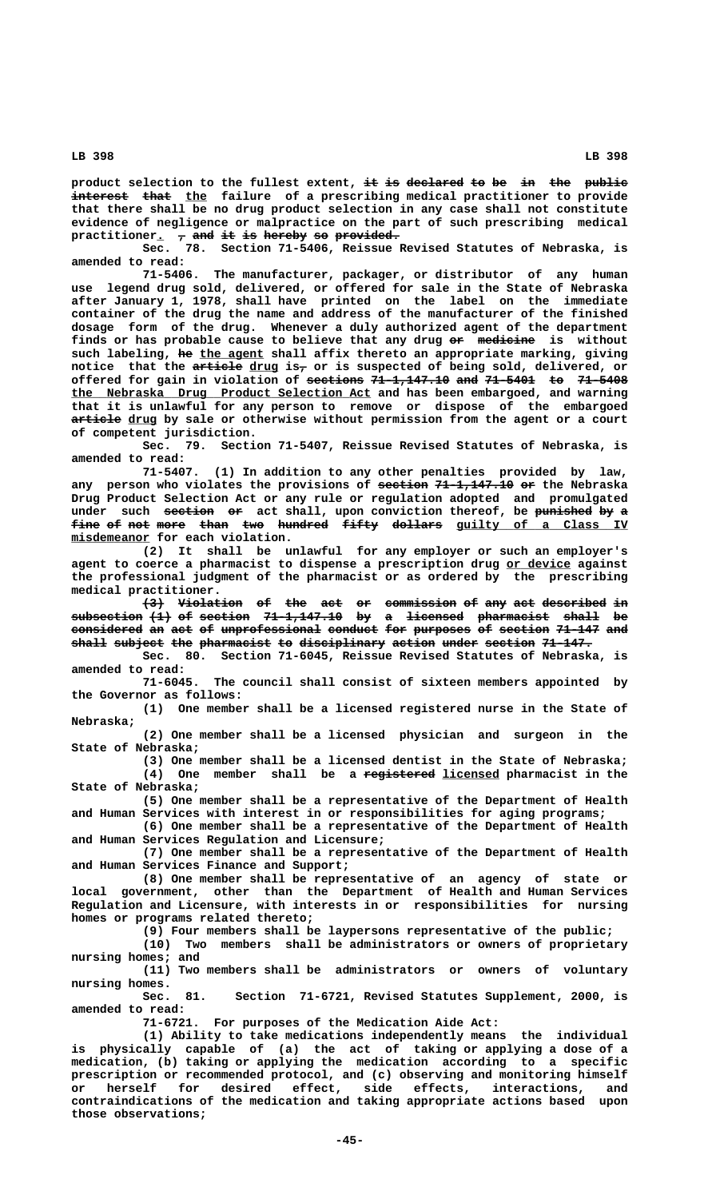product selection to the fullest extent, it is declared to be in the public interest that the failure of a prescribing medical practitioner to provide **that there shall be no drug product selection in any case shall not constitute evidence of negligence or malpractice on the part of such prescribing medical**

practitioner.  $\frac{1}{7}$  and it is hereby so provided.<br> **Sec.** 78. Section 71-5406, Reissue **Sec. 78. Section 71-5406, Reissue Revised Statutes of Nebraska, is amended to read:**

**71-5406. The manufacturer, packager, or distributor of any human use legend drug sold, delivered, or offered for sale in the State of Nebraska after January 1, 1978, shall have printed on the label on the immediate container of the drug the name and address of the manufacturer of the finished dosage form of the drug. Whenever a duly authorized agent of the department finds or has probable cause to believe that any drug or medicine is without —— ———————** such labeling, he the agent shall affix thereto an appropriate marking, giving notice that the article drug is<sub>7</sub> or is suspected of being sold, delivered, or offered for gain in violation of sections 71-1,147.10 and 71-5401 to 71-5408  **\_\_\_\_\_\_\_\_\_\_\_\_\_\_\_\_\_\_\_\_\_\_\_\_\_\_\_\_\_\_\_\_\_\_\_\_\_\_\_\_\_\_ the Nebraska Drug Product Selection Act and has been embargoed, and warning that it is unlawful for any person to remove or dispose of the embargoed** article drug by sale or otherwise without permission from the agent or a court **of competent jurisdiction.**

**Sec. 79. Section 71-5407, Reissue Revised Statutes of Nebraska, is amended to read:**

**71-5407. (1) In addition to any other penalties provided by law,** any person who violates the provisions of section 71-1,147.10 or the Nebraska **Drug Product Selection Act or any rule or regulation adopted and promulgated** under such section or act shall, upon conviction thereof, be punished by a fine of not more than two hundred fifty dollars guilty of a Class IV  **\_\_\_\_\_\_\_\_\_\_\_ misdemeanor for each violation.**

**(2) It shall be unlawful for any employer or such an employer's agent to coerce a pharmacist to dispense a prescription drug or device against \_\_\_\_\_\_\_\_\_ the professional judgment of the pharmacist or as ordered by the prescribing medical practitioner.**

**(3) Violation of the act or commission of any act described in ——— ————————— —— ——— ——— —— —————————— —— ——— ——— ————————— — subsection (1) of section 71-1,147.10 by a licensed pharmacist shall be —————————— ——— —— ——————— ——————————— —— — ———————— —————————— ————— — considered an act of unprofessional conduct for purposes of section 71-147 and —————————— —— ——— —— —————————————— ——————— ——— ———————— —— ——————— —————— ——** shall subject the pharmacist to disciplinary action under section 71-147.

**Sec. 80. Section 71-6045, Reissue Revised Statutes of Nebraska, is amended to read:**

**71-6045. The council shall consist of sixteen members appointed by the Governor as follows:**

**(1) One member shall be a licensed registered nurse in the State of Nebraska;**

**(2) One member shall be a licensed physician and surgeon in the State of Nebraska;**

**(3) One member shall be a licensed dentist in the State of Nebraska; —————————— \_\_\_\_\_\_\_\_ (4) One member shall be a registered licensed pharmacist in the**

**State of Nebraska; (5) One member shall be a representative of the Department of Health**

**and Human Services with interest in or responsibilities for aging programs; (6) One member shall be a representative of the Department of Health**

**and Human Services Regulation and Licensure; (7) One member shall be a representative of the Department of Health**

**and Human Services Finance and Support;**

(8) One member shall be representative of an agency of state **local government, other than the Department of Health and Human Services Regulation and Licensure, with interests in or responsibilities for nursing homes or programs related thereto;**

> **(9) Four members shall be laypersons representative of the public; (10) Two members shall be administrators or owners of proprietary**

**nursing homes; and**

**(11) Two members shall be administrators or owners of voluntary nursing homes.**

**Sec. 81. Section 71-6721, Revised Statutes Supplement, 2000, is amended to read:**

**71-6721. For purposes of the Medication Aide Act:**

**(1) Ability to take medications independently means the individual is physically capable of (a) the act of taking or applying a dose of a medication, (b) taking or applying the medication according to a specific prescription or recommended protocol, and (c) observing and monitoring himself or herself for desired effect, side effects, interactions, and contraindications of the medication and taking appropriate actions based upon those observations;**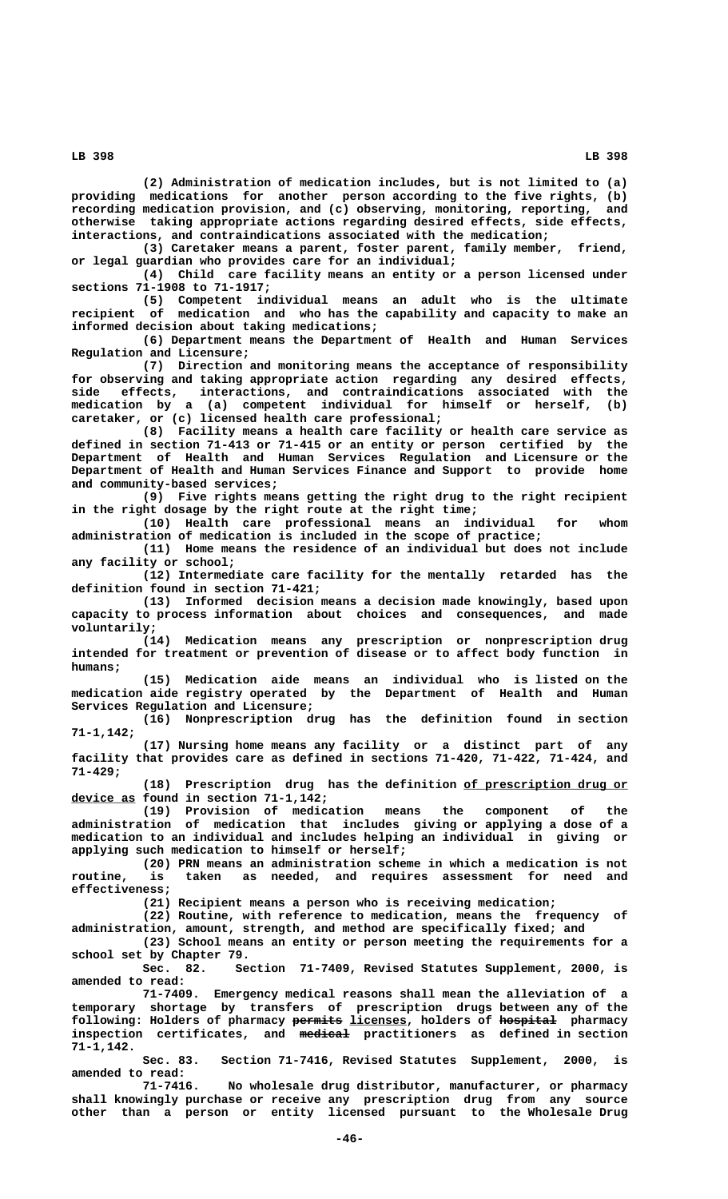**(2) Administration of medication includes, but is not limited to (a) providing medications for another person according to the five rights, (b) recording medication provision, and (c) observing, monitoring, reporting, and otherwise taking appropriate actions regarding desired effects, side effects, interactions, and contraindications associated with the medication;**

**(3) Caretaker means a parent, foster parent, family member, friend, or legal guardian who provides care for an individual;**

**(4) Child care facility means an entity or a person licensed under sections 71-1908 to 71-1917;**

**(5) Competent individual means an adult who is the ultimate recipient of medication and who has the capability and capacity to make an informed decision about taking medications;**

**(6) Department means the Department of Health and Human Services Regulation and Licensure;**

**(7) Direction and monitoring means the acceptance of responsibility for observing and taking appropriate action regarding any desired effects, side effects, interactions, and contraindications associated with the medication by a (a) competent individual for himself or herself, (b) caretaker, or (c) licensed health care professional;**

**(8) Facility means a health care facility or health care service as defined in section 71-413 or 71-415 or an entity or person certified by the Department of Health and Human Services Regulation and Licensure or the Department of Health and Human Services Finance and Support to provide home and community-based services;**

**(9) Five rights means getting the right drug to the right recipient in the right dosage by the right route at the right time;**

**(10) Health care professional means an individual for whom administration of medication is included in the scope of practice;**

**(11) Home means the residence of an individual but does not include any facility or school;**

**(12) Intermediate care facility for the mentally retarded has the definition found in section 71-421;**

**(13) Informed decision means a decision made knowingly, based upon capacity to process information about choices and consequences, and made voluntarily;**

**(14) Medication means any prescription or nonprescription drug intended for treatment or prevention of disease or to affect body function in humans;**

**(15) Medication aide means an individual who is listed on the medication aide registry operated by the Department of Health and Human Services Regulation and Licensure;**

**(16) Nonprescription drug has the definition found in section 71-1,142;**

**(17) Nursing home means any facility or a distinct part of any facility that provides care as defined in sections 71-420, 71-422, 71-424, and 71-429;**

(18) Prescription drug has the definition of prescription drug or  **\_\_\_\_\_\_\_\_\_ device as found in section 71-1,142;**

**(19) Provision of medication means the component of the administration of medication that includes giving or applying a dose of a medication to an individual and includes helping an individual in giving or applying such medication to himself or herself;**

**(20) PRN means an administration scheme in which a medication is not routine, is taken as needed, and requires assessment for need and effectiveness;**

**(21) Recipient means a person who is receiving medication;**

**(22) Routine, with reference to medication, means the frequency of administration, amount, strength, and method are specifically fixed; and (23) School means an entity or person meeting the requirements for a**

**school set by Chapter 79.** Section 71-7409, Revised Statutes Supplement, 2000, is **amended to read:**

**71-7409. Emergency medical reasons shall mean the alleviation of a temporary shortage by transfers of prescription drugs between any of the ——————— \_\_\_\_\_\_\_\_ ———————— following: Holders of pharmacy permits licenses, holders of hospital pharmacy ——————— inspection certificates, and medical practitioners as defined in section 71-1,142.**

> **Sec. 83. Section 71-7416, Revised Statutes Supplement, 2000, is amended to read:**

> **71-7416. No wholesale drug distributor, manufacturer, or pharmacy shall knowingly purchase or receive any prescription drug from any source other than a person or entity licensed pursuant to the Wholesale Drug**

 **LB 398 LB 398**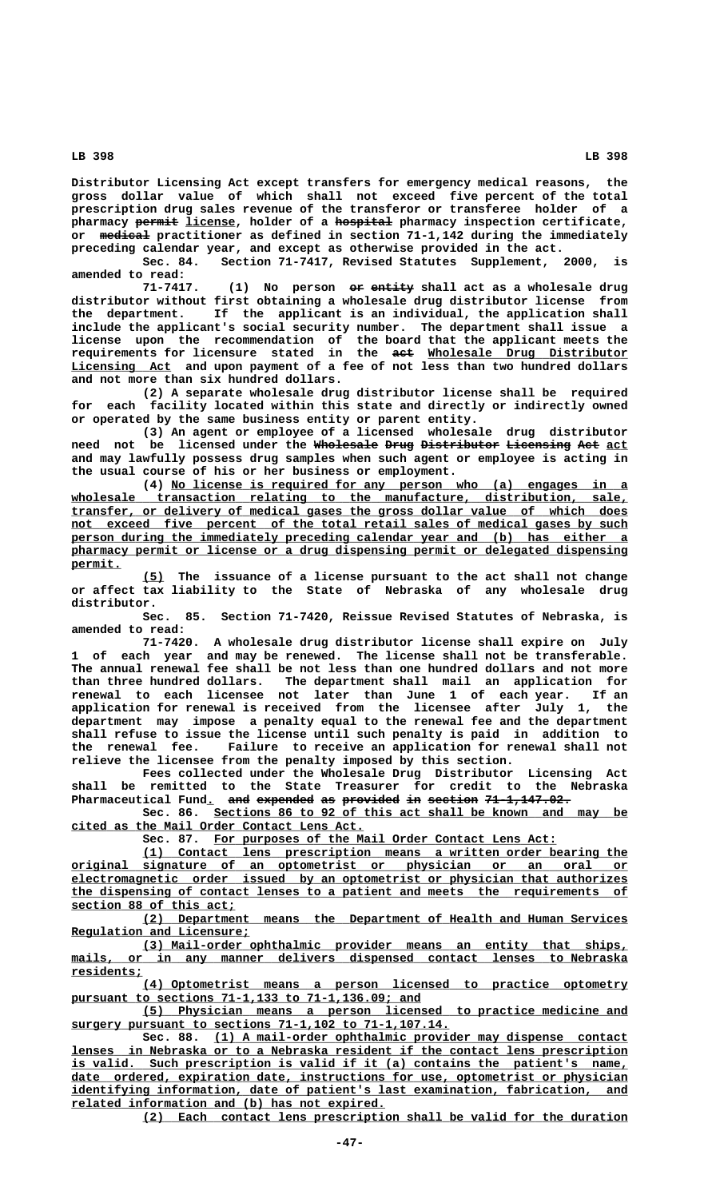**Distributor Licensing Act except transfers for emergency medical reasons, the gross dollar value of which shall not exceed five percent of the total prescription drug sales revenue of the transferor or transferee holder of a —————— \_\_\_\_\_\_\_ ———————— pharmacy permit license, holder of a hospital pharmacy inspection certificate,** or medical practitioner as defined in section 71-1,142 during the immediately **preceding calendar year, and except as otherwise provided in the act.**

**Sec. 84. Section 71-7417, Revised Statutes Supplement, 2000, is amended to read:**

(1) No person or entity shall act as a wholesale drug **distributor without first obtaining a wholesale drug distributor license from the department. If the applicant is an individual, the application shall include the applicant's social security number. The department shall issue a license upon the recommendation of the board that the applicant meets the requirements for licensure stated in the act Wholesale Drug Distributor ——— \_\_\_\_\_\_\_\_\_\_\_\_\_\_\_\_\_\_\_\_\_\_\_\_\_\_\_\_ \_\_\_\_\_\_\_\_\_\_\_\_\_\_ Licensing Act and upon payment of a fee of not less than two hundred dollars and not more than six hundred dollars.**

> **(2) A separate wholesale drug distributor license shall be required for each facility located within this state and directly or indirectly owned or operated by the same business entity or parent entity.**

> **(3) An agent or employee of a licensed wholesale drug distributor need not be licensed under the Wholesale Drug Distributor Licensing Act act ————————— ———— ——————————— ————————— ——— \_\_\_ and may lawfully possess drug samples when such agent or employee is acting in the usual course of his or her business or employment.**

> **\_\_\_\_\_\_\_\_\_\_\_\_\_\_\_\_\_\_\_\_\_\_\_\_\_\_\_\_\_\_\_\_\_\_\_\_\_\_\_\_\_\_\_\_\_\_\_\_\_\_\_\_\_\_\_\_\_\_\_\_\_\_\_\_ (4) No license is required for any person who (a) engages in a \_\_\_\_\_\_\_\_\_\_\_\_\_\_\_\_\_\_\_\_\_\_\_\_\_\_\_\_\_\_\_\_\_\_\_\_\_\_\_\_\_\_\_\_\_\_\_\_\_\_\_\_\_\_\_\_\_\_\_\_\_\_\_\_\_\_\_\_\_\_\_\_\_\_\_\_\_\_ wholesale transaction relating to the manufacture, distribution, sale, \_\_\_\_\_\_\_\_\_\_\_\_\_\_\_\_\_\_\_\_\_\_\_\_\_\_\_\_\_\_\_\_\_\_\_\_\_\_\_\_\_\_\_\_\_\_\_\_\_\_\_\_\_\_\_\_\_\_\_\_\_\_\_\_\_\_\_\_\_\_\_\_\_\_\_\_\_\_ transfer, or delivery of medical gases the gross dollar value of which does** not exceed five percent of the total retail sales of medical gases by such  **\_\_\_\_\_\_\_\_\_\_\_\_\_\_\_\_\_\_\_\_\_\_\_\_\_\_\_\_\_\_\_\_\_\_\_\_\_\_\_\_\_\_\_\_\_\_\_\_\_\_\_\_\_\_\_\_\_\_\_\_\_\_\_\_\_\_\_\_\_\_\_\_\_\_\_\_\_\_ person during the immediately preceding calendar year and (b) has either a \_\_\_\_\_\_\_\_\_\_\_\_\_\_\_\_\_\_\_\_\_\_\_\_\_\_\_\_\_\_\_\_\_\_\_\_\_\_\_\_\_\_\_\_\_\_\_\_\_\_\_\_\_\_\_\_\_\_\_\_\_\_\_\_\_\_\_\_\_\_\_\_\_\_\_\_\_\_ pharmacy permit or license or a drug dispensing permit or delegated dispensing permit. \_\_\_\_\_\_\_**

> **\_\_\_ (5) The issuance of a license pursuant to the act shall not change or affect tax liability to the State of Nebraska of any wholesale drug distributor.**

> **Sec. 85. Section 71-7420, Reissue Revised Statutes of Nebraska, is amended to read:**

> **71-7420. A wholesale drug distributor license shall expire on July 1 of each year and may be renewed. The license shall not be transferable. The annual renewal fee shall be not less than one hundred dollars and not more than three hundred dollars. The department shall mail an application for renewal to each licensee not later than June 1 of each year. If an application for renewal is received from the licensee after July 1, the department may impose a penalty equal to the renewal fee and the department shall refuse to issue the license until such penalty is paid in addition to the renewal fee. Failure to receive an application for renewal shall not relieve the licensee from the penalty imposed by this section.**

> **Fees collected under the Wholesale Drug Distributor Licensing Act shall be remitted to the State Treasurer for credit to the Nebraska** Pharmaceutical Fund. and expended as provided in section 71-1,147.02.

> **\_\_\_\_\_\_\_\_\_\_\_\_\_\_\_\_\_\_\_\_\_\_\_\_\_\_\_\_\_\_\_\_\_\_\_\_\_\_\_\_\_\_\_\_\_\_\_\_\_\_\_\_\_\_\_\_\_\_ Sec. 86. Sections 86 to 92 of this act shall be known and may be \_\_\_\_\_\_\_\_\_\_\_\_\_\_\_\_\_\_\_\_\_\_\_\_\_\_\_\_\_\_\_\_\_\_\_\_\_\_\_\_\_ cited as the Mail Order Contact Lens Act.**

 **\_\_\_\_\_\_\_\_\_\_\_\_\_\_\_\_\_\_\_\_\_\_\_\_\_\_\_\_\_\_\_\_\_\_\_\_\_\_\_\_\_\_\_\_\_\_\_\_ Sec. 87. For purposes of the Mail Order Contact Lens Act:**

 **\_\_\_\_\_\_\_\_\_\_\_\_\_\_\_\_\_\_\_\_\_\_\_\_\_\_\_\_\_\_\_\_\_\_\_\_\_\_\_\_\_\_\_\_\_\_\_\_\_\_\_\_\_\_\_\_\_\_\_\_\_\_\_\_\_\_\_\_ (1) Contact lens prescription means a written order bearing the \_\_\_\_\_\_\_\_\_\_\_\_\_\_\_\_\_\_\_\_\_\_\_\_\_\_\_\_\_\_\_\_\_\_\_\_\_\_\_\_\_\_\_\_\_\_\_\_\_\_\_\_\_\_\_\_\_\_\_\_\_\_\_\_\_\_\_\_\_\_\_\_\_\_\_\_\_\_ original signature of an optometrist or physician or an oral or \_\_\_\_\_\_\_\_\_\_\_\_\_\_\_\_\_\_\_\_\_\_\_\_\_\_\_\_\_\_\_\_\_\_\_\_\_\_\_\_\_\_\_\_\_\_\_\_\_\_\_\_\_\_\_\_\_\_\_\_\_\_\_\_\_\_\_\_\_\_\_\_\_\_\_\_\_\_ electromagnetic order issued by an optometrist or physician that authorizes \_\_\_\_\_\_\_\_\_\_\_\_\_\_\_\_\_\_\_\_\_\_\_\_\_\_\_\_\_\_\_\_\_\_\_\_\_\_\_\_\_\_\_\_\_\_\_\_\_\_\_\_\_\_\_\_\_\_\_\_\_\_\_\_\_\_\_\_\_\_\_\_\_\_\_\_\_\_ the dispensing of contact lenses to a patient and meets the requirements of \_\_\_\_\_\_\_\_\_\_\_\_\_\_\_\_\_\_\_\_\_\_\_ section 88 of this act;**

 **\_\_\_\_\_\_\_\_\_\_\_\_\_\_\_\_\_\_\_\_\_\_\_\_\_\_\_\_\_\_\_\_\_\_\_\_\_\_\_\_\_\_\_\_\_\_\_\_\_\_\_\_\_\_\_\_\_\_\_\_\_\_\_\_\_\_\_\_ (2) Department means the Department of Health and Human Services \_\_\_\_\_\_\_\_\_\_\_\_\_\_\_\_\_\_\_\_\_\_\_\_\_ Regulation and Licensure;**

 **\_\_\_\_\_\_\_\_\_\_\_\_\_\_\_\_\_\_\_\_\_\_\_\_\_\_\_\_\_\_\_\_\_\_\_\_\_\_\_\_\_\_\_\_\_\_\_\_\_\_\_\_\_\_\_\_\_\_\_\_\_\_\_\_\_\_\_\_ (3) Mail-order ophthalmic provider means an entity that ships,** mails, or in any manner delivers dispensed contact lenses to Nebraska  **residents; \_\_\_\_\_\_\_\_\_\_**

 **\_\_\_\_\_\_\_\_\_\_\_\_\_\_\_\_\_\_\_\_\_\_\_\_\_\_\_\_\_\_\_\_\_\_\_\_\_\_\_\_\_\_\_\_\_\_\_\_\_\_\_\_\_\_\_\_\_\_\_\_\_\_\_\_\_\_\_\_ (4) Optometrist means a person licensed to practice optometry \_\_\_\_\_\_\_\_\_\_\_\_\_\_\_\_\_\_\_\_\_\_\_\_\_\_\_\_\_\_\_\_\_\_\_\_\_\_\_\_\_\_\_\_\_\_\_\_\_ pursuant to sections 71-1,133 to 71-1,136.09; and**

 **\_\_\_\_\_\_\_\_\_\_\_\_\_\_\_\_\_\_\_\_\_\_\_\_\_\_\_\_\_\_\_\_\_\_\_\_\_\_\_\_\_\_\_\_\_\_\_\_\_\_\_\_\_\_\_\_\_\_\_\_\_\_\_\_\_\_\_\_ (5) Physician means a person licensed to practice medicine and \_\_\_\_\_\_\_\_\_\_\_\_\_\_\_\_\_\_\_\_\_\_\_\_\_\_\_\_\_\_\_\_\_\_\_\_\_\_\_\_\_\_\_\_\_\_\_\_\_\_\_\_\_ surgery pursuant to sections 71-1,102 to 71-1,107.14.**

 **\_\_\_\_\_\_\_\_\_\_\_\_\_\_\_\_\_\_\_\_\_\_\_\_\_\_\_\_\_\_\_\_\_\_\_\_\_\_\_\_\_\_\_\_\_\_\_\_\_\_\_\_\_\_\_\_\_\_ Sec. 88. (1) A mail-order ophthalmic provider may dispense contact \_\_\_\_\_\_\_\_\_\_\_\_\_\_\_\_\_\_\_\_\_\_\_\_\_\_\_\_\_\_\_\_\_\_\_\_\_\_\_\_\_\_\_\_\_\_\_\_\_\_\_\_\_\_\_\_\_\_\_\_\_\_\_\_\_\_\_\_\_\_\_\_\_\_\_\_\_\_ lenses in Nebraska or to a Nebraska resident if the contact lens prescription** is valid. Such prescription is valid if it (a) contains the patient's name,  **\_\_\_\_\_\_\_\_\_\_\_\_\_\_\_\_\_\_\_\_\_\_\_\_\_\_\_\_\_\_\_\_\_\_\_\_\_\_\_\_\_\_\_\_\_\_\_\_\_\_\_\_\_\_\_\_\_\_\_\_\_\_\_\_\_\_\_\_\_\_\_\_\_\_\_\_\_\_ date ordered, expiration date, instructions for use, optometrist or physician** identifying information, date of patient's last examination, fabrication, and  **\_\_\_\_\_\_\_\_\_\_\_\_\_\_\_\_\_\_\_\_\_\_\_\_\_\_\_\_\_\_\_\_\_\_\_\_\_\_\_\_\_\_\_\_ related information and (b) has not expired.**

 **\_\_\_\_\_\_\_\_\_\_\_\_\_\_\_\_\_\_\_\_\_\_\_\_\_\_\_\_\_\_\_\_\_\_\_\_\_\_\_\_\_\_\_\_\_\_\_\_\_\_\_\_\_\_\_\_\_\_\_\_\_\_\_\_\_\_\_\_ (2) Each contact lens prescription shall be valid for the duration**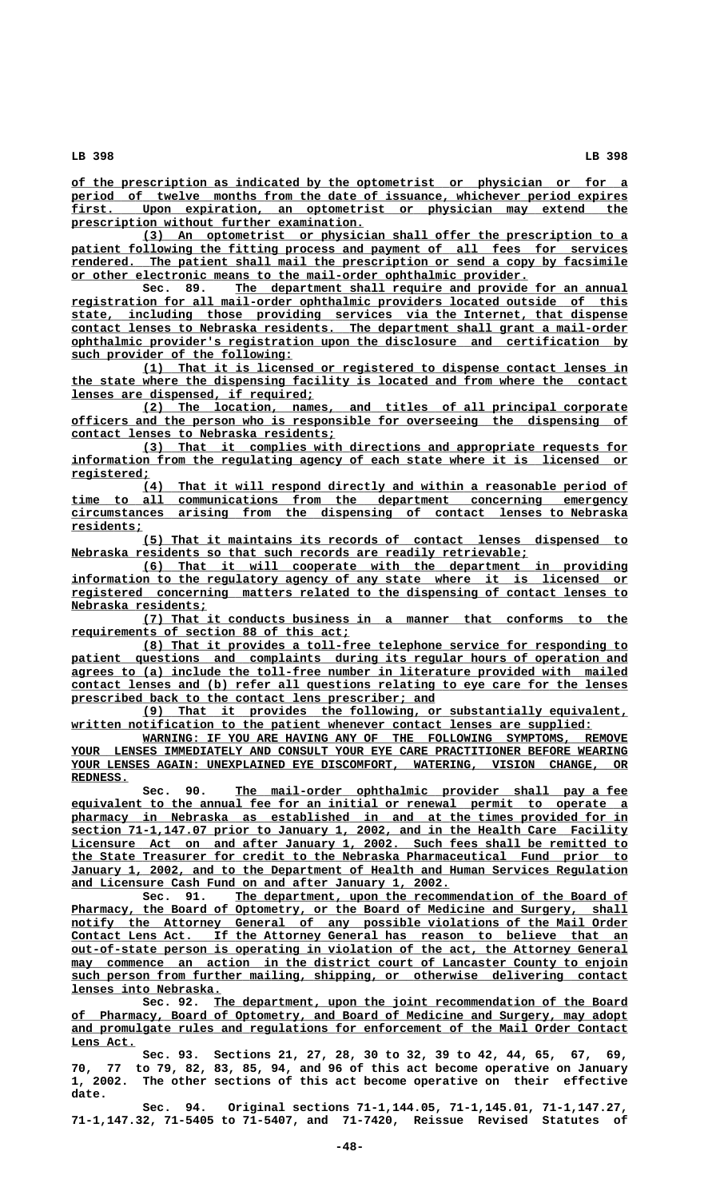**\_\_\_\_\_\_\_\_\_\_\_\_\_\_\_\_\_\_\_\_\_\_\_\_\_\_\_\_\_\_\_\_\_\_\_\_\_\_\_\_\_\_\_\_\_\_\_\_\_\_\_\_\_\_\_\_\_\_\_\_\_\_\_\_\_\_\_\_\_\_\_\_\_\_\_\_\_\_ of the prescription as indicated by the optometrist or physician or for a period of twelve months from the date of issuance, whichever period expires first.** Upon expiration, an optometrist or physician may extend the  $Upon$  expiration, an optometrist or physician may extend the  **\_\_\_\_\_\_\_\_\_\_\_\_\_\_\_\_\_\_\_\_\_\_\_\_\_\_\_\_\_\_\_\_\_\_\_\_\_\_\_\_\_ prescription without further examination.**

 **\_\_\_\_\_\_\_\_\_\_\_\_\_\_\_\_\_\_\_\_\_\_\_\_\_\_\_\_\_\_\_\_\_\_\_\_\_\_\_\_\_\_\_\_\_\_\_\_\_\_\_\_\_\_\_\_\_\_\_\_\_\_\_\_\_\_\_\_ (3) An optometrist or physician shall offer the prescription to a** patient following the fitting process and payment of all fees for services rendered. The patient shall mail the prescription or send a copy by facsimile **or other electronic means to the mail-order ophthalmic provider.**<br>Sec. 89. The department shall require and provide

 **\_\_\_\_\_\_\_\_\_\_\_\_\_\_\_\_\_\_\_\_\_\_\_\_\_\_\_\_\_\_\_\_\_\_\_\_\_\_\_\_\_\_\_\_\_\_\_\_\_\_\_\_\_\_\_ Sec. 89. The department shall require and provide for an annual \_\_\_\_\_\_\_\_\_\_\_\_\_\_\_\_\_\_\_\_\_\_\_\_\_\_\_\_\_\_\_\_\_\_\_\_\_\_\_\_\_\_\_\_\_\_\_\_\_\_\_\_\_\_\_\_\_\_\_\_\_\_\_\_\_\_\_\_\_\_\_\_\_\_\_\_\_\_ registration for all mail-order ophthalmic providers located outside of this \_\_\_\_\_\_\_\_\_\_\_\_\_\_\_\_\_\_\_\_\_\_\_\_\_\_\_\_\_\_\_\_\_\_\_\_\_\_\_\_\_\_\_\_\_\_\_\_\_\_\_\_\_\_\_\_\_\_\_\_\_\_\_\_\_\_\_\_\_\_\_\_\_\_\_\_\_\_ state, including those providing services via the Internet, that dispense \_\_\_\_\_\_\_\_\_\_\_\_\_\_\_\_\_\_\_\_\_\_\_\_\_\_\_\_\_\_\_\_\_\_\_\_\_\_\_\_\_\_\_\_\_\_\_\_\_\_\_\_\_\_\_\_\_\_\_\_\_\_\_\_\_\_\_\_\_\_\_\_\_\_\_\_\_\_ contact lenses to Nebraska residents. The department shall grant a mail-order \_\_\_\_\_\_\_\_\_\_\_\_\_\_\_\_\_\_\_\_\_\_\_\_\_\_\_\_\_\_\_\_\_\_\_\_\_\_\_\_\_\_\_\_\_\_\_\_\_\_\_\_\_\_\_\_\_\_\_\_\_\_\_\_\_\_\_\_\_\_\_\_\_\_\_\_\_\_ ophthalmic provider's registration upon the disclosure and certification by \_\_\_\_\_\_\_\_\_\_\_\_\_\_\_\_\_\_\_\_\_\_\_\_\_\_\_\_\_\_\_ such provider of the following:**

 **\_\_\_\_\_\_\_\_\_\_\_\_\_\_\_\_\_\_\_\_\_\_\_\_\_\_\_\_\_\_\_\_\_\_\_\_\_\_\_\_\_\_\_\_\_\_\_\_\_\_\_\_\_\_\_\_\_\_\_\_\_\_\_\_\_\_\_\_ (1) That it is licensed or registered to dispense contact lenses in \_\_\_\_\_\_\_\_\_\_\_\_\_\_\_\_\_\_\_\_\_\_\_\_\_\_\_\_\_\_\_\_\_\_\_\_\_\_\_\_\_\_\_\_\_\_\_\_\_\_\_\_\_\_\_\_\_\_\_\_\_\_\_\_\_\_\_\_\_\_\_\_\_\_\_\_\_\_ the state where the dispensing facility is located and from where the contact \_\_\_\_\_\_\_\_\_\_\_\_\_\_\_\_\_\_\_\_\_\_\_\_\_\_\_\_\_\_\_\_\_\_ lenses are dispensed, if required;**

 **\_\_\_\_\_\_\_\_\_\_\_\_\_\_\_\_\_\_\_\_\_\_\_\_\_\_\_\_\_\_\_\_\_\_\_\_\_\_\_\_\_\_\_\_\_\_\_\_\_\_\_\_\_\_\_\_\_\_\_\_\_\_\_\_\_\_\_\_ (2) The location, names, and titles of all principal corporate \_\_\_\_\_\_\_\_\_\_\_\_\_\_\_\_\_\_\_\_\_\_\_\_\_\_\_\_\_\_\_\_\_\_\_\_\_\_\_\_\_\_\_\_\_\_\_\_\_\_\_\_\_\_\_\_\_\_\_\_\_\_\_\_\_\_\_\_\_\_\_\_\_\_\_\_\_\_ officers and the person who is responsible for overseeing the dispensing of \_\_\_\_\_\_\_\_\_\_\_\_\_\_\_\_\_\_\_\_\_\_\_\_\_\_\_\_\_\_\_\_\_\_\_\_\_ contact lenses to Nebraska residents;**

 **\_\_\_\_\_\_\_\_\_\_\_\_\_\_\_\_\_\_\_\_\_\_\_\_\_\_\_\_\_\_\_\_\_\_\_\_\_\_\_\_\_\_\_\_\_\_\_\_\_\_\_\_\_\_\_\_\_\_\_\_\_\_\_\_\_\_\_\_ (3) That it complies with directions and appropriate requests for \_\_\_\_\_\_\_\_\_\_\_\_\_\_\_\_\_\_\_\_\_\_\_\_\_\_\_\_\_\_\_\_\_\_\_\_\_\_\_\_\_\_\_\_\_\_\_\_\_\_\_\_\_\_\_\_\_\_\_\_\_\_\_\_\_\_\_\_\_\_\_\_\_\_\_\_\_\_ information from the regulating agency of each state where it is licensed or registered; \_\_\_\_\_\_\_\_\_\_\_**

 **\_\_\_\_\_\_\_\_\_\_\_\_\_\_\_\_\_\_\_\_\_\_\_\_\_\_\_\_\_\_\_\_\_\_\_\_\_\_\_\_\_\_\_\_\_\_\_\_\_\_\_\_\_\_\_\_\_\_\_\_\_\_\_\_\_\_\_\_ (4) That it will respond directly and within a reasonable period of \_\_\_\_\_\_\_\_\_\_\_\_\_\_\_\_\_\_\_\_\_\_\_\_\_\_\_\_\_\_\_\_\_\_\_\_\_\_\_\_\_\_\_\_\_\_\_\_\_\_\_\_\_\_\_\_\_\_\_\_\_\_\_\_\_\_\_\_\_\_\_\_\_\_\_\_\_\_ time to all communications from the department concerning emergency \_\_\_\_\_\_\_\_\_\_\_\_\_\_\_\_\_\_\_\_\_\_\_\_\_\_\_\_\_\_\_\_\_\_\_\_\_\_\_\_\_\_\_\_\_\_\_\_\_\_\_\_\_\_\_\_\_\_\_\_\_\_\_\_\_\_\_\_\_\_\_\_\_\_\_\_\_\_ circumstances arising from the dispensing of contact lenses to Nebraska residents; \_\_\_\_\_\_\_\_\_\_**

 **\_\_\_\_\_\_\_\_\_\_\_\_\_\_\_\_\_\_\_\_\_\_\_\_\_\_\_\_\_\_\_\_\_\_\_\_\_\_\_\_\_\_\_\_\_\_\_\_\_\_\_\_\_\_\_\_\_\_\_\_\_\_\_\_\_\_\_\_ (5) That it maintains its records of contact lenses dispensed to Nebraska residents so that such records are readily retrievable;** 

 **\_\_\_\_\_\_\_\_\_\_\_\_\_\_\_\_\_\_\_\_\_\_\_\_\_\_\_\_\_\_\_\_\_\_\_\_\_\_\_\_\_\_\_\_\_\_\_\_\_\_\_\_\_\_\_\_\_\_\_\_\_\_\_\_\_\_\_\_ (6) That it will cooperate with the department in providing \_\_\_\_\_\_\_\_\_\_\_\_\_\_\_\_\_\_\_\_\_\_\_\_\_\_\_\_\_\_\_\_\_\_\_\_\_\_\_\_\_\_\_\_\_\_\_\_\_\_\_\_\_\_\_\_\_\_\_\_\_\_\_\_\_\_\_\_\_\_\_\_\_\_\_\_\_\_ information to the regulatory agency of any state where it is licensed or \_\_\_\_\_\_\_\_\_\_\_\_\_\_\_\_\_\_\_\_\_\_\_\_\_\_\_\_\_\_\_\_\_\_\_\_\_\_\_\_\_\_\_\_\_\_\_\_\_\_\_\_\_\_\_\_\_\_\_\_\_\_\_\_\_\_\_\_\_\_\_\_\_\_\_\_\_\_ registered concerning matters related to the dispensing of contact lenses to Nebraska residents; \_\_\_\_\_\_\_\_\_\_\_\_\_\_\_\_\_\_\_**

 **\_\_\_\_\_\_\_\_\_\_\_\_\_\_\_\_\_\_\_\_\_\_\_\_\_\_\_\_\_\_\_\_\_\_\_\_\_\_\_\_\_\_\_\_\_\_\_\_\_\_\_\_\_\_\_\_\_\_\_\_\_\_\_\_\_\_\_\_ (7) That it conducts business in a manner that conforms to the \_\_\_\_\_\_\_\_\_\_\_\_\_\_\_\_\_\_\_\_\_\_\_\_\_\_\_\_\_\_\_\_\_\_\_\_\_\_\_ requirements of section 88 of this act;**

 **\_\_\_\_\_\_\_\_\_\_\_\_\_\_\_\_\_\_\_\_\_\_\_\_\_\_\_\_\_\_\_\_\_\_\_\_\_\_\_\_\_\_\_\_\_\_\_\_\_\_\_\_\_\_\_\_\_\_\_\_\_\_\_\_\_\_\_\_ (8) That it provides a toll-free telephone service for responding to** patient questions and complaints during its regular hours of operation and  **\_\_\_\_\_\_\_\_\_\_\_\_\_\_\_\_\_\_\_\_\_\_\_\_\_\_\_\_\_\_\_\_\_\_\_\_\_\_\_\_\_\_\_\_\_\_\_\_\_\_\_\_\_\_\_\_\_\_\_\_\_\_\_\_\_\_\_\_\_\_\_\_\_\_\_\_\_\_ agrees to (a) include the toll-free number in literature provided with mailed \_\_\_\_\_\_\_\_\_\_\_\_\_\_\_\_\_\_\_\_\_\_\_\_\_\_\_\_\_\_\_\_\_\_\_\_\_\_\_\_\_\_\_\_\_\_\_\_\_\_\_\_\_\_\_\_\_\_\_\_\_\_\_\_\_\_\_\_\_\_\_\_\_\_\_\_\_\_ contact lenses and (b) refer all questions relating to eye care for the lenses \_\_\_\_\_\_\_\_\_\_\_\_\_\_\_\_\_\_\_\_\_\_\_\_\_\_\_\_\_\_\_\_\_\_\_\_\_\_\_\_\_\_\_\_\_\_\_\_\_\_\_ prescribed back to the contact lens prescriber; and**

 **\_\_\_\_\_\_\_\_\_\_\_\_\_\_\_\_\_\_\_\_\_\_\_\_\_\_\_\_\_\_\_\_\_\_\_\_\_\_\_\_\_\_\_\_\_\_\_\_\_\_\_\_\_\_\_\_\_\_\_\_\_\_\_\_\_\_\_\_ (9) That it provides the following, or substantially equivalent, \_\_\_\_\_\_\_\_\_\_\_\_\_\_\_\_\_\_\_\_\_\_\_\_\_\_\_\_\_\_\_\_\_\_\_\_\_\_\_\_\_\_\_\_\_\_\_\_\_\_\_\_\_\_\_\_\_\_\_\_\_\_\_\_\_\_\_\_\_\_\_\_\_ written notification to the patient whenever contact lenses are supplied:**

**WARNING: IF YOU ARE HAVING ANY OF THE FOLLOWING SYMPTOMS, REMOVE YOUR LENSES IMMEDIATELY AND CONSULT YOUR EYE CARE PRACTITIONER BEFORE WEARING**<br>YOUR LENSE<u>S AGAIN: UNEXPLAINED EYE DISCOMFORT, WATERING, VISION CHANGE, OR</u>  **\_\_\_\_\_\_\_\_\_\_\_\_\_\_\_\_\_\_\_\_\_\_\_\_\_\_\_\_\_\_\_\_\_\_\_\_\_\_\_\_\_\_\_\_\_\_\_\_\_\_\_\_\_\_\_\_\_\_\_\_\_\_\_\_\_\_\_\_\_\_\_\_\_\_\_\_\_\_ YOUR LENSES AGAIN: UNEXPLAINED EYE DISCOMFORT, WATERING, VISION CHANGE, OR REDNESS. \_\_\_\_\_\_\_\_**

 **\_\_\_\_\_\_\_\_\_\_\_\_\_\_\_\_\_\_\_\_\_\_\_\_\_\_\_\_\_\_\_\_\_\_\_\_\_\_\_\_\_\_\_\_\_\_\_\_\_\_\_\_\_\_\_ Sec. 90. The mail-order ophthalmic provider shall pay a fee \_\_\_\_\_\_\_\_\_\_\_\_\_\_\_\_\_\_\_\_\_\_\_\_\_\_\_\_\_\_\_\_\_\_\_\_\_\_\_\_\_\_\_\_\_\_\_\_\_\_\_\_\_\_\_\_\_\_\_\_\_\_\_\_\_\_\_\_\_\_\_\_\_\_\_\_\_\_ equivalent to the annual fee for an initial or renewal permit to operate a \_\_\_\_\_\_\_\_\_\_\_\_\_\_\_\_\_\_\_\_\_\_\_\_\_\_\_\_\_\_\_\_\_\_\_\_\_\_\_\_\_\_\_\_\_\_\_\_\_\_\_\_\_\_\_\_\_\_\_\_\_\_\_\_\_\_\_\_\_\_\_\_\_\_\_\_\_\_ pharmacy in Nebraska as established in and at the times provided for in \_\_\_\_\_\_\_\_\_\_\_\_\_\_\_\_\_\_\_\_\_\_\_\_\_\_\_\_\_\_\_\_\_\_\_\_\_\_\_\_\_\_\_\_\_\_\_\_\_\_\_\_\_\_\_\_\_\_\_\_\_\_\_\_\_\_\_\_\_\_\_\_\_\_\_\_\_\_ section 71-1,147.07 prior to January 1, 2002, and in the Health Care Facility \_\_\_\_\_\_\_\_\_\_\_\_\_\_\_\_\_\_\_\_\_\_\_\_\_\_\_\_\_\_\_\_\_\_\_\_\_\_\_\_\_\_\_\_\_\_\_\_\_\_\_\_\_\_\_\_\_\_\_\_\_\_\_\_\_\_\_\_\_\_\_\_\_\_\_\_\_\_ Licensure Act on and after January 1, 2002. Such fees shall be remitted to \_\_\_\_\_\_\_\_\_\_\_\_\_\_\_\_\_\_\_\_\_\_\_\_\_\_\_\_\_\_\_\_\_\_\_\_\_\_\_\_\_\_\_\_\_\_\_\_\_\_\_\_\_\_\_\_\_\_\_\_\_\_\_\_\_\_\_\_\_\_\_\_\_\_\_\_\_\_ the State Treasurer for credit to the Nebraska Pharmaceutical Fund prior to \_\_\_\_\_\_\_\_\_\_\_\_\_\_\_\_\_\_\_\_\_\_\_\_\_\_\_\_\_\_\_\_\_\_\_\_\_\_\_\_\_\_\_\_\_\_\_\_\_\_\_\_\_\_\_\_\_\_\_\_\_\_\_\_\_\_\_\_\_\_\_\_\_\_\_\_\_\_ January 1, 2002, and to the Department of Health and Human Services Regulation \_\_\_\_\_\_\_\_\_\_\_\_\_\_\_\_\_\_\_\_\_\_\_\_\_\_\_\_\_\_\_\_\_\_\_\_\_\_\_\_\_\_\_\_\_\_\_\_\_\_\_\_\_ and Licensure Cash Fund on and after January 1, 2002.**

Sec. 91. The department, upon the recommendation of the Board of Pharmacy, the Board of Optometry, or the Board of Medicine and Surgery, shall notify the Attorney General of any possible violations of the Mail Order  **\_\_\_\_\_\_\_\_\_\_\_\_\_\_\_\_\_\_\_\_\_\_\_\_\_\_\_\_\_\_\_\_\_\_\_\_\_\_\_\_\_\_\_\_\_\_\_\_\_\_\_\_\_\_\_\_\_\_\_\_\_\_\_\_\_\_\_\_\_\_\_\_\_\_\_\_\_\_ Contact Lens Act. If the Attorney General has reason to believe that an \_\_\_\_\_\_\_\_\_\_\_\_\_\_\_\_\_\_\_\_\_\_\_\_\_\_\_\_\_\_\_\_\_\_\_\_\_\_\_\_\_\_\_\_\_\_\_\_\_\_\_\_\_\_\_\_\_\_\_\_\_\_\_\_\_\_\_\_\_\_\_\_\_\_\_\_\_\_ out-of-state person is operating in violation of the act, the Attorney General**  $\texttt{may}$  commence an action in the district court of Lancaster County to enjoin  **\_\_\_\_\_\_\_\_\_\_\_\_\_\_\_\_\_\_\_\_\_\_\_\_\_\_\_\_\_\_\_\_\_\_\_\_\_\_\_\_\_\_\_\_\_\_\_\_\_\_\_\_\_\_\_\_\_\_\_\_\_\_\_\_\_\_\_\_\_\_\_\_\_\_\_\_\_\_ such person from further mailing, shipping, or otherwise delivering contact \_\_\_\_\_\_\_\_\_\_\_\_\_\_\_\_\_\_\_\_\_ lenses into Nebraska.**

 **\_\_\_\_\_\_\_\_\_\_\_\_\_\_\_\_\_\_\_\_\_\_\_\_\_\_\_\_\_\_\_\_\_\_\_\_\_\_\_\_\_\_\_\_\_\_\_\_\_\_\_\_\_\_\_\_\_\_ Sec. 92. The department, upon the joint recommendation of the Board \_\_\_\_\_\_\_\_\_\_\_\_\_\_\_\_\_\_\_\_\_\_\_\_\_\_\_\_\_\_\_\_\_\_\_\_\_\_\_\_\_\_\_\_\_\_\_\_\_\_\_\_\_\_\_\_\_\_\_\_\_\_\_\_\_\_\_\_\_\_\_\_\_\_\_\_\_\_ of Pharmacy, Board of Optometry, and Board of Medicine and Surgery, may adopt** and promulgate rules and regulations for enforcement of the Mail Order Contact  **Lens Act. \_\_\_\_\_\_\_\_\_**

**Sec. 93. Sections 21, 27, 28, 30 to 32, 39 to 42, 44, 65, 67, 69, 70, 77 to 79, 82, 83, 85, 94, and 96 of this act become operative on January 1, 2002. The other sections of this act become operative on their effective date.**

**Sec. 94. Original sections 71-1,144.05, 71-1,145.01, 71-1,147.27, 71-1,147.32, 71-5405 to 71-5407, and 71-7420, Reissue Revised Statutes of**